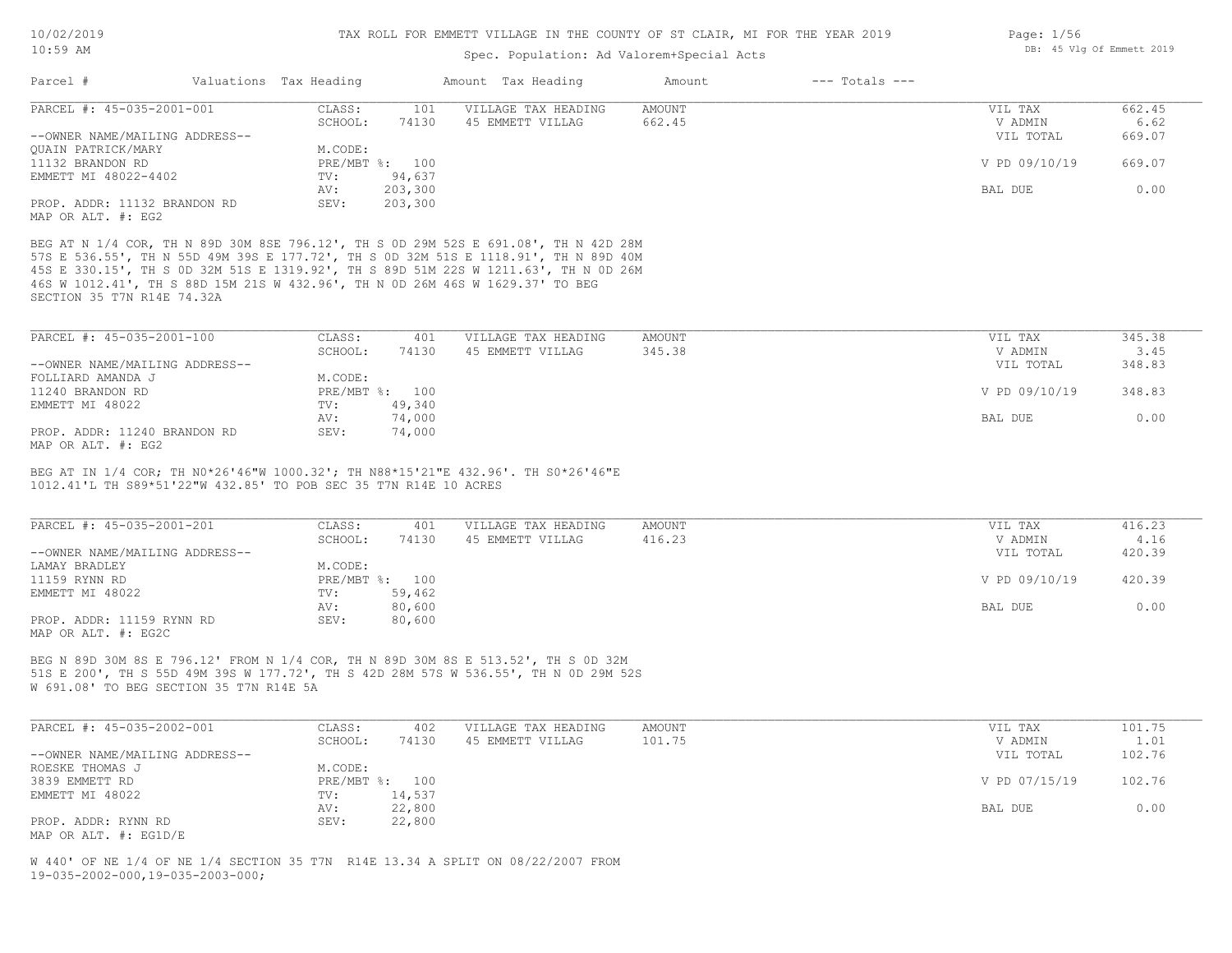### Spec. Population: Ad Valorem+Special Acts

| Parcel #                       | Valuations Tax Heading |                | Amount Tax Heading  | Amount | $---$ Totals $---$ |               |        |
|--------------------------------|------------------------|----------------|---------------------|--------|--------------------|---------------|--------|
| PARCEL #: 45-035-2001-001      | CLASS:                 | 101            | VILLAGE TAX HEADING | AMOUNT |                    | VIL TAX       | 662.45 |
|                                | SCHOOL:                | 74130          | 45 EMMETT VILLAG    | 662.45 |                    | V ADMIN       | 6.62   |
| --OWNER NAME/MAILING ADDRESS-- |                        |                |                     |        |                    | VIL TOTAL     | 669.07 |
| OUAIN PATRICK/MARY             | M.CODE:                |                |                     |        |                    |               |        |
| 11132 BRANDON RD               |                        | PRE/MBT %: 100 |                     |        |                    | V PD 09/10/19 | 669.07 |
| EMMETT MI 48022-4402           | TV:                    | 94,637         |                     |        |                    |               |        |
|                                | AV:                    | 203,300        |                     |        |                    | BAL DUE       | 0.00   |
| PROP. ADDR: 11132 BRANDON RD   | SEV:                   | 203,300        |                     |        |                    |               |        |
| MAP OR ALT. #: EG2             |                        |                |                     |        |                    |               |        |

SECTION 35 T7N R14E 74.32A 46S W 1012.41', TH S 88D 15M 21S W 432.96', TH N 0D 26M 46S W 1629.37' TO BEG 45S E 330.15', TH S 0D 32M 51S E 1319.92', TH S 89D 51M 22S W 1211.63', TH N 0D 26M 57S E 536.55', TH N 55D 49M 39S E 177.72', TH S 0D 32M 51S E 1118.91', TH N 89D 40M BEG AT N 1/4 COR, TH N 89D 30M 8SE 796.12', TH S 0D 29M 52S E 691.08', TH N 42D 28M

| PARCEL #: 45-035-2001-100      | CLASS:  | 401            | VILLAGE TAX HEADING | AMOUNT | VIL TAX       | 345.38 |
|--------------------------------|---------|----------------|---------------------|--------|---------------|--------|
|                                | SCHOOL: | 74130          | 45 EMMETT VILLAG    | 345.38 | V ADMIN       | 3.45   |
| --OWNER NAME/MAILING ADDRESS-- |         |                |                     |        | VIL TOTAL     | 348.83 |
| FOLLIARD AMANDA J              | M.CODE: |                |                     |        |               |        |
| 11240 BRANDON RD               |         | PRE/MBT %: 100 |                     |        | V PD 09/10/19 | 348.83 |
| EMMETT MI 48022                | TV:     | 49,340         |                     |        |               |        |
|                                | AV:     | 74,000         |                     |        | BAL DUE       | 0.00   |
| PROP. ADDR: 11240 BRANDON RD   | SEV:    | 74,000         |                     |        |               |        |
|                                |         |                |                     |        |               |        |

MAP OR ALT. #: EG2

1012.41'L TH S89\*51'22"W 432.85' TO POB SEC 35 T7N R14E 10 ACRES BEG AT IN 1/4 COR; TH N0\*26'46"W 1000.32'; TH N88\*15'21"E 432.96'. TH S0\*26'46"E

| PARCEL #: 45-035-2001-201      | CLASS:  | 401            | VILLAGE TAX HEADING | AMOUNT | VIL TAX       | 416.23 |
|--------------------------------|---------|----------------|---------------------|--------|---------------|--------|
|                                | SCHOOL: | 74130          | 45 EMMETT VILLAG    | 416.23 | V ADMIN       | 4.16   |
| --OWNER NAME/MAILING ADDRESS-- |         |                |                     |        | VIL TOTAL     | 420.39 |
| LAMAY BRADLEY                  | M.CODE: |                |                     |        |               |        |
| 11159 RYNN RD                  |         | PRE/MBT %: 100 |                     |        | V PD 09/10/19 | 420.39 |
| EMMETT MI 48022                | TV:     | 59,462         |                     |        |               |        |
|                                | AV:     | 80,600         |                     |        | BAL DUE       | 0.00   |
| PROP. ADDR: 11159 RYNN RD      | SEV:    | 80,600         |                     |        |               |        |
| MAP OR ALT. #: EG2C            |         |                |                     |        |               |        |

W 691.08' TO BEG SECTION 35 T7N R14E 5A 51S E 200', TH S 55D 49M 39S W 177.72', TH S 42D 28M 57S W 536.55', TH N 0D 29M 52S BEG N 89D 30M 8S E 796.12' FROM N 1/4 COR, TH N 89D 30M 8S E 513.52', TH S 0D 32M

| PARCEL #: 45-035-2002-001      | CLASS:  | 402            | VILLAGE TAX HEADING | AMOUNT | VIL TAX       | 101.75 |
|--------------------------------|---------|----------------|---------------------|--------|---------------|--------|
|                                | SCHOOL: | 74130          | 45 EMMETT VILLAG    | 101.75 | V ADMIN       | 1.01   |
| --OWNER NAME/MAILING ADDRESS-- |         |                |                     |        | VIL TOTAL     | 102.76 |
| ROESKE THOMAS J                | M.CODE: |                |                     |        |               |        |
| 3839 EMMETT RD                 |         | PRE/MBT %: 100 |                     |        | V PD 07/15/19 | 102.76 |
| EMMETT MI 48022                | TV:     | 14,537         |                     |        |               |        |
|                                | AV:     | 22,800         |                     |        | BAL DUE       | 0.00   |
| PROP. ADDR: RYNN RD            | SEV:    | 22,800         |                     |        |               |        |
| MAP OR ALT. #: EG1D/E          |         |                |                     |        |               |        |

19-035-2002-000,19-035-2003-000; W 440' OF NE 1/4 OF NE 1/4 SECTION 35 T7N R14E 13.34 A SPLIT ON 08/22/2007 FROM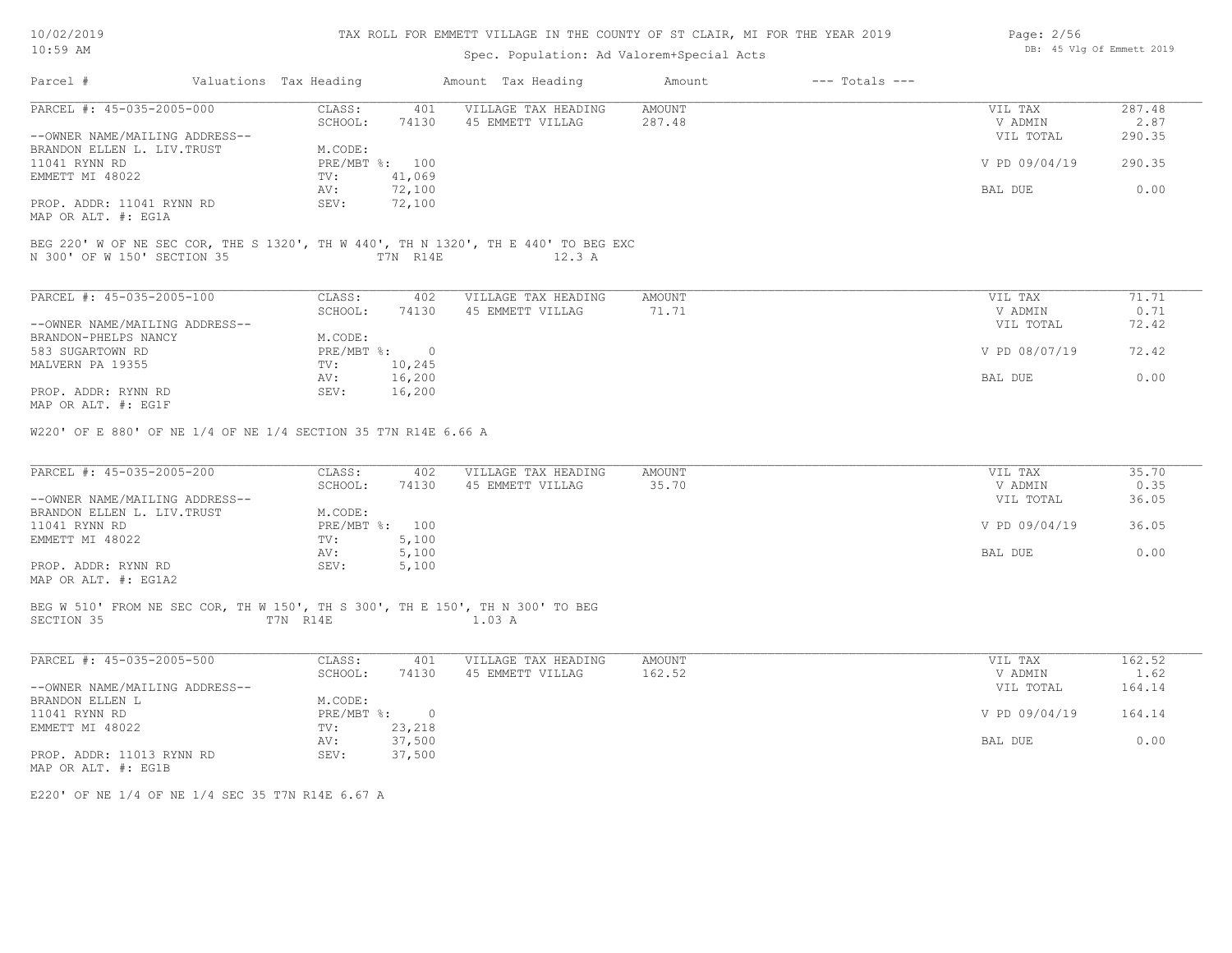| 10/02/2019 |  |
|------------|--|
| 10:59 AM   |  |

# Spec. Population: Ad Valorem+Special Acts

| Page: 2/56 |  |                           |  |
|------------|--|---------------------------|--|
|            |  | DB: 45 Vlg Of Emmett 2019 |  |

| Parcel #                                                                                    | Valuations Tax Heading |                         | Amount Tax Heading                                                                           | Amount                 | $---$ Totals $---$ |                                 |                          |
|---------------------------------------------------------------------------------------------|------------------------|-------------------------|----------------------------------------------------------------------------------------------|------------------------|--------------------|---------------------------------|--------------------------|
| PARCEL #: 45-035-2005-000<br>--OWNER NAME/MAILING ADDRESS--                                 | CLASS:<br>SCHOOL:      | 401<br>74130            | VILLAGE TAX HEADING<br>45 EMMETT VILLAG                                                      | AMOUNT<br>287.48       |                    | VIL TAX<br>V ADMIN<br>VIL TOTAL | 287.48<br>2.87<br>290.35 |
| BRANDON ELLEN L. LIV. TRUST<br>11041 RYNN RD                                                | M.CODE:                | PRE/MBT %: 100          |                                                                                              |                        |                    | V PD 09/04/19                   | 290.35                   |
| EMMETT MI 48022                                                                             | TV:<br>AV:             | 41,069<br>72,100        |                                                                                              |                        |                    | BAL DUE                         | 0.00                     |
| PROP. ADDR: 11041 RYNN RD<br>MAP OR ALT. #: EG1A                                            | SEV:                   | 72,100                  |                                                                                              |                        |                    |                                 |                          |
| N 300' OF W 150' SECTION 35                                                                 | T7N R14E               |                         | BEG 220' W OF NE SEC COR, THE S 1320', TH W 440', TH N 1320', TH E 440' TO BEG EXC<br>12.3 A |                        |                    |                                 |                          |
| PARCEL #: 45-035-2005-100                                                                   | CLASS:                 | 402                     | VILLAGE TAX HEADING                                                                          | <b>AMOUNT</b>          |                    | VIL TAX                         | 71.71                    |
| --OWNER NAME/MAILING ADDRESS--                                                              | SCHOOL:                | 74130                   | 45 EMMETT VILLAG                                                                             | 71.71                  |                    | V ADMIN<br>VIL TOTAL            | 0.71<br>72.42            |
| BRANDON-PHELPS NANCY<br>583 SUGARTOWN RD                                                    | M.CODE:                | PRE/MBT %: 0            |                                                                                              |                        |                    | V PD 08/07/19                   | 72.42                    |
| MALVERN PA 19355                                                                            | $TV$ :<br>AV:          | 10,245<br>16,200        |                                                                                              |                        |                    | BAL DUE                         | 0.00                     |
| PROP. ADDR: RYNN RD<br>MAP OR ALT. #: EG1F                                                  | SEV:                   | 16,200                  |                                                                                              |                        |                    |                                 |                          |
| W220' OF E 880' OF NE 1/4 OF NE 1/4 SECTION 35 T7N R14E 6.66 A                              |                        |                         |                                                                                              |                        |                    |                                 |                          |
| PARCEL #: 45-035-2005-200                                                                   | CLASS:<br>SCHOOL:      | 402<br>74130            | VILLAGE TAX HEADING<br>45 EMMETT VILLAG                                                      | <b>AMOUNT</b><br>35.70 |                    | VIL TAX<br>V ADMIN              | 35.70<br>0.35            |
| --OWNER NAME/MAILING ADDRESS--<br>BRANDON ELLEN L. LIV. TRUST                               | M.CODE:                |                         |                                                                                              |                        |                    | VIL TOTAL                       | 36.05                    |
| 11041 RYNN RD<br>EMMETT MI 48022                                                            | TV:                    | PRE/MBT %: 100<br>5,100 |                                                                                              |                        |                    | V PD 09/04/19                   | 36.05                    |
| PROP. ADDR: RYNN RD                                                                         | AV:<br>SEV:            | 5,100<br>5,100          |                                                                                              |                        |                    | BAL DUE                         | 0.00                     |
| MAP OR ALT. #: EG1A2                                                                        |                        |                         |                                                                                              |                        |                    |                                 |                          |
| BEG W 510' FROM NE SEC COR, TH W 150', TH S 300', TH E 150', TH N 300' TO BEG<br>SECTION 35 | T7N R14E               |                         | 1.03 A                                                                                       |                        |                    |                                 |                          |
| PARCEL #: 45-035-2005-500                                                                   | CLASS:                 | 401                     | VILLAGE TAX HEADING                                                                          | AMOUNT                 |                    | VIL TAX                         | 162.52                   |
| --OWNER NAME/MAILING ADDRESS--                                                              | SCHOOL:                | 74130                   | 45 EMMETT VILLAG                                                                             | 162.52                 |                    | V ADMIN<br>VIL TOTAL            | 1.62<br>164.14           |
| BRANDON ELLEN L<br>11041 RYNN RD                                                            | M.CODE:                | PRE/MBT %: 0            |                                                                                              |                        |                    | V PD 09/04/19                   | 164.14                   |
| EMMETT MI 48022                                                                             | $TV$ :                 | 23,218                  |                                                                                              |                        |                    |                                 |                          |
| PROP. ADDR: 11013 RYNN RD<br>MAP OR ALT. #: EG1B                                            | AV:<br>SEV:            | 37,500<br>37,500        |                                                                                              |                        |                    | BAL DUE                         | 0.00                     |

E220' OF NE 1/4 OF NE 1/4 SEC 35 T7N R14E 6.67 A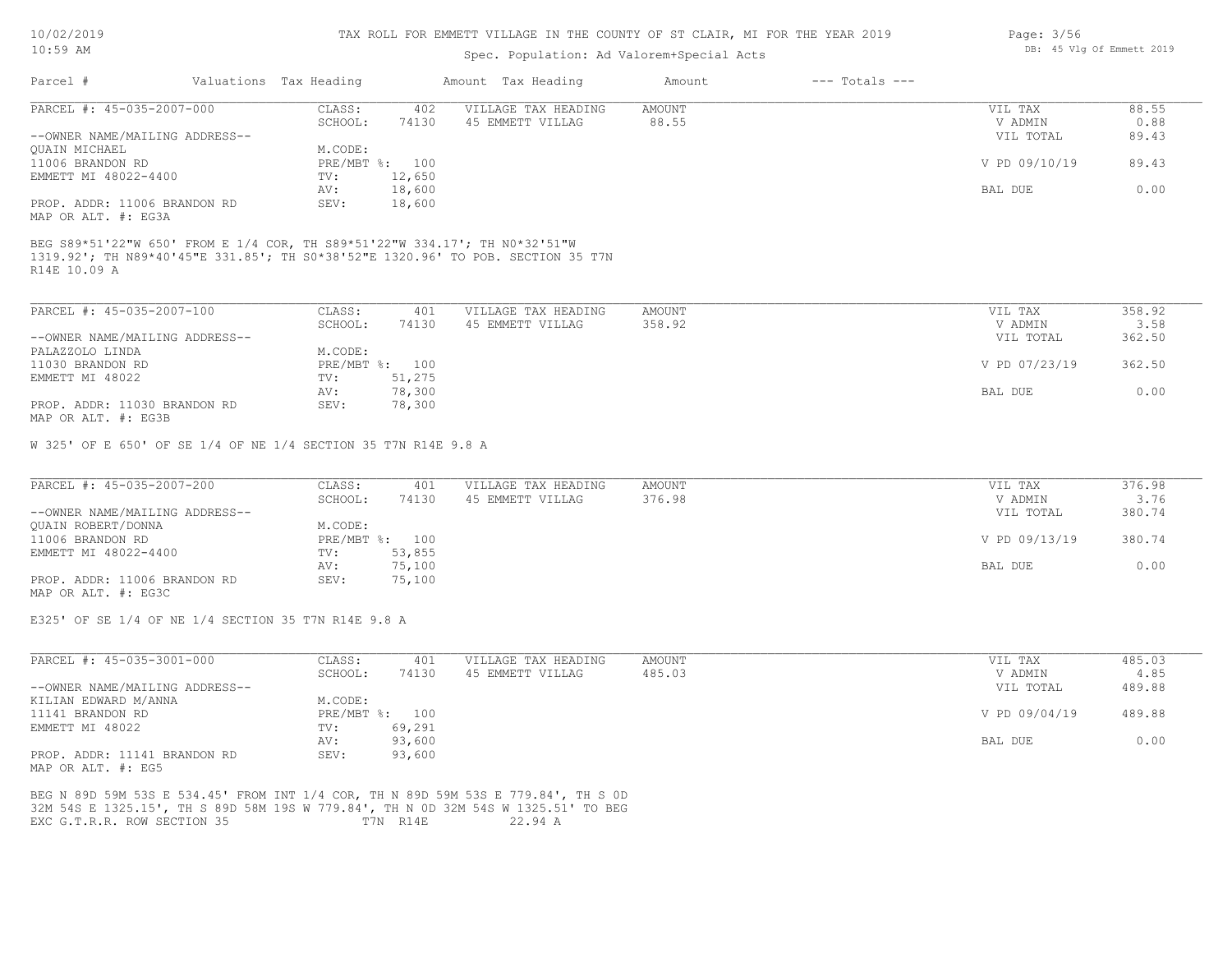### TAX ROLL FOR EMMETT VILLAGE IN THE COUNTY OF ST CLAIR, MI FOR THE YEAR 2019

### Spec. Population: Ad Valorem+Special Acts

| Parcel #                       | Valuations Tax Heading |        | Amount Tax Heading  | Amount | $---$ Totals $---$ |               |       |
|--------------------------------|------------------------|--------|---------------------|--------|--------------------|---------------|-------|
| PARCEL #: 45-035-2007-000      | CLASS:                 | 402    | VILLAGE TAX HEADING | AMOUNT |                    | VIL TAX       | 88.55 |
|                                | SCHOOL:                | 74130  | 45 EMMETT VILLAG    | 88.55  |                    | V ADMIN       | 0.88  |
| --OWNER NAME/MAILING ADDRESS-- |                        |        |                     |        |                    | VIL TOTAL     | 89.43 |
| QUAIN MICHAEL                  | M.CODE:                |        |                     |        |                    |               |       |
| 11006 BRANDON RD               | PRE/MBT %: 100         |        |                     |        |                    | V PD 09/10/19 | 89.43 |
| EMMETT MI 48022-4400           | TV:                    | 12,650 |                     |        |                    |               |       |
|                                | AV:                    | 18,600 |                     |        |                    | BAL DUE       | 0.00  |
| PROP. ADDR: 11006 BRANDON RD   | SEV:                   | 18,600 |                     |        |                    |               |       |
| MAP OR ALT. #: EG3A            |                        |        |                     |        |                    |               |       |

R14E 10.09 A 1319.92'; TH N89\*40'45"E 331.85'; TH S0\*38'52"E 1320.96' TO POB. SECTION 35 T7N BEG S89\*51'22"W 650' FROM E 1/4 COR, TH S89\*51'22"W 334.17'; TH N0\*32'51"W

| PARCEL #: 45-035-2007-100      | CLASS:  | 401            | VILLAGE TAX HEADING | AMOUNT | VIL TAX       | 358.92 |
|--------------------------------|---------|----------------|---------------------|--------|---------------|--------|
|                                | SCHOOL: | 74130          | 45 EMMETT VILLAG    | 358.92 | V ADMIN       | 3.58   |
| --OWNER NAME/MAILING ADDRESS-- |         |                |                     |        | VIL TOTAL     | 362.50 |
| PALAZZOLO LINDA                | M.CODE: |                |                     |        |               |        |
| 11030 BRANDON RD               |         | PRE/MBT %: 100 |                     |        | V PD 07/23/19 | 362.50 |
| EMMETT MI 48022                | TV:     | 51,275         |                     |        |               |        |
|                                | AV:     | 78,300         |                     |        | BAL DUE       | 0.00   |
| PROP. ADDR: 11030 BRANDON RD   | SEV:    | 78,300         |                     |        |               |        |
| MAP OR ALT. #: EG3B            |         |                |                     |        |               |        |

W 325' OF E 650' OF SE 1/4 OF NE 1/4 SECTION 35 T7N R14E 9.8 A

| PARCEL #: 45-035-2007-200      | CLASS:         | 401    | VILLAGE TAX HEADING | AMOUNT | VIL TAX       | 376.98 |
|--------------------------------|----------------|--------|---------------------|--------|---------------|--------|
|                                | SCHOOL:        | 74130  | 45 EMMETT VILLAG    | 376.98 | V ADMIN       | 3.76   |
| --OWNER NAME/MAILING ADDRESS-- |                |        |                     |        | VIL TOTAL     | 380.74 |
| QUAIN ROBERT/DONNA             | M.CODE:        |        |                     |        |               |        |
| 11006 BRANDON RD               | PRE/MBT %: 100 |        |                     |        | V PD 09/13/19 | 380.74 |
| EMMETT MI 48022-4400           | TV:            | 53,855 |                     |        |               |        |
|                                | AV:            | 75,100 |                     |        | BAL DUE       | 0.00   |
| PROP. ADDR: 11006 BRANDON RD   | SEV:           | 75,100 |                     |        |               |        |

MAP OR ALT. #: EG3C

E325' OF SE 1/4 OF NE 1/4 SECTION 35 T7N R14E 9.8 A

| PARCEL #: 45-035-3001-000      | CLASS:       | 401    | VILLAGE TAX HEADING | AMOUNT | VIL TAX       | 485.03 |
|--------------------------------|--------------|--------|---------------------|--------|---------------|--------|
|                                | SCHOOL:      | 74130  | 45 EMMETT VILLAG    | 485.03 | V ADMIN       | 4.85   |
| --OWNER NAME/MAILING ADDRESS-- |              |        |                     |        | VIL TOTAL     | 489.88 |
| KILIAN EDWARD M/ANNA           | M.CODE:      |        |                     |        |               |        |
| 11141 BRANDON RD               | $PRE/MBT$ %: | 100    |                     |        | V PD 09/04/19 | 489.88 |
| EMMETT MI 48022                | TV:          | 69,291 |                     |        |               |        |
|                                | AV:          | 93,600 |                     |        | BAL DUE       | 0.00   |
| PROP. ADDR: 11141 BRANDON RD   | SEV:         | 93,600 |                     |        |               |        |
| MAP OR ALT. #: EG5             |              |        |                     |        |               |        |

EXC G.T.R.R. ROW SECTION 35 T7N R14E 22.94 A 32M 54S E 1325.15', TH S 89D 58M 19S W 779.84', TH N 0D 32M 54S W 1325.51' TO BEG BEG N 89D 59M 53S E 534.45' FROM INT 1/4 COR, TH N 89D 59M 53S E 779.84', TH S 0D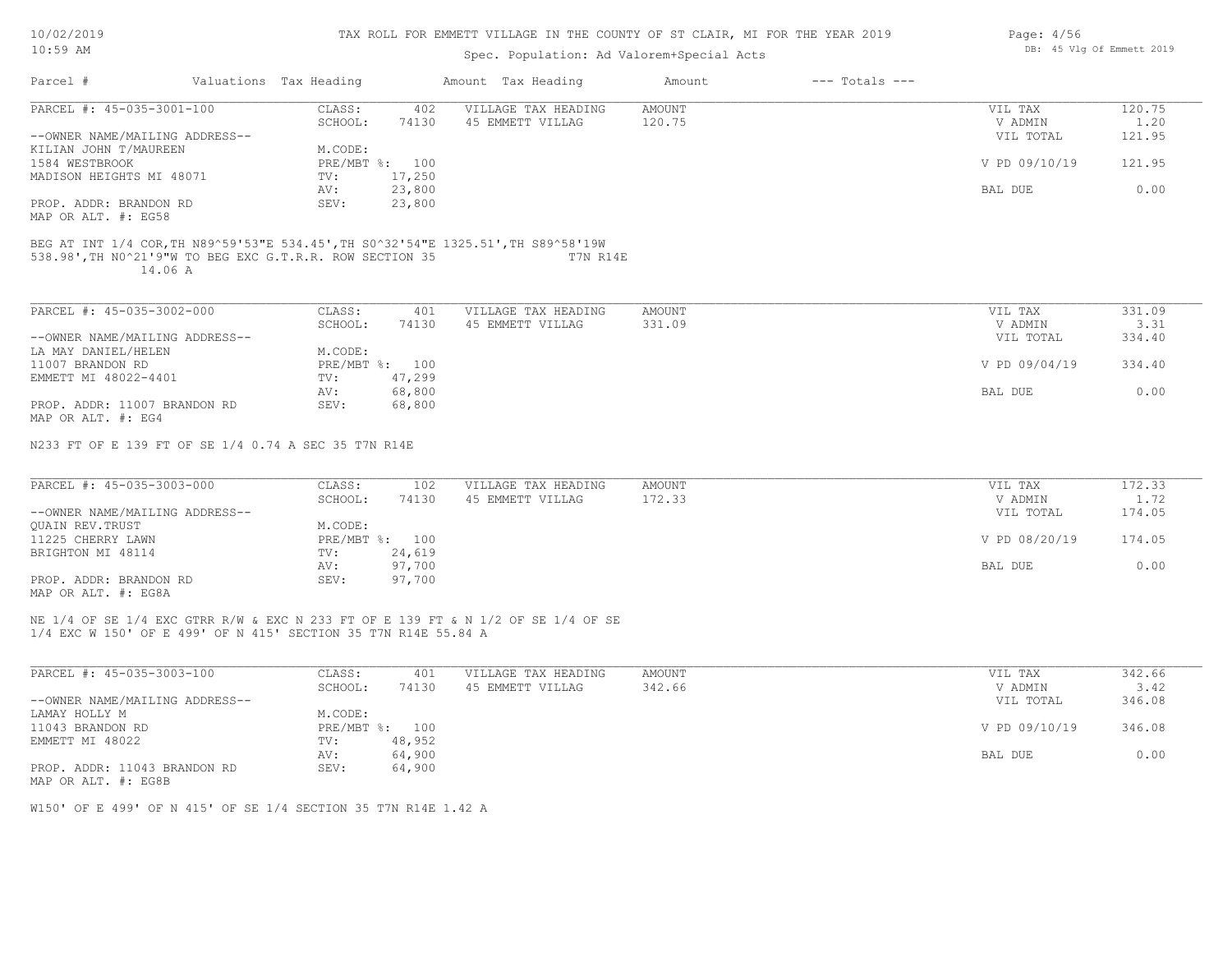| 10/02/2019 |  |
|------------|--|
| 10:59 AM   |  |

# Spec. Population: Ad Valorem+Special Acts

|                                                                                   |                        |                | spec. Population: Ad valorem+special Acts |                  |                    |                    |                |
|-----------------------------------------------------------------------------------|------------------------|----------------|-------------------------------------------|------------------|--------------------|--------------------|----------------|
| Parcel #                                                                          | Valuations Tax Heading |                | Amount Tax Heading                        | Amount           | $---$ Totals $---$ |                    |                |
| PARCEL #: 45-035-3001-100                                                         | CLASS:<br>SCHOOL:      | 402<br>74130   | VILLAGE TAX HEADING<br>45 EMMETT VILLAG   | AMOUNT<br>120.75 |                    | VIL TAX<br>V ADMIN | 120.75<br>1.20 |
| --OWNER NAME/MAILING ADDRESS--                                                    |                        |                |                                           |                  |                    | VIL TOTAL          | 121.95         |
| KILIAN JOHN T/MAUREEN                                                             | M.CODE:                |                |                                           |                  |                    |                    |                |
| 1584 WESTBROOK                                                                    |                        | PRE/MBT %: 100 |                                           |                  |                    | V PD 09/10/19      | 121.95         |
| MADISON HEIGHTS MI 48071                                                          | TV:                    | 17,250         |                                           |                  |                    |                    |                |
|                                                                                   | AV:                    | 23,800         |                                           |                  |                    | BAL DUE            | 0.00           |
| PROP. ADDR: BRANDON RD                                                            | SEV:                   | 23,800         |                                           |                  |                    |                    |                |
| MAP OR ALT. #: EG58                                                               |                        |                |                                           |                  |                    |                    |                |
| BEG AT INT 1/4 COR, TH N89^59'53"E 534.45', TH S0^32'54"E 1325.51', TH S89^58'19W |                        |                |                                           |                  |                    |                    |                |
| 538.98', TH NO^21'9"W TO BEG EXC G.T.R.R. ROW SECTION 35<br>14.06 A               |                        |                | T7N R14E                                  |                  |                    |                    |                |
| PARCEL #: 45-035-3002-000                                                         | CLASS:                 | 401            | VILLAGE TAX HEADING                       | AMOUNT           |                    | VIL TAX            | 331.09         |
|                                                                                   | SCHOOL:                | 74130          | 45 EMMETT VILLAG                          | 331.09           |                    | V ADMIN            | 3.31           |
| --OWNER NAME/MAILING ADDRESS--                                                    |                        |                |                                           |                  |                    |                    | 334.40         |
| LA MAY DANIEL/HELEN                                                               | M.CODE:                |                |                                           |                  |                    | VIL TOTAL          |                |
|                                                                                   |                        | PRE/MBT %: 100 |                                           |                  |                    |                    |                |
| 11007 BRANDON RD                                                                  |                        |                |                                           |                  |                    | V PD 09/04/19      | 334.40         |
| EMMETT MI 48022-4401                                                              | TV:<br>AV:             | 47,299         |                                           |                  |                    | BAL DUE            | 0.00           |
|                                                                                   |                        | 68,800         |                                           |                  |                    |                    |                |
| PROP. ADDR: 11007 BRANDON RD<br>MAP OR ALT. #: EG4                                | SEV:                   | 68,800         |                                           |                  |                    |                    |                |
| N233 FT OF E 139 FT OF SE 1/4 0.74 A SEC 35 T7N R14E                              |                        |                |                                           |                  |                    |                    |                |
| PARCEL #: 45-035-3003-000                                                         | CLASS:                 | 102            | VILLAGE TAX HEADING                       | AMOUNT           |                    | VIL TAX            | 172.33         |
|                                                                                   | SCHOOL:                | 74130          | 45 EMMETT VILLAG                          | 172.33           |                    | V ADMIN            | 1.72           |
| --OWNER NAME/MAILING ADDRESS--                                                    |                        |                |                                           |                  |                    | VIL TOTAL          | 174.05         |
| QUAIN REV. TRUST                                                                  | M.CODE:                |                |                                           |                  |                    |                    |                |
| 11225 CHERRY LAWN                                                                 |                        | PRE/MBT %: 100 |                                           |                  |                    | V PD 08/20/19      | 174.05         |
| BRIGHTON MI 48114                                                                 | TV:                    | 24,619         |                                           |                  |                    |                    |                |
|                                                                                   | AV:                    | 97,700         |                                           |                  |                    | BAL DUE            | 0.00           |
| PROP. ADDR: BRANDON RD                                                            | SEV:                   | 97,700         |                                           |                  |                    |                    |                |
| MAP OR ALT. #: EG8A                                                               |                        |                |                                           |                  |                    |                    |                |
|                                                                                   |                        |                |                                           |                  |                    |                    |                |

1/4 EXC W 150' OF E 499' OF N 415' SECTION 35 T7N R14E 55.84 A NE 1/4 OF SE 1/4 EXC GTRR R/W & EXC N 233 FT OF E 139 FT & N 1/2 OF SE 1/4 OF SE

| PARCEL #: 45-035-3003-100      | CLASS:       | 401    | VILLAGE TAX HEADING | AMOUNT | VIL TAX       | 342.66 |
|--------------------------------|--------------|--------|---------------------|--------|---------------|--------|
|                                | SCHOOL:      | 74130  | 45 EMMETT VILLAG    | 342.66 | V ADMIN       | 3.42   |
| --OWNER NAME/MAILING ADDRESS-- |              |        |                     |        | VIL TOTAL     | 346.08 |
| LAMAY HOLLY M                  | M.CODE:      |        |                     |        |               |        |
| 11043 BRANDON RD               | $PRE/MBT$ %: | 100    |                     |        | V PD 09/10/19 | 346.08 |
| EMMETT MI 48022                | TV:          | 48,952 |                     |        |               |        |
|                                | AV:          | 64,900 |                     |        | BAL DUE       | 0.00   |
| PROP. ADDR: 11043 BRANDON RD   | SEV:         | 64,900 |                     |        |               |        |
| MAP OR ALT. #: EG8B            |              |        |                     |        |               |        |

 $\mathcal{L}_\mathcal{L} = \mathcal{L}_\mathcal{L} = \mathcal{L}_\mathcal{L} = \mathcal{L}_\mathcal{L} = \mathcal{L}_\mathcal{L} = \mathcal{L}_\mathcal{L} = \mathcal{L}_\mathcal{L} = \mathcal{L}_\mathcal{L} = \mathcal{L}_\mathcal{L} = \mathcal{L}_\mathcal{L} = \mathcal{L}_\mathcal{L} = \mathcal{L}_\mathcal{L} = \mathcal{L}_\mathcal{L} = \mathcal{L}_\mathcal{L} = \mathcal{L}_\mathcal{L} = \mathcal{L}_\mathcal{L} = \mathcal{L}_\mathcal{L}$ 

W150' OF E 499' OF N 415' OF SE 1/4 SECTION 35 T7N R14E 1.42 A

Page: 4/56 DB: 45 Vlg Of Emmett 2019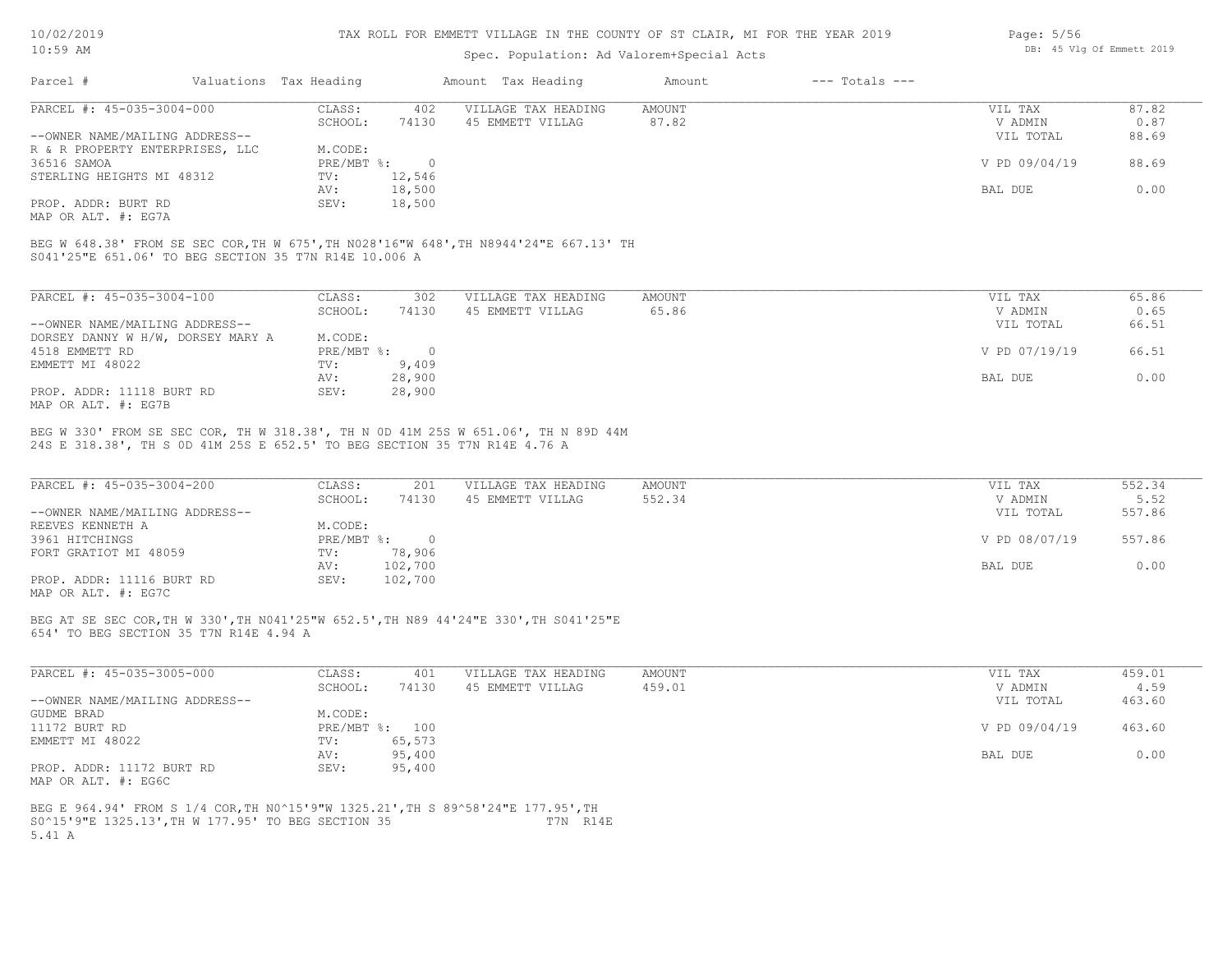#### TAX ROLL FOR EMMETT VILLAGE IN THE COUNTY OF ST CLAIR, MI FOR THE YEAR 2019

### Spec. Population: Ad Valorem+Special Acts

| Page: 5/56 |  |                           |  |
|------------|--|---------------------------|--|
|            |  | DB: 45 Vlg Of Emmett 2019 |  |

| 87.82<br>VIL TAX       |
|------------------------|
| 0.87<br>V ADMIN        |
| 88.69<br>VIL TOTAL     |
|                        |
| V PD 09/04/19<br>88.69 |
|                        |
| 0.00<br>BAL DUE        |
|                        |
|                        |

MAP OR ALT. #: EG7A

S041'25"E 651.06' TO BEG SECTION 35 T7N R14E 10.006 A BEG W 648.38' FROM SE SEC COR,TH W 675',TH N028'16"W 648',TH N8944'24"E 667.13' TH

| PARCEL #: 45-035-3004-100         | CLASS:     | 302      | VILLAGE TAX HEADING | AMOUNT | 65.86<br>VIL TAX       |
|-----------------------------------|------------|----------|---------------------|--------|------------------------|
|                                   | SCHOOL:    | 74130    | 45 EMMETT VILLAG    | 65.86  | 0.65<br>V ADMIN        |
| --OWNER NAME/MAILING ADDRESS--    |            |          |                     |        | 66.51<br>VIL TOTAL     |
| DORSEY DANNY W H/W, DORSEY MARY A | M.CODE:    |          |                     |        |                        |
| 4518 EMMETT RD                    | PRE/MBT %: | $\Omega$ |                     |        | V PD 07/19/19<br>66.51 |
| EMMETT MI 48022                   | TV:        | 9,409    |                     |        |                        |
|                                   | AV:        | 28,900   |                     |        | 0.00<br>BAL DUE        |
| PROP. ADDR: 11118 BURT RD         | SEV:       | 28,900   |                     |        |                        |
| MAP OR ALT. #: EG7B               |            |          |                     |        |                        |

24S E 318.38', TH S 0D 41M 25S E 652.5' TO BEG SECTION 35 T7N R14E 4.76 A BEG W 330' FROM SE SEC COR, TH W 318.38', TH N 0D 41M 25S W 651.06', TH N 89D 44M

| PARCEL #: 45-035-3004-200      | CLASS:     | 201     | VILLAGE TAX HEADING | AMOUNT | VIL TAX       | 552.34 |
|--------------------------------|------------|---------|---------------------|--------|---------------|--------|
|                                | SCHOOL:    | 74130   | 45 EMMETT VILLAG    | 552.34 | V ADMIN       | 5.52   |
| --OWNER NAME/MAILING ADDRESS-- |            |         |                     |        | VIL TOTAL     | 557.86 |
| REEVES KENNETH A               | M.CODE:    |         |                     |        |               |        |
| 3961 HITCHINGS                 | PRE/MBT %: |         |                     |        | V PD 08/07/19 | 557.86 |
| FORT GRATIOT MI 48059          | TV:        | 78,906  |                     |        |               |        |
|                                | AV:        | 102,700 |                     |        | BAL DUE       | 0.00   |
| PROP. ADDR: 11116 BURT RD      | SEV:       | 102,700 |                     |        |               |        |
|                                |            |         |                     |        |               |        |

MAP OR ALT. #: EG7C

654' TO BEG SECTION 35 T7N R14E 4.94 A BEG AT SE SEC COR,TH W 330',TH N041'25"W 652.5',TH N89 44'24"E 330',TH S041'25"E

| PARCEL #: 45-035-3005-000      | CLASS:  | 401            | VILLAGE TAX HEADING | AMOUNT | VIL TAX       | 459.01 |
|--------------------------------|---------|----------------|---------------------|--------|---------------|--------|
|                                | SCHOOL: | 74130          | 45 EMMETT VILLAG    | 459.01 | V ADMIN       | 4.59   |
| --OWNER NAME/MAILING ADDRESS-- |         |                |                     |        | VIL TOTAL     | 463.60 |
| GUDME BRAD                     | M.CODE: |                |                     |        |               |        |
| 11172 BURT RD                  |         | PRE/MBT %: 100 |                     |        | V PD 09/04/19 | 463.60 |
| EMMETT MI 48022                | TV:     | 65,573         |                     |        |               |        |
|                                | AV:     | 95,400         |                     |        | BAL DUE       | 0.00   |
| PROP. ADDR: 11172 BURT RD      | SEV:    | 95,400         |                     |        |               |        |
| MAP OR ALT. #: EG6C            |         |                |                     |        |               |        |

5.41 A S0^15'9"E 1325.13',TH W 177.95' TO BEG SECTION 35 T7N R14E BEG E 964.94' FROM S 1/4 COR,TH N0^15'9"W 1325.21',TH S 89^58'24"E 177.95',TH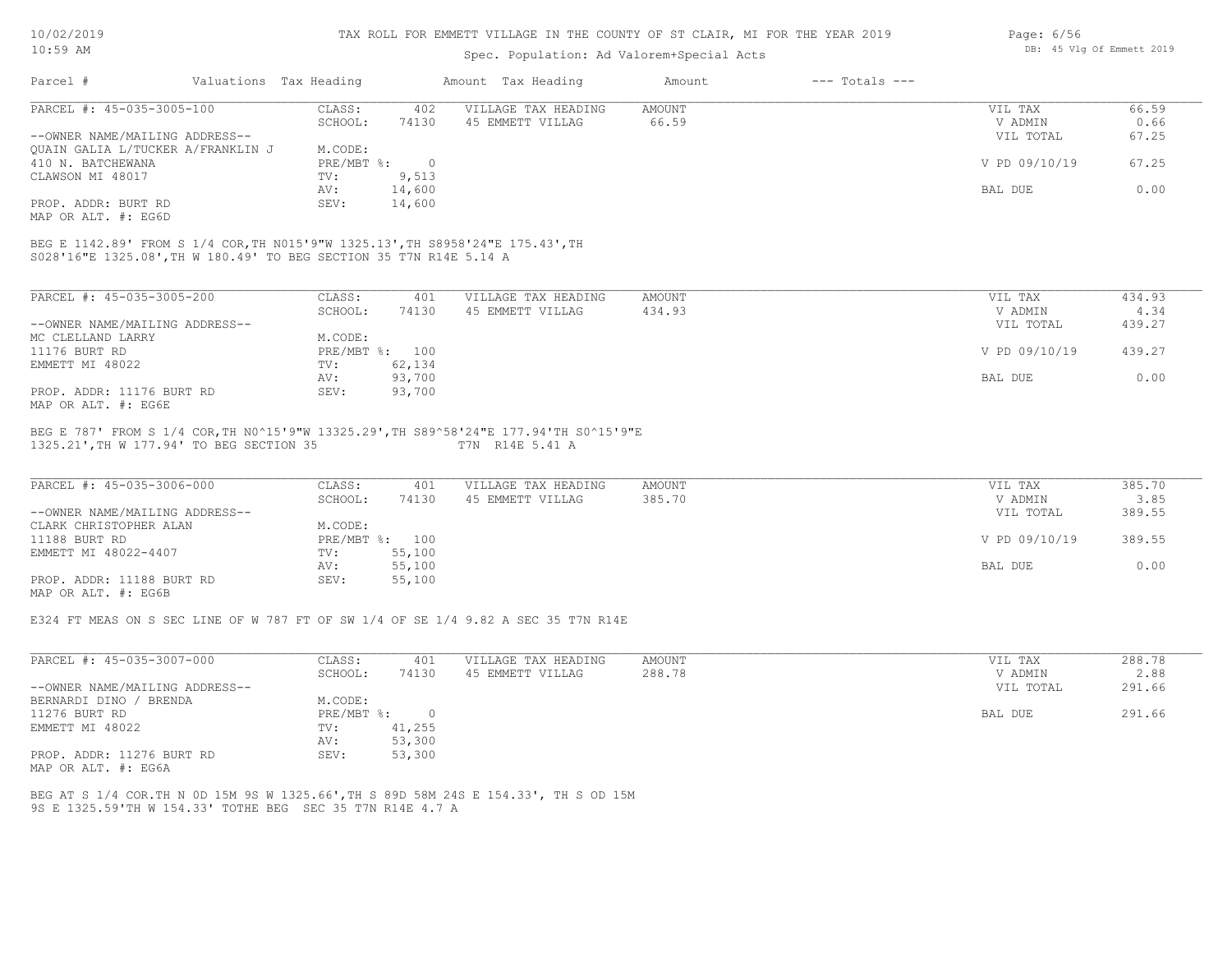#### TAX ROLL FOR EMMETT VILLAGE IN THE COUNTY OF ST CLAIR, MI FOR THE YEAR 2019

# Spec. Population: Ad Valorem+Special Acts

| Page: $6/56$ |  |                           |  |
|--------------|--|---------------------------|--|
|              |  | DB: 45 Vlg Of Emmett 2019 |  |

| Parcel #                          | Valuations Tax Heading |        | Amount Tax Heading  | Amount | $---$ Totals $---$ |               |       |
|-----------------------------------|------------------------|--------|---------------------|--------|--------------------|---------------|-------|
| PARCEL #: 45-035-3005-100         | CLASS:                 | 402    | VILLAGE TAX HEADING | AMOUNT |                    | VIL TAX       | 66.59 |
|                                   | SCHOOL:                | 74130  | 45 EMMETT VILLAG    | 66.59  |                    | V ADMIN       | 0.66  |
| --OWNER NAME/MAILING ADDRESS--    |                        |        |                     |        |                    | VIL TOTAL     | 67.25 |
| QUAIN GALIA L/TUCKER A/FRANKLIN J | M.CODE:                |        |                     |        |                    |               |       |
| 410 N. BATCHEWANA                 | $PRE/MBT$ %:           |        |                     |        |                    | V PD 09/10/19 | 67.25 |
| CLAWSON MI 48017                  | TV:                    | 9,513  |                     |        |                    |               |       |
|                                   | AV:                    | 14,600 |                     |        |                    | BAL DUE       | 0.00  |
| PROP. ADDR: BURT RD               | SEV:                   | 14,600 |                     |        |                    |               |       |
|                                   |                        |        |                     |        |                    |               |       |

MAP OR ALT. #: EG6D

S028'16"E 1325.08',TH W 180.49' TO BEG SECTION 35 T7N R14E 5.14 A BEG E 1142.89' FROM S 1/4 COR,TH N015'9"W 1325.13',TH S8958'24"E 175.43',TH

| PARCEL #: 45-035-3005-200      | CLASS:     | 401    | VILLAGE TAX HEADING | AMOUNT | 434.93<br>VIL TAX       |
|--------------------------------|------------|--------|---------------------|--------|-------------------------|
|                                | SCHOOL:    | 74130  | 45 EMMETT VILLAG    | 434.93 | 4.34<br>V ADMIN         |
| --OWNER NAME/MAILING ADDRESS-- |            |        |                     |        | 439.27<br>VIL TOTAL     |
| MC CLELLAND LARRY              | M.CODE:    |        |                     |        |                         |
| 11176 BURT RD                  | PRE/MBT %: | 100    |                     |        | 439.27<br>V PD 09/10/19 |
| EMMETT MI 48022                | TV:        | 62,134 |                     |        |                         |
|                                | AV:        | 93,700 |                     |        | 0.00<br>BAL DUE         |
| PROP. ADDR: 11176 BURT RD      | SEV:       | 93,700 |                     |        |                         |
| MAP OR ALT. #: EG6E            |            |        |                     |        |                         |

#### 1325.21',TH W 177.94' TO BEG SECTION 35 T7N R14E 5.41 A BEG E 787' FROM S 1/4 COR,TH N0^15'9"W 13325.29',TH S89^58'24"E 177.94'TH S0^15'9"E

| PARCEL #: 45-035-3006-000      | CLASS:  | 401            | VILLAGE TAX HEADING | AMOUNT | VIL TAX       | 385.70 |
|--------------------------------|---------|----------------|---------------------|--------|---------------|--------|
|                                | SCHOOL: | 74130          | 45 EMMETT VILLAG    | 385.70 | V ADMIN       | 3.85   |
| --OWNER NAME/MAILING ADDRESS-- |         |                |                     |        | VIL TOTAL     | 389.55 |
| CLARK CHRISTOPHER ALAN         | M.CODE: |                |                     |        |               |        |
| 11188 BURT RD                  |         | PRE/MBT %: 100 |                     |        | V PD 09/10/19 | 389.55 |
| EMMETT MI 48022-4407           | TV:     | 55,100         |                     |        |               |        |
|                                | AV:     | 55,100         |                     |        | BAL DUE       | 0.00   |
| PROP. ADDR: 11188 BURT RD      | SEV:    | 55,100         |                     |        |               |        |
| MAP OR ALT. #: EG6B            |         |                |                     |        |               |        |

E324 FT MEAS ON S SEC LINE OF W 787 FT OF SW 1/4 OF SE 1/4 9.82 A SEC 35 T7N R14E

| PARCEL #: 45-035-3007-000                                  | CLASS:     | 401    | VILLAGE TAX HEADING | AMOUNT | VIL TAX   | 288.78 |
|------------------------------------------------------------|------------|--------|---------------------|--------|-----------|--------|
|                                                            | SCHOOL:    | 74130  | 45 EMMETT VILLAG    | 288.78 | V ADMIN   | 2.88   |
| --OWNER NAME/MAILING ADDRESS--                             |            |        |                     |        | VIL TOTAL | 291.66 |
| BERNARDI DINO / BRENDA                                     | M.CODE:    |        |                     |        |           |        |
| 11276 BURT RD                                              | PRE/MBT %: |        |                     |        | BAL DUE   | 291.66 |
| EMMETT MI 48022                                            | TV:        | 41,255 |                     |        |           |        |
|                                                            | AV:        | 53,300 |                     |        |           |        |
| PROP. ADDR: 11276 BURT RD<br>$MAD$ $CD$ $BID$ $H$ , $DACD$ | SEV:       | 53,300 |                     |        |           |        |

MAP OR ALT. #: EG6A

9S E 1325.59'TH W 154.33' TOTHE BEG SEC 35 T7N R14E 4.7 A BEG AT S 1/4 COR.TH N 0D 15M 9S W 1325.66',TH S 89D 58M 24S E 154.33', TH S OD 15M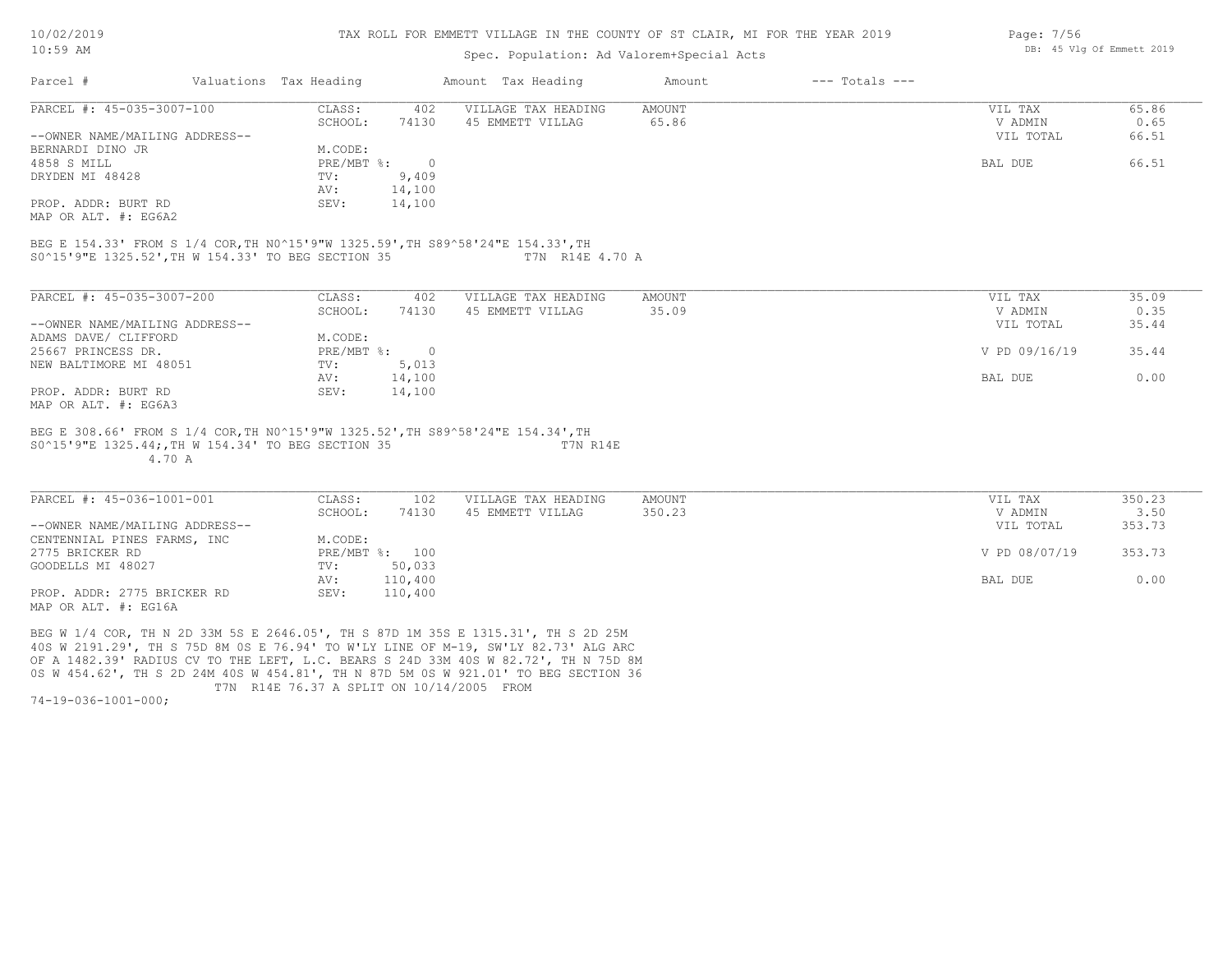#### TAX ROLL FOR EMMETT VILLAGE IN THE COUNTY OF ST CLAIR, MI FOR THE YEAR 2019

### Spec. Population: Ad Valorem+Special Acts

| Parcel #                       | Valuations Tax Heading |        | Amount Tax Heading  | Amount | $---$ Totals $---$ |           |       |
|--------------------------------|------------------------|--------|---------------------|--------|--------------------|-----------|-------|
| PARCEL #: 45-035-3007-100      | CLASS:                 | 402    | VILLAGE TAX HEADING | AMOUNT |                    | VIL TAX   | 65.86 |
|                                | SCHOOL:                | 74130  | 45 EMMETT VILLAG    | 65.86  |                    | V ADMIN   | 0.65  |
| --OWNER NAME/MAILING ADDRESS-- |                        |        |                     |        |                    | VIL TOTAL | 66.51 |
| BERNARDI DINO JR               | M.CODE:                |        |                     |        |                    |           |       |
| 4858 S MILL                    | PRE/MBT %:             |        |                     |        |                    | BAL DUE   | 66.51 |
| DRYDEN MI 48428                | TV:                    | 9,409  |                     |        |                    |           |       |
|                                | AV:                    | 14,100 |                     |        |                    |           |       |
| PROP. ADDR: BURT RD            | SEV:                   | 14,100 |                     |        |                    |           |       |
|                                |                        |        |                     |        |                    |           |       |

MAP OR ALT. #: EG6A2

S0^15'9"E 1325.52',TH W 154.33' TO BEG SECTION 35 T7N R14E 4.70 A BEG E 154.33' FROM S 1/4 COR,TH N0^15'9"W 1325.59',TH S89^58'24"E 154.33',TH

| PARCEL #: 45-035-3007-200      | CLASS:     | 402    | VILLAGE TAX HEADING | AMOUNT | 35.09<br>VIL TAX       |
|--------------------------------|------------|--------|---------------------|--------|------------------------|
|                                | SCHOOL:    | 74130  | 45 EMMETT VILLAG    | 35.09  | 0.35<br>V ADMIN        |
| --OWNER NAME/MAILING ADDRESS-- |            |        |                     |        | 35.44<br>VIL TOTAL     |
| ADAMS DAVE/ CLIFFORD           | M.CODE:    |        |                     |        |                        |
| 25667 PRINCESS DR.             | PRE/MBT %: | $\cap$ |                     |        | V PD 09/16/19<br>35.44 |
| NEW BALTIMORE MI 48051         | TV:        | 5,013  |                     |        |                        |
|                                | AV:        | 14,100 |                     |        | 0.00<br>BAL DUE        |
| PROP. ADDR: BURT RD            | SEV:       | 14,100 |                     |        |                        |
| MAP OR ALT. #: EG6A3           |            |        |                     |        |                        |

 4.70 A S0^15'9"E 1325.44;,TH W 154.34' TO BEG SECTION 35 T7N R14E BEG E 308.66' FROM S 1/4 COR,TH N0^15'9"W 1325.52',TH S89^58'24"E 154.34',TH

| PARCEL #: 45-036-1001-001      | CLASS:  | 102            | VILLAGE TAX HEADING | AMOUNT | VIL TAX       | 350.23 |
|--------------------------------|---------|----------------|---------------------|--------|---------------|--------|
|                                | SCHOOL: | 74130          | 45 EMMETT VILLAG    | 350.23 | V ADMIN       | 3.50   |
| --OWNER NAME/MAILING ADDRESS-- |         |                |                     |        | VIL TOTAL     | 353.73 |
| CENTENNIAL PINES FARMS, INC    | M.CODE: |                |                     |        |               |        |
| 2775 BRICKER RD                |         | PRE/MBT %: 100 |                     |        | V PD 08/07/19 | 353.73 |
| GOODELLS MI 48027              | TV:     | 50,033         |                     |        |               |        |
|                                | AV:     | 110,400        |                     |        | BAL DUE       | 0.00   |
| PROP. ADDR: 2775 BRICKER RD    | SEV:    | 110,400        |                     |        |               |        |
| $\frac{1}{2}$                  |         |                |                     |        |               |        |

MAP OR ALT. #: EG16A

 T7N R14E 76.37 A SPLIT ON 10/14/2005 FROM 0S W 454.62', TH S 2D 24M 40S W 454.81', TH N 87D 5M 0S W 921.01' TO BEG SECTION 36 OF A 1482.39' RADIUS CV TO THE LEFT, L.C. BEARS S 24D 33M 40S W 82.72', TH N 75D 8M 40S W 2191.29', TH S 75D 8M 0S E 76.94' TO W'LY LINE OF M-19, SW'LY 82.73' ALG ARC BEG W 1/4 COR, TH N 2D 33M 5S E 2646.05', TH S 87D 1M 35S E 1315.31', TH S 2D 25M

74-19-036-1001-000;

Page: 7/56 DB: 45 Vlg Of Emmett 2019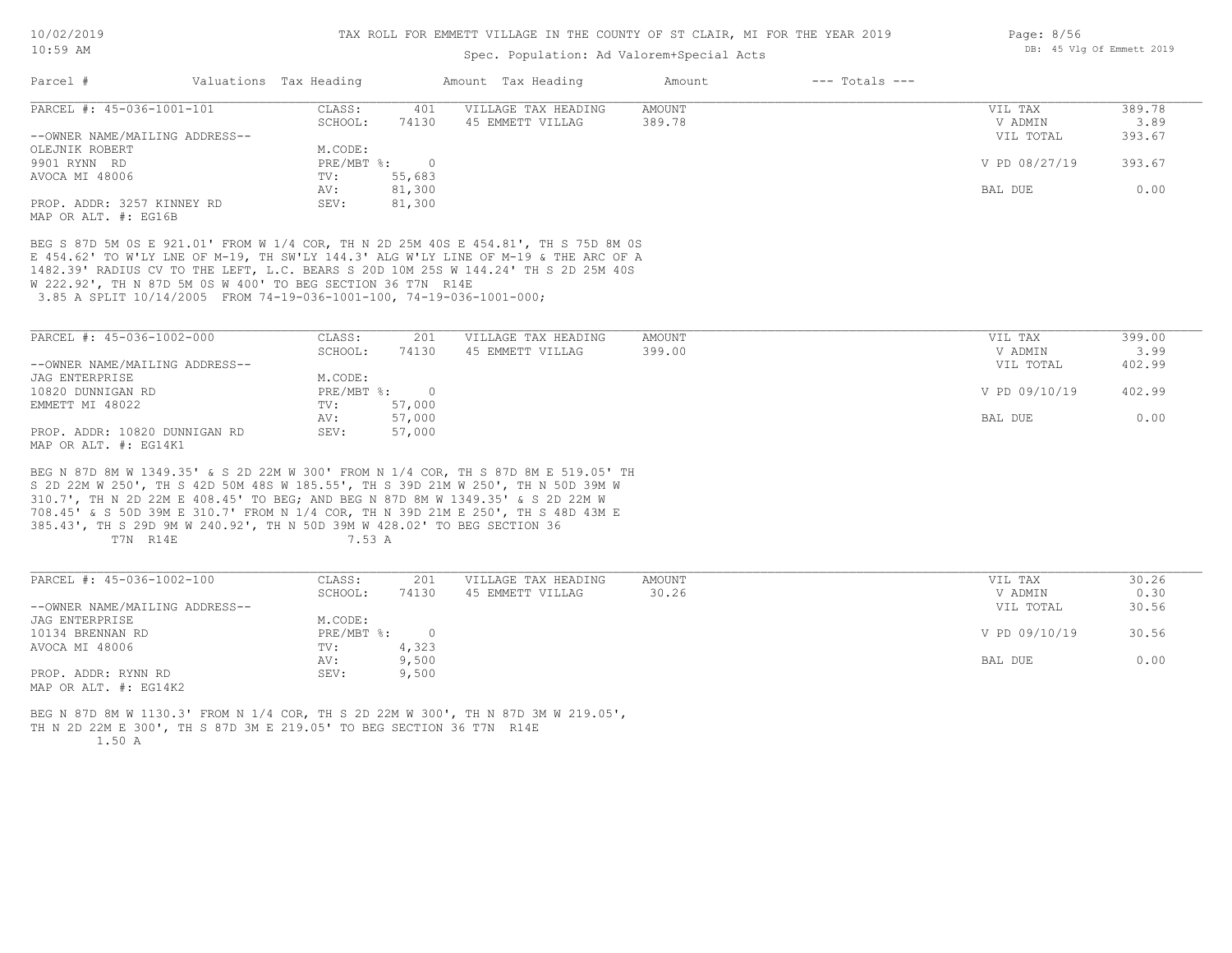### Spec. Population: Ad Valorem+Special Acts

| Parcel #                       | Valuations Tax Heading |        | Amount Tax Heading  | Amount | $---$ Totals $---$ |               |        |
|--------------------------------|------------------------|--------|---------------------|--------|--------------------|---------------|--------|
| PARCEL #: 45-036-1001-101      | CLASS:                 | 401    | VILLAGE TAX HEADING | AMOUNT |                    | VIL TAX       | 389.78 |
|                                | SCHOOL:                | 74130  | 45 EMMETT VILLAG    | 389.78 |                    | V ADMIN       | 3.89   |
| --OWNER NAME/MAILING ADDRESS-- |                        |        |                     |        |                    | VIL TOTAL     | 393.67 |
| OLEJNIK ROBERT                 | M.CODE:                |        |                     |        |                    |               |        |
| 9901 RYNN RD                   | $PRE/MBT$ %:           |        |                     |        |                    | V PD 08/27/19 | 393.67 |
| AVOCA MI 48006                 | TV:                    | 55,683 |                     |        |                    |               |        |
|                                | AV:                    | 81,300 |                     |        |                    | BAL DUE       | 0.00   |
| PROP. ADDR: 3257 KINNEY RD     | SEV:                   | 81,300 |                     |        |                    |               |        |
| MAP OR ALT, #: EG16B           |                        |        |                     |        |                    |               |        |

 3.85 A SPLIT 10/14/2005 FROM 74-19-036-1001-100, 74-19-036-1001-000; W 222.92', TH N 87D 5M 0S W 400' TO BEG SECTION 36 T7N R14E 1482.39' RADIUS CV TO THE LEFT, L.C. BEARS S 20D 10M 25S W 144.24' TH S 2D 25M 40S E 454.62' TO W'LY LNE OF M-19, TH SW'LY 144.3' ALG W'LY LINE OF M-19 & THE ARC OF A BEG S 87D 5M 0S E 921.01' FROM W 1/4 COR, TH N 2D 25M 40S E 454.81', TH S 75D 8M 0S

| PARCEL #: 45-036-1002-000      | CLASS:     | 201    | VILLAGE TAX HEADING | AMOUNT | VIL TAX       | 399.00 |
|--------------------------------|------------|--------|---------------------|--------|---------------|--------|
|                                | SCHOOL:    | 74130  | 45 EMMETT VILLAG    | 399.00 | V ADMIN       | 3.99   |
| --OWNER NAME/MAILING ADDRESS-- |            |        |                     |        | VIL TOTAL     | 402.99 |
| JAG ENTERPRISE                 | M.CODE:    |        |                     |        |               |        |
| 10820 DUNNIGAN RD              | PRE/MBT %: |        |                     |        | V PD 09/10/19 | 402.99 |
| EMMETT MI 48022                | TV:        | 57,000 |                     |        |               |        |
|                                | AV:        | 57,000 |                     |        | BAL DUE       | 0.00   |
| PROP. ADDR: 10820 DUNNIGAN RD  | SEV:       | 57,000 |                     |        |               |        |
| MAP OR ALT. #: EG14K1          |            |        |                     |        |               |        |

T7N R14E 7.53 A 385.43', TH S 29D 9M W 240.92', TH N 50D 39M W 428.02' TO BEG SECTION 36 708.45' & S 50D 39M E 310.7' FROM N 1/4 COR, TH N 39D 21M E 250', TH S 48D 43M E 310.7', TH N 2D 22M E 408.45' TO BEG; AND BEG N 87D 8M W 1349.35' & S 2D 22M W S 2D 22M W 250', TH S 42D 50M 48S W 185.55', TH S 39D 21M W 250', TH N 50D 39M W BEG N 87D 8M W 1349.35' & S 2D 22M W 300' FROM N 1/4 COR, TH S 87D 8M E 519.05' TH

| PARCEL #: 45-036-1002-100           | CLASS:     | 201   | VILLAGE TAX HEADING | AMOUNT | VIL TAX       | 30.26 |
|-------------------------------------|------------|-------|---------------------|--------|---------------|-------|
|                                     | SCHOOL:    | 74130 | 45 EMMETT VILLAG    | 30.26  | V ADMIN       | 0.30  |
| --OWNER NAME/MAILING ADDRESS--      |            |       |                     |        | VIL TOTAL     | 30.56 |
| JAG ENTERPRISE                      | M.CODE:    |       |                     |        |               |       |
| 10134 BRENNAN RD                    | PRE/MBT %: | 0     |                     |        | V PD 09/10/19 | 30.56 |
| AVOCA MI 48006                      | TV:        | 4,323 |                     |        |               |       |
|                                     | AV:        | 9,500 |                     |        | BAL DUE       | 0.00  |
| PROP. ADDR: RYNN RD                 | SEV:       | 9,500 |                     |        |               |       |
| $\cdots$ $\cdots$ $\cdots$ $\cdots$ |            |       |                     |        |               |       |

MAP OR ALT. #: EG14K2

 1.50 A TH N 2D 22M E 300', TH S 87D 3M E 219.05' TO BEG SECTION 36 T7N R14E BEG N 87D 8M W 1130.3' FROM N 1/4 COR, TH S 2D 22M W 300', TH N 87D 3M W 219.05', Page: 8/56 DB: 45 Vlg Of Emmett 2019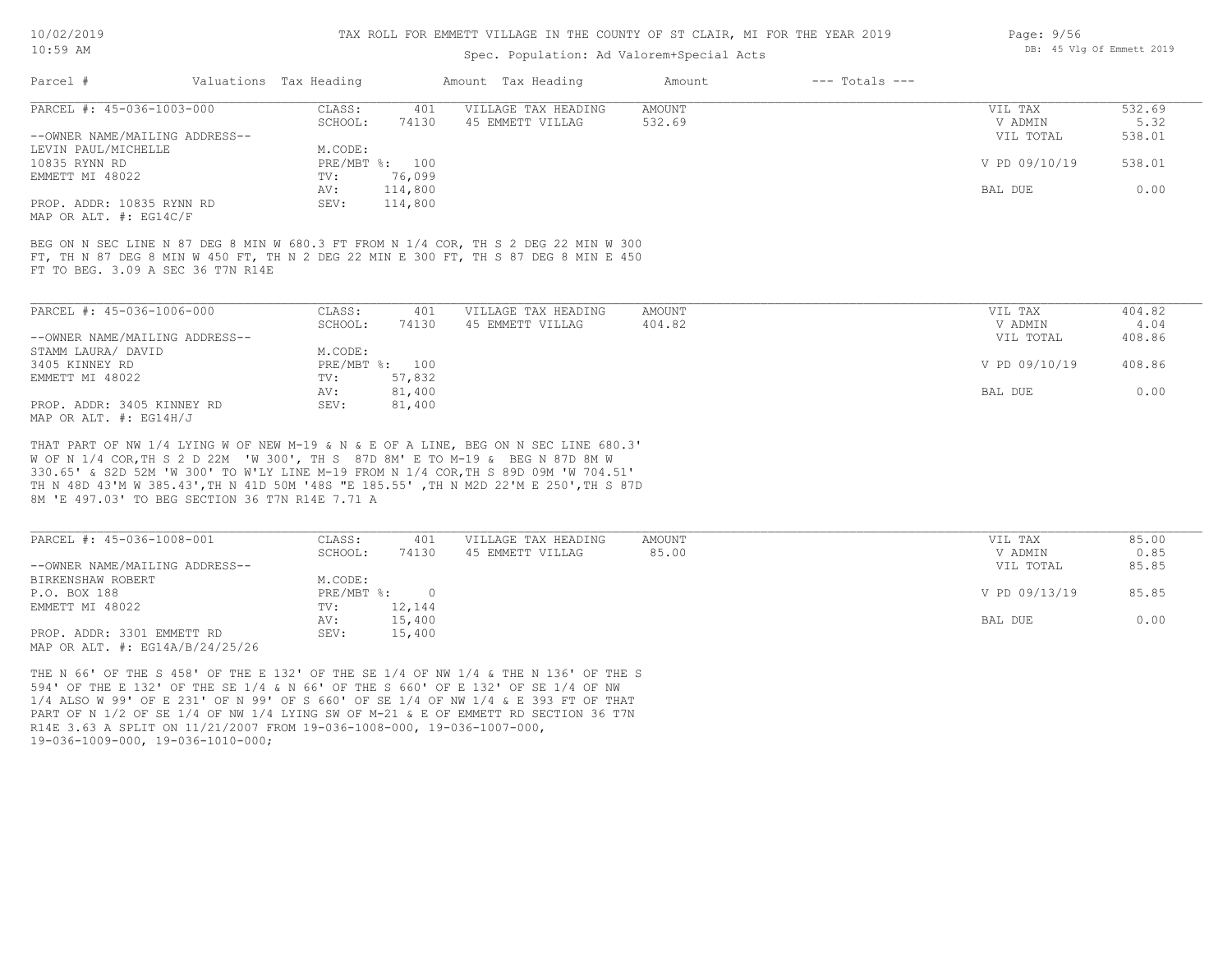#### TAX ROLL FOR EMMETT VILLAGE IN THE COUNTY OF ST CLAIR, MI FOR THE YEAR 2019

### Spec. Population: Ad Valorem+Special Acts

| Parcel #                       | Valuations Tax Heading |                | Amount Tax Heading  | Amount | $---$ Totals $---$ |               |        |
|--------------------------------|------------------------|----------------|---------------------|--------|--------------------|---------------|--------|
| PARCEL #: 45-036-1003-000      | CLASS:                 | 401            | VILLAGE TAX HEADING | AMOUNT |                    | VIL TAX       | 532.69 |
|                                | SCHOOL:                | 74130          | 45 EMMETT VILLAG    | 532.69 |                    | V ADMIN       | 5.32   |
| --OWNER NAME/MAILING ADDRESS-- |                        |                |                     |        |                    | VIL TOTAL     | 538.01 |
| LEVIN PAUL/MICHELLE            | M.CODE:                |                |                     |        |                    |               |        |
| 10835 RYNN RD                  |                        | PRE/MBT %: 100 |                     |        |                    | V PD 09/10/19 | 538.01 |
| EMMETT MI 48022                | TV:                    | 76,099         |                     |        |                    |               |        |
|                                | AV:                    | 114,800        |                     |        |                    | BAL DUE       | 0.00   |
| PROP. ADDR: 10835 RYNN RD      | SEV:                   | 114,800        |                     |        |                    |               |        |

MAP OR ALT. #: EG14C/F

FT TO BEG. 3.09 A SEC 36 T7N R14E FT, TH N 87 DEG 8 MIN W 450 FT, TH N 2 DEG 22 MIN E 300 FT, TH S 87 DEG 8 MIN E 450 BEG ON N SEC LINE N 87 DEG 8 MIN W 680.3 FT FROM N 1/4 COR, TH S 2 DEG 22 MIN W 300

| PARCEL #: 45-036-1006-000      | CLASS:  | 401            | VILLAGE TAX HEADING | AMOUNT | VIL TAX       | 404.82 |
|--------------------------------|---------|----------------|---------------------|--------|---------------|--------|
|                                | SCHOOL: | 74130          | 45 EMMETT VILLAG    | 404.82 | V ADMIN       | 4.04   |
| --OWNER NAME/MAILING ADDRESS-- |         |                |                     |        | VIL TOTAL     | 408.86 |
| STAMM LAURA/ DAVID             | M.CODE: |                |                     |        |               |        |
| 3405 KINNEY RD                 |         | PRE/MBT %: 100 |                     |        | V PD 09/10/19 | 408.86 |
| EMMETT MI 48022                | TV:     | 57,832         |                     |        |               |        |
|                                | AV:     | 81,400         |                     |        | BAL DUE       | 0.00   |
| PROP. ADDR: 3405 KINNEY RD     | SEV:    | 81,400         |                     |        |               |        |
| MAP OR ALT. #: EG14H/J         |         |                |                     |        |               |        |

8M 'E 497.03' TO BEG SECTION 36 T7N R14E 7.71 A TH N 48D 43'M W 385.43',TH N 41D 50M '48S "E 185.55' ,TH N M2D 22'M E 250',TH S 87D 330.65' & S2D 52M 'W 300' TO W'LY LINE M-19 FROM N 1/4 COR,TH S 89D 09M 'W 704.51' W OF N 1/4 COR,TH S 2 D 22M 'W 300', TH S 87D 8M' E TO M-19 & BEG N 87D 8M W THAT PART OF NW 1/4 LYING W OF NEW M-19 & N & E OF A LINE, BEG ON N SEC LINE 680.3'

| PARCEL #: 45-036-1008-001                     | CLASS:       | 401    | VILLAGE TAX HEADING | AMOUNT | VIL TAX       | 85.00 |
|-----------------------------------------------|--------------|--------|---------------------|--------|---------------|-------|
|                                               | SCHOOL:      | 74130  | 45 EMMETT VILLAG    | 85.00  | V ADMIN       | 0.85  |
| --OWNER NAME/MAILING ADDRESS--                |              |        |                     |        | VIL TOTAL     | 85.85 |
| BIRKENSHAW ROBERT                             | M.CODE:      |        |                     |        |               |       |
| P.O. BOX 188                                  | $PRE/MBT$ %: |        |                     |        | V PD 09/13/19 | 85.85 |
| EMMETT MI 48022                               | TV:          | 12,144 |                     |        |               |       |
|                                               | AV:          | 15,400 |                     |        | BAL DUE       | 0.00  |
| PROP. ADDR: 3301 EMMETT RD                    | SEV:         | 15,400 |                     |        |               |       |
| $MAD$ $CD$ $ATH$ $H$ , $DCDI$ $D/2I/2I/2E/2E$ |              |        |                     |        |               |       |

MAP OR ALT. #: EG14A/B/24/25/26

19-036-1009-000, 19-036-1010-000; R14E 3.63 A SPLIT ON 11/21/2007 FROM 19-036-1008-000, 19-036-1007-000, PART OF N 1/2 OF SE 1/4 OF NW 1/4 LYING SW OF M-21 & E OF EMMETT RD SECTION 36 T7N 1/4 ALSO W 99' OF E 231' OF N 99' OF S 660' OF SE 1/4 OF NW 1/4 & E 393 FT OF THAT 594' OF THE E 132' OF THE SE 1/4 & N 66' OF THE S 660' OF E 132' OF SE 1/4 OF NW THE N 66' OF THE S 458' OF THE E 132' OF THE SE 1/4 OF NW 1/4 & THE N 136' OF THE S Page: 9/56 DB: 45 Vlg Of Emmett 2019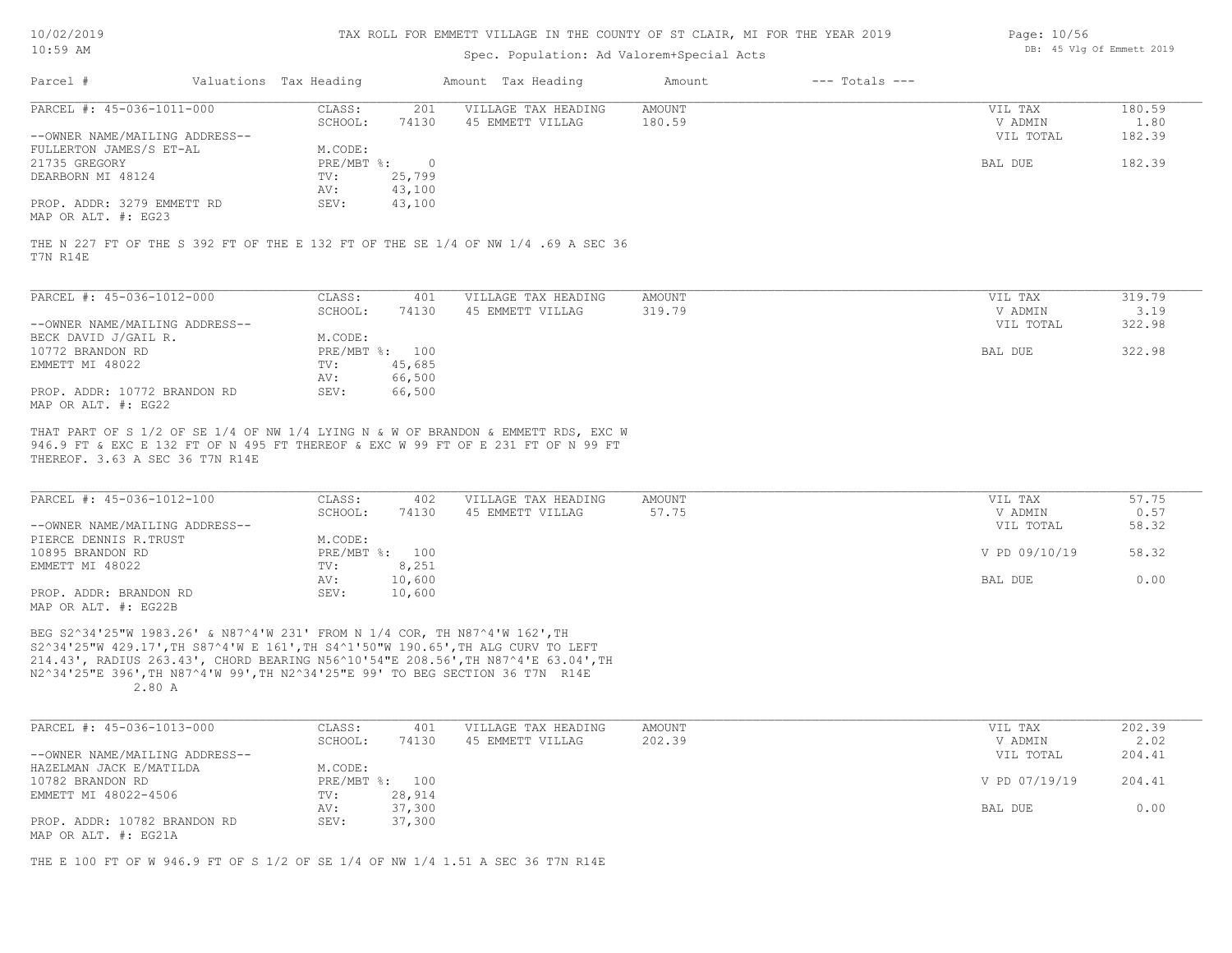| 10/02/2019 |  |
|------------|--|
| 10:59 AM   |  |

### Spec. Population: Ad Valorem+Special Acts

| Page: 10/56 |  |                           |  |
|-------------|--|---------------------------|--|
|             |  | DB: 45 Vlg Of Emmett 2019 |  |

| Parcel #                       | Valuations Tax Heading |        | Amount Tax Heading  | Amount | $---$ Totals $---$ |           |        |
|--------------------------------|------------------------|--------|---------------------|--------|--------------------|-----------|--------|
| PARCEL #: 45-036-1011-000      | CLASS:                 | 201    | VILLAGE TAX HEADING | AMOUNT |                    | VIL TAX   | 180.59 |
|                                | SCHOOL:                | 74130  | 45 EMMETT VILLAG    | 180.59 |                    | V ADMIN   | 1.80   |
| --OWNER NAME/MAILING ADDRESS-- |                        |        |                     |        |                    | VIL TOTAL | 182.39 |
| FULLERTON JAMES/S ET-AL        | M.CODE:                |        |                     |        |                    |           |        |
| 21735 GREGORY                  | $PRE/MBT$ %:           |        |                     |        |                    | BAL DUE   | 182.39 |
| DEARBORN MI 48124              | TV:                    | 25,799 |                     |        |                    |           |        |
|                                | AV:                    | 43,100 |                     |        |                    |           |        |
| PROP. ADDR: 3279 EMMETT RD     | SEV:                   | 43,100 |                     |        |                    |           |        |
| MAP OR ALT. #: EG23            |                        |        |                     |        |                    |           |        |

T7N R14E THE N 227 FT OF THE S 392 FT OF THE E 132 FT OF THE SE 1/4 OF NW 1/4 .69 A SEC 36

| PARCEL #: 45-036-1012-000      | CLASS:     | 401    | VILLAGE TAX HEADING | AMOUNT | VIL TAX   | 319.79 |
|--------------------------------|------------|--------|---------------------|--------|-----------|--------|
|                                | SCHOOL:    | 74130  | 45 EMMETT VILLAG    | 319.79 | V ADMIN   | 3.19   |
| --OWNER NAME/MAILING ADDRESS-- |            |        |                     |        | VIL TOTAL | 322.98 |
| BECK DAVID J/GAIL R.           | M.CODE:    |        |                     |        |           |        |
| 10772 BRANDON RD               | PRE/MBT %: | 100    |                     |        | BAL DUE   | 322.98 |
| EMMETT MI 48022                | TV:        | 45,685 |                     |        |           |        |
|                                | AV:        | 66,500 |                     |        |           |        |
| PROP. ADDR: 10772 BRANDON RD   | SEV:       | 66,500 |                     |        |           |        |
| MAP OR ALT. #: EG22            |            |        |                     |        |           |        |

THEREOF. 3.63 A SEC 36 T7N R14E 946.9 FT & EXC E 132 FT OF N 495 FT THEREOF & EXC W 99 FT OF E 231 FT OF N 99 FT THAT PART OF S 1/2 OF SE 1/4 OF NW 1/4 LYING N & W OF BRANDON & EMMETT RDS, EXC W

| PARCEL #: 45-036-1012-100                                                                                                                                                                                                                                                                                                                     | CLASS:  | 402            | VILLAGE TAX HEADING | AMOUNT | VIL TAX       | 57.75 |
|-----------------------------------------------------------------------------------------------------------------------------------------------------------------------------------------------------------------------------------------------------------------------------------------------------------------------------------------------|---------|----------------|---------------------|--------|---------------|-------|
|                                                                                                                                                                                                                                                                                                                                               | SCHOOL: | 74130          | 45 EMMETT VILLAG    | 57.75  | V ADMIN       | 0.57  |
| --OWNER NAME/MAILING ADDRESS--                                                                                                                                                                                                                                                                                                                |         |                |                     |        | VIL TOTAL     | 58.32 |
| PIERCE DENNIS R.TRUST                                                                                                                                                                                                                                                                                                                         | M.CODE: |                |                     |        |               |       |
| 10895 BRANDON RD                                                                                                                                                                                                                                                                                                                              |         | PRE/MBT %: 100 |                     |        | V PD 09/10/19 | 58.32 |
| EMMETT MI 48022                                                                                                                                                                                                                                                                                                                               | TV:     | 8,251          |                     |        |               |       |
|                                                                                                                                                                                                                                                                                                                                               | AV:     | 10,600         |                     |        | BAL DUE       | 0.00  |
| PROP. ADDR: BRANDON RD                                                                                                                                                                                                                                                                                                                        | SEV:    | 10,600         |                     |        |               |       |
| $M \wedge D$ $\wedge D$ $\wedge T$ $\wedge D$ $\wedge$ $\wedge$ $\wedge$ $\wedge$ $\wedge$ $\wedge$ $\wedge$ $\wedge$ $\wedge$ $\wedge$ $\wedge$ $\wedge$ $\wedge$ $\wedge$ $\wedge$ $\wedge$ $\wedge$ $\wedge$ $\wedge$ $\wedge$ $\wedge$ $\wedge$ $\wedge$ $\wedge$ $\wedge$ $\wedge$ $\wedge$ $\wedge$ $\wedge$ $\wedge$ $\wedge$ $\wedge$ |         |                |                     |        |               |       |

MAP OR ALT. #: EG22B

 2.80 A N2^34'25"E 396',TH N87^4'W 99',TH N2^34'25"E 99' TO BEG SECTION 36 T7N R14E 214.43', RADIUS 263.43', CHORD BEARING N56^10'54"E 208.56',TH N87^4'E 63.04',TH S2^34'25"W 429.17',TH S87^4'W E 161',TH S4^1'50"W 190.65',TH ALG CURV TO LEFT BEG S2^34'25"W 1983.26' & N87^4'W 231' FROM N 1/4 COR, TH N87^4'W 162',TH

| PARCEL #: 45-036-1013-000      | CLASS:  | 401            | VILLAGE TAX HEADING | AMOUNT | VIL TAX       | 202.39 |
|--------------------------------|---------|----------------|---------------------|--------|---------------|--------|
|                                | SCHOOL: | 74130          | 45 EMMETT VILLAG    | 202.39 | V ADMIN       | 2.02   |
| --OWNER NAME/MAILING ADDRESS-- |         |                |                     |        | VIL TOTAL     | 204.41 |
| HAZELMAN JACK E/MATILDA        | M.CODE: |                |                     |        |               |        |
| 10782 BRANDON RD               |         | PRE/MBT %: 100 |                     |        | V PD 07/19/19 | 204.41 |
| EMMETT MI 48022-4506           | TV:     | 28,914         |                     |        |               |        |
|                                | AV:     | 37,300         |                     |        | BAL DUE       | 0.00   |
| PROP. ADDR: 10782 BRANDON RD   | SEV:    | 37,300         |                     |        |               |        |
| MAP OR ALT. #: EG21A           |         |                |                     |        |               |        |

THE E 100 FT OF W 946.9 FT OF S 1/2 OF SE 1/4 OF NW 1/4 1.51 A SEC 36 T7N R14E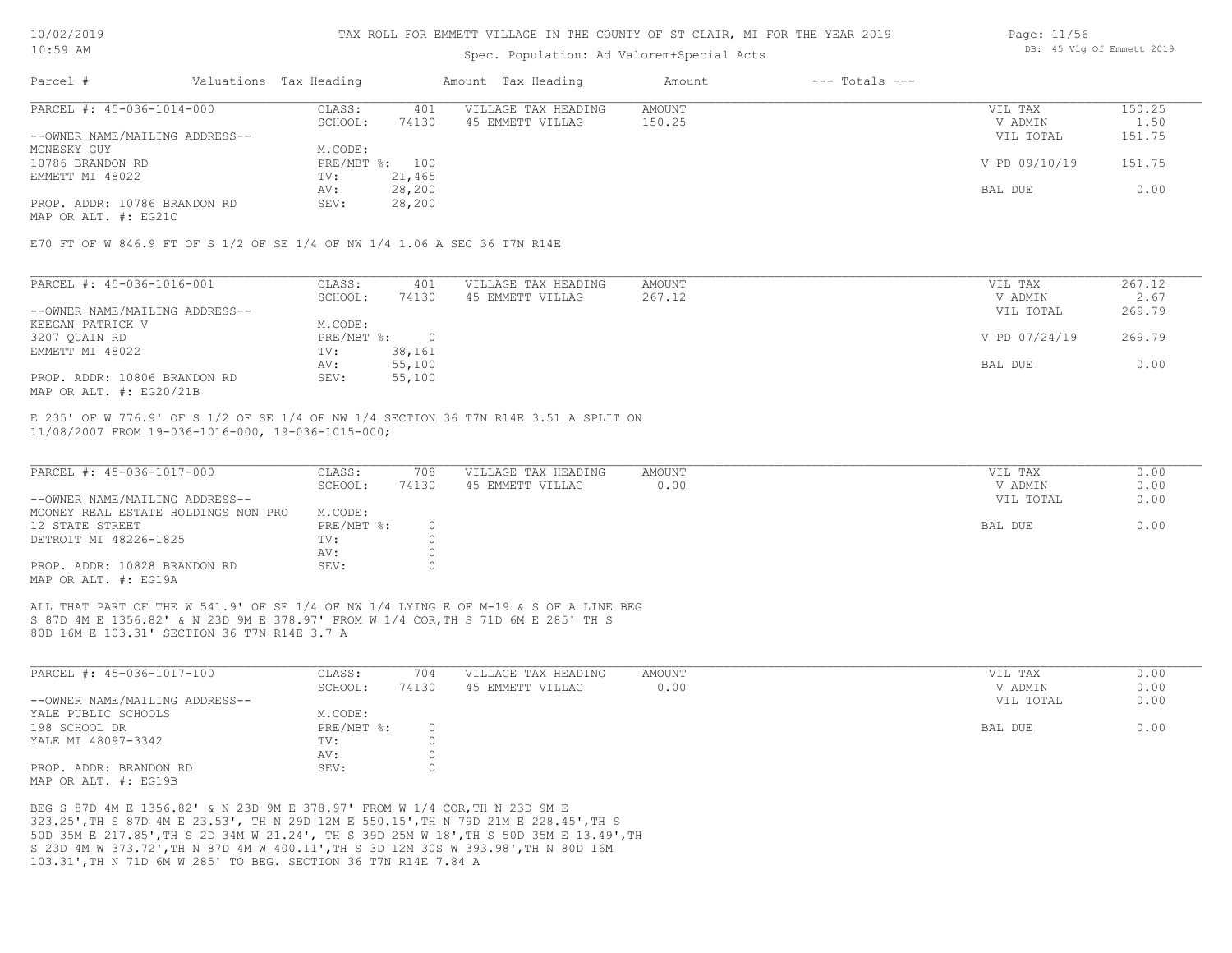### TAX ROLL FOR EMMETT VILLAGE IN THE COUNTY OF ST CLAIR, MI FOR THE YEAR 2019

### Spec. Population: Ad Valorem+Special Acts

| Parcel #                       | Valuations Tax Heading |        | Amount Tax Heading  | Amount | $---$ Totals $---$ |               |        |
|--------------------------------|------------------------|--------|---------------------|--------|--------------------|---------------|--------|
| PARCEL #: 45-036-1014-000      | CLASS:                 | 401    | VILLAGE TAX HEADING | AMOUNT |                    | VIL TAX       | 150.25 |
|                                | SCHOOL:                | 74130  | 45 EMMETT VILLAG    | 150.25 |                    | V ADMIN       | 1.50   |
| --OWNER NAME/MAILING ADDRESS-- |                        |        |                     |        |                    | VIL TOTAL     | 151.75 |
| MCNESKY GUY                    | M.CODE:                |        |                     |        |                    |               |        |
| 10786 BRANDON RD               | PRE/MBT %: 100         |        |                     |        |                    | V PD 09/10/19 | 151.75 |
| EMMETT MI 48022                | TV:                    | 21,465 |                     |        |                    |               |        |
|                                | AV:                    | 28,200 |                     |        |                    | BAL DUE       | 0.00   |
| PROP. ADDR: 10786 BRANDON RD   | SEV:                   | 28,200 |                     |        |                    |               |        |

MAP OR ALT. #: EG21C

E70 FT OF W 846.9 FT OF S 1/2 OF SE 1/4 OF NW 1/4 1.06 A SEC 36 T7N R14E

| PARCEL #: 45-036-1016-001      | CLASS:     | 401    | VILLAGE TAX HEADING | AMOUNT | VIL TAX       | 267.12 |
|--------------------------------|------------|--------|---------------------|--------|---------------|--------|
|                                | SCHOOL:    | 74130  | 45 EMMETT VILLAG    | 267.12 | V ADMIN       | 2.67   |
| --OWNER NAME/MAILING ADDRESS-- |            |        |                     |        | VIL TOTAL     | 269.79 |
| KEEGAN PATRICK V               | M.CODE:    |        |                     |        |               |        |
| 3207 QUAIN RD                  | PRE/MBT %: |        |                     |        | V PD 07/24/19 | 269.79 |
| EMMETT MI 48022                | TV:        | 38,161 |                     |        |               |        |
|                                | AV:        | 55,100 |                     |        | BAL DUE       | 0.00   |
| PROP. ADDR: 10806 BRANDON RD   | SEV:       | 55,100 |                     |        |               |        |
| MAP OR ALT. $\#$ : EG20/21B    |            |        |                     |        |               |        |

11/08/2007 FROM 19-036-1016-000, 19-036-1015-000; E 235' OF W 776.9' OF S 1/2 OF SE 1/4 OF NW 1/4 SECTION 36 T7N R14E 3.51 A SPLIT ON

| PARCEL #: 45-036-1017-000           | CLASS:     | 708   | VILLAGE TAX HEADING | AMOUNT | VIL TAX   | 0.00 |
|-------------------------------------|------------|-------|---------------------|--------|-----------|------|
|                                     | SCHOOL:    | 74130 | 45 EMMETT VILLAG    | 0.00   | V ADMIN   | 0.00 |
| --OWNER NAME/MAILING ADDRESS--      |            |       |                     |        | VIL TOTAL | 0.00 |
| MOONEY REAL ESTATE HOLDINGS NON PRO | M.CODE:    |       |                     |        |           |      |
| 12 STATE STREET                     | PRE/MBT %: |       |                     |        | BAL DUE   | 0.00 |
| DETROIT MI 48226-1825               | TV:        |       |                     |        |           |      |
|                                     | AV:        |       |                     |        |           |      |
| PROP. ADDR: 10828 BRANDON RD        | SEV:       |       |                     |        |           |      |
| MAP OR ALT. #: EG19A                |            |       |                     |        |           |      |

80D 16M E 103.31' SECTION 36 T7N R14E 3.7 A S 87D 4M E 1356.82' & N 23D 9M E 378.97' FROM W 1/4 COR,TH S 71D 6M E 285' TH S ALL THAT PART OF THE W 541.9' OF SE 1/4 OF NW 1/4 LYING E OF M-19 & S OF A LINE BEG

| PARCEL #: 45-036-1017-100      | CLASS:     | 704   | VILLAGE TAX HEADING | AMOUNT | VIL TAX   | 0.00 |
|--------------------------------|------------|-------|---------------------|--------|-----------|------|
|                                | SCHOOL:    | 74130 | 45 EMMETT VILLAG    | 0.00   | V ADMIN   | 0.00 |
| --OWNER NAME/MAILING ADDRESS-- |            |       |                     |        | VIL TOTAL | 0.00 |
| YALE PUBLIC SCHOOLS            | M.CODE:    |       |                     |        |           |      |
| 198 SCHOOL DR                  | PRE/MBT %: |       |                     |        | BAL DUE   | 0.00 |
| YALE MI 48097-3342             | TV:        |       |                     |        |           |      |
|                                | AV:        |       |                     |        |           |      |
| PROP. ADDR: BRANDON RD         | SEV:       |       |                     |        |           |      |
| MAP OR ALT. #: EG19B           |            |       |                     |        |           |      |

103.31',TH N 71D 6M W 285' TO BEG. SECTION 36 T7N R14E 7.84 A S 23D 4M W 373.72',TH N 87D 4M W 400.11',TH S 3D 12M 30S W 393.98',TH N 80D 16M 50D 35M E 217.85',TH S 2D 34M W 21.24', TH S 39D 25M W 18',TH S 50D 35M E 13.49',TH 323.25',TH S 87D 4M E 23.53', TH N 29D 12M E 550.15',TH N 79D 21M E 228.45',TH S BEG S 87D 4M E 1356.82' & N 23D 9M E 378.97' FROM W 1/4 COR,TH N 23D 9M E

Page: 11/56 DB: 45 Vlg Of Emmett 2019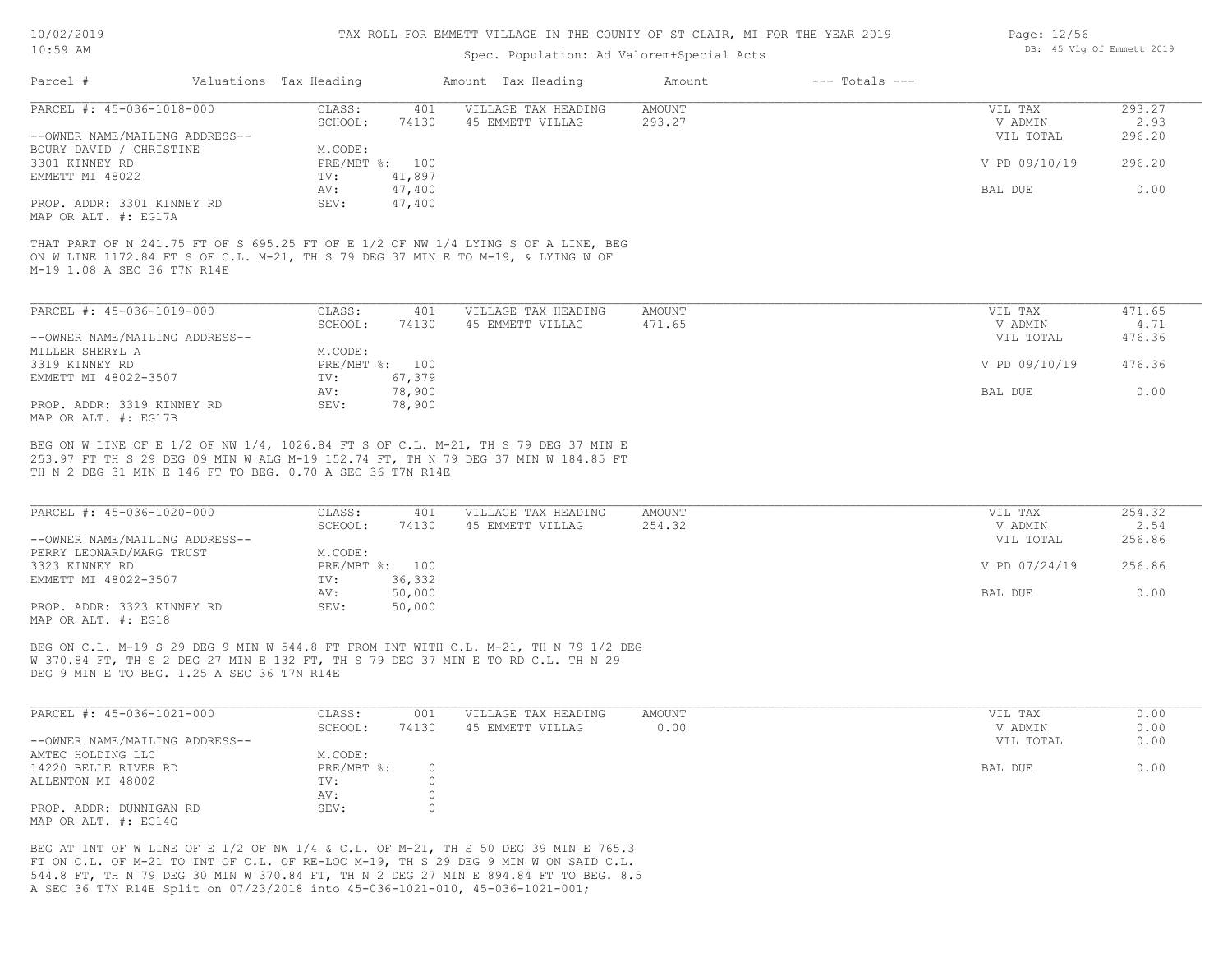### Spec. Population: Ad Valorem+Special Acts

| Parcel #                       | Valuations Tax Heading |        | Amount Tax Heading  | Amount | $---$ Totals $---$ |               |        |
|--------------------------------|------------------------|--------|---------------------|--------|--------------------|---------------|--------|
| PARCEL #: 45-036-1018-000      | CLASS:                 | 401    | VILLAGE TAX HEADING | AMOUNT |                    | VIL TAX       | 293.27 |
|                                | SCHOOL:                | 74130  | 45 EMMETT VILLAG    | 293.27 |                    | V ADMIN       | 2.93   |
| --OWNER NAME/MAILING ADDRESS-- |                        |        |                     |        |                    | VIL TOTAL     | 296.20 |
| BOURY DAVID / CHRISTINE        | M.CODE:                |        |                     |        |                    |               |        |
| 3301 KINNEY RD                 | PRE/MBT %: 100         |        |                     |        |                    | V PD 09/10/19 | 296.20 |
| EMMETT MI 48022                | TV:                    | 41,897 |                     |        |                    |               |        |
|                                | AV:                    | 47,400 |                     |        |                    | BAL DUE       | 0.00   |
| PROP. ADDR: 3301 KINNEY RD     | SEV:                   | 47,400 |                     |        |                    |               |        |
| MAP OR ALT. #: EG17A           |                        |        |                     |        |                    |               |        |

M-19 1.08 A SEC 36 T7N R14E ON W LINE 1172.84 FT S OF C.L. M-21, TH S 79 DEG 37 MIN E TO M-19, & LYING W OF THAT PART OF N 241.75 FT OF S 695.25 FT OF E 1/2 OF NW 1/4 LYING S OF A LINE, BEG

| PARCEL #: 45-036-1019-000      | CLASS:  | 401            | VILLAGE TAX HEADING | AMOUNT | VIL TAX       | 471.65 |
|--------------------------------|---------|----------------|---------------------|--------|---------------|--------|
|                                | SCHOOL: | 74130          | 45 EMMETT VILLAG    | 471.65 | V ADMIN       | 4.71   |
| --OWNER NAME/MAILING ADDRESS-- |         |                |                     |        | VIL TOTAL     | 476.36 |
| MILLER SHERYL A                | M.CODE: |                |                     |        |               |        |
| 3319 KINNEY RD                 |         | PRE/MBT %: 100 |                     |        | V PD 09/10/19 | 476.36 |
| EMMETT MI 48022-3507           | TV:     | 67,379         |                     |        |               |        |
|                                | AV:     | 78,900         |                     |        | BAL DUE       | 0.00   |
| PROP. ADDR: 3319 KINNEY RD     | SEV:    | 78,900         |                     |        |               |        |
| MAP OR ALT. #: EG17B           |         |                |                     |        |               |        |

TH N 2 DEG 31 MIN E 146 FT TO BEG. 0.70 A SEC 36 T7N R14E 253.97 FT TH S 29 DEG 09 MIN W ALG M-19 152.74 FT, TH N 79 DEG 37 MIN W 184.85 FT BEG ON W LINE OF E 1/2 OF NW 1/4, 1026.84 FT S OF C.L. M-21, TH S 79 DEG 37 MIN E

| PARCEL #: 45-036-1020-000      | CLASS:  | 401            | VILLAGE TAX HEADING | AMOUNT | VIL TAX       | 254.32 |
|--------------------------------|---------|----------------|---------------------|--------|---------------|--------|
|                                | SCHOOL: | 74130          | 45 EMMETT VILLAG    | 254.32 | V ADMIN       | 2.54   |
| --OWNER NAME/MAILING ADDRESS-- |         |                |                     |        | VIL TOTAL     | 256.86 |
| PERRY LEONARD/MARG TRUST       | M.CODE: |                |                     |        |               |        |
| 3323 KINNEY RD                 |         | PRE/MBT %: 100 |                     |        | V PD 07/24/19 | 256.86 |
| EMMETT MI 48022-3507           | TV:     | 36,332         |                     |        |               |        |
|                                | AV:     | 50,000         |                     |        | BAL DUE       | 0.00   |
| PROP. ADDR: 3323 KINNEY RD     | SEV:    | 50,000         |                     |        |               |        |
| MAP OR ALT. #: EG18            |         |                |                     |        |               |        |

DEG 9 MIN E TO BEG. 1.25 A SEC 36 T7N R14E W 370.84 FT, TH S 2 DEG 27 MIN E 132 FT, TH S 79 DEG 37 MIN E TO RD C.L. TH N 29 BEG ON C.L. M-19 S 29 DEG 9 MIN W 544.8 FT FROM INT WITH C.L. M-21, TH N 79 1/2 DEG

| PARCEL #: 45-036-1021-000      | CLASS:     | 001   | VILLAGE TAX HEADING | AMOUNT | VIL TAX   | 0.00 |
|--------------------------------|------------|-------|---------------------|--------|-----------|------|
|                                | SCHOOL:    | 74130 | 45 EMMETT VILLAG    | 0.00   | V ADMIN   | 0.00 |
| --OWNER NAME/MAILING ADDRESS-- |            |       |                     |        | VIL TOTAL | 0.00 |
| AMTEC HOLDING LLC              | M.CODE:    |       |                     |        |           |      |
| 14220 BELLE RIVER RD           | PRE/MBT %: |       |                     |        | BAL DUE   | 0.00 |
| ALLENTON MI 48002              | TV:        |       |                     |        |           |      |
|                                | AV:        |       |                     |        |           |      |
| PROP. ADDR: DUNNIGAN RD        | SEV:       |       |                     |        |           |      |
| MAP OR ALT. #: EG14G           |            |       |                     |        |           |      |

A SEC 36 T7N R14E Split on 07/23/2018 into 45-036-1021-010, 45-036-1021-001; 544.8 FT, TH N 79 DEG 30 MIN W 370.84 FT, TH N 2 DEG 27 MIN E 894.84 FT TO BEG. 8.5 FT ON C.L. OF M-21 TO INT OF C.L. OF RE-LOC M-19, TH S 29 DEG 9 MIN W ON SAID C.L. BEG AT INT OF W LINE OF E 1/2 OF NW 1/4 & C.L. OF M-21, TH S 50 DEG 39 MIN E 765.3

Page: 12/56 DB: 45 Vlg Of Emmett 2019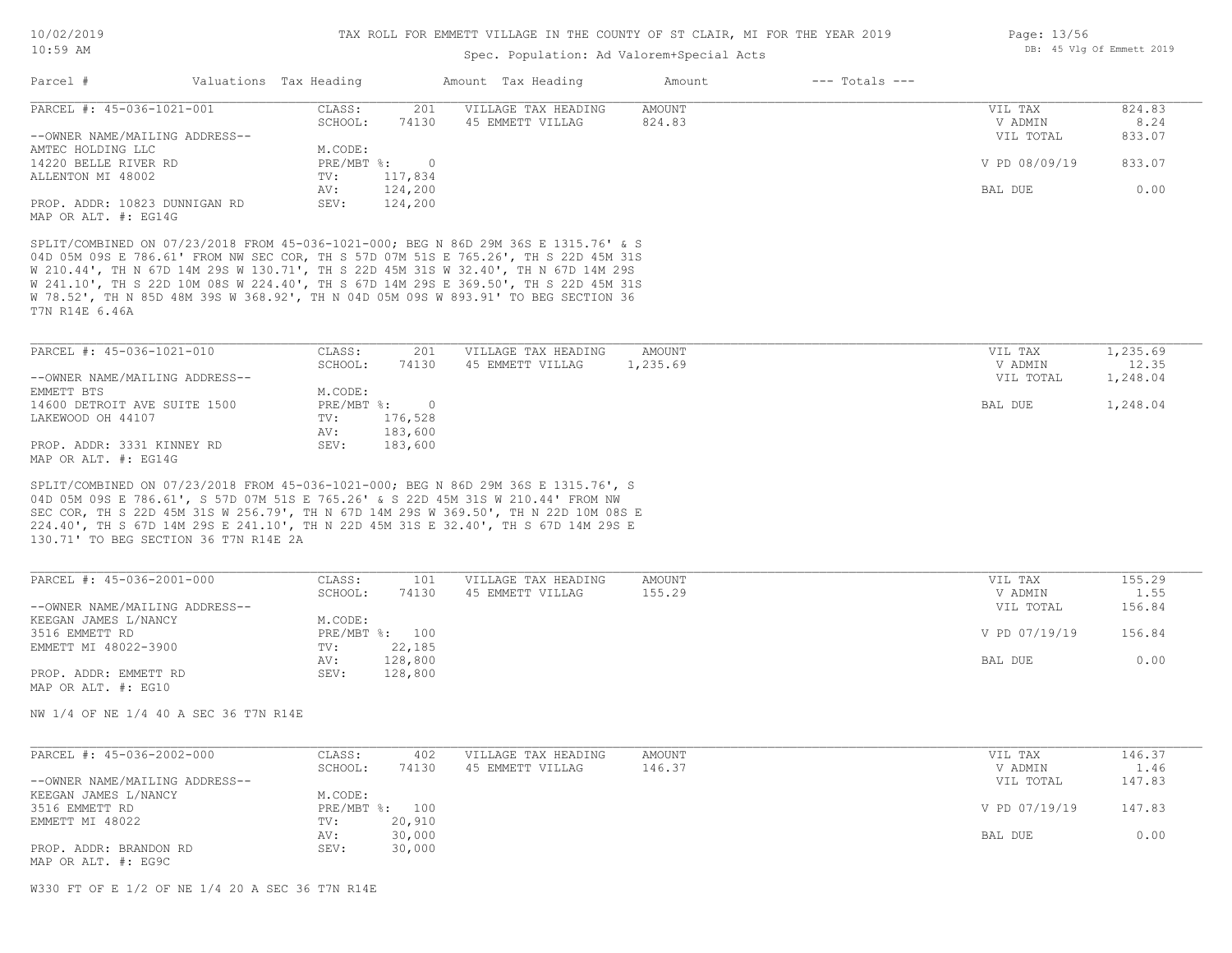### Spec. Population: Ad Valorem+Special Acts

| Page: 13/56 |  |                           |  |
|-------------|--|---------------------------|--|
|             |  | DB: 45 Vlg Of Emmett 2019 |  |

| Parcel #                                                                            | Valuations Tax Heading |         | Amount Tax Heading  | Amount | $---$ Totals $---$ |               |        |
|-------------------------------------------------------------------------------------|------------------------|---------|---------------------|--------|--------------------|---------------|--------|
| PARCEL #: 45-036-1021-001                                                           | CLASS:                 | 201     | VILLAGE TAX HEADING | AMOUNT |                    | VIL TAX       | 824.83 |
|                                                                                     | SCHOOL:                | 74130   | 45 EMMETT VILLAG    | 824.83 |                    | V ADMIN       | 8.24   |
| --OWNER NAME/MAILING ADDRESS--                                                      |                        |         |                     |        |                    | VIL TOTAL     | 833.07 |
| AMTEC HOLDING LLC                                                                   | M.CODE:                |         |                     |        |                    |               |        |
| 14220 BELLE RIVER RD                                                                | PRE/MBT %:             |         |                     |        |                    | V PD 08/09/19 | 833.07 |
| ALLENTON MI 48002                                                                   | TV:                    | 117,834 |                     |        |                    |               |        |
|                                                                                     | AV:                    | 124,200 |                     |        |                    | BAL DUE       | 0.00   |
| PROP. ADDR: 10823 DUNNIGAN RD                                                       | SEV:                   | 124,200 |                     |        |                    |               |        |
| MAP OR ALT. #: EG14G                                                                |                        |         |                     |        |                    |               |        |
|                                                                                     |                        |         |                     |        |                    |               |        |
| SPLIT/COMBINED ON 07/23/2018 FROM 45-036-1021-000; BEG N 86D 29M 36S E 1315.76' & S |                        |         |                     |        |                    |               |        |
| 04D 05M 09S E 786.61' FROM NW SEC COR, TH S 57D 07M 51S E 765.26', TH S 22D 45M 31S |                        |         |                     |        |                    |               |        |
| W 210.44', TH N 67D 14M 29S W 130.71', TH S 22D 45M 31S W 32.40', TH N 67D 14M 29S  |                        |         |                     |        |                    |               |        |
|                                                                                     |                        |         |                     |        |                    |               |        |

T7N R14E 6.46A W 78.52', TH N 85D 48M 39S W 368.92', TH N 04D 05M 09S W 893.91' TO BEG SECTION 36 W 241.10', TH S 22D 10M 08S W 224.40', TH S 67D 14M 29S E 369.50', TH S 22D 45M 31S

| PARCEL #: 45-036-1021-010      | CLASS:       | 201     | VILLAGE TAX HEADING | AMOUNT   | VIL TAX   | 1,235.69 |
|--------------------------------|--------------|---------|---------------------|----------|-----------|----------|
|                                | SCHOOL:      | 74130   | 45 EMMETT VILLAG    | 1,235.69 | V ADMIN   | 12.35    |
| --OWNER NAME/MAILING ADDRESS-- |              |         |                     |          | VIL TOTAL | 1,248.04 |
| EMMETT BTS                     | M.CODE:      |         |                     |          |           |          |
| 14600 DETROIT AVE SUITE 1500   | $PRE/MBT$ %: |         |                     |          | BAL DUE   | 1,248.04 |
| LAKEWOOD OH 44107              | TV:          | 176,528 |                     |          |           |          |
|                                | AV:          | 183,600 |                     |          |           |          |
| PROP. ADDR: 3331 KINNEY RD     | SEV:         | 183,600 |                     |          |           |          |
| MAP OR ALT. #: EG14G           |              |         |                     |          |           |          |

130.71' TO BEG SECTION 36 T7N R14E 2A 224.40', TH S 67D 14M 29S E 241.10', TH N 22D 45M 31S E 32.40', TH S 67D 14M 29S E SEC COR, TH S 22D 45M 31S W 256.79', TH N 67D 14M 29S W 369.50', TH N 22D 10M 08S E 04D 05M 09S E 786.61', S 57D 07M 51S E 765.26' & S 22D 45M 31S W 210.44' FROM NW SPLIT/COMBINED ON 07/23/2018 FROM 45-036-1021-000; BEG N 86D 29M 36S E 1315.76', S

| PARCEL #: 45-036-2001-000      | CLASS:       | 101     | VILLAGE TAX HEADING | AMOUNT | VIL TAX       | 155.29 |
|--------------------------------|--------------|---------|---------------------|--------|---------------|--------|
|                                | SCHOOL:      | 74130   | 45 EMMETT VILLAG    | 155.29 | V ADMIN       | 1.55   |
| --OWNER NAME/MAILING ADDRESS-- |              |         |                     |        | VIL TOTAL     | 156.84 |
| KEEGAN JAMES L/NANCY           | M.CODE:      |         |                     |        |               |        |
| 3516 EMMETT RD                 | $PRE/MBT$ %: | 100     |                     |        | V PD 07/19/19 | 156.84 |
| EMMETT MI 48022-3900           | TV:          | 22,185  |                     |        |               |        |
|                                | AV:          | 128,800 |                     |        | BAL DUE       | 0.00   |
| PROP. ADDR: EMMETT RD          | SEV:         | 128,800 |                     |        |               |        |
| MAP OR ALT. #: EG10            |              |         |                     |        |               |        |

NW 1/4 OF NE 1/4 40 A SEC 36 T7N R14E

| PARCEL #: 45-036-2002-000      | CLASS:  | 402            | VILLAGE TAX HEADING | AMOUNT | VIL TAX       | 146.37 |
|--------------------------------|---------|----------------|---------------------|--------|---------------|--------|
|                                | SCHOOL: | 74130          | 45 EMMETT VILLAG    | 146.37 | V ADMIN       | 1.46   |
| --OWNER NAME/MAILING ADDRESS-- |         |                |                     |        | VIL TOTAL     | 147.83 |
| KEEGAN JAMES L/NANCY           | M.CODE: |                |                     |        |               |        |
| 3516 EMMETT RD                 |         | PRE/MBT %: 100 |                     |        | V PD 07/19/19 | 147.83 |
| EMMETT MI 48022                | TV:     | 20,910         |                     |        |               |        |
|                                | AV:     | 30,000         |                     |        | BAL DUE       | 0.00   |
| PROP. ADDR: BRANDON RD         | SEV:    | 30,000         |                     |        |               |        |
| MAP OR ALT. #: EG9C            |         |                |                     |        |               |        |

W330 FT OF E 1/2 OF NE 1/4 20 A SEC 36 T7N R14E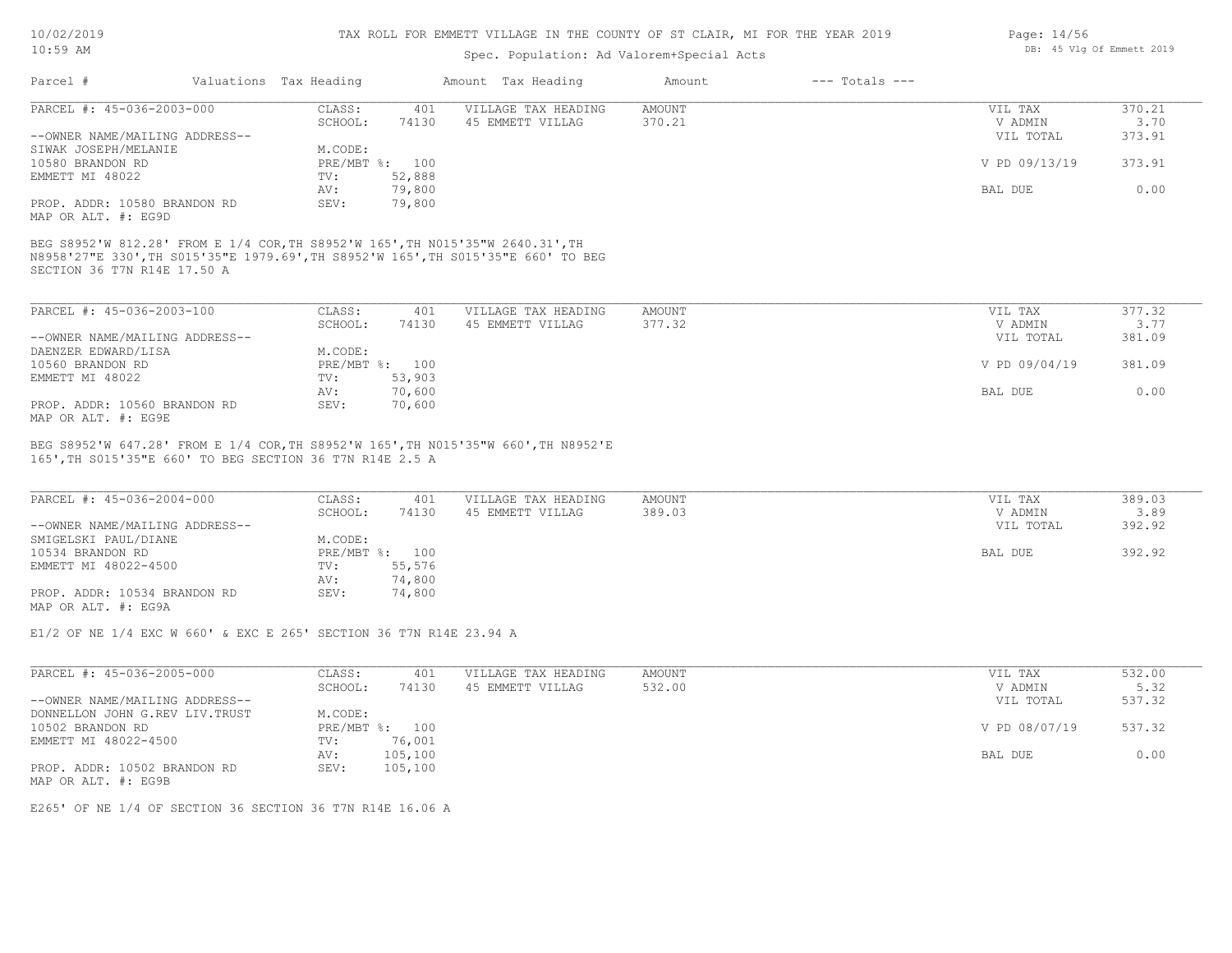### Spec. Population: Ad Va

| $10:59$ AM | Spec. Population: Ad Valorem+Special Acts |                    |        |                |  |  |  |
|------------|-------------------------------------------|--------------------|--------|----------------|--|--|--|
| Parcel #   | Valuations Tax Heading                    | Amount Tax Heading | Amount | --- Totals --- |  |  |  |

| PARCEL #: 45-036-2003-000      | CLASS:  | 401            | VILLAGE TAX HEADING | AMOUNT | VIL TAX       | 370.21 |
|--------------------------------|---------|----------------|---------------------|--------|---------------|--------|
|                                | SCHOOL: | 74130          | 45 EMMETT VILLAG    | 370.21 | V ADMIN       | 3.70   |
| --OWNER NAME/MAILING ADDRESS-- |         |                |                     |        | VIL TOTAL     | 373.91 |
| SIWAK JOSEPH/MELANIE           | M.CODE: |                |                     |        |               |        |
| 10580 BRANDON RD               |         | PRE/MBT %: 100 |                     |        | V PD 09/13/19 | 373.91 |
| EMMETT MI 48022                | TV:     | 52,888         |                     |        |               |        |
|                                | AV:     | 79,800         |                     |        | BAL DUE       | 0.00   |
| PROP. ADDR: 10580 BRANDON RD   | SEV:    | 79,800         |                     |        |               |        |
|                                |         |                |                     |        |               |        |

MAP OR ALT. #: EG9D

SECTION 36 T7N R14E 17.50 A N8958'27"E 330',TH S015'35"E 1979.69',TH S8952'W 165',TH S015'35"E 660' TO BEG BEG S8952'W 812.28' FROM E 1/4 COR,TH S8952'W 165',TH N015'35"W 2640.31',TH

| PARCEL #: 45-036-2003-100      | CLASS:  | 401            | VILLAGE TAX HEADING | AMOUNT | VIL TAX       | 377.32 |
|--------------------------------|---------|----------------|---------------------|--------|---------------|--------|
|                                | SCHOOL: | 74130          | 45 EMMETT VILLAG    | 377.32 | V ADMIN       | 3.77   |
| --OWNER NAME/MAILING ADDRESS-- |         |                |                     |        | VIL TOTAL     | 381.09 |
| DAENZER EDWARD/LISA            | M.CODE: |                |                     |        |               |        |
| 10560 BRANDON RD               |         | PRE/MBT %: 100 |                     |        | V PD 09/04/19 | 381.09 |
| EMMETT MI 48022                | TV:     | 53,903         |                     |        |               |        |
|                                | AV:     | 70,600         |                     |        | BAL DUE       | 0.00   |
| PROP. ADDR: 10560 BRANDON RD   | SEV:    | 70,600         |                     |        |               |        |
| MAP OR ALT. #: EG9E            |         |                |                     |        |               |        |

165',TH S015'35"E 660' TO BEG SECTION 36 T7N R14E 2.5 A BEG S8952'W 647.28' FROM E 1/4 COR,TH S8952'W 165',TH N015'35"W 660',TH N8952'E

| PARCEL #: 45-036-2004-000      | CLASS:       | 401    | VILLAGE TAX HEADING | AMOUNT | VIL TAX   | 389.03 |
|--------------------------------|--------------|--------|---------------------|--------|-----------|--------|
|                                | SCHOOL:      | 74130  | 45 EMMETT VILLAG    | 389.03 | V ADMIN   | 3.89   |
| --OWNER NAME/MAILING ADDRESS-- |              |        |                     |        | VIL TOTAL | 392.92 |
| SMIGELSKI PAUL/DIANE           | M.CODE:      |        |                     |        |           |        |
| 10534 BRANDON RD               | $PRE/MBT$ %: | 100    |                     |        | BAL DUE   | 392.92 |
| EMMETT MI 48022-4500           | TV:          | 55,576 |                     |        |           |        |
|                                | AV:          | 74,800 |                     |        |           |        |
| PROP. ADDR: 10534 BRANDON RD   | SEV:         | 74,800 |                     |        |           |        |
| MAP OR ALT. #: EG9A            |              |        |                     |        |           |        |

 $\mathcal{L}_\mathcal{L} = \mathcal{L}_\mathcal{L} = \mathcal{L}_\mathcal{L} = \mathcal{L}_\mathcal{L} = \mathcal{L}_\mathcal{L} = \mathcal{L}_\mathcal{L} = \mathcal{L}_\mathcal{L} = \mathcal{L}_\mathcal{L} = \mathcal{L}_\mathcal{L} = \mathcal{L}_\mathcal{L} = \mathcal{L}_\mathcal{L} = \mathcal{L}_\mathcal{L} = \mathcal{L}_\mathcal{L} = \mathcal{L}_\mathcal{L} = \mathcal{L}_\mathcal{L} = \mathcal{L}_\mathcal{L} = \mathcal{L}_\mathcal{L}$ 

E1/2 OF NE 1/4 EXC W 660' & EXC E 265' SECTION 36 T7N R14E 23.94 A

| PARCEL #: 45-036-2005-000       | CLASS:  | 401            | VILLAGE TAX HEADING | AMOUNT | VIL TAX       | 532.00 |
|---------------------------------|---------|----------------|---------------------|--------|---------------|--------|
|                                 | SCHOOL: | 74130          | 45 EMMETT VILLAG    | 532.00 | V ADMIN       | 5.32   |
| --OWNER NAME/MAILING ADDRESS--  |         |                |                     |        | VIL TOTAL     | 537.32 |
| DONNELLON JOHN G.REV LIV. TRUST | M.CODE: |                |                     |        |               |        |
| 10502 BRANDON RD                |         | PRE/MBT %: 100 |                     |        | V PD 08/07/19 | 537.32 |
| EMMETT MI 48022-4500            | TV:     | 76,001         |                     |        |               |        |
|                                 | AV:     | 105,100        |                     |        | BAL DUE       | 0.00   |
| PROP. ADDR: 10502 BRANDON RD    | SEV:    | 105,100        |                     |        |               |        |
| MAP OR ALT. #: EG9B             |         |                |                     |        |               |        |

E265' OF NE 1/4 OF SECTION 36 SECTION 36 T7N R14E 16.06 A

Page: 14/56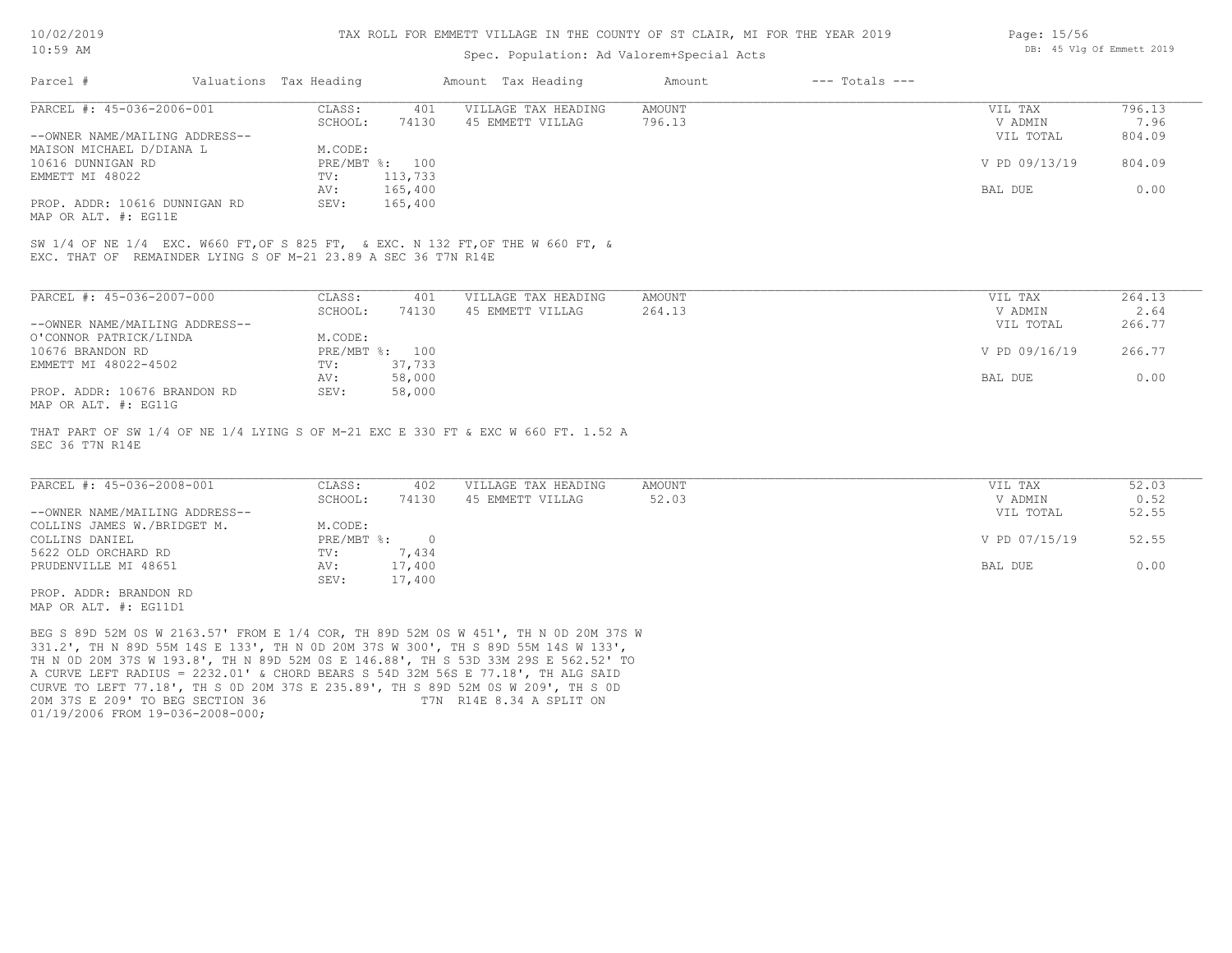#### TAX ROLL FOR EMMETT VILLAGE IN THE COUNTY OF ST CLAIR, MI FOR THE YEAR 2019

### Spec. Population: Ad Valorem+Special Acts

| Page: 15/56 |  |                           |  |
|-------------|--|---------------------------|--|
|             |  | DB: 45 Vlg Of Emmett 2019 |  |

| Parcel #                       | Valuations Tax Heading |         | Amount Tax Heading  | Amount | $---$ Totals $---$ |               |        |
|--------------------------------|------------------------|---------|---------------------|--------|--------------------|---------------|--------|
| PARCEL #: 45-036-2006-001      | CLASS:                 | 401     | VILLAGE TAX HEADING | AMOUNT |                    | VIL TAX       | 796.13 |
|                                | SCHOOL:                | 74130   | 45 EMMETT VILLAG    | 796.13 |                    | V ADMIN       | 7.96   |
| --OWNER NAME/MAILING ADDRESS-- |                        |         |                     |        |                    | VIL TOTAL     | 804.09 |
| MAISON MICHAEL D/DIANA L       | M.CODE:                |         |                     |        |                    |               |        |
| 10616 DUNNIGAN RD              | PRE/MBT %:             | 100     |                     |        |                    | V PD 09/13/19 | 804.09 |
| EMMETT MI 48022                | TV:                    | 113,733 |                     |        |                    |               |        |
|                                | AV:                    | 165,400 |                     |        |                    | BAL DUE       | 0.00   |
| PROP. ADDR: 10616 DUNNIGAN RD  | SEV:                   | 165,400 |                     |        |                    |               |        |
|                                |                        |         |                     |        |                    |               |        |

MAP OR ALT. #: EG11E

EXC. THAT OF REMAINDER LYING S OF M-21 23.89 A SEC 36 T7N R14E SW 1/4 OF NE 1/4 EXC. W660 FT,OF S 825 FT, & EXC. N 132 FT,OF THE W 660 FT, &

| PARCEL #: 45-036-2007-000      | CLASS:     | 401    | VILLAGE TAX HEADING | AMOUNT | VIL TAX       | 264.13 |
|--------------------------------|------------|--------|---------------------|--------|---------------|--------|
|                                | SCHOOL:    | 74130  | 45 EMMETT VILLAG    | 264.13 | V ADMIN       | 2.64   |
| --OWNER NAME/MAILING ADDRESS-- |            |        |                     |        | VIL TOTAL     | 266.77 |
| O'CONNOR PATRICK/LINDA         | M.CODE:    |        |                     |        |               |        |
| 10676 BRANDON RD               | PRE/MBT %: | 100    |                     |        | V PD 09/16/19 | 266.77 |
| EMMETT MI 48022-4502           | TV:        | 37,733 |                     |        |               |        |
|                                | AV:        | 58,000 |                     |        | BAL DUE       | 0.00   |
| PROP. ADDR: 10676 BRANDON RD   | SEV:       | 58,000 |                     |        |               |        |
| MAP OR ALT. #: EG11G           |            |        |                     |        |               |        |

SEC 36 T7N R14E THAT PART OF SW 1/4 OF NE 1/4 LYING S OF M-21 EXC E 330 FT & EXC W 660 FT. 1.52 A

| PARCEL #: 45-036-2008-001      | CLASS:       | 402    | VILLAGE TAX HEADING | AMOUNT | VIL TAX       | 52.03 |
|--------------------------------|--------------|--------|---------------------|--------|---------------|-------|
|                                | SCHOOL:      | 74130  | 45 EMMETT VILLAG    | 52.03  | V ADMIN       | 0.52  |
| --OWNER NAME/MAILING ADDRESS-- |              |        |                     |        | VIL TOTAL     | 52.55 |
| COLLINS JAMES W./BRIDGET M.    | M.CODE:      |        |                     |        |               |       |
| COLLINS DANIEL                 | $PRE/MBT$ %: |        |                     |        | V PD 07/15/19 | 52.55 |
| 5622 OLD ORCHARD RD            | TV:          | 7,434  |                     |        |               |       |
| PRUDENVILLE MI 48651           | AV:          | 17,400 |                     |        | BAL DUE       | 0.00  |
|                                | SEV:         | 17,400 |                     |        |               |       |
| PROP. ADDR: BRANDON RD         |              |        |                     |        |               |       |

MAP OR ALT. #: EG11D1

01/19/2006 FROM 19-036-2008-000; 20M 37S E 209' TO BEG SECTION 36 T7N R14E 8.34 A SPLIT ON CURVE TO LEFT 77.18', TH S 0D 20M 37S E 235.89', TH S 89D 52M 0S W 209', TH S 0D A CURVE LEFT RADIUS = 2232.01' & CHORD BEARS S 54D 32M 56S E 77.18', TH ALG SAID TH N 0D 20M 37S W 193.8', TH N 89D 52M 0S E 146.88', TH S 53D 33M 29S E 562.52' TO 331.2', TH N 89D 55M 14S E 133', TH N 0D 20M 37S W 300', TH S 89D 55M 14S W 133', BEG S 89D 52M 0S W 2163.57' FROM E 1/4 COR, TH 89D 52M 0S W 451', TH N 0D 20M 37S W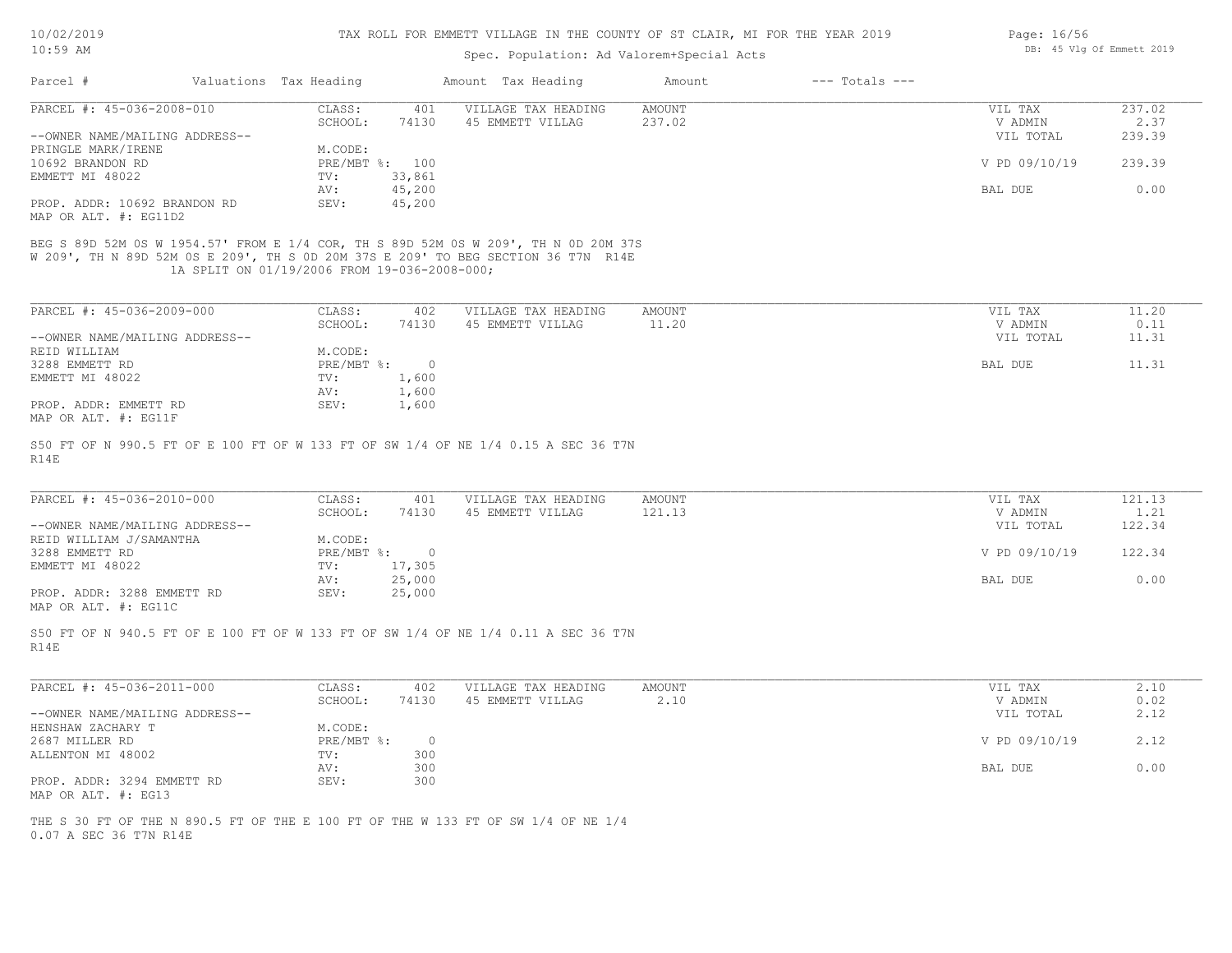| 10/02/2019 |  |
|------------|--|
| 10 . 50 MM |  |

| Page: 16/56 |  |                           |  |
|-------------|--|---------------------------|--|
|             |  | DB: 45 Vlg Of Emmett 2019 |  |

| $---$ Totals $---$<br>Parcel #<br>Valuations Tax Heading<br>Amount Tax Heading<br>Amount<br>PARCEL #: 45-036-2008-010<br>CLASS:<br>401<br>VILLAGE TAX HEADING<br><b>AMOUNT</b><br>VIL TAX<br>SCHOOL:<br>74130<br>45 EMMETT VILLAG<br>237.02<br>V ADMIN<br>VIL TOTAL<br>--OWNER NAME/MAILING ADDRESS--<br>PRINGLE MARK/IRENE<br>M.CODE:<br>10692 BRANDON RD<br>PRE/MBT %: 100<br>V PD 09/10/19<br>EMMETT MI 48022<br>33,861<br>TV:<br>45,200<br>AV:<br>BAL DUE<br>45,200<br>PROP. ADDR: 10692 BRANDON RD<br>SEV:<br>MAP OR ALT. #: EG11D2<br>BEG S 89D 52M 0S W 1954.57' FROM E 1/4 COR, TH S 89D 52M 0S W 209', TH N 0D 20M 37S<br>W 209', TH N 89D 52M 0S E 209', TH S 0D 20M 37S E 209' TO BEG SECTION 36 T7N R14E<br>1A SPLIT ON 01/19/2006 FROM 19-036-2008-000;<br>PARCEL #: 45-036-2009-000<br>CLASS:<br>402<br>VILLAGE TAX HEADING<br>AMOUNT<br>VIL TAX<br>45 EMMETT VILLAG<br>SCHOOL:<br>74130<br>11.20<br>V ADMIN<br>--OWNER NAME/MAILING ADDRESS--<br>VIL TOTAL<br>REID WILLIAM<br>M.CODE:<br>3288 EMMETT RD<br>PRE/MBT %: 0<br>BAL DUE<br>1,600<br>EMMETT MI 48022<br>TV:<br>AV:<br>1,600<br>PROP. ADDR: EMMETT RD<br>SEV:<br>1,600<br>MAP OR ALT. #: EG11F<br>S50 FT OF N 990.5 FT OF E 100 FT OF W 133 FT OF SW 1/4 OF NE 1/4 0.15 A SEC 36 T7N<br>R14E<br>PARCEL #: 45-036-2010-000<br>CLASS:<br>VILLAGE TAX HEADING<br><b>AMOUNT</b><br>401<br>VIL TAX<br>121.13<br>SCHOOL:<br>74130<br>45 EMMETT VILLAG<br>V ADMIN<br>--OWNER NAME/MAILING ADDRESS--<br>VIL TOTAL<br>REID WILLIAM J/SAMANTHA<br>M.CODE:<br>3288 EMMETT RD<br>PRE/MBT %: 0<br>V PD 09/10/19<br>EMMETT MI 48022<br>TV:<br>17,305<br>25,000<br>BAL DUE<br>AV:<br>PROP. ADDR: 3288 EMMETT RD<br>SEV:<br>25,000<br>MAP OR ALT. #: EG11C<br>S50 FT OF N 940.5 FT OF E 100 FT OF W 133 FT OF SW 1/4 OF NE 1/4 0.11 A SEC 36 T7N<br>R14E<br>PARCEL #: 45-036-2011-000<br>VILLAGE TAX HEADING<br>CLASS:<br>402<br>AMOUNT<br>VIL TAX<br>2.10<br>SCHOOL:<br>74130<br>45 EMMETT VILLAG<br>V ADMIN<br>--OWNER NAME/MAILING ADDRESS--<br>VIL TOTAL<br>M.CODE:<br>HENSHAW ZACHARY T<br>2687 MILLER RD<br>PRE/MBT %:<br>$\circ$<br>V PD 09/10/19<br>ALLENTON MI 48002<br>TV:<br>300<br>300<br>AV:<br>BAL DUE<br>PROP. ADDR: 3294 EMMETT RD<br>SEV:<br>300<br>MAP OR ALT. #: EG13 | 239.39<br>0.00<br>1.21<br>122.34<br>2.10<br>THE S 30 FT OF THE N 890.5 FT OF THE E 100 FT OF THE W 133 FT OF SW 1/4 OF NE 1/4<br>0.07 A SEC 36 T7N R14E | IUIJY AM | Spec. Population: Ad Valorem+Special Acts | DD. TO VIG OF EMMELL ZUID |        |
|--------------------------------------------------------------------------------------------------------------------------------------------------------------------------------------------------------------------------------------------------------------------------------------------------------------------------------------------------------------------------------------------------------------------------------------------------------------------------------------------------------------------------------------------------------------------------------------------------------------------------------------------------------------------------------------------------------------------------------------------------------------------------------------------------------------------------------------------------------------------------------------------------------------------------------------------------------------------------------------------------------------------------------------------------------------------------------------------------------------------------------------------------------------------------------------------------------------------------------------------------------------------------------------------------------------------------------------------------------------------------------------------------------------------------------------------------------------------------------------------------------------------------------------------------------------------------------------------------------------------------------------------------------------------------------------------------------------------------------------------------------------------------------------------------------------------------------------------------------------------------------------------------------------------------------------------------------------------------------------------------------------------------------------------------------------------------------------------------------------------------------------------------------------------------------------------------------------------------------------------------|---------------------------------------------------------------------------------------------------------------------------------------------------------|----------|-------------------------------------------|---------------------------|--------|
|                                                                                                                                                                                                                                                                                                                                                                                                                                                                                                                                                                                                                                                                                                                                                                                                                                                                                                                                                                                                                                                                                                                                                                                                                                                                                                                                                                                                                                                                                                                                                                                                                                                                                                                                                                                                                                                                                                                                                                                                                                                                                                                                                                                                                                                  |                                                                                                                                                         |          |                                           |                           |        |
|                                                                                                                                                                                                                                                                                                                                                                                                                                                                                                                                                                                                                                                                                                                                                                                                                                                                                                                                                                                                                                                                                                                                                                                                                                                                                                                                                                                                                                                                                                                                                                                                                                                                                                                                                                                                                                                                                                                                                                                                                                                                                                                                                                                                                                                  |                                                                                                                                                         |          |                                           |                           | 237.02 |
|                                                                                                                                                                                                                                                                                                                                                                                                                                                                                                                                                                                                                                                                                                                                                                                                                                                                                                                                                                                                                                                                                                                                                                                                                                                                                                                                                                                                                                                                                                                                                                                                                                                                                                                                                                                                                                                                                                                                                                                                                                                                                                                                                                                                                                                  |                                                                                                                                                         |          |                                           |                           | 2.37   |
|                                                                                                                                                                                                                                                                                                                                                                                                                                                                                                                                                                                                                                                                                                                                                                                                                                                                                                                                                                                                                                                                                                                                                                                                                                                                                                                                                                                                                                                                                                                                                                                                                                                                                                                                                                                                                                                                                                                                                                                                                                                                                                                                                                                                                                                  |                                                                                                                                                         |          |                                           |                           | 239.39 |
|                                                                                                                                                                                                                                                                                                                                                                                                                                                                                                                                                                                                                                                                                                                                                                                                                                                                                                                                                                                                                                                                                                                                                                                                                                                                                                                                                                                                                                                                                                                                                                                                                                                                                                                                                                                                                                                                                                                                                                                                                                                                                                                                                                                                                                                  |                                                                                                                                                         |          |                                           |                           |        |
|                                                                                                                                                                                                                                                                                                                                                                                                                                                                                                                                                                                                                                                                                                                                                                                                                                                                                                                                                                                                                                                                                                                                                                                                                                                                                                                                                                                                                                                                                                                                                                                                                                                                                                                                                                                                                                                                                                                                                                                                                                                                                                                                                                                                                                                  |                                                                                                                                                         |          |                                           |                           |        |
|                                                                                                                                                                                                                                                                                                                                                                                                                                                                                                                                                                                                                                                                                                                                                                                                                                                                                                                                                                                                                                                                                                                                                                                                                                                                                                                                                                                                                                                                                                                                                                                                                                                                                                                                                                                                                                                                                                                                                                                                                                                                                                                                                                                                                                                  |                                                                                                                                                         |          |                                           |                           |        |
|                                                                                                                                                                                                                                                                                                                                                                                                                                                                                                                                                                                                                                                                                                                                                                                                                                                                                                                                                                                                                                                                                                                                                                                                                                                                                                                                                                                                                                                                                                                                                                                                                                                                                                                                                                                                                                                                                                                                                                                                                                                                                                                                                                                                                                                  |                                                                                                                                                         |          |                                           |                           |        |
|                                                                                                                                                                                                                                                                                                                                                                                                                                                                                                                                                                                                                                                                                                                                                                                                                                                                                                                                                                                                                                                                                                                                                                                                                                                                                                                                                                                                                                                                                                                                                                                                                                                                                                                                                                                                                                                                                                                                                                                                                                                                                                                                                                                                                                                  |                                                                                                                                                         |          |                                           |                           |        |
|                                                                                                                                                                                                                                                                                                                                                                                                                                                                                                                                                                                                                                                                                                                                                                                                                                                                                                                                                                                                                                                                                                                                                                                                                                                                                                                                                                                                                                                                                                                                                                                                                                                                                                                                                                                                                                                                                                                                                                                                                                                                                                                                                                                                                                                  |                                                                                                                                                         |          |                                           |                           | 11.20  |
|                                                                                                                                                                                                                                                                                                                                                                                                                                                                                                                                                                                                                                                                                                                                                                                                                                                                                                                                                                                                                                                                                                                                                                                                                                                                                                                                                                                                                                                                                                                                                                                                                                                                                                                                                                                                                                                                                                                                                                                                                                                                                                                                                                                                                                                  |                                                                                                                                                         |          |                                           |                           | 0.11   |
|                                                                                                                                                                                                                                                                                                                                                                                                                                                                                                                                                                                                                                                                                                                                                                                                                                                                                                                                                                                                                                                                                                                                                                                                                                                                                                                                                                                                                                                                                                                                                                                                                                                                                                                                                                                                                                                                                                                                                                                                                                                                                                                                                                                                                                                  |                                                                                                                                                         |          |                                           |                           | 11.31  |
|                                                                                                                                                                                                                                                                                                                                                                                                                                                                                                                                                                                                                                                                                                                                                                                                                                                                                                                                                                                                                                                                                                                                                                                                                                                                                                                                                                                                                                                                                                                                                                                                                                                                                                                                                                                                                                                                                                                                                                                                                                                                                                                                                                                                                                                  |                                                                                                                                                         |          |                                           |                           |        |
|                                                                                                                                                                                                                                                                                                                                                                                                                                                                                                                                                                                                                                                                                                                                                                                                                                                                                                                                                                                                                                                                                                                                                                                                                                                                                                                                                                                                                                                                                                                                                                                                                                                                                                                                                                                                                                                                                                                                                                                                                                                                                                                                                                                                                                                  |                                                                                                                                                         |          |                                           |                           | 11.31  |
|                                                                                                                                                                                                                                                                                                                                                                                                                                                                                                                                                                                                                                                                                                                                                                                                                                                                                                                                                                                                                                                                                                                                                                                                                                                                                                                                                                                                                                                                                                                                                                                                                                                                                                                                                                                                                                                                                                                                                                                                                                                                                                                                                                                                                                                  |                                                                                                                                                         |          |                                           |                           |        |
|                                                                                                                                                                                                                                                                                                                                                                                                                                                                                                                                                                                                                                                                                                                                                                                                                                                                                                                                                                                                                                                                                                                                                                                                                                                                                                                                                                                                                                                                                                                                                                                                                                                                                                                                                                                                                                                                                                                                                                                                                                                                                                                                                                                                                                                  |                                                                                                                                                         |          |                                           |                           |        |
|                                                                                                                                                                                                                                                                                                                                                                                                                                                                                                                                                                                                                                                                                                                                                                                                                                                                                                                                                                                                                                                                                                                                                                                                                                                                                                                                                                                                                                                                                                                                                                                                                                                                                                                                                                                                                                                                                                                                                                                                                                                                                                                                                                                                                                                  |                                                                                                                                                         |          |                                           |                           |        |
|                                                                                                                                                                                                                                                                                                                                                                                                                                                                                                                                                                                                                                                                                                                                                                                                                                                                                                                                                                                                                                                                                                                                                                                                                                                                                                                                                                                                                                                                                                                                                                                                                                                                                                                                                                                                                                                                                                                                                                                                                                                                                                                                                                                                                                                  |                                                                                                                                                         |          |                                           |                           | 121.13 |
|                                                                                                                                                                                                                                                                                                                                                                                                                                                                                                                                                                                                                                                                                                                                                                                                                                                                                                                                                                                                                                                                                                                                                                                                                                                                                                                                                                                                                                                                                                                                                                                                                                                                                                                                                                                                                                                                                                                                                                                                                                                                                                                                                                                                                                                  |                                                                                                                                                         |          |                                           |                           |        |
|                                                                                                                                                                                                                                                                                                                                                                                                                                                                                                                                                                                                                                                                                                                                                                                                                                                                                                                                                                                                                                                                                                                                                                                                                                                                                                                                                                                                                                                                                                                                                                                                                                                                                                                                                                                                                                                                                                                                                                                                                                                                                                                                                                                                                                                  |                                                                                                                                                         |          |                                           |                           |        |
|                                                                                                                                                                                                                                                                                                                                                                                                                                                                                                                                                                                                                                                                                                                                                                                                                                                                                                                                                                                                                                                                                                                                                                                                                                                                                                                                                                                                                                                                                                                                                                                                                                                                                                                                                                                                                                                                                                                                                                                                                                                                                                                                                                                                                                                  |                                                                                                                                                         |          |                                           |                           | 122.34 |
|                                                                                                                                                                                                                                                                                                                                                                                                                                                                                                                                                                                                                                                                                                                                                                                                                                                                                                                                                                                                                                                                                                                                                                                                                                                                                                                                                                                                                                                                                                                                                                                                                                                                                                                                                                                                                                                                                                                                                                                                                                                                                                                                                                                                                                                  |                                                                                                                                                         |          |                                           |                           |        |
|                                                                                                                                                                                                                                                                                                                                                                                                                                                                                                                                                                                                                                                                                                                                                                                                                                                                                                                                                                                                                                                                                                                                                                                                                                                                                                                                                                                                                                                                                                                                                                                                                                                                                                                                                                                                                                                                                                                                                                                                                                                                                                                                                                                                                                                  |                                                                                                                                                         |          |                                           |                           | 0.00   |
|                                                                                                                                                                                                                                                                                                                                                                                                                                                                                                                                                                                                                                                                                                                                                                                                                                                                                                                                                                                                                                                                                                                                                                                                                                                                                                                                                                                                                                                                                                                                                                                                                                                                                                                                                                                                                                                                                                                                                                                                                                                                                                                                                                                                                                                  |                                                                                                                                                         |          |                                           |                           |        |
|                                                                                                                                                                                                                                                                                                                                                                                                                                                                                                                                                                                                                                                                                                                                                                                                                                                                                                                                                                                                                                                                                                                                                                                                                                                                                                                                                                                                                                                                                                                                                                                                                                                                                                                                                                                                                                                                                                                                                                                                                                                                                                                                                                                                                                                  |                                                                                                                                                         |          |                                           |                           |        |
|                                                                                                                                                                                                                                                                                                                                                                                                                                                                                                                                                                                                                                                                                                                                                                                                                                                                                                                                                                                                                                                                                                                                                                                                                                                                                                                                                                                                                                                                                                                                                                                                                                                                                                                                                                                                                                                                                                                                                                                                                                                                                                                                                                                                                                                  |                                                                                                                                                         |          |                                           |                           |        |
|                                                                                                                                                                                                                                                                                                                                                                                                                                                                                                                                                                                                                                                                                                                                                                                                                                                                                                                                                                                                                                                                                                                                                                                                                                                                                                                                                                                                                                                                                                                                                                                                                                                                                                                                                                                                                                                                                                                                                                                                                                                                                                                                                                                                                                                  |                                                                                                                                                         |          |                                           |                           | 0.02   |
|                                                                                                                                                                                                                                                                                                                                                                                                                                                                                                                                                                                                                                                                                                                                                                                                                                                                                                                                                                                                                                                                                                                                                                                                                                                                                                                                                                                                                                                                                                                                                                                                                                                                                                                                                                                                                                                                                                                                                                                                                                                                                                                                                                                                                                                  |                                                                                                                                                         |          |                                           |                           | 2.12   |
|                                                                                                                                                                                                                                                                                                                                                                                                                                                                                                                                                                                                                                                                                                                                                                                                                                                                                                                                                                                                                                                                                                                                                                                                                                                                                                                                                                                                                                                                                                                                                                                                                                                                                                                                                                                                                                                                                                                                                                                                                                                                                                                                                                                                                                                  |                                                                                                                                                         |          |                                           |                           |        |
|                                                                                                                                                                                                                                                                                                                                                                                                                                                                                                                                                                                                                                                                                                                                                                                                                                                                                                                                                                                                                                                                                                                                                                                                                                                                                                                                                                                                                                                                                                                                                                                                                                                                                                                                                                                                                                                                                                                                                                                                                                                                                                                                                                                                                                                  |                                                                                                                                                         |          |                                           |                           | 2.12   |
|                                                                                                                                                                                                                                                                                                                                                                                                                                                                                                                                                                                                                                                                                                                                                                                                                                                                                                                                                                                                                                                                                                                                                                                                                                                                                                                                                                                                                                                                                                                                                                                                                                                                                                                                                                                                                                                                                                                                                                                                                                                                                                                                                                                                                                                  |                                                                                                                                                         |          |                                           |                           |        |
|                                                                                                                                                                                                                                                                                                                                                                                                                                                                                                                                                                                                                                                                                                                                                                                                                                                                                                                                                                                                                                                                                                                                                                                                                                                                                                                                                                                                                                                                                                                                                                                                                                                                                                                                                                                                                                                                                                                                                                                                                                                                                                                                                                                                                                                  |                                                                                                                                                         |          |                                           |                           | 0.00   |
|                                                                                                                                                                                                                                                                                                                                                                                                                                                                                                                                                                                                                                                                                                                                                                                                                                                                                                                                                                                                                                                                                                                                                                                                                                                                                                                                                                                                                                                                                                                                                                                                                                                                                                                                                                                                                                                                                                                                                                                                                                                                                                                                                                                                                                                  |                                                                                                                                                         |          |                                           |                           |        |
|                                                                                                                                                                                                                                                                                                                                                                                                                                                                                                                                                                                                                                                                                                                                                                                                                                                                                                                                                                                                                                                                                                                                                                                                                                                                                                                                                                                                                                                                                                                                                                                                                                                                                                                                                                                                                                                                                                                                                                                                                                                                                                                                                                                                                                                  |                                                                                                                                                         |          |                                           |                           |        |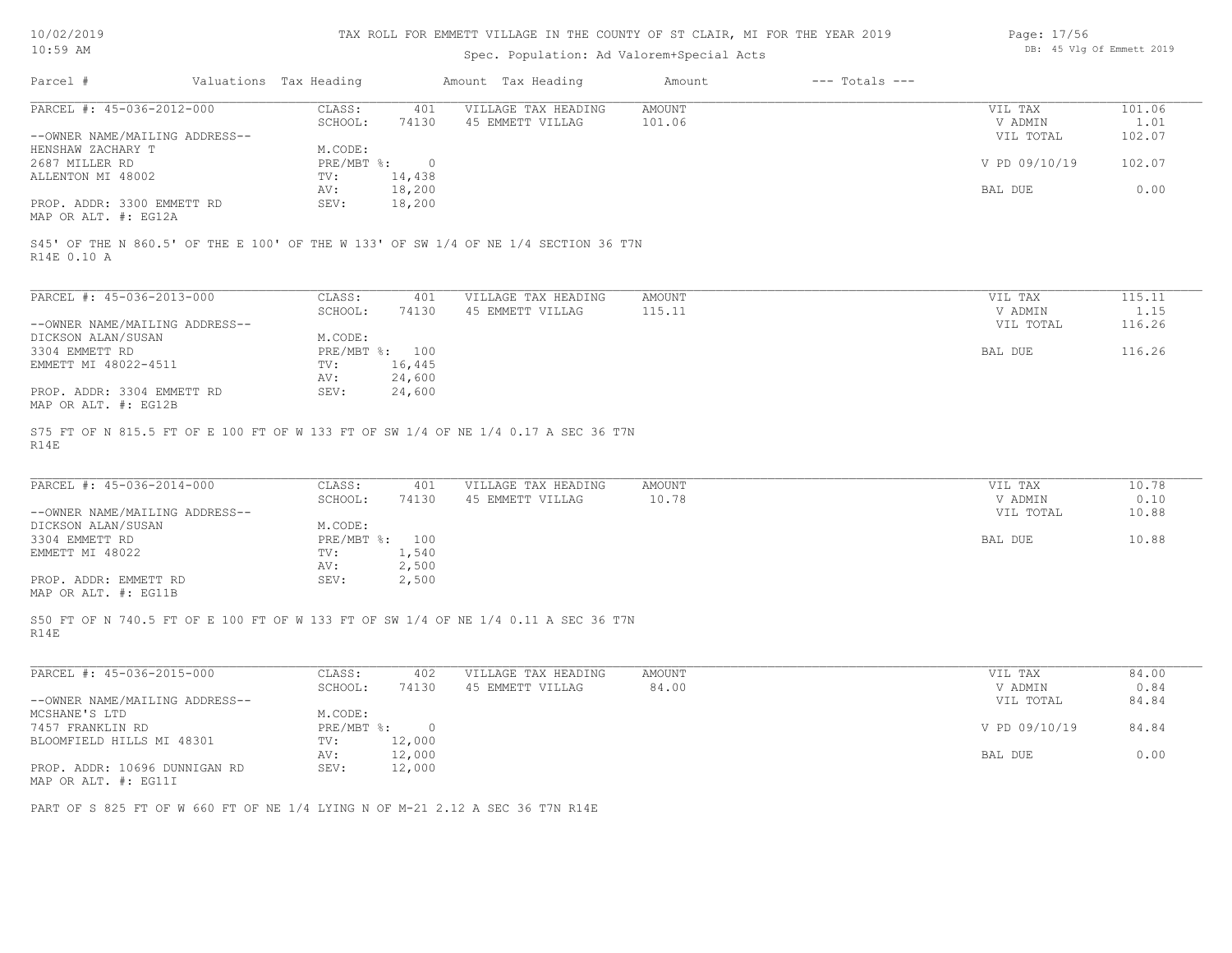| 10/02/2019 |  |
|------------|--|
|            |  |

| Page: 17/56 |  |                           |  |
|-------------|--|---------------------------|--|
|             |  | DB: 45 Vlg Of Emmett 2019 |  |

| $10:59$ AM                                                                                         |                        |                  | Spec. Population: Ad Valorem+Special Acts |               |                    |               | DB: 45 Vlg Of Emmett 2019 |
|----------------------------------------------------------------------------------------------------|------------------------|------------------|-------------------------------------------|---------------|--------------------|---------------|---------------------------|
| Parcel #                                                                                           | Valuations Tax Heading |                  | Amount Tax Heading                        | Amount        | $---$ Totals $---$ |               |                           |
| PARCEL #: 45-036-2012-000                                                                          | CLASS:                 | 401              | VILLAGE TAX HEADING                       | <b>AMOUNT</b> |                    | VIL TAX       | 101.06                    |
|                                                                                                    | SCHOOL:                | 74130            | 45 EMMETT VILLAG                          | 101.06        |                    | V ADMIN       | 1.01                      |
| --OWNER NAME/MAILING ADDRESS--                                                                     |                        |                  |                                           |               |                    | VIL TOTAL     | 102.07                    |
| HENSHAW ZACHARY T                                                                                  | M.CODE:                |                  |                                           |               |                    |               |                           |
| 2687 MILLER RD                                                                                     | PRE/MBT %:             | $\bigcirc$       |                                           |               |                    | V PD 09/10/19 | 102.07                    |
| ALLENTON MI 48002                                                                                  | TV:                    | 14,438           |                                           |               |                    |               |                           |
|                                                                                                    | AV:                    | 18,200           |                                           |               |                    | BAL DUE       | 0.00                      |
| PROP. ADDR: 3300 EMMETT RD<br>MAP OR ALT. #: EG12A                                                 | SEV:                   | 18,200           |                                           |               |                    |               |                           |
| S45' OF THE N 860.5' OF THE E 100' OF THE W 133' OF SW 1/4 OF NE 1/4 SECTION 36 T7N<br>R14E 0.10 A |                        |                  |                                           |               |                    |               |                           |
| PARCEL #: 45-036-2013-000                                                                          | CLASS:                 | 401              | VILLAGE TAX HEADING                       | AMOUNT        |                    | VIL TAX       | 115.11                    |
|                                                                                                    | SCHOOL:                | 74130            | 45 EMMETT VILLAG                          | 115.11        |                    | V ADMIN       | 1.15                      |
| --OWNER NAME/MAILING ADDRESS--                                                                     |                        |                  |                                           |               |                    | VIL TOTAL     | 116.26                    |
| DICKSON ALAN/SUSAN                                                                                 | M.CODE:                |                  |                                           |               |                    |               |                           |
| 3304 EMMETT RD                                                                                     |                        | PRE/MBT %: 100   |                                           |               |                    | BAL DUE       | 116.26                    |
| EMMETT MI 48022-4511                                                                               | TV:                    | 16,445           |                                           |               |                    |               |                           |
|                                                                                                    | AV:                    | 24,600           |                                           |               |                    |               |                           |
| PROP. ADDR: 3304 EMMETT RD<br>MAP OR ALT. #: EG12B                                                 | SEV:                   | 24,600           |                                           |               |                    |               |                           |
| PARCEL #: 45-036-2014-000                                                                          | CLASS:                 | 401              | VILLAGE TAX HEADING                       | <b>AMOUNT</b> |                    | VIL TAX       | 10.78                     |
|                                                                                                    | SCHOOL:                | 74130            | 45 EMMETT VILLAG                          | 10.78         |                    | V ADMIN       | 0.10                      |
| --OWNER NAME/MAILING ADDRESS--                                                                     |                        |                  |                                           |               |                    | VIL TOTAL     | 10.88                     |
| DICKSON ALAN/SUSAN                                                                                 | M.CODE:                |                  |                                           |               |                    |               |                           |
| 3304 EMMETT RD                                                                                     |                        | PRE/MBT %: 100   |                                           |               |                    | BAL DUE       | 10.88                     |
| EMMETT MI 48022                                                                                    | TV:                    | 1,540            |                                           |               |                    |               |                           |
|                                                                                                    | AV:                    | 2,500            |                                           |               |                    |               |                           |
| PROP. ADDR: EMMETT RD<br>MAP OR ALT. #: EG11B                                                      | SEV:                   | 2,500            |                                           |               |                    |               |                           |
| S50 FT OF N 740.5 FT OF E 100 FT OF W 133 FT OF SW 1/4 OF NE 1/4 0.11 A SEC 36 T7N<br>R14E         |                        |                  |                                           |               |                    |               |                           |
| PARCEL #: 45-036-2015-000                                                                          | CLASS:                 | 402              | VILLAGE TAX HEADING                       | AMOUNT        |                    | VIL TAX       | 84.00                     |
|                                                                                                    | SCHOOL:                | 74130            | 45 EMMETT VILLAG                          | 84.00         |                    | V ADMIN       | 0.84                      |
| --OWNER NAME/MAILING ADDRESS--                                                                     |                        |                  |                                           |               |                    | VIL TOTAL     | 84.84                     |
| MCSHANE'S LTD                                                                                      | M.CODE:                |                  |                                           |               |                    |               |                           |
| 7457 FRANKLIN RD                                                                                   |                        | PRE/MBT %: 0     |                                           |               |                    | V PD 09/10/19 | 84.84                     |
| BLOOMFIELD HILLS MI 48301                                                                          | TV:                    | 12,000           |                                           |               |                    |               |                           |
| PROP. ADDR: 10696 DUNNIGAN RD                                                                      | AV:<br>SEV:            | 12,000<br>12,000 |                                           |               |                    | BAL DUE       | 0.00                      |
| MAP OR ALT. #: EG11I                                                                               |                        |                  |                                           |               |                    |               |                           |
|                                                                                                    |                        |                  |                                           |               |                    |               |                           |
| PART OF S 825 FT OF W 660 FT OF NE 1/4 LYING N OF M-21 2.12 A SEC 36 T7N R14E                      |                        |                  |                                           |               |                    |               |                           |
|                                                                                                    |                        |                  |                                           |               |                    |               |                           |
|                                                                                                    |                        |                  |                                           |               |                    |               |                           |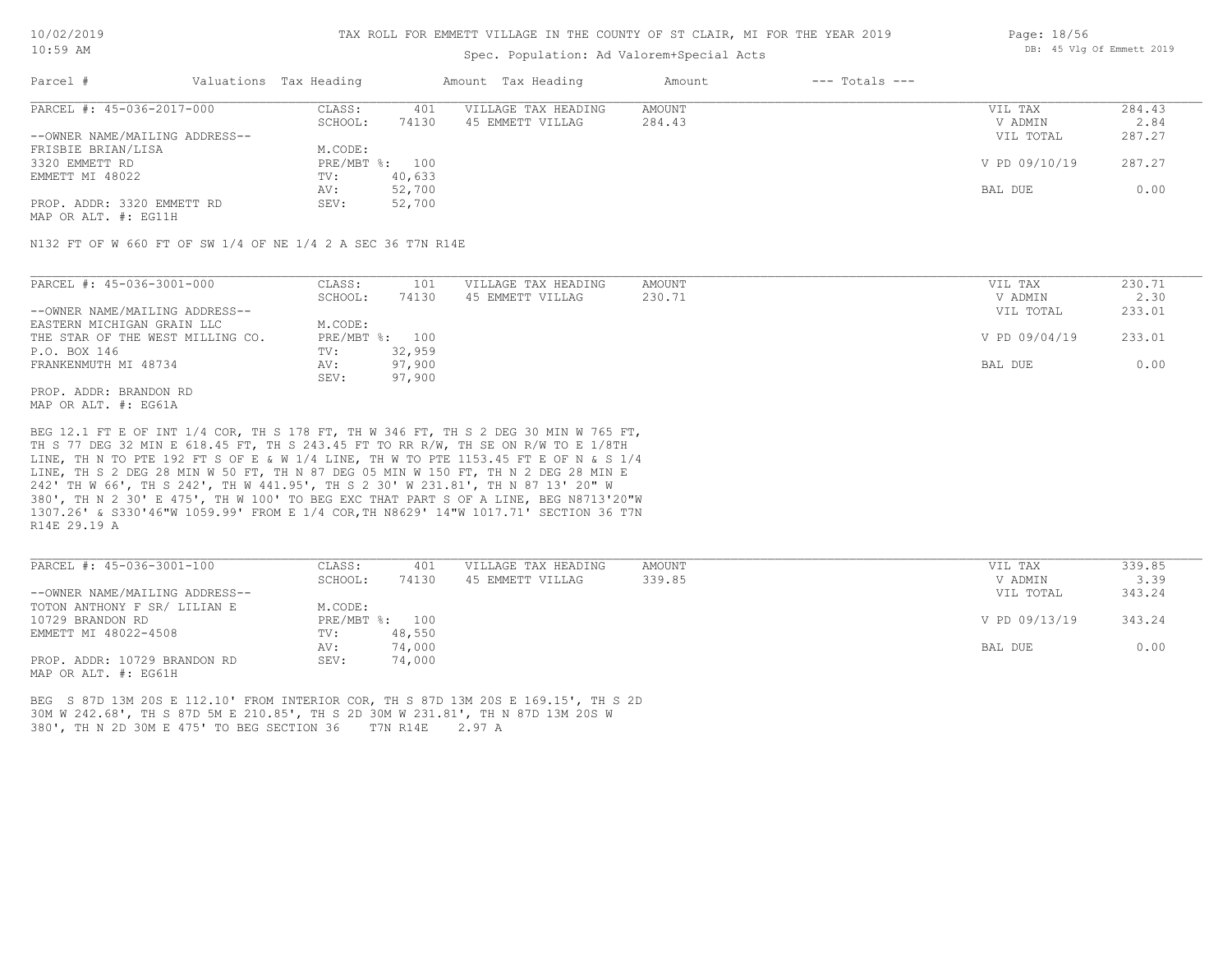#### TAX ROLL FOR EMMETT VILLAGE IN THE COUNTY OF ST CLAIR, MI FOR THE YEAR 2019

### Spec. Population: Ad Valorem+Special Acts

| Page: 18/56 |  |                           |  |
|-------------|--|---------------------------|--|
|             |  | DB: 45 Vlg Of Emmett 2019 |  |

| Parcel #                       | Valuations Tax Heading |        | Amount Tax Heading  | Amount | $---$ Totals $---$ |               |        |
|--------------------------------|------------------------|--------|---------------------|--------|--------------------|---------------|--------|
| PARCEL #: 45-036-2017-000      | CLASS:                 | 401    | VILLAGE TAX HEADING | AMOUNT |                    | VIL TAX       | 284.43 |
|                                | SCHOOL:                | 74130  | 45 EMMETT VILLAG    | 284.43 |                    | V ADMIN       | 2.84   |
| --OWNER NAME/MAILING ADDRESS-- |                        |        |                     |        |                    | VIL TOTAL     | 287.27 |
| FRISBIE BRIAN/LISA             | M.CODE:                |        |                     |        |                    |               |        |
| 3320 EMMETT RD                 | PRE/MBT %: 100         |        |                     |        |                    | V PD 09/10/19 | 287.27 |
| EMMETT MI 48022                | TV:                    | 40,633 |                     |        |                    |               |        |
|                                | AV:                    | 52,700 |                     |        |                    | BAL DUE       | 0.00   |
| PROP. ADDR: 3320 EMMETT RD     | SEV:                   | 52,700 |                     |        |                    |               |        |
|                                |                        |        |                     |        |                    |               |        |

MAP OR ALT. #: EG11H

N132 FT OF W 660 FT OF SW 1/4 OF NE 1/4 2 A SEC 36 T7N R14E

| PARCEL #: 45-036-3001-000        | CLASS:  | 101            | VILLAGE TAX HEADING | AMOUNT | VIL TAX       | 230.71 |
|----------------------------------|---------|----------------|---------------------|--------|---------------|--------|
|                                  | SCHOOL: | 74130          | 45 EMMETT VILLAG    | 230.71 | V ADMIN       | 2.30   |
| --OWNER NAME/MAILING ADDRESS--   |         |                |                     |        | VIL TOTAL     | 233.01 |
| EASTERN MICHIGAN GRAIN LLC       | M.CODE: |                |                     |        |               |        |
| THE STAR OF THE WEST MILLING CO. |         | PRE/MBT %: 100 |                     |        | V PD 09/04/19 | 233.01 |
| P.O. BOX 146                     | TV:     | 32,959         |                     |        |               |        |
| FRANKENMUTH MI 48734             | AV:     | 97,900         |                     |        | BAL DUE       | 0.00   |
|                                  | SEV:    | 97,900         |                     |        |               |        |
| PROP. ADDR: BRANDON RD           |         |                |                     |        |               |        |

MAP OR ALT. #: EG61A

R14E 29.19 A 1307.26' & S330'46"W 1059.99' FROM E 1/4 COR,TH N8629' 14"W 1017.71' SECTION 36 T7N 380', TH N 2 30' E 475', TH W 100' TO BEG EXC THAT PART S OF A LINE, BEG N8713'20"W 242' TH W 66', TH S 242', TH W 441.95', TH S 2 30' W 231.81', TH N 87 13' 20" W LINE, TH S 2 DEG 28 MIN W 50 FT, TH N 87 DEG 05 MIN W 150 FT, TH N 2 DEG 28 MIN E LINE, TH N TO PTE 192 FT S OF E & W 1/4 LINE, TH W TO PTE 1153.45 FT E OF N & S 1/4 TH S 77 DEG 32 MIN E 618.45 FT, TH S 243.45 FT TO RR R/W, TH SE ON R/W TO E 1/8TH BEG 12.1 FT E OF INT 1/4 COR, TH S 178 FT, TH W 346 FT, TH S 2 DEG 30 MIN W 765 FT,

| PARCEL #: 45-036-3001-100      | CLASS:  | 401            | VILLAGE TAX HEADING | AMOUNT | VIL TAX       | 339.85 |
|--------------------------------|---------|----------------|---------------------|--------|---------------|--------|
|                                | SCHOOL: | 74130          | 45 EMMETT VILLAG    | 339.85 | V ADMIN       | 3.39   |
| --OWNER NAME/MAILING ADDRESS-- |         |                |                     |        | VIL TOTAL     | 343.24 |
| TOTON ANTHONY F SR/ LILIAN E   | M.CODE: |                |                     |        |               |        |
| 10729 BRANDON RD               |         | PRE/MBT %: 100 |                     |        | V PD 09/13/19 | 343.24 |
| EMMETT MI 48022-4508           | TV:     | 48,550         |                     |        |               |        |
|                                | AV:     | 74,000         |                     |        | BAL DUE       | 0.00   |
| PROP. ADDR: 10729 BRANDON RD   | SEV:    | 74,000         |                     |        |               |        |
| MAP OR ALT. #: EG61H           |         |                |                     |        |               |        |

380', TH N 2D 30M E 475' TO BEG SECTION 36 T7N R14E 2.97 A 30M W 242.68', TH S 87D 5M E 210.85', TH S 2D 30M W 231.81', TH N 87D 13M 20S W BEG S 87D 13M 20S E 112.10' FROM INTERIOR COR, TH S 87D 13M 20S E 169.15', TH S 2D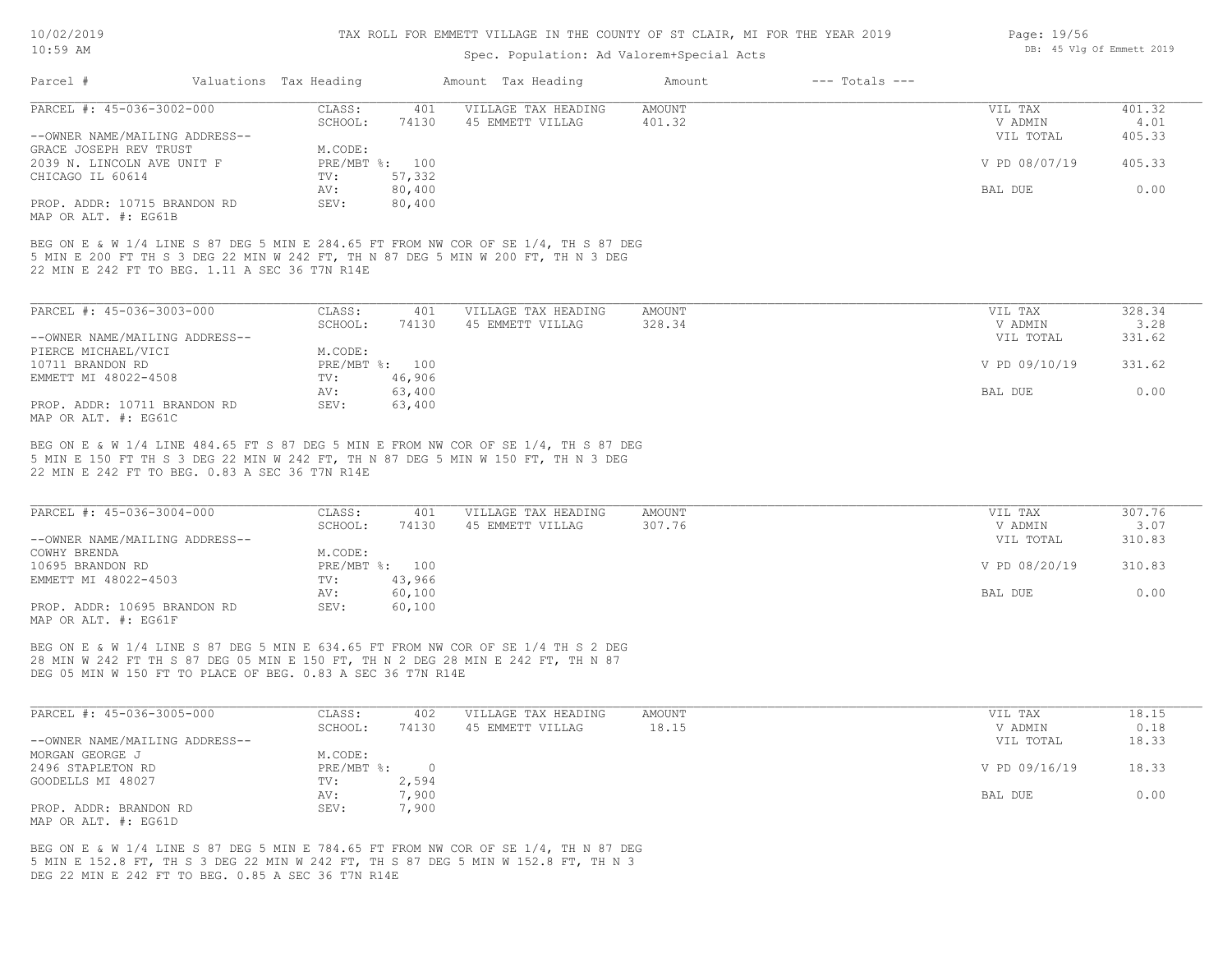| $10:59$ AM                                                                          |  |                        |                |                                         | DB: 45 Vlg Of Emmett 2019 |                    |                    |                |
|-------------------------------------------------------------------------------------|--|------------------------|----------------|-----------------------------------------|---------------------------|--------------------|--------------------|----------------|
| Parcel #                                                                            |  | Valuations Tax Heading |                | Amount Tax Heading                      | Amount                    | $---$ Totals $---$ |                    |                |
| PARCEL #: 45-036-3002-000                                                           |  | CLASS:                 | 401            | VILLAGE TAX HEADING                     | <b>AMOUNT</b>             |                    | VIL TAX            | 401.32         |
|                                                                                     |  | SCHOOL:                | 74130          | 45 EMMETT VILLAG                        | 401.32                    |                    | V ADMIN            | 4.01           |
| --OWNER NAME/MAILING ADDRESS--                                                      |  |                        |                |                                         |                           |                    | VIL TOTAL          | 405.33         |
| GRACE JOSEPH REV TRUST                                                              |  | M.CODE:                |                |                                         |                           |                    |                    |                |
| 2039 N. LINCOLN AVE UNIT F                                                          |  |                        | PRE/MBT %: 100 |                                         |                           |                    | V PD 08/07/19      | 405.33         |
| CHICAGO IL 60614                                                                    |  | TV:                    | 57,332         |                                         |                           |                    |                    |                |
|                                                                                     |  | AV:                    | 80,400         |                                         |                           |                    | BAL DUE            | 0.00           |
| PROP. ADDR: 10715 BRANDON RD                                                        |  | SEV:                   | 80,400         |                                         |                           |                    |                    |                |
| MAP OR ALT. #: EG61B                                                                |  |                        |                |                                         |                           |                    |                    |                |
| PARCEL #: 45-036-3003-000                                                           |  | CLASS:<br>SCHOOL:      | 401<br>74130   | VILLAGE TAX HEADING<br>45 EMMETT VILLAG | AMOUNT<br>328.34          |                    | VIL TAX<br>V ADMIN | 328.34<br>3.28 |
| --OWNER NAME/MAILING ADDRESS--                                                      |  |                        |                |                                         |                           |                    | VIL TOTAL          | 331.62         |
| PIERCE MICHAEL/VICI                                                                 |  | M.CODE:                |                |                                         |                           |                    |                    |                |
| 10711 BRANDON RD                                                                    |  |                        | PRE/MBT %: 100 |                                         |                           |                    | V PD 09/10/19      | 331.62         |
| EMMETT MI 48022-4508                                                                |  | TV:                    | 46,906         |                                         |                           |                    |                    |                |
|                                                                                     |  | AV:                    | 63,400         |                                         |                           |                    | BAL DUE            | 0.00           |
| PROP. ADDR: 10711 BRANDON RD<br>MAP OR ALT. #: EG61C                                |  | SEV:                   | 63,400         |                                         |                           |                    |                    |                |
| BEG ON E & W 1/4 LINE 484.65 FT S 87 DEG 5 MIN E FROM NW COR OF SE 1/4, TH S 87 DEG |  |                        |                |                                         |                           |                    |                    |                |
| 5 MIN E 150 FT TH S 3 DEG 22 MIN W 242 FT, TH N 87 DEG 5 MIN W 150 FT, TH N 3 DEG   |  |                        |                |                                         |                           |                    |                    |                |
| 22 MIN E 242 FT TO BEG. 0.83 A SEC 36 T7N R14E                                      |  |                        |                |                                         |                           |                    |                    |                |
| PARCEL #: 45-036-3004-000                                                           |  | CLASS:                 | 401            | VILLAGE TAX HEADING                     | AMOUNT                    |                    | VIL TAX            | 307.76         |
|                                                                                     |  | SCHOOL:                | 74130          | 45 EMMETT VILLAG                        | 307.76                    |                    | V ADMIN            | 3.07           |
| --OWNER NAME/MAILING ADDRESS--<br>A                                                 |  | $\cdots$ $\sim$ $\sim$ |                |                                         |                           |                    | VIL TOTAL          | 310.83         |
|                                                                                     |  |                        |                |                                         |                           |                    |                    |                |

| UNIVER MELLE LESSEL LIDDIGOU |                           |        |               | ------ |
|------------------------------|---------------------------|--------|---------------|--------|
| COWHY BRENDA                 | M.CODE:                   |        |               |        |
| 10695 BRANDON RD             | $PRE/MBT$ $\frac{1}{6}$ : | 100    | V PD 08/20/19 | 310.83 |
| EMMETT MI 48022-4503         | TV:                       | 43,966 |               |        |
|                              | AV:                       | 60,100 | BAL DUE       | 0.00   |
| PROP. ADDR: 10695 BRANDON RD | SEV:                      | 60,100 |               |        |
| MAP OR ALT. #: EG61F         |                           |        |               |        |

DEG 05 MIN W 150 FT TO PLACE OF BEG. 0.83 A SEC 36 T7N R14E 28 MIN W 242 FT TH S 87 DEG 05 MIN E 150 FT, TH N 2 DEG 28 MIN E 242 FT, TH N 87 BEG ON E & W 1/4 LINE S 87 DEG 5 MIN E 634.65 FT FROM NW COR OF SE 1/4 TH S 2 DEG

| PARCEL #: 45-036-3005-000      | CLASS:     | 402   | VILLAGE TAX HEADING | AMOUNT | VIL TAX       | 18.15 |
|--------------------------------|------------|-------|---------------------|--------|---------------|-------|
|                                | SCHOOL:    | 74130 | 45 EMMETT VILLAG    | 18.15  | V ADMIN       | 0.18  |
| --OWNER NAME/MAILING ADDRESS-- |            |       |                     |        | VIL TOTAL     | 18.33 |
| MORGAN GEORGE J                | M.CODE:    |       |                     |        |               |       |
| 2496 STAPLETON RD              | PRE/MBT %: |       |                     |        | V PD 09/16/19 | 18.33 |
| GOODELLS MI 48027              | TV:        | 2,594 |                     |        |               |       |
|                                | AV:        | 7,900 |                     |        | BAL DUE       | 0.00  |
| PROP. ADDR: BRANDON RD         | SEV:       | 7,900 |                     |        |               |       |
| MAP OR ALT. #: EG61D           |            |       |                     |        |               |       |

DEG 22 MIN E 242 FT TO BEG. 0.85 A SEC 36 T7N R14E 5 MIN E 152.8 FT, TH S 3 DEG 22 MIN W 242 FT, TH S 87 DEG 5 MIN W 152.8 FT, TH N 3 BEG ON E & W 1/4 LINE S 87 DEG 5 MIN E 784.65 FT FROM NW COR OF SE 1/4, TH N 87 DEG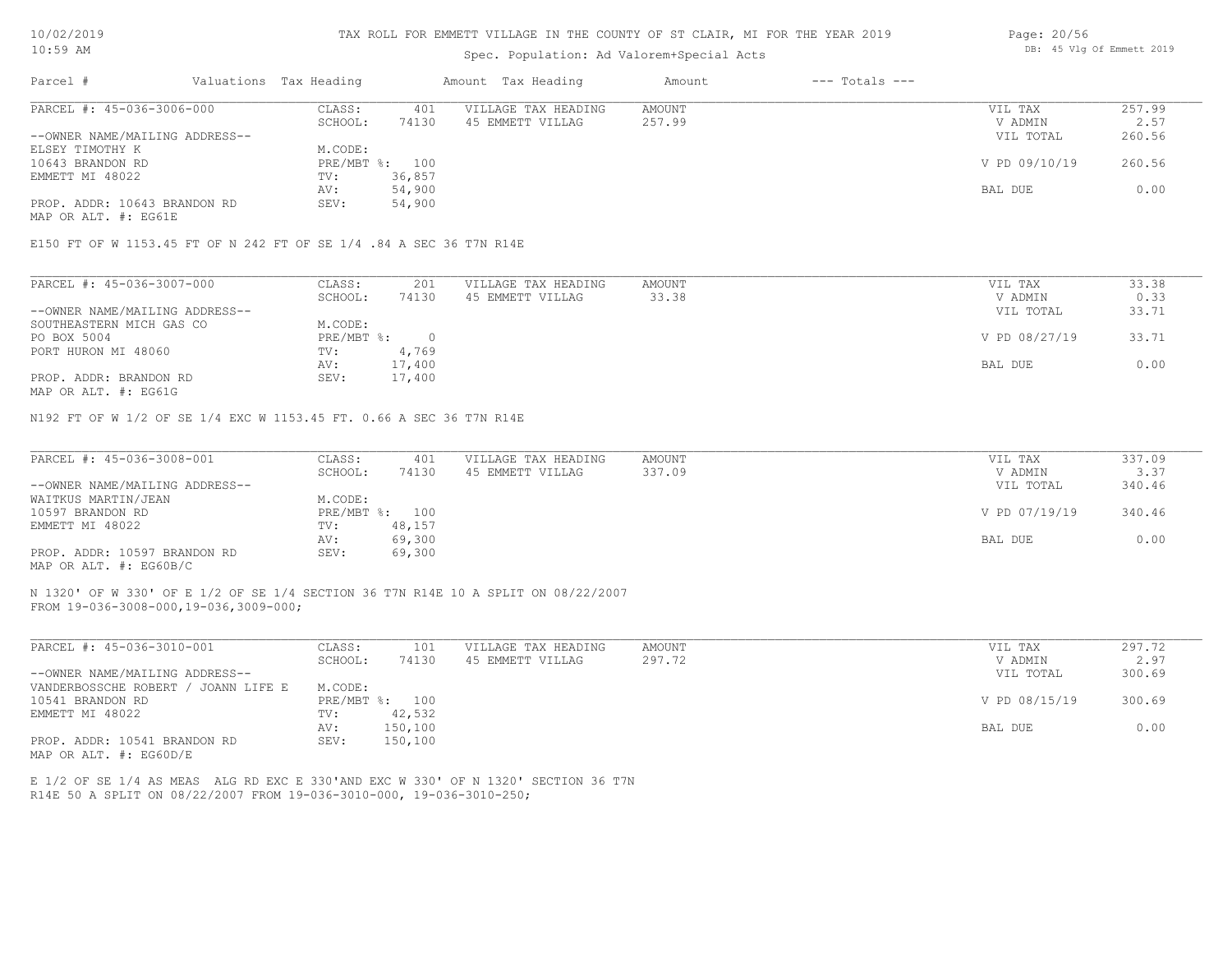#### TAX ROLL FOR EMMETT VILLAGE IN THE COUNTY OF ST CLAIR, MI FOR THE YEAR 2019

### Spec. Population: Ad Valorem+Special Acts

| Page: 20/56 |  |                           |  |
|-------------|--|---------------------------|--|
|             |  | DB: 45 Vlg Of Emmett 2019 |  |

| Parcel #                       |  | Valuations Tax Heading | Amount Tax Heading |                     | Amount | $---$ Totals $---$ |               |        |  |
|--------------------------------|--|------------------------|--------------------|---------------------|--------|--------------------|---------------|--------|--|
| PARCEL #: 45-036-3006-000      |  | CLASS:                 | 401                | VILLAGE TAX HEADING | AMOUNT |                    | VIL TAX       | 257.99 |  |
|                                |  | SCHOOL:                | 74130              | 45 EMMETT VILLAG    | 257.99 |                    | V ADMIN       | 2.57   |  |
| --OWNER NAME/MAILING ADDRESS-- |  |                        |                    |                     |        |                    | VIL TOTAL     | 260.56 |  |
| ELSEY TIMOTHY K                |  | M.CODE:                |                    |                     |        |                    |               |        |  |
| 10643 BRANDON RD               |  | PRE/MBT %: 100         |                    |                     |        |                    | V PD 09/10/19 | 260.56 |  |
| EMMETT MI 48022                |  | TV:                    | 36,857             |                     |        |                    |               |        |  |
|                                |  | AV:                    | 54,900             |                     |        |                    | BAL DUE       | 0.00   |  |
| PROP. ADDR: 10643 BRANDON RD   |  | SEV:                   | 54,900             |                     |        |                    |               |        |  |

MAP OR ALT. #: EG61E

#### E150 FT OF W 1153.45 FT OF N 242 FT OF SE 1/4 .84 A SEC 36 T7N R14E

| PARCEL #: 45-036-3007-000      | CLASS:     | 201    | VILLAGE TAX HEADING | AMOUNT | VIL TAX       | 33.38 |
|--------------------------------|------------|--------|---------------------|--------|---------------|-------|
|                                | SCHOOL:    | 74130  | 45 EMMETT VILLAG    | 33.38  | V ADMIN       | 0.33  |
| --OWNER NAME/MAILING ADDRESS-- |            |        |                     |        | VIL TOTAL     | 33.71 |
| SOUTHEASTERN MICH GAS CO       | M.CODE:    |        |                     |        |               |       |
| PO BOX 5004                    | PRE/MBT %: |        |                     |        | V PD 08/27/19 | 33.71 |
| PORT HURON MI 48060            | TV:        | 4,769  |                     |        |               |       |
|                                | AV:        | 17,400 |                     |        | BAL DUE       | 0.00  |
| PROP. ADDR: BRANDON RD         | SEV:       | 17,400 |                     |        |               |       |
|                                |            |        |                     |        |               |       |

MAP OR ALT. #: EG61G

N192 FT OF W 1/2 OF SE 1/4 EXC W 1153.45 FT. 0.66 A SEC 36 T7N R14E

| PARCEL #: 45-036-3008-001      | CLASS:  | 401            | VILLAGE TAX HEADING | AMOUNT | VIL TAX       | 337.09 |
|--------------------------------|---------|----------------|---------------------|--------|---------------|--------|
|                                | SCHOOL: | 74130          | 45 EMMETT VILLAG    | 337.09 | V ADMIN       | 3.37   |
| --OWNER NAME/MAILING ADDRESS-- |         |                |                     |        | VIL TOTAL     | 340.46 |
| WAITKUS MARTIN/JEAN            | M.CODE: |                |                     |        |               |        |
| 10597 BRANDON RD               |         | PRE/MBT %: 100 |                     |        | V PD 07/19/19 | 340.46 |
| EMMETT MI 48022                | TV:     | 48,157         |                     |        |               |        |
|                                | AV:     | 69,300         |                     |        | BAL DUE       | 0.00   |
| PROP. ADDR: 10597 BRANDON RD   | SEV:    | 69,300         |                     |        |               |        |
| MAP OR ALT. #: EG60B/C         |         |                |                     |        |               |        |

FROM 19-036-3008-000,19-036,3009-000; N 1320' OF W 330' OF E 1/2 OF SE 1/4 SECTION 36 T7N R14E 10 A SPLIT ON 08/22/2007

| PARCEL #: 45-036-3010-001           | CLASS:     | 101     | VILLAGE TAX HEADING | AMOUNT | VIL TAX       | 297.72 |
|-------------------------------------|------------|---------|---------------------|--------|---------------|--------|
|                                     | SCHOOL:    | 74130   | 45 EMMETT VILLAG    | 297.72 | V ADMIN       | 2.97   |
| --OWNER NAME/MAILING ADDRESS--      |            |         |                     |        | VIL TOTAL     | 300.69 |
| VANDERBOSSCHE ROBERT / JOANN LIFE E | M.CODE:    |         |                     |        |               |        |
| 10541 BRANDON RD                    | PRE/MBT %: | 100     |                     |        | V PD 08/15/19 | 300.69 |
| EMMETT MI 48022                     | TV:        | 42,532  |                     |        |               |        |
|                                     | AV:        | 150,100 |                     |        | BAL DUE       | 0.00   |
| PROP. ADDR: 10541 BRANDON RD        | SEV:       | 150,100 |                     |        |               |        |
| MAP OR ALT. $\#$ : EG60D/E          |            |         |                     |        |               |        |

 $\mathcal{L}_\mathcal{L} = \mathcal{L}_\mathcal{L} = \mathcal{L}_\mathcal{L} = \mathcal{L}_\mathcal{L} = \mathcal{L}_\mathcal{L} = \mathcal{L}_\mathcal{L} = \mathcal{L}_\mathcal{L} = \mathcal{L}_\mathcal{L} = \mathcal{L}_\mathcal{L} = \mathcal{L}_\mathcal{L} = \mathcal{L}_\mathcal{L} = \mathcal{L}_\mathcal{L} = \mathcal{L}_\mathcal{L} = \mathcal{L}_\mathcal{L} = \mathcal{L}_\mathcal{L} = \mathcal{L}_\mathcal{L} = \mathcal{L}_\mathcal{L}$ 

R14E 50 A SPLIT ON 08/22/2007 FROM 19-036-3010-000, 19-036-3010-250; E 1/2 OF SE 1/4 AS MEAS ALG RD EXC E 330'AND EXC W 330' OF N 1320' SECTION 36 T7N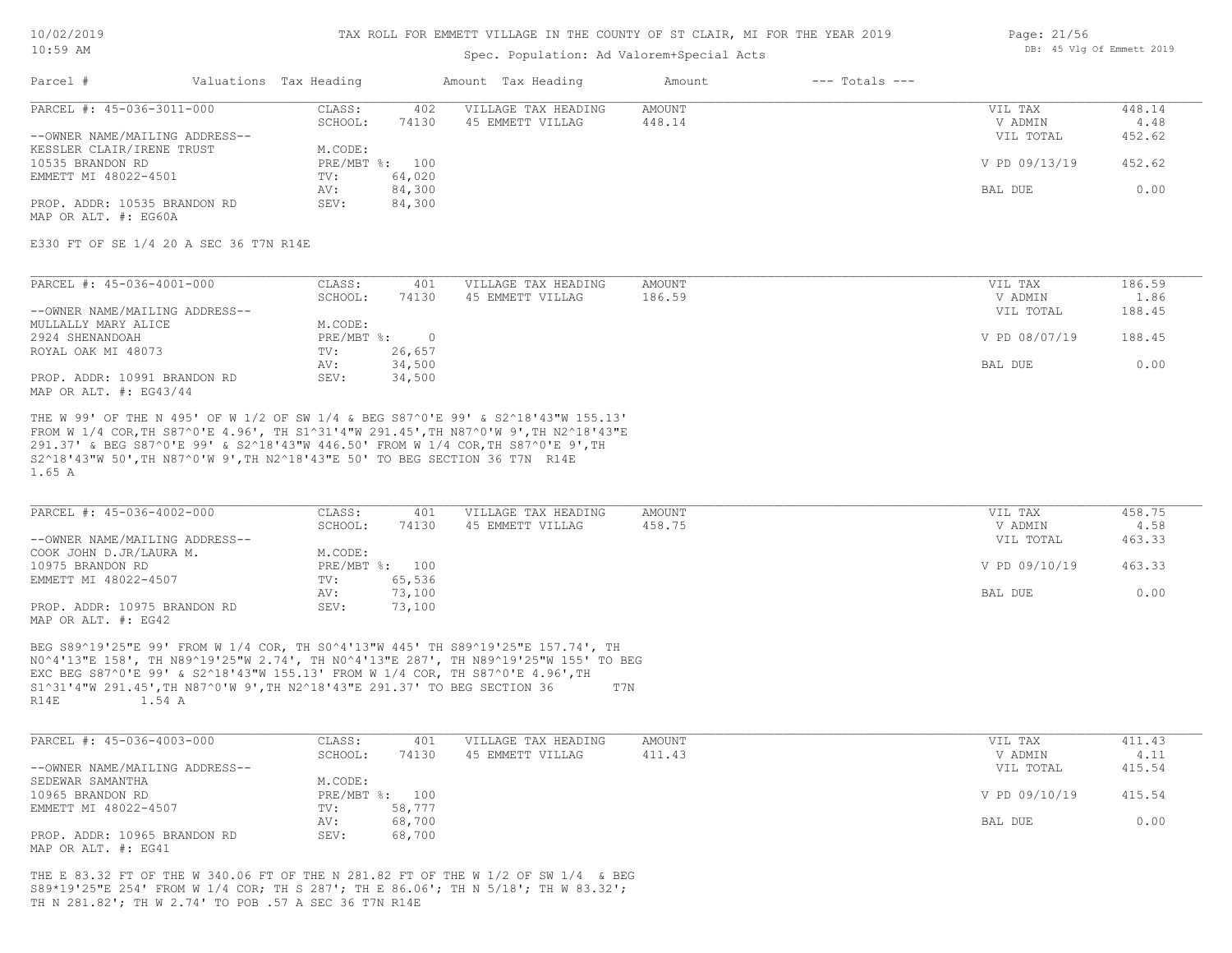#### TAX ROLL FOR EMMETT VILLAGE IN THE COUNTY OF ST CLAIR, MI FOR THE YEAR 2019

### Spec. Population: Ad Valorem+Special Acts

| Parcel #                       | Valuations Tax Heading |        | Amount Tax Heading  | Amount | $---$ Totals $---$ |               |        |
|--------------------------------|------------------------|--------|---------------------|--------|--------------------|---------------|--------|
| PARCEL #: 45-036-3011-000      | CLASS:                 | 402    | VILLAGE TAX HEADING | AMOUNT |                    | VIL TAX       | 448.14 |
|                                | SCHOOL:                | 74130  | 45 EMMETT VILLAG    | 448.14 |                    | V ADMIN       | 4.48   |
| --OWNER NAME/MAILING ADDRESS-- |                        |        |                     |        |                    | VIL TOTAL     | 452.62 |
| KESSLER CLAIR/IRENE TRUST      | M.CODE:                |        |                     |        |                    |               |        |
| 10535 BRANDON RD               | PRE/MBT %: 100         |        |                     |        |                    | V PD 09/13/19 | 452.62 |
| EMMETT MI 48022-4501           | TV:                    | 64,020 |                     |        |                    |               |        |
|                                | AV:                    | 84,300 |                     |        |                    | BAL DUE       | 0.00   |
| PROP. ADDR: 10535 BRANDON RD   | SEV:                   | 84,300 |                     |        |                    |               |        |

MAP OR ALT. #: EG60A

E330 FT OF SE 1/4 20 A SEC 36 T7N R14E

| PARCEL #: 45-036-4001-000      | CLASS:     | 401    | VILLAGE TAX HEADING | AMOUNT | VIL TAX       | 186.59 |
|--------------------------------|------------|--------|---------------------|--------|---------------|--------|
|                                | SCHOOL:    | 74130  | 45 EMMETT VILLAG    | 186.59 | V ADMIN       | 1.86   |
| --OWNER NAME/MAILING ADDRESS-- |            |        |                     |        | VIL TOTAL     | 188.45 |
| MULLALLY MARY ALICE            | M.CODE:    |        |                     |        |               |        |
| 2924 SHENANDOAH                | PRE/MBT %: |        |                     |        | V PD 08/07/19 | 188.45 |
| ROYAL OAK MI 48073             | TV:        | 26,657 |                     |        |               |        |
|                                | AV:        | 34,500 |                     |        | BAL DUE       | 0.00   |
| PROP. ADDR: 10991 BRANDON RD   | SEV:       | 34,500 |                     |        |               |        |
| MAP OR ALT. $\#$ : EG43/44     |            |        |                     |        |               |        |

1.65 A S2^18'43"W 50',TH N87^0'W 9',TH N2^18'43"E 50' TO BEG SECTION 36 T7N R14E 291.37' & BEG S87^0'E 99' & S2^18'43"W 446.50' FROM W 1/4 COR,TH S87^0'E 9',TH FROM W 1/4 COR,TH S87^0'E 4.96', TH S1^31'4"W 291.45',TH N87^0'W 9',TH N2^18'43"E THE W 99' OF THE N 495' OF W 1/2 OF SW 1/4 & BEG S87^0'E 99' & S2^18'43"W 155.13'

| PARCEL #: 45-036-4002-000      | CLASS:  | 401            | VILLAGE TAX HEADING | AMOUNT | VIL TAX       | 458.75 |
|--------------------------------|---------|----------------|---------------------|--------|---------------|--------|
|                                | SCHOOL: | 74130          | 45 EMMETT VILLAG    | 458.75 | V ADMIN       | 4.58   |
| --OWNER NAME/MAILING ADDRESS-- |         |                |                     |        | VIL TOTAL     | 463.33 |
| COOK JOHN D.JR/LAURA M.        | M.CODE: |                |                     |        |               |        |
| 10975 BRANDON RD               |         | PRE/MBT %: 100 |                     |        | V PD 09/10/19 | 463.33 |
| EMMETT MI 48022-4507           | TV:     | 65,536         |                     |        |               |        |
|                                | AV:     | 73,100         |                     |        | BAL DUE       | 0.00   |
| PROP. ADDR: 10975 BRANDON RD   | SEV:    | 73,100         |                     |        |               |        |
| MAP OR ALT. #: EG42            |         |                |                     |        |               |        |

R14E 1.54 A S1^31'4"W 291.45',TH N87^0'W 9',TH N2^18'43"E 291.37' TO BEG SECTION 36 T7N EXC BEG S87^0'E 99' & S2^18'43"W 155.13' FROM W 1/4 COR, TH S87^0'E 4.96',TH N0^4'13"E 158', TH N89^19'25"W 2.74', TH N0^4'13"E 287', TH N89^19'25"W 155' TO BEG BEG S89^19'25"E 99' FROM W 1/4 COR, TH S0^4'13"W 445' TH S89^19'25"E 157.74', TH

| PARCEL #: 45-036-4003-000      | CLASS:  | 401            | VILLAGE TAX HEADING | AMOUNT | VIL TAX       | 411.43 |
|--------------------------------|---------|----------------|---------------------|--------|---------------|--------|
|                                | SCHOOL: | 74130          | 45 EMMETT VILLAG    | 411.43 | V ADMIN       | 4.11   |
| --OWNER NAME/MAILING ADDRESS-- |         |                |                     |        | VIL TOTAL     | 415.54 |
| SEDEWAR SAMANTHA               | M.CODE: |                |                     |        |               |        |
| 10965 BRANDON RD               |         | PRE/MBT %: 100 |                     |        | V PD 09/10/19 | 415.54 |
| EMMETT MI 48022-4507           | TV:     | 58,777         |                     |        |               |        |
|                                | AV:     | 68,700         |                     |        | BAL DUE       | 0.00   |
| PROP. ADDR: 10965 BRANDON RD   | SEV:    | 68,700         |                     |        |               |        |
| MAP OR ALT. #: EG41            |         |                |                     |        |               |        |

TH N 281.82'; TH W 2.74' TO POB .57 A SEC 36 T7N R14E S89\*19'25"E 254' FROM W 1/4 COR; TH S 287'; TH E 86.06'; TH N 5/18'; TH W 83.32'; THE E 83.32 FT OF THE W 340.06 FT OF THE N 281.82 FT OF THE W 1/2 OF SW 1/4 & BEG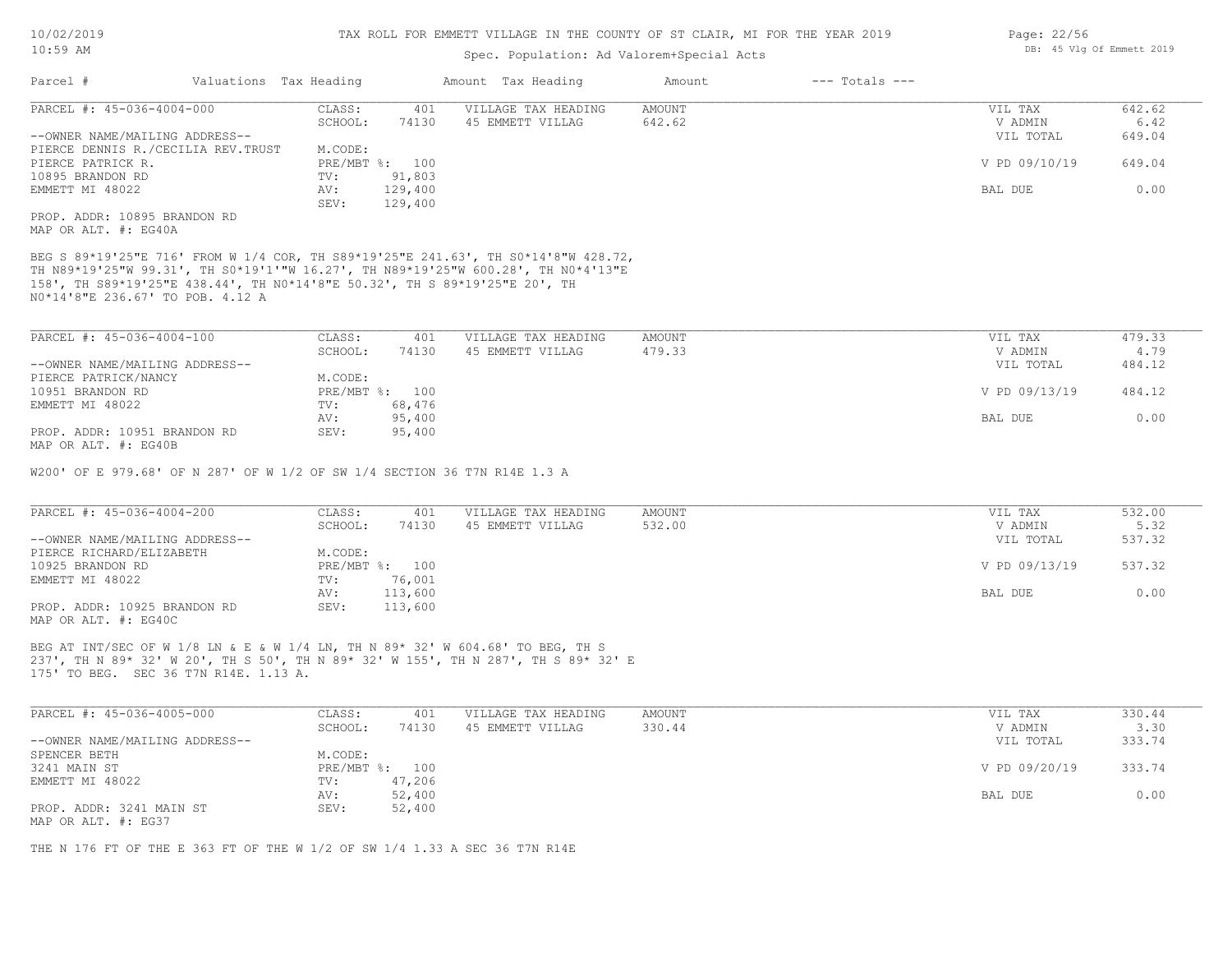### Spec. Population: Ad Valorem+Special Acts

| Parcel #                           |         | Valuations Tax Heading |                     | Amount Tax Heading | Amount  | $---$ Totals $---$ |               |        |
|------------------------------------|---------|------------------------|---------------------|--------------------|---------|--------------------|---------------|--------|
| PARCEL #: 45-036-4004-000          | CLASS:  | 401                    | VILLAGE TAX HEADING | AMOUNT             | VIL TAX | 642.62             |               |        |
|                                    | SCHOOL: | 74130                  | 45 EMMETT VILLAG    | 642.62             |         | V ADMIN            | 6.42          |        |
| --OWNER NAME/MAILING ADDRESS--     |         |                        |                     |                    |         |                    | VIL TOTAL     | 649.04 |
| PIERCE DENNIS R./CECILIA REV.TRUST |         | M.CODE:                |                     |                    |         |                    |               |        |
| PIERCE PATRICK R.                  |         |                        | PRE/MBT %: 100      |                    |         |                    | V PD 09/10/19 | 649.04 |
| 10895 BRANDON RD                   |         | TV:                    | 91,803              |                    |         |                    |               |        |
| EMMETT MI 48022                    |         | AV:                    | 129,400             |                    |         |                    | BAL DUE       | 0.00   |
|                                    |         | SEV:                   | 129,400             |                    |         |                    |               |        |
| PROP. ADDR: 10895 BRANDON RD       |         |                        |                     |                    |         |                    |               |        |

MAP OR ALT. #: EG40A

N0\*14'8"E 236.67' TO POB. 4.12 A 158', TH S89\*19'25"E 438.44', TH N0\*14'8"E 50.32', TH S 89\*19'25"E 20', TH TH N89\*19'25"W 99.31', TH S0\*19'1'"W 16.27', TH N89\*19'25"W 600.28', TH N0\*4'13"E BEG S 89\*19'25"E 716' FROM W 1/4 COR, TH S89\*19'25"E 241.63', TH S0\*14'8"W 428.72,

| PARCEL #: 45-036-4004-100      | CLASS:  | 401            | VILLAGE TAX HEADING | AMOUNT | VIL TAX       | 479.33 |
|--------------------------------|---------|----------------|---------------------|--------|---------------|--------|
|                                | SCHOOL: | 74130          | 45 EMMETT VILLAG    | 479.33 | V ADMIN       | 4.79   |
| --OWNER NAME/MAILING ADDRESS-- |         |                |                     |        | VIL TOTAL     | 484.12 |
| PIERCE PATRICK/NANCY           | M.CODE: |                |                     |        |               |        |
| 10951 BRANDON RD               |         | PRE/MBT %: 100 |                     |        | V PD 09/13/19 | 484.12 |
| EMMETT MI 48022                | TV:     | 68,476         |                     |        |               |        |
|                                | AV:     | 95,400         |                     |        | BAL DUE       | 0.00   |
| PROP. ADDR: 10951 BRANDON RD   | SEV:    | 95,400         |                     |        |               |        |
| MAP OR ALT. #: EG40B           |         |                |                     |        |               |        |

W200' OF E 979.68' OF N 287' OF W 1/2 OF SW 1/4 SECTION 36 T7N R14E 1.3 A

| PARCEL #: 45-036-4004-200      | CLASS:  | 401            | VILLAGE TAX HEADING | AMOUNT | VIL TAX       | 532.00 |
|--------------------------------|---------|----------------|---------------------|--------|---------------|--------|
|                                | SCHOOL: | 74130          | 45 EMMETT VILLAG    | 532.00 | V ADMIN       | 5.32   |
| --OWNER NAME/MAILING ADDRESS-- |         |                |                     |        | VIL TOTAL     | 537.32 |
| PIERCE RICHARD/ELIZABETH       | M.CODE: |                |                     |        |               |        |
| 10925 BRANDON RD               |         | PRE/MBT %: 100 |                     |        | V PD 09/13/19 | 537.32 |
| EMMETT MI 48022                | TV:     | 76,001         |                     |        |               |        |
|                                | AV:     | 113,600        |                     |        | BAL DUE       | 0.00   |
| PROP. ADDR: 10925 BRANDON RD   | SEV:    | 113,600        |                     |        |               |        |
| MAP OR ALT. #: EG40C           |         |                |                     |        |               |        |

175' TO BEG. SEC 36 T7N R14E. 1.13 A. 237', TH N 89\* 32' W 20', TH S 50', TH N 89\* 32' W 155', TH N 287', TH S 89\* 32' E BEG AT INT/SEC OF W 1/8 LN & E & W 1/4 LN, TH N 89\* 32' W 604.68' TO BEG, TH S

| PARCEL #: 45-036-4005-000      | CLASS:  | 401            | VILLAGE TAX HEADING | AMOUNT | VIL TAX       | 330.44 |
|--------------------------------|---------|----------------|---------------------|--------|---------------|--------|
|                                | SCHOOL: | 74130          | 45 EMMETT VILLAG    | 330.44 | V ADMIN       | 3.30   |
| --OWNER NAME/MAILING ADDRESS-- |         |                |                     |        | VIL TOTAL     | 333.74 |
| SPENCER BETH                   | M.CODE: |                |                     |        |               |        |
| 3241 MAIN ST                   |         | PRE/MBT %: 100 |                     |        | V PD 09/20/19 | 333.74 |
| EMMETT MI 48022                | TV:     | 47,206         |                     |        |               |        |
|                                | AV:     | 52,400         |                     |        | BAL DUE       | 0.00   |
| PROP. ADDR: 3241 MAIN ST       | SEV:    | 52,400         |                     |        |               |        |
| MAP OR ALT. #: EG37            |         |                |                     |        |               |        |

THE N 176 FT OF THE E 363 FT OF THE W 1/2 OF SW 1/4 1.33 A SEC 36 T7N R14E

Page: 22/56 DB: 45 Vlg Of Emmett 2019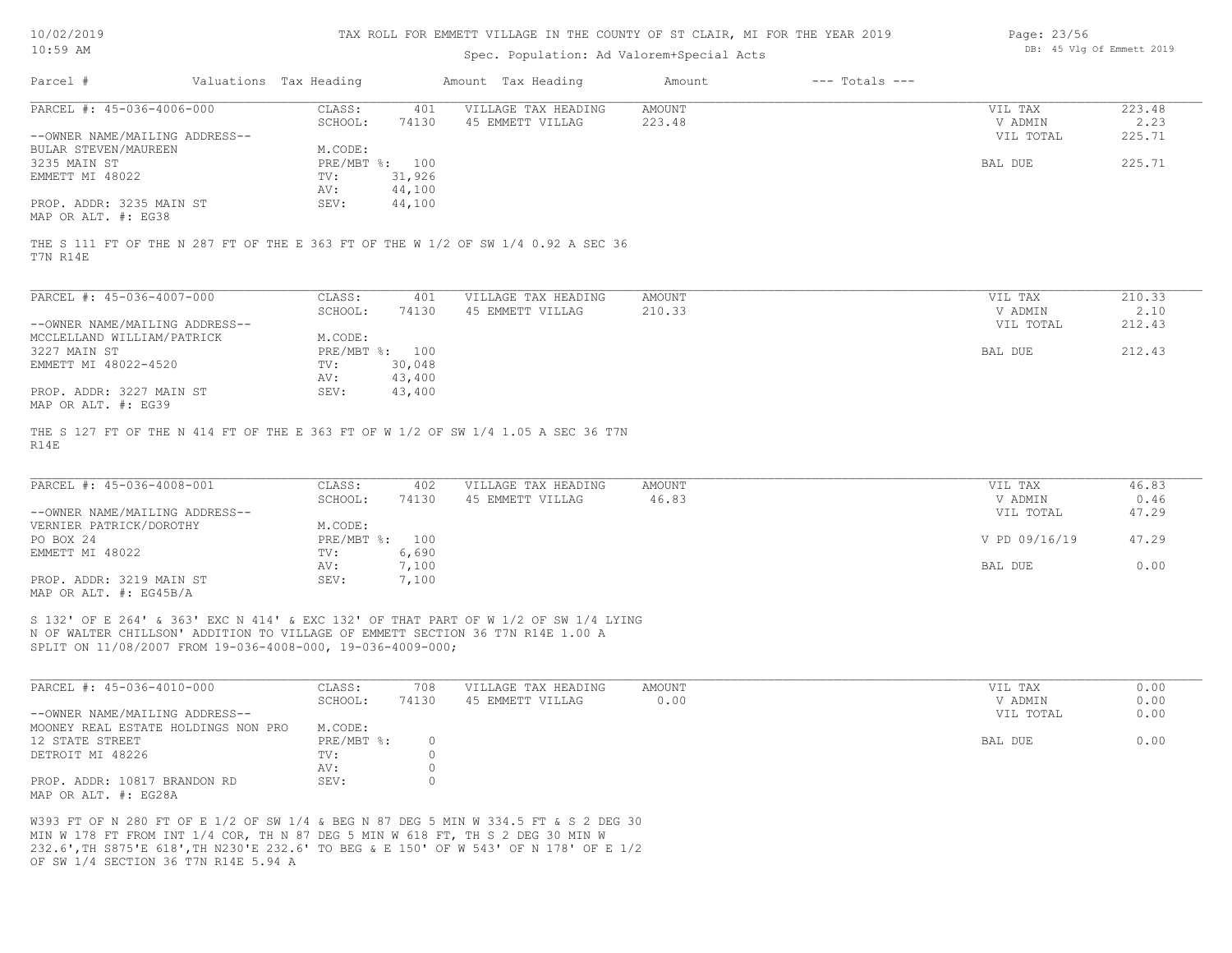| 10/02/2019 |  |
|------------|--|
| 10:59 AM   |  |

### Spec. Population: Ad Valorem+Special Acts

| Page: 23/56 |  |                           |  |
|-------------|--|---------------------------|--|
|             |  | DB: 45 Vlg Of Emmett 2019 |  |

| Parcel #                       | Valuations Tax Heading |                | Amount Tax Heading  | Amount | $---$ Totals $---$ |           |        |
|--------------------------------|------------------------|----------------|---------------------|--------|--------------------|-----------|--------|
| PARCEL #: 45-036-4006-000      | CLASS:                 | 401            | VILLAGE TAX HEADING | AMOUNT |                    | VIL TAX   | 223.48 |
|                                | SCHOOL:                | 74130          | 45 EMMETT VILLAG    | 223.48 |                    | V ADMIN   | 2.23   |
| --OWNER NAME/MAILING ADDRESS-- |                        |                |                     |        |                    | VIL TOTAL | 225.71 |
| BULAR STEVEN/MAUREEN           | M.CODE:                |                |                     |        |                    |           |        |
| 3235 MAIN ST                   |                        | PRE/MBT %: 100 |                     |        |                    | BAL DUE   | 225.71 |
| EMMETT MI 48022                | TV:                    | 31,926         |                     |        |                    |           |        |
|                                | AV:                    | 44,100         |                     |        |                    |           |        |
| PROP. ADDR: 3235 MAIN ST       | SEV:                   | 44,100         |                     |        |                    |           |        |
| MAP OR ALT. #: EG38            |                        |                |                     |        |                    |           |        |
|                                |                        |                |                     |        |                    |           |        |

T7N R14E THE S 111 FT OF THE N 287 FT OF THE E 363 FT OF THE W 1/2 OF SW 1/4 0.92 A SEC 36

| PARCEL #: 45-036-4007-000                       | CLASS:       | 401    | VILLAGE TAX HEADING | AMOUNT | VIL TAX   | 210.33 |
|-------------------------------------------------|--------------|--------|---------------------|--------|-----------|--------|
|                                                 | SCHOOL:      | 74130  | 45 EMMETT VILLAG    | 210.33 | V ADMIN   | 2.10   |
| --OWNER NAME/MAILING ADDRESS--                  |              |        |                     |        | VIL TOTAL | 212.43 |
| MCCLELLAND WILLIAM/PATRICK                      | M.CODE:      |        |                     |        |           |        |
| 3227 MAIN ST                                    | $PRE/MBT$ %: | 100    |                     |        | BAL DUE   | 212.43 |
| EMMETT MI 48022-4520                            | TV:          | 30,048 |                     |        |           |        |
|                                                 | AV:          | 43,400 |                     |        |           |        |
| PROP. ADDR: 3227 MAIN ST<br>MAP OR ALT. #: EG39 | SEV:         | 43,400 |                     |        |           |        |
|                                                 |              |        |                     |        |           |        |

R14E THE S 127 FT OF THE N 414 FT OF THE E 363 FT OF W 1/2 OF SW 1/4 1.05 A SEC 36 T7N

| PARCEL #: 45-036-4008-001      | CLASS:         | 402   | VILLAGE TAX HEADING | AMOUNT | VIL TAX       | 46.83 |
|--------------------------------|----------------|-------|---------------------|--------|---------------|-------|
|                                | SCHOOL:        | 74130 | 45 EMMETT VILLAG    | 46.83  | V ADMIN       | 0.46  |
| --OWNER NAME/MAILING ADDRESS-- |                |       |                     |        | VIL TOTAL     | 47.29 |
| VERNIER PATRICK/DOROTHY        | M.CODE:        |       |                     |        |               |       |
| PO BOX 24                      | PRE/MBT %: 100 |       |                     |        | V PD 09/16/19 | 47.29 |
| EMMETT MI 48022                | TV:            | 6,690 |                     |        |               |       |
|                                | AV:            | 7,100 |                     |        | BAL DUE       | 0.00  |
| PROP. ADDR: 3219 MAIN ST       | SEV:           | 7,100 |                     |        |               |       |
| MAP OR ALT. $\#$ : EG45B/A     |                |       |                     |        |               |       |

SPLIT ON 11/08/2007 FROM 19-036-4008-000, 19-036-4009-000; N OF WALTER CHILLSON' ADDITION TO VILLAGE OF EMMETT SECTION 36 T7N R14E 1.00 A S 132' OF E 264' & 363' EXC N 414' & EXC 132' OF THAT PART OF W 1/2 OF SW 1/4 LYING

| PARCEL #: 45-036-4010-000                            | CLASS:     | 708   | VILLAGE TAX HEADING | AMOUNT | VIL TAX   | 0.00 |
|------------------------------------------------------|------------|-------|---------------------|--------|-----------|------|
|                                                      | SCHOOL:    | 74130 | 45 EMMETT VILLAG    | 0.00   | V ADMIN   | 0.00 |
| --OWNER NAME/MAILING ADDRESS--                       |            |       |                     |        | VIL TOTAL | 0.00 |
| MOONEY REAL ESTATE HOLDINGS NON PRO                  | M.CODE:    |       |                     |        |           |      |
| 12 STATE STREET                                      | PRE/MBT %: |       |                     |        | BAL DUE   | 0.00 |
| DETROIT MI 48226                                     | TV:        |       |                     |        |           |      |
|                                                      | AV:        |       |                     |        |           |      |
| PROP. ADDR: 10817 BRANDON RD<br>MAP OR ALT. #: EG28A | SEV:       |       |                     |        |           |      |

OF SW 1/4 SECTION 36 T7N R14E 5.94 A 232.6',TH S875'E 618',TH N230'E 232.6' TO BEG & E 150' OF W 543' OF N 178' OF E 1/2 MIN W 178 FT FROM INT 1/4 COR, TH N 87 DEG 5 MIN W 618 FT, TH S 2 DEG 30 MIN W W393 FT OF N 280 FT OF E 1/2 OF SW 1/4 & BEG N 87 DEG 5 MIN W 334.5 FT & S 2 DEG 30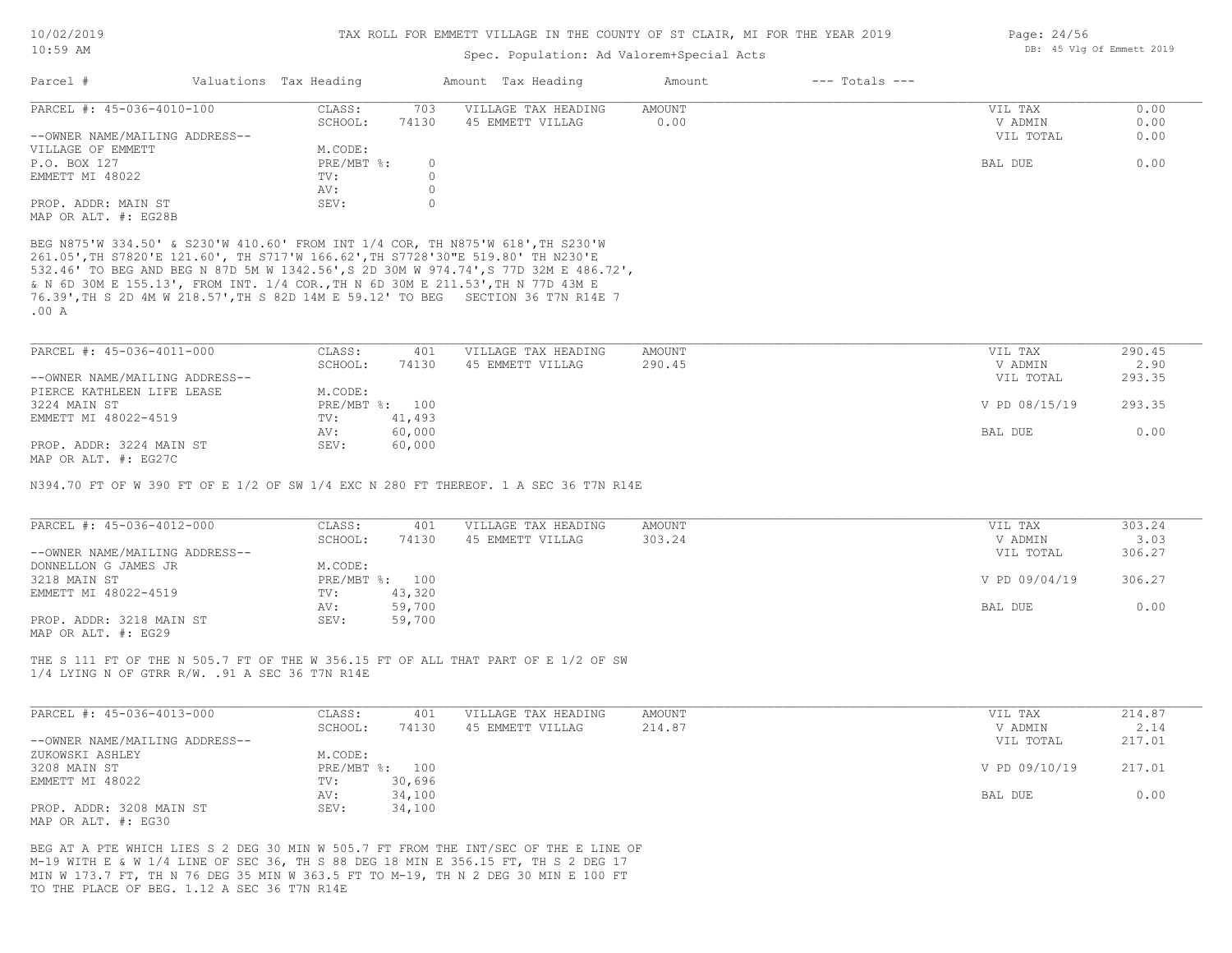### Spec. Population: Ad Valorem+Special Acts

| Parcel #                       | Valuations Tax Heading |       | Amount Tax Heading  | Amount | $---$ Totals $---$ |           |      |
|--------------------------------|------------------------|-------|---------------------|--------|--------------------|-----------|------|
| PARCEL #: 45-036-4010-100      | CLASS:                 | 703   | VILLAGE TAX HEADING | AMOUNT |                    | VIL TAX   | 0.00 |
|                                | SCHOOL:                | 74130 | 45 EMMETT VILLAG    | 0.00   |                    | V ADMIN   | 0.00 |
| --OWNER NAME/MAILING ADDRESS-- |                        |       |                     |        |                    | VIL TOTAL | 0.00 |
| VILLAGE OF EMMETT              | M.CODE:                |       |                     |        |                    |           |      |
| P.O. BOX 127                   | $PRE/MBT$ %:           |       |                     |        |                    | BAL DUE   | 0.00 |
| EMMETT MI 48022                | TV:                    |       |                     |        |                    |           |      |
|                                | AV:                    |       |                     |        |                    |           |      |
| PROP. ADDR: MAIN ST            | SEV:                   |       |                     |        |                    |           |      |
| MAP OR ALT. #: EG28B           |                        |       |                     |        |                    |           |      |

.00 A 76.39',TH S 2D 4M W 218.57',TH S 82D 14M E 59.12' TO BEG SECTION 36 T7N R14E 7 & N 6D 30M E 155.13', FROM INT. 1/4 COR.,TH N 6D 30M E 211.53',TH N 77D 43M E 532.46' TO BEG AND BEG N 87D 5M W 1342.56',S 2D 30M W 974.74',S 77D 32M E 486.72', 261.05',TH S7820'E 121.60', TH S717'W 166.62',TH S7728'30"E 519.80' TH N230'E BEG N875'W 334.50' & S230'W 410.60' FROM INT 1/4 COR, TH N875'W 618',TH S230'W

| PARCEL #: 45-036-4011-000      | CLASS:  | 401            | VILLAGE TAX HEADING | AMOUNT | VIL TAX       | 290.45 |
|--------------------------------|---------|----------------|---------------------|--------|---------------|--------|
|                                | SCHOOL: | 74130          | 45 EMMETT VILLAG    | 290.45 | V ADMIN       | 2.90   |
| --OWNER NAME/MAILING ADDRESS-- |         |                |                     |        | VIL TOTAL     | 293.35 |
| PIERCE KATHLEEN LIFE LEASE     | M.CODE: |                |                     |        |               |        |
| 3224 MAIN ST                   |         | PRE/MBT %: 100 |                     |        | V PD 08/15/19 | 293.35 |
| EMMETT MI 48022-4519           | TV:     | 41,493         |                     |        |               |        |
|                                | AV:     | 60,000         |                     |        | BAL DUE       | 0.00   |
| PROP. ADDR: 3224 MAIN ST       | SEV:    | 60,000         |                     |        |               |        |
| MAP OR ALT. #: EG27C           |         |                |                     |        |               |        |

N394.70 FT OF W 390 FT OF E 1/2 OF SW 1/4 EXC N 280 FT THEREOF. 1 A SEC 36 T7N R14E

| PARCEL #: 45-036-4012-000      | CLASS:  | 401            | VILLAGE TAX HEADING | AMOUNT | VIL TAX       | 303.24 |
|--------------------------------|---------|----------------|---------------------|--------|---------------|--------|
|                                | SCHOOL: | 74130          | 45 EMMETT VILLAG    | 303.24 | V ADMIN       | 3.03   |
| --OWNER NAME/MAILING ADDRESS-- |         |                |                     |        | VIL TOTAL     | 306.27 |
| DONNELLON G JAMES JR           | M.CODE: |                |                     |        |               |        |
| 3218 MAIN ST                   |         | PRE/MBT %: 100 |                     |        | V PD 09/04/19 | 306.27 |
| EMMETT MI 48022-4519           | TV:     | 43,320         |                     |        |               |        |
|                                | AV:     | 59,700         |                     |        | BAL DUE       | 0.00   |
| PROP. ADDR: 3218 MAIN ST       | SEV:    | 59,700         |                     |        |               |        |
| MAP OR ALT. #: EG29            |         |                |                     |        |               |        |

1/4 LYING N OF GTRR R/W. .91 A SEC 36 T7N R14E THE S 111 FT OF THE N 505.7 FT OF THE W 356.15 FT OF ALL THAT PART OF E 1/2 OF SW

| PARCEL #: 45-036-4013-000      | CLASS:  | 401            | VILLAGE TAX HEADING | AMOUNT | VIL TAX       | 214.87 |
|--------------------------------|---------|----------------|---------------------|--------|---------------|--------|
|                                | SCHOOL: | 74130          | 45 EMMETT VILLAG    | 214.87 | V ADMIN       | 2.14   |
| --OWNER NAME/MAILING ADDRESS-- |         |                |                     |        | VIL TOTAL     | 217.01 |
| ZUKOWSKI ASHLEY                | M.CODE: |                |                     |        |               |        |
| 3208 MAIN ST                   |         | PRE/MBT %: 100 |                     |        | V PD 09/10/19 | 217.01 |
| EMMETT MI 48022                | TV:     | 30,696         |                     |        |               |        |
|                                | AV:     | 34,100         |                     |        | BAL DUE       | 0.00   |
| PROP. ADDR: 3208 MAIN ST       | SEV:    | 34,100         |                     |        |               |        |
| MAP OR ALT. #: EG30            |         |                |                     |        |               |        |

TO THE PLACE OF BEG. 1.12 A SEC 36 T7N R14E MIN W 173.7 FT, TH N 76 DEG 35 MIN W 363.5 FT TO M-19, TH N 2 DEG 30 MIN E 100 FT M-19 WITH E & W 1/4 LINE OF SEC 36, TH S 88 DEG 18 MIN E 356.15 FT, TH S 2 DEG 17 BEG AT A PTE WHICH LIES S 2 DEG 30 MIN W 505.7 FT FROM THE INT/SEC OF THE E LINE OF Page: 24/56 DB: 45 Vlg Of Emmett 2019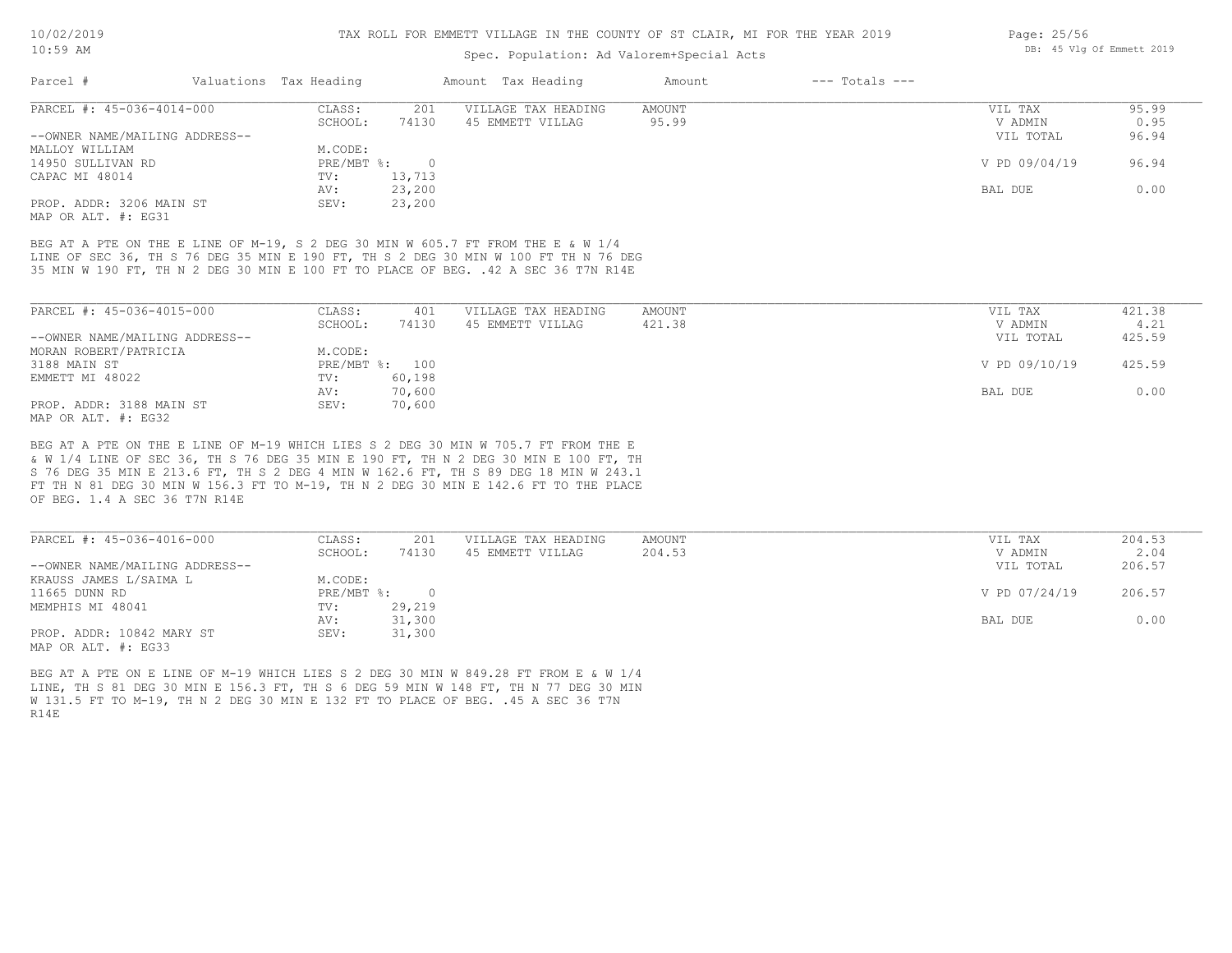### Spec. Population: Ad Valorem+Special Acts

| Parcel #                    | Valuations Tax Heading |       | Amount Tax Heading  | Amount | $---$ Totals $---$ |            |                |
|-----------------------------|------------------------|-------|---------------------|--------|--------------------|------------|----------------|
| PARCEL #: 45-036-4014-000   | CLASS:                 | 201   | VILLAGE TAX HEADING | AMOUNT |                    | VIL TAX    | 95.99          |
|                             | SCHOOL:                | 74130 | 45 EMMETT VILLAG    | 95.99  |                    | V ADMIN    |                |
| OWNER MAME (MAIT THE ARRESE |                        |       |                     |        |                    | TITT MOMAT | 0 <sub>0</sub> |

| --OWNER NAME/MAILING ADDRESS-- |                   | VIL TOTAL     | 96.94 |
|--------------------------------|-------------------|---------------|-------|
| MALLOY WILLIAM                 | M.CODE:           |               |       |
| 14950 SULLIVAN RD              | PRE/MBT %:<br>- 0 | V PD 09/04/19 | 96.94 |
| CAPAC MI 48014                 | 13,713<br>TV:     |               |       |
|                                | 23,200<br>AV:     | BAL DUE       | 0.00  |
| PROP. ADDR: 3206 MAIN ST       | 23,200<br>SEV:    |               |       |

MAP OR ALT. #: EG31

35 MIN W 190 FT, TH N 2 DEG 30 MIN E 100 FT TO PLACE OF BEG. .42 A SEC 36 T7N R14E LINE OF SEC 36, TH S 76 DEG 35 MIN E 190 FT, TH S 2 DEG 30 MIN W 100 FT TH N 76 DEG BEG AT A PTE ON THE E LINE OF M-19, S 2 DEG 30 MIN W 605.7 FT FROM THE E & W 1/4

| PARCEL #: 45-036-4015-000      | CLASS:  | 401            | VILLAGE TAX HEADING | AMOUNT | VIL TAX       | 421.38 |
|--------------------------------|---------|----------------|---------------------|--------|---------------|--------|
|                                | SCHOOL: | 74130          | 45 EMMETT VILLAG    | 421.38 | V ADMIN       | 4.21   |
| --OWNER NAME/MAILING ADDRESS-- |         |                |                     |        | VIL TOTAL     | 425.59 |
| MORAN ROBERT/PATRICIA          | M.CODE: |                |                     |        |               |        |
| 3188 MAIN ST                   |         | PRE/MBT %: 100 |                     |        | V PD 09/10/19 | 425.59 |
| EMMETT MI 48022                | TV:     | 60,198         |                     |        |               |        |
|                                | AV:     | 70,600         |                     |        | BAL DUE       | 0.00   |
| PROP. ADDR: 3188 MAIN ST       | SEV:    | 70,600         |                     |        |               |        |
| MAP OR ALT. $\#$ : EG32        |         |                |                     |        |               |        |

OF BEG. 1.4 A SEC 36 T7N R14E FT TH N 81 DEG 30 MIN W 156.3 FT TO M-19, TH N 2 DEG 30 MIN E 142.6 FT TO THE PLACE S 76 DEG 35 MIN E 213.6 FT, TH S 2 DEG 4 MIN W 162.6 FT, TH S 89 DEG 18 MIN W 243.1 & W 1/4 LINE OF SEC 36, TH S 76 DEG 35 MIN E 190 FT, TH N 2 DEG 30 MIN E 100 FT, TH BEG AT A PTE ON THE E LINE OF M-19 WHICH LIES S 2 DEG 30 MIN W 705.7 FT FROM THE E

| PARCEL #: 45-036-4016-000      | CLASS:       | 201    | VILLAGE TAX HEADING | AMOUNT | VIL TAX       | 204.53 |
|--------------------------------|--------------|--------|---------------------|--------|---------------|--------|
|                                | SCHOOL:      | 74130  | 45 EMMETT VILLAG    | 204.53 | V ADMIN       | 2.04   |
| --OWNER NAME/MAILING ADDRESS-- |              |        |                     |        | VIL TOTAL     | 206.57 |
| KRAUSS JAMES L/SAIMA L         | M.CODE:      |        |                     |        |               |        |
| 11665 DUNN RD                  | $PRE/MBT$ %: |        |                     |        | V PD 07/24/19 | 206.57 |
| MEMPHIS MI 48041               | TV:          | 29,219 |                     |        |               |        |
|                                | AV:          | 31,300 |                     |        | BAL DUE       | 0.00   |
| PROP. ADDR: 10842 MARY ST      | SEV:         | 31,300 |                     |        |               |        |
| ככמה ! חזג תם תגזון            |              |        |                     |        |               |        |

MAP OR ALT. #: EG33

R14E W 131.5 FT TO M-19, TH N 2 DEG 30 MIN E 132 FT TO PLACE OF BEG. .45 A SEC 36 T7N LINE, TH S 81 DEG 30 MIN E 156.3 FT, TH S 6 DEG 59 MIN W 148 FT, TH N 77 DEG 30 MIN BEG AT A PTE ON E LINE OF M-19 WHICH LIES S 2 DEG 30 MIN W 849.28 FT FROM E & W 1/4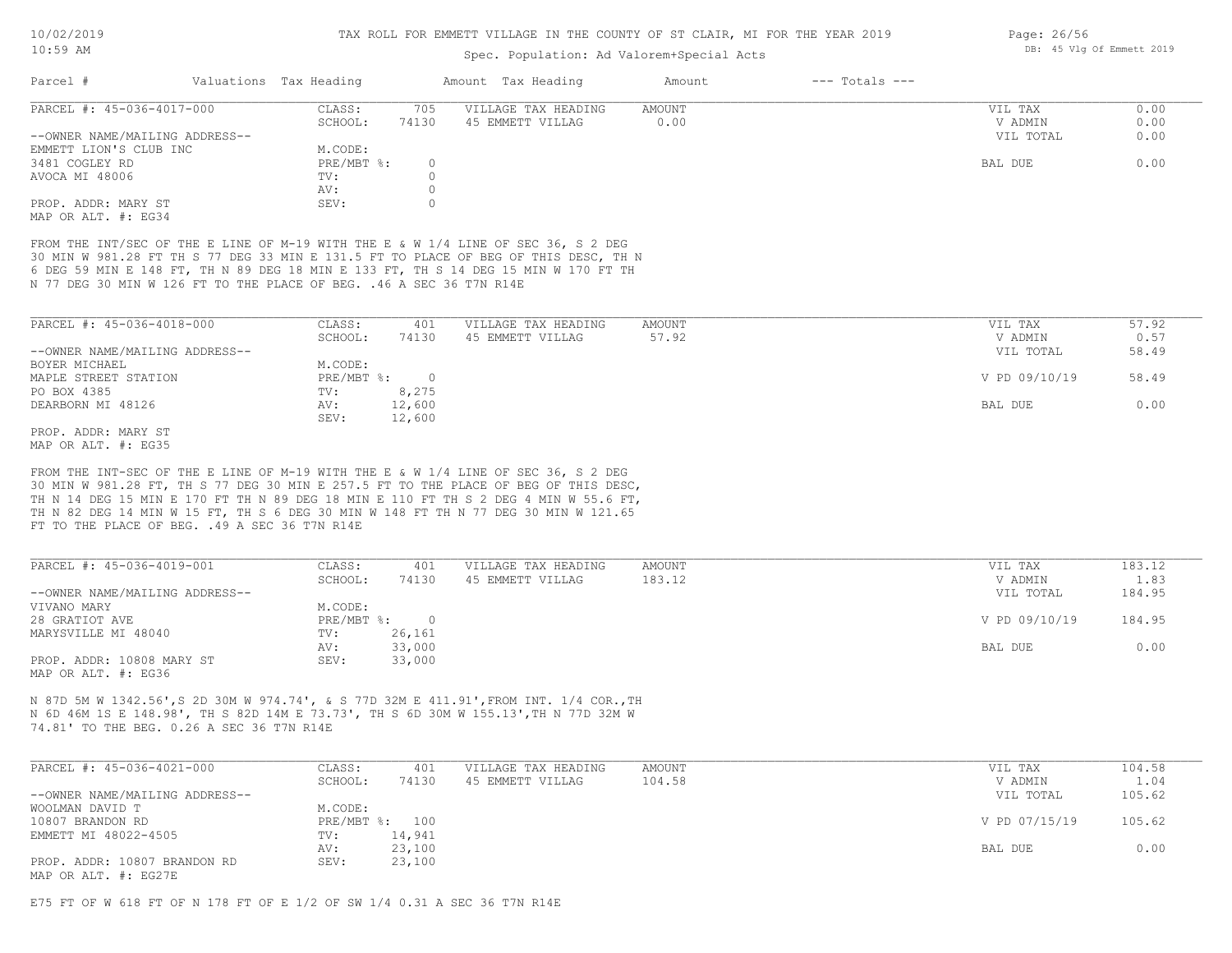| LU:כ-UL                   |  |                        |          | Spec. Population: Ad Valorem+Special Acts | DB: 40 ATG OF RUNGEL SAIS |                |             |                      |
|---------------------------|--|------------------------|----------|-------------------------------------------|---------------------------|----------------|-------------|----------------------|
| Parcel #                  |  | Valuations Tax Heading |          | Amount Tax Heading                        | Amount                    | --- Totals --- |             |                      |
| PARCEL #: 45-036-4017-000 |  | CLASS:                 | 705      | VILLAGE TAX HEADING                       | AMOUNT                    |                | VIL TAX     |                      |
|                           |  | --------               | $-11222$ |                                           |                           |                | -- -------- | $\sim$ $\sim$ $\sim$ |

|                                | SCHOOL:    | 74130            | 45 EMMETT VILLAG | 00.0 | V ADMIN   | 0.00 |
|--------------------------------|------------|------------------|------------------|------|-----------|------|
| --OWNER NAME/MAILING ADDRESS-- |            |                  |                  |      | VIL TOTAL | 0.00 |
| EMMETT LION'S CLUB INC         | M.CODE:    |                  |                  |      |           |      |
| 3481 COGLEY RD                 | PRE/MBT %: | $\left( \right)$ |                  |      | BAL DUE   | 0.00 |
| AVOCA MI 48006                 | TV:        |                  |                  |      |           |      |
|                                | AV:        |                  |                  |      |           |      |
| PROP. ADDR: MARY ST            | SEV:       |                  |                  |      |           |      |
| MAP OR ALT. #: EG34            |            |                  |                  |      |           |      |

N 77 DEG 30 MIN W 126 FT TO THE PLACE OF BEG. .46 A SEC 36 T7N R14E 6 DEG 59 MIN E 148 FT, TH N 89 DEG 18 MIN E 133 FT, TH S 14 DEG 15 MIN W 170 FT TH 30 MIN W 981.28 FT TH S 77 DEG 33 MIN E 131.5 FT TO PLACE OF BEG OF THIS DESC, TH N FROM THE INT/SEC OF THE E LINE OF M-19 WITH THE E & W 1/4 LINE OF SEC 36, S 2 DEG

| PARCEL #: 45-036-4018-000      | CLASS:     | 401      | VILLAGE TAX HEADING | AMOUNT | 57.92<br>VIL TAX       |
|--------------------------------|------------|----------|---------------------|--------|------------------------|
|                                | SCHOOL:    | 74130    | 45 EMMETT VILLAG    | 57.92  | 0.57<br>V ADMIN        |
| --OWNER NAME/MAILING ADDRESS-- |            |          |                     |        | 58.49<br>VIL TOTAL     |
| BOYER MICHAEL                  | M.CODE:    |          |                     |        |                        |
| MAPLE STREET STATION           | PRE/MBT %: | $\Omega$ |                     |        | V PD 09/10/19<br>58.49 |
| PO BOX 4385                    | TV:        | 8,275    |                     |        |                        |
| DEARBORN MI 48126              | AV:        | 12,600   |                     |        | 0.00<br>BAL DUE        |
|                                | SEV:       | 12,600   |                     |        |                        |
| PROP, ADDR: MARY ST            |            |          |                     |        |                        |

MAP OR ALT. #: EG35

FT TO THE PLACE OF BEG. .49 A SEC 36 T7N R14E TH N 82 DEG 14 MIN W 15 FT, TH S 6 DEG 30 MIN W 148 FT TH N 77 DEG 30 MIN W 121.65 TH N 14 DEG 15 MIN E 170 FT TH N 89 DEG 18 MIN E 110 FT TH S 2 DEG 4 MIN W 55.6 FT, 30 MIN W 981.28 FT, TH S 77 DEG 30 MIN E 257.5 FT TO THE PLACE OF BEG OF THIS DESC, FROM THE INT-SEC OF THE E LINE OF M-19 WITH THE E & W 1/4 LINE OF SEC 36, S 2 DEG

| PARCEL #: 45-036-4019-001      | CLASS:       | 401    | VILLAGE TAX HEADING | AMOUNT | VIL TAX       | 183.12 |
|--------------------------------|--------------|--------|---------------------|--------|---------------|--------|
|                                | SCHOOL:      | 74130  | 45 EMMETT VILLAG    | 183.12 | V ADMIN       | 1.83   |
| --OWNER NAME/MAILING ADDRESS-- |              |        |                     |        | VIL TOTAL     | 184.95 |
| VIVANO MARY                    | M.CODE:      |        |                     |        |               |        |
| 28 GRATIOT AVE                 | $PRE/MBT$ %: |        |                     |        | V PD 09/10/19 | 184.95 |
| MARYSVILLE MI 48040            | TV:          | 26,161 |                     |        |               |        |
|                                | AV:          | 33,000 |                     |        | BAL DUE       | 0.00   |
| PROP. ADDR: 10808 MARY ST      | SEV:         | 33,000 |                     |        |               |        |
| MAP OR ALT. #: EG36            |              |        |                     |        |               |        |

74.81' TO THE BEG. 0.26 A SEC 36 T7N R14E N 6D 46M 1S E 148.98', TH S 82D 14M E 73.73', TH S 6D 30M W 155.13',TH N 77D 32M W N 87D 5M W 1342.56',S 2D 30M W 974.74', & S 77D 32M E 411.91',FROM INT. 1/4 COR.,TH

| PARCEL #: 45-036-4021-000      | CLASS:  | 401            | VILLAGE TAX HEADING | AMOUNT | VIL TAX       | 104.58 |
|--------------------------------|---------|----------------|---------------------|--------|---------------|--------|
|                                | SCHOOL: | 74130          | 45 EMMETT VILLAG    | 104.58 | V ADMIN       | 1.04   |
| --OWNER NAME/MAILING ADDRESS-- |         |                |                     |        | VIL TOTAL     | 105.62 |
| WOOLMAN DAVID T                | M.CODE: |                |                     |        |               |        |
| 10807 BRANDON RD               |         | PRE/MBT %: 100 |                     |        | V PD 07/15/19 | 105.62 |
| EMMETT MI 48022-4505           | TV:     | 14,941         |                     |        |               |        |
|                                | AV:     | 23,100         |                     |        | BAL DUE       | 0.00   |
| PROP. ADDR: 10807 BRANDON RD   | SEV:    | 23,100         |                     |        |               |        |
| MAP OR ALT. #: EG27E           |         |                |                     |        |               |        |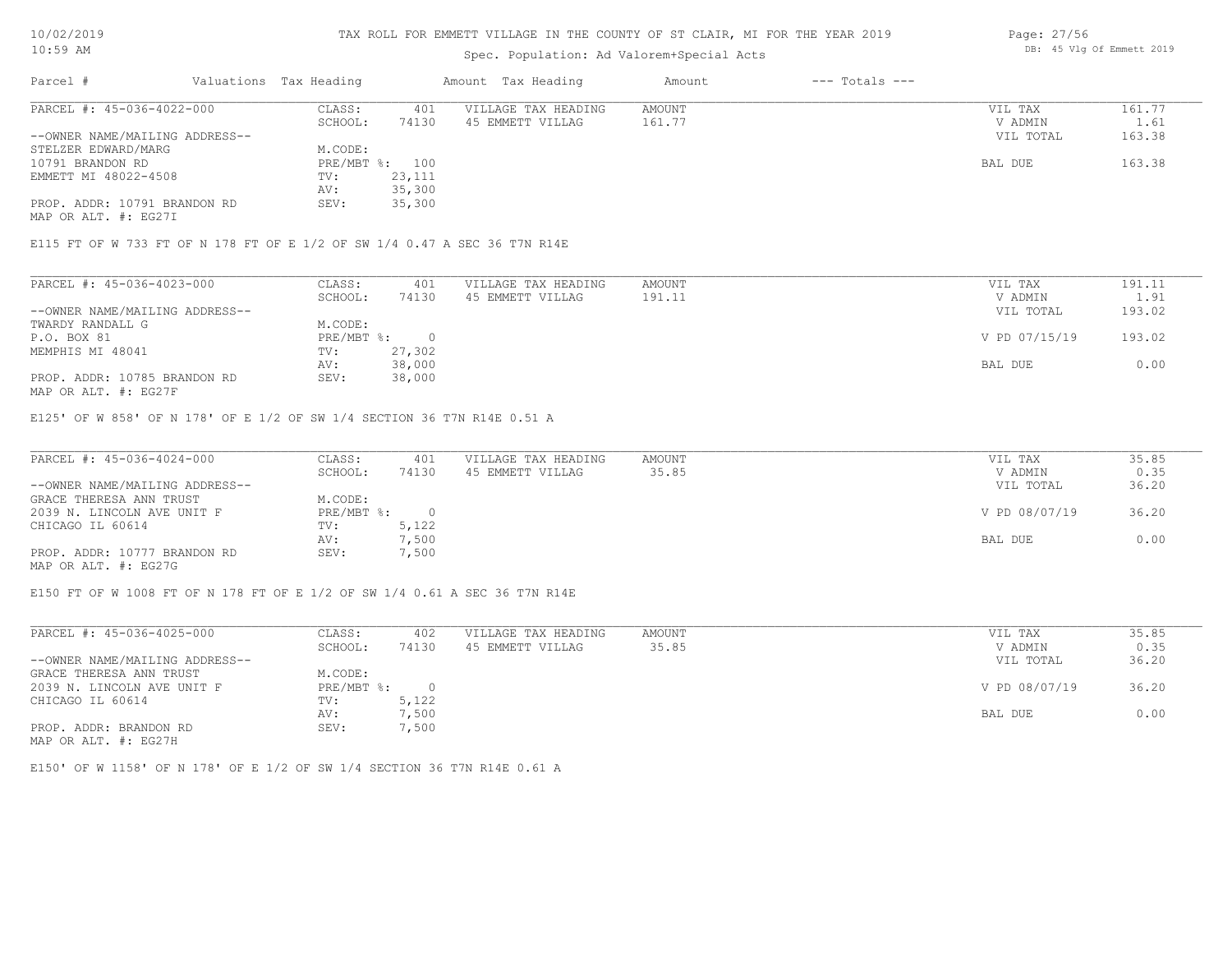#### TAX ROLL FOR EMMETT VILLAGE IN THE COUNTY OF ST CLAIR, MI FOR THE YEAR 2019

# Spec. Population: Ad Valorem+Special Acts

| Parcel #                       | Valuations Tax Heading |        | Amount Tax Heading  | Amount | $---$ Totals $---$ |           |        |
|--------------------------------|------------------------|--------|---------------------|--------|--------------------|-----------|--------|
| PARCEL #: 45-036-4022-000      | CLASS:                 | 401    | VILLAGE TAX HEADING | AMOUNT |                    | VIL TAX   | 161.77 |
|                                | SCHOOL:                | 74130  | 45 EMMETT VILLAG    | 161.77 |                    | V ADMIN   | 1.61   |
| --OWNER NAME/MAILING ADDRESS-- |                        |        |                     |        |                    | VIL TOTAL | 163.38 |
| STELZER EDWARD/MARG            | M.CODE:                |        |                     |        |                    |           |        |
| 10791 BRANDON RD               | PRE/MBT %: 100         |        |                     |        |                    | BAL DUE   | 163.38 |
| EMMETT MI 48022-4508           | TV:                    | 23,111 |                     |        |                    |           |        |
|                                | AV:                    | 35,300 |                     |        |                    |           |        |
| PROP. ADDR: 10791 BRANDON RD   | SEV:                   | 35,300 |                     |        |                    |           |        |

MAP OR ALT. #: EG27I

E115 FT OF W 733 FT OF N 178 FT OF E 1/2 OF SW 1/4 0.47 A SEC 36 T7N R14E

| PARCEL #: 45-036-4023-000      | CLASS:     | 401    | VILLAGE TAX HEADING | AMOUNT | VIL TAX       | 191.11 |
|--------------------------------|------------|--------|---------------------|--------|---------------|--------|
|                                | SCHOOL:    | 74130  | 45 EMMETT VILLAG    | 191.11 | V ADMIN       | 1.91   |
| --OWNER NAME/MAILING ADDRESS-- |            |        |                     |        | VIL TOTAL     | 193.02 |
| TWARDY RANDALL G               | M.CODE:    |        |                     |        |               |        |
| P.O. BOX 81                    | PRE/MBT %: |        |                     |        | V PD 07/15/19 | 193.02 |
| MEMPHIS MI 48041               | TV:        | 27,302 |                     |        |               |        |
|                                | AV:        | 38,000 |                     |        | BAL DUE       | 0.00   |
| PROP. ADDR: 10785 BRANDON RD   | SEV:       | 38,000 |                     |        |               |        |
| MAP OR ALT. #: EG27F           |            |        |                     |        |               |        |

E125' OF W 858' OF N 178' OF E 1/2 OF SW 1/4 SECTION 36 T7N R14E 0.51 A

| PARCEL #: 45-036-4024-000      | CLASS:       | 401   | VILLAGE TAX HEADING | AMOUNT | VIL TAX       | 35.85 |
|--------------------------------|--------------|-------|---------------------|--------|---------------|-------|
|                                | SCHOOL:      | 74130 | 45 EMMETT VILLAG    | 35.85  | V ADMIN       | 0.35  |
| --OWNER NAME/MAILING ADDRESS-- |              |       |                     |        | VIL TOTAL     | 36.20 |
| GRACE THERESA ANN TRUST        | M.CODE:      |       |                     |        |               |       |
| 2039 N. LINCOLN AVE UNIT F     | $PRE/MBT$ %: |       |                     |        | V PD 08/07/19 | 36.20 |
| CHICAGO IL 60614               | TV:          | 5,122 |                     |        |               |       |
|                                | AV:          | 7,500 |                     |        | BAL DUE       | 0.00  |
| PROP. ADDR: 10777 BRANDON RD   | SEV:         | 7,500 |                     |        |               |       |
| MAP OR ALT. #: EG27G           |              |       |                     |        |               |       |

E150 FT OF W 1008 FT OF N 178 FT OF E 1/2 OF SW 1/4 0.61 A SEC 36 T7N R14E

| PARCEL #: 45-036-4025-000      | CLASS:     | 402       | VILLAGE TAX HEADING | AMOUNT | VIL TAX       | 35.85 |
|--------------------------------|------------|-----------|---------------------|--------|---------------|-------|
|                                | SCHOOL:    | 74130     | 45 EMMETT VILLAG    | 35.85  | V ADMIN       | 0.35  |
| --OWNER NAME/MAILING ADDRESS-- |            |           |                     |        | VIL TOTAL     | 36.20 |
| GRACE THERESA ANN TRUST        | M.CODE:    |           |                     |        |               |       |
| 2039 N. LINCOLN AVE UNIT F     | PRE/MBT %: | $\bigcap$ |                     |        | V PD 08/07/19 | 36.20 |
| CHICAGO IL 60614               | TV:        | 5,122     |                     |        |               |       |
|                                | AV:        | 7,500     |                     |        | BAL DUE       | 0.00  |
| PROP. ADDR: BRANDON RD         | SEV:       | 7,500     |                     |        |               |       |
| MAP OR ALT. #: EG27H           |            |           |                     |        |               |       |

E150' OF W 1158' OF N 178' OF E 1/2 OF SW 1/4 SECTION 36 T7N R14E 0.61 A

Page: 27/56 DB: 45 Vlg Of Emmett 2019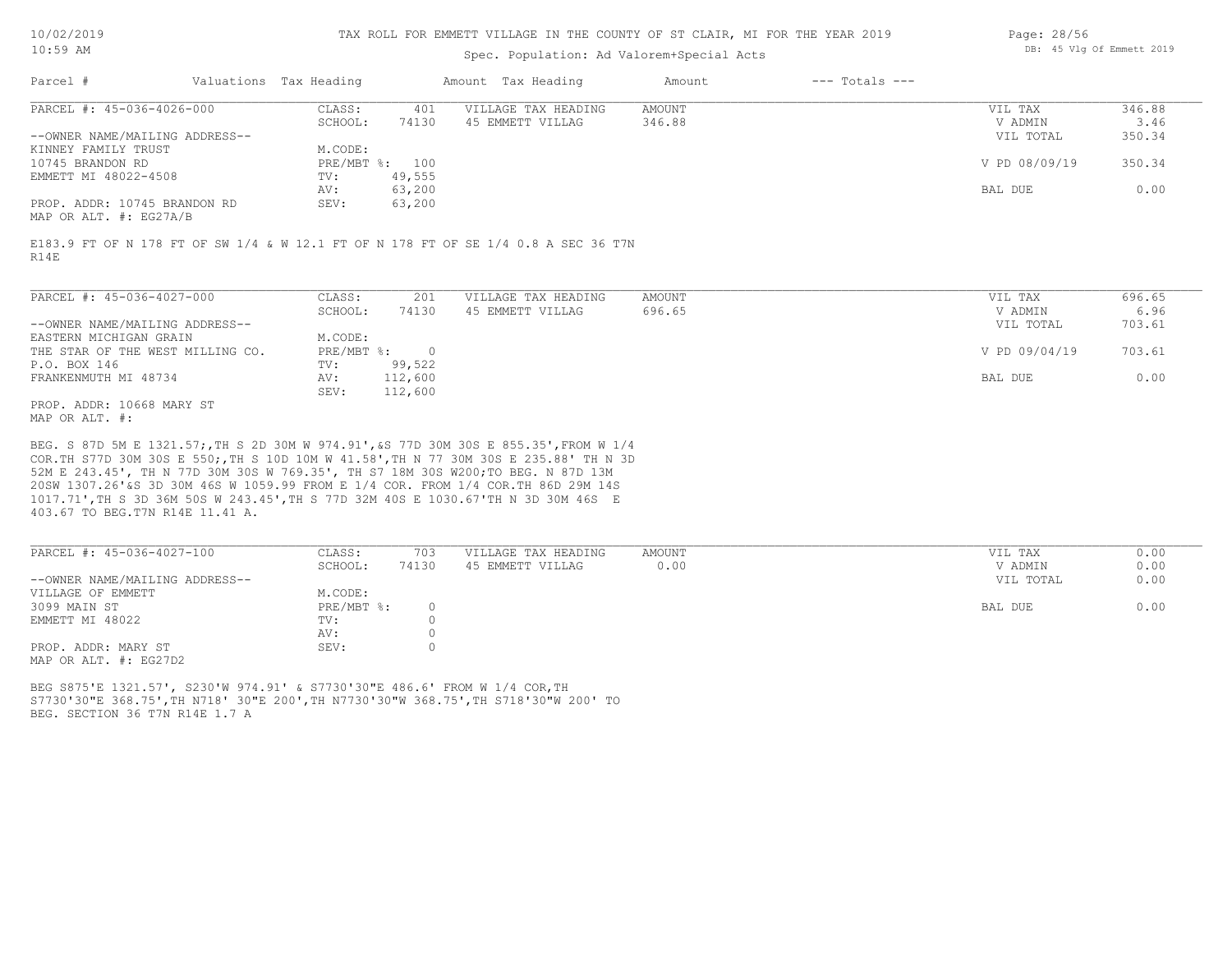#### TAX ROLL FOR EMMETT VILLAGE IN THE COUNTY OF ST CLAIR, MI FOR THE YEAR 2019

### Spec. Population: Ad Valorem+Special Acts

| Page: 28/56 |  |                           |  |
|-------------|--|---------------------------|--|
|             |  | DB: 45 Vlg Of Emmett 2019 |  |

| Parcel #                       | Valuations Tax Heading |        | Amount Tax Heading  | Amount | $---$ Totals $---$ |               |        |
|--------------------------------|------------------------|--------|---------------------|--------|--------------------|---------------|--------|
| PARCEL #: 45-036-4026-000      | CLASS:                 | 401    | VILLAGE TAX HEADING | AMOUNT |                    | VIL TAX       | 346.88 |
|                                | SCHOOL:                | 74130  | 45 EMMETT VILLAG    | 346.88 |                    | V ADMIN       | 3.46   |
| --OWNER NAME/MAILING ADDRESS-- |                        |        |                     |        |                    | VIL TOTAL     | 350.34 |
| KINNEY FAMILY TRUST            | M.CODE:                |        |                     |        |                    |               |        |
| 10745 BRANDON RD               | PRE/MBT %: 100         |        |                     |        |                    | V PD 08/09/19 | 350.34 |
| EMMETT MI 48022-4508           | TV:                    | 49,555 |                     |        |                    |               |        |
|                                | AV:                    | 63,200 |                     |        |                    | BAL DUE       | 0.00   |
| PROP. ADDR: 10745 BRANDON RD   | SEV:                   | 63,200 |                     |        |                    |               |        |
|                                |                        |        |                     |        |                    |               |        |

MAP OR ALT. #: EG27A/B

R14E E183.9 FT OF N 178 FT OF SW 1/4 & W 12.1 FT OF N 178 FT OF SE 1/4 0.8 A SEC 36 T7N

| PARCEL #: 45-036-4027-000        | CLASS:     | 201      | VILLAGE TAX HEADING | AMOUNT | VIL TAX       | 696.65 |
|----------------------------------|------------|----------|---------------------|--------|---------------|--------|
|                                  | SCHOOL:    | 74130    | 45 EMMETT VILLAG    | 696.65 | V ADMIN       | 6.96   |
| --OWNER NAME/MAILING ADDRESS--   |            |          |                     |        | VIL TOTAL     | 703.61 |
| EASTERN MICHIGAN GRAIN           | M.CODE:    |          |                     |        |               |        |
| THE STAR OF THE WEST MILLING CO. | PRE/MBT %: | $\Omega$ |                     |        | V PD 09/04/19 | 703.61 |
| P.O. BOX 146                     | TV:        | 99,522   |                     |        |               |        |
| FRANKENMUTH MI 48734             | AV:        | 112,600  |                     |        | BAL DUE       | 0.00   |
|                                  | SEV:       | 112,600  |                     |        |               |        |
| PROP. ADDR: 10668 MARY ST        |            |          |                     |        |               |        |

MAP OR ALT. #:

403.67 TO BEG.T7N R14E 11.41 A. 1017.71',TH S 3D 36M 50S W 243.45',TH S 77D 32M 40S E 1030.67'TH N 3D 30M 46S E 20SW 1307.26'&S 3D 30M 46S W 1059.99 FROM E 1/4 COR. FROM 1/4 COR.TH 86D 29M 14S 52M E 243.45', TH N 77D 30M 30S W 769.35', TH S7 18M 30S W200;TO BEG. N 87D 13M COR.TH S77D 30M 30S E 550;,TH S 10D 10M W 41.58',TH N 77 30M 30S E 235.88' TH N 3D BEG. S 87D 5M E 1321.57;,TH S 2D 30M W 974.91',&S 77D 30M 30S E 855.35',FROM W 1/4

| PARCEL #: 45-036-4027-100      | CLASS:     | 703   | VILLAGE TAX HEADING | AMOUNT | VIL TAX   | 0.00 |
|--------------------------------|------------|-------|---------------------|--------|-----------|------|
|                                | SCHOOL:    | 74130 | 45 EMMETT VILLAG    | 0.00   | V ADMIN   | 0.00 |
| --OWNER NAME/MAILING ADDRESS-- |            |       |                     |        | VIL TOTAL | 0.00 |
| VILLAGE OF EMMETT              | M.CODE:    |       |                     |        |           |      |
| 3099 MAIN ST                   | PRE/MBT %: |       |                     |        | BAL DUE   | 0.00 |
| EMMETT MI 48022                | TV:        |       |                     |        |           |      |
|                                | AV:        |       |                     |        |           |      |
| PROP. ADDR: MARY ST            | SEV:       |       |                     |        |           |      |
| MAP OR ALT. #: EG27D2          |            |       |                     |        |           |      |

BEG. SECTION 36 T7N R14E 1.7 A S7730'30"E 368.75',TH N718' 30"E 200',TH N7730'30"W 368.75',TH S718'30"W 200' TO BEG S875'E 1321.57', S230'W 974.91' & S7730'30"E 486.6' FROM W 1/4 COR,TH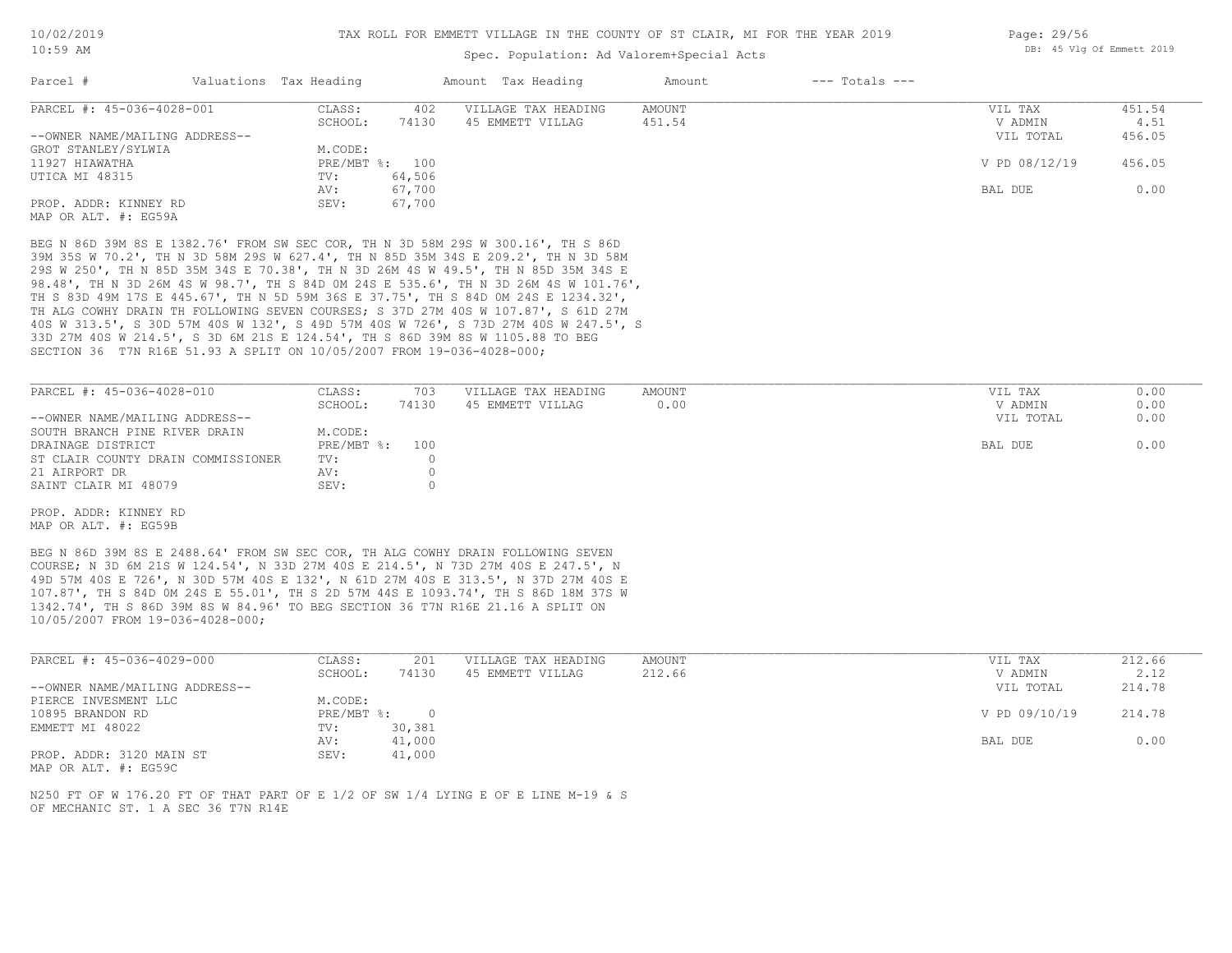### Spec. Population: Ad Valorem+Special Acts

| Parcel #                       | Valuations Tax Heading |                | Amount Tax Heading  | Amount | $---$ Totals $---$ |               |        |
|--------------------------------|------------------------|----------------|---------------------|--------|--------------------|---------------|--------|
| PARCEL #: 45-036-4028-001      | CLASS:                 | 402            | VILLAGE TAX HEADING | AMOUNT |                    | VIL TAX       | 451.54 |
|                                | SCHOOL:                | 74130          | 45 EMMETT VILLAG    | 451.54 |                    | V ADMIN       | 4.51   |
| --OWNER NAME/MAILING ADDRESS-- |                        |                |                     |        |                    | VIL TOTAL     | 456.05 |
| GROT STANLEY/SYLWIA            | M.CODE:                |                |                     |        |                    |               |        |
| 11927 HIAWATHA                 |                        | PRE/MBT %: 100 |                     |        |                    | V PD 08/12/19 | 456.05 |
| UTICA MI 48315                 | TV:                    | 64,506         |                     |        |                    |               |        |
|                                | AV:                    | 67,700         |                     |        |                    | BAL DUE       | 0.00   |
| PROP. ADDR: KINNEY RD          | SEV:                   | 67,700         |                     |        |                    |               |        |
| MAP OR ALT. #: EG59A           |                        |                |                     |        |                    |               |        |

SECTION 36 T7N R16E 51.93 A SPLIT ON 10/05/2007 FROM 19-036-4028-000; 33D 27M 40S W 214.5', S 3D 6M 21S E 124.54', TH S 86D 39M 8S W 1105.88 TO BEG 40S W 313.5', S 30D 57M 40S W 132', S 49D 57M 40S W 726', S 73D 27M 40S W 247.5', S TH ALG COWHY DRAIN TH FOLLOWING SEVEN COURSES; S 37D 27M 40S W 107.87', S 61D 27M TH S 83D 49M 17S E 445.67', TH N 5D 59M 36S E 37.75', TH S 84D 0M 24S E 1234.32', 98.48', TH N 3D 26M 4S W 98.7', TH S 84D 0M 24S E 535.6', TH N 3D 26M 4S W 101.76', 29S W 250', TH N 85D 35M 34S E 70.38', TH N 3D 26M 4S W 49.5', TH N 85D 35M 34S E 39M 35S W 70.2', TH N 3D 58M 29S W 627.4', TH N 85D 35M 34S E 209.2', TH N 3D 58M BEG N 86D 39M 8S E 1382.76' FROM SW SEC COR, TH N 3D 58M 29S W 300.16', TH S 86D

| PARCEL #: 45-036-4028-010          | CLASS:         | 703   | VILLAGE TAX HEADING | AMOUNT | VIL TAX   | 0.00 |
|------------------------------------|----------------|-------|---------------------|--------|-----------|------|
|                                    | SCHOOL:        | 74130 | 45 EMMETT VILLAG    | 0.00   | V ADMIN   | 0.00 |
| --OWNER NAME/MAILING ADDRESS--     |                |       |                     |        | VIL TOTAL | 0.00 |
| SOUTH BRANCH PINE RIVER DRAIN      | M.CODE:        |       |                     |        |           |      |
| DRAINAGE DISTRICT                  | PRE/MBT %: 100 |       |                     |        | BAL DUE   | 0.00 |
| ST CLAIR COUNTY DRAIN COMMISSIONER | TV:            |       |                     |        |           |      |
| 21 AIRPORT DR                      | AV:            |       |                     |        |           |      |
| SAINT CLAIR MI 48079               | SEV:           |       |                     |        |           |      |

MAP OR ALT. #: EG59B PROP. ADDR: KINNEY RD

10/05/2007 FROM 19-036-4028-000; 1342.74', TH S 86D 39M 8S W 84.96' TO BEG SECTION 36 T7N R16E 21.16 A SPLIT ON 107.87', TH S 84D 0M 24S E 55.01', TH S 2D 57M 44S E 1093.74', TH S 86D 18M 37S W 49D 57M 40S E 726', N 30D 57M 40S E 132', N 61D 27M 40S E 313.5', N 37D 27M 40S E COURSE; N 3D 6M 21S W 124.54', N 33D 27M 40S E 214.5', N 73D 27M 40S E 247.5', N BEG N 86D 39M 8S E 2488.64' FROM SW SEC COR, TH ALG COWHY DRAIN FOLLOWING SEVEN

| PARCEL #: 45-036-4029-000      | CLASS:     | 201    | VILLAGE TAX HEADING | AMOUNT | VIL TAX       | 212.66 |
|--------------------------------|------------|--------|---------------------|--------|---------------|--------|
|                                | SCHOOL:    | 74130  | 45 EMMETT VILLAG    | 212.66 | V ADMIN       | 2.12   |
| --OWNER NAME/MAILING ADDRESS-- |            |        |                     |        | VIL TOTAL     | 214.78 |
| PIERCE INVESMENT LLC           | M.CODE:    |        |                     |        |               |        |
| 10895 BRANDON RD               | PRE/MBT %: |        |                     |        | V PD 09/10/19 | 214.78 |
| EMMETT MI 48022                | TV:        | 30,381 |                     |        |               |        |
|                                | AV:        | 41,000 |                     |        | BAL DUE       | 0.00   |
| PROP. ADDR: 3120 MAIN ST       | SEV:       | 41,000 |                     |        |               |        |

MAP OR ALT. #: EG59C

OF MECHANIC ST. 1 A SEC 36 T7N R14E N250 FT OF W 176.20 FT OF THAT PART OF E 1/2 OF SW 1/4 LYING E OF E LINE M-19 & S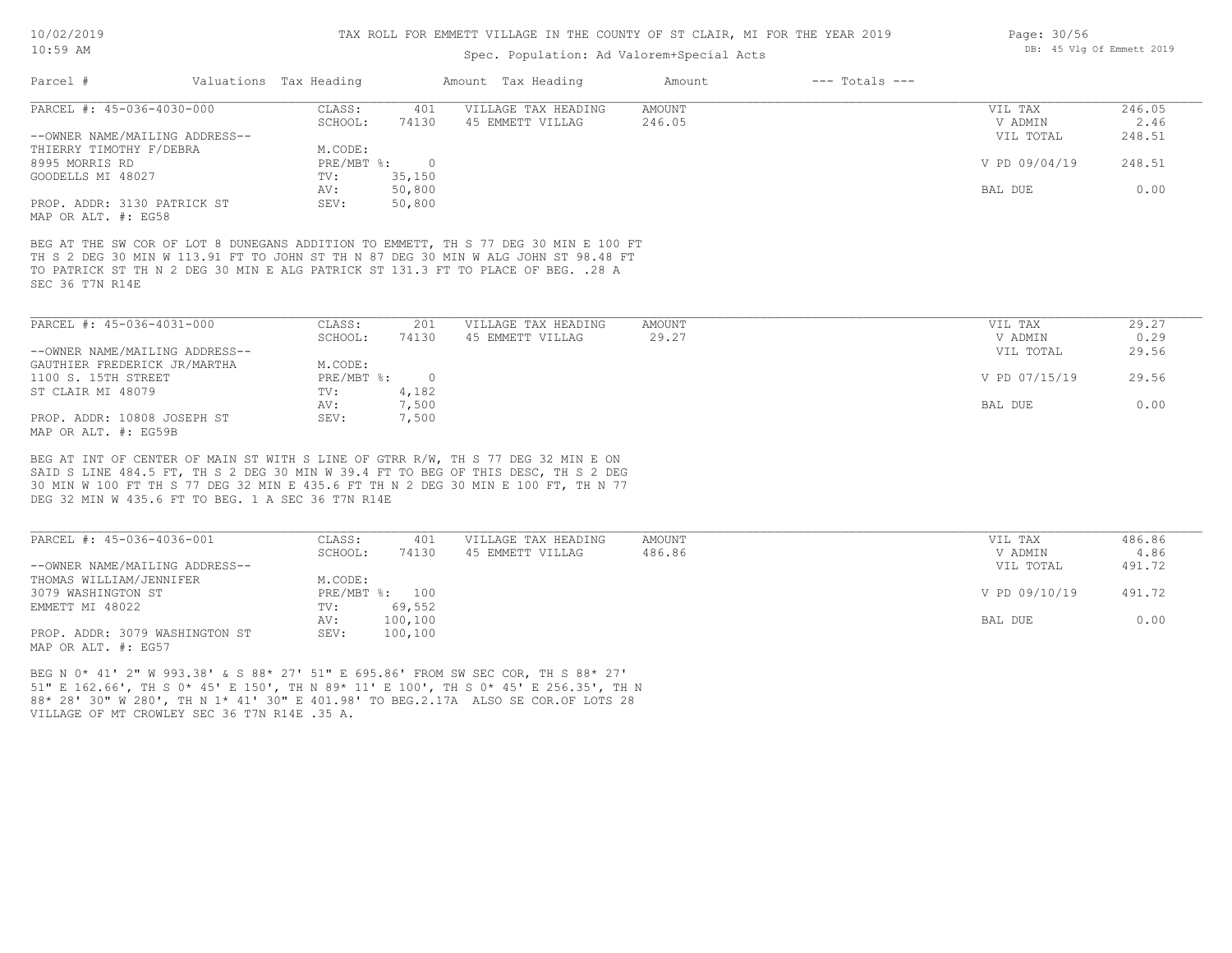Page: 30/56

DB: 45 Vlg Of Emmett 2019

### Spec. Population: Ad Valorem+Special Acts

| Parcel #                       | Valuations Tax Heading |        | Amount Tax Heading  | Amount | $---$ Totals $---$ |               |        |
|--------------------------------|------------------------|--------|---------------------|--------|--------------------|---------------|--------|
| PARCEL #: 45-036-4030-000      | CLASS:                 | 401    | VILLAGE TAX HEADING | AMOUNT |                    | VIL TAX       | 246.05 |
|                                | SCHOOL:                | 74130  | 45 EMMETT VILLAG    | 246.05 |                    | V ADMIN       | 2.46   |
| --OWNER NAME/MAILING ADDRESS-- |                        |        |                     |        |                    | VIL TOTAL     | 248.51 |
| THIERRY TIMOTHY F/DEBRA        | M.CODE:                |        |                     |        |                    |               |        |
| 8995 MORRIS RD                 | PRE/MBT %:             |        |                     |        |                    | V PD 09/04/19 | 248.51 |
| GOODELLS MI 48027              | TV:                    | 35,150 |                     |        |                    |               |        |
|                                | AV:                    | 50,800 |                     |        |                    | BAL DUE       | 0.00   |
| PROP. ADDR: 3130 PATRICK ST    | SEV:                   | 50,800 |                     |        |                    |               |        |
| MAP OR ALT. #: EG58            |                        |        |                     |        |                    |               |        |

SEC 36 T7N R14E TO PATRICK ST TH N 2 DEG 30 MIN E ALG PATRICK ST 131.3 FT TO PLACE OF BEG. .28 A TH S 2 DEG 30 MIN W 113.91 FT TO JOHN ST TH N 87 DEG 30 MIN W ALG JOHN ST 98.48 FT BEG AT THE SW COR OF LOT 8 DUNEGANS ADDITION TO EMMETT, TH S 77 DEG 30 MIN E 100 FT

| PARCEL #: 45-036-4031-000      | CLASS:     | 201   | VILLAGE TAX HEADING | AMOUNT | VIL TAX       | 29.27 |
|--------------------------------|------------|-------|---------------------|--------|---------------|-------|
|                                | SCHOOL:    | 74130 | 45 EMMETT VILLAG    | 29.27  | V ADMIN       | 0.29  |
| --OWNER NAME/MAILING ADDRESS-- |            |       |                     |        | VIL TOTAL     | 29.56 |
| GAUTHIER FREDERICK JR/MARTHA   | M.CODE:    |       |                     |        |               |       |
| 1100 S. 15TH STREET            | PRE/MBT %: |       |                     |        | V PD 07/15/19 | 29.56 |
| ST CLAIR MI 48079              | TV:        | 4,182 |                     |        |               |       |
|                                | AV:        | 7,500 |                     |        | BAL DUE       | 0.00  |
| PROP. ADDR: 10808 JOSEPH ST    | SEV:       | 7,500 |                     |        |               |       |
| MAP OR ALT. #: EG59B           |            |       |                     |        |               |       |

DEG 32 MIN W 435.6 FT TO BEG. 1 A SEC 36 T7N R14E 30 MIN W 100 FT TH S 77 DEG 32 MIN E 435.6 FT TH N 2 DEG 30 MIN E 100 FT, TH N 77 SAID S LINE 484.5 FT, TH S 2 DEG 30 MIN W 39.4 FT TO BEG OF THIS DESC, TH S 2 DEG BEG AT INT OF CENTER OF MAIN ST WITH S LINE OF GTRR R/W, TH S 77 DEG 32 MIN E ON

| PARCEL #: 45-036-4036-001      | CLASS:  | 401            | VILLAGE TAX HEADING | AMOUNT | VIL TAX       | 486.86 |
|--------------------------------|---------|----------------|---------------------|--------|---------------|--------|
|                                | SCHOOL: | 74130          | 45 EMMETT VILLAG    | 486.86 | V ADMIN       | 4.86   |
| --OWNER NAME/MAILING ADDRESS-- |         |                |                     |        | VIL TOTAL     | 491.72 |
| THOMAS WILLIAM/JENNIFER        | M.CODE: |                |                     |        |               |        |
| 3079 WASHINGTON ST             |         | PRE/MBT %: 100 |                     |        | V PD 09/10/19 | 491.72 |
| EMMETT MI 48022                | TV:     | 69,552         |                     |        |               |        |
|                                | AV:     | 100,100        |                     |        | BAL DUE       | 0.00   |
| PROP. ADDR: 3079 WASHINGTON ST | SEV:    | 100,100        |                     |        |               |        |
| MAP OR ALT. #: EG57            |         |                |                     |        |               |        |

VILLAGE OF MT CROWLEY SEC 36 T7N R14E .35 A. 88\* 28' 30" W 280', TH N 1\* 41' 30" E 401.98' TO BEG.2.17A ALSO SE COR.OF LOTS 28 51" E 162.66', TH S 0\* 45' E 150', TH N 89\* 11' E 100', TH S 0\* 45' E 256.35', TH N BEG N 0\* 41' 2" W 993.38' & S 88\* 27' 51" E 695.86' FROM SW SEC COR, TH S 88\* 27'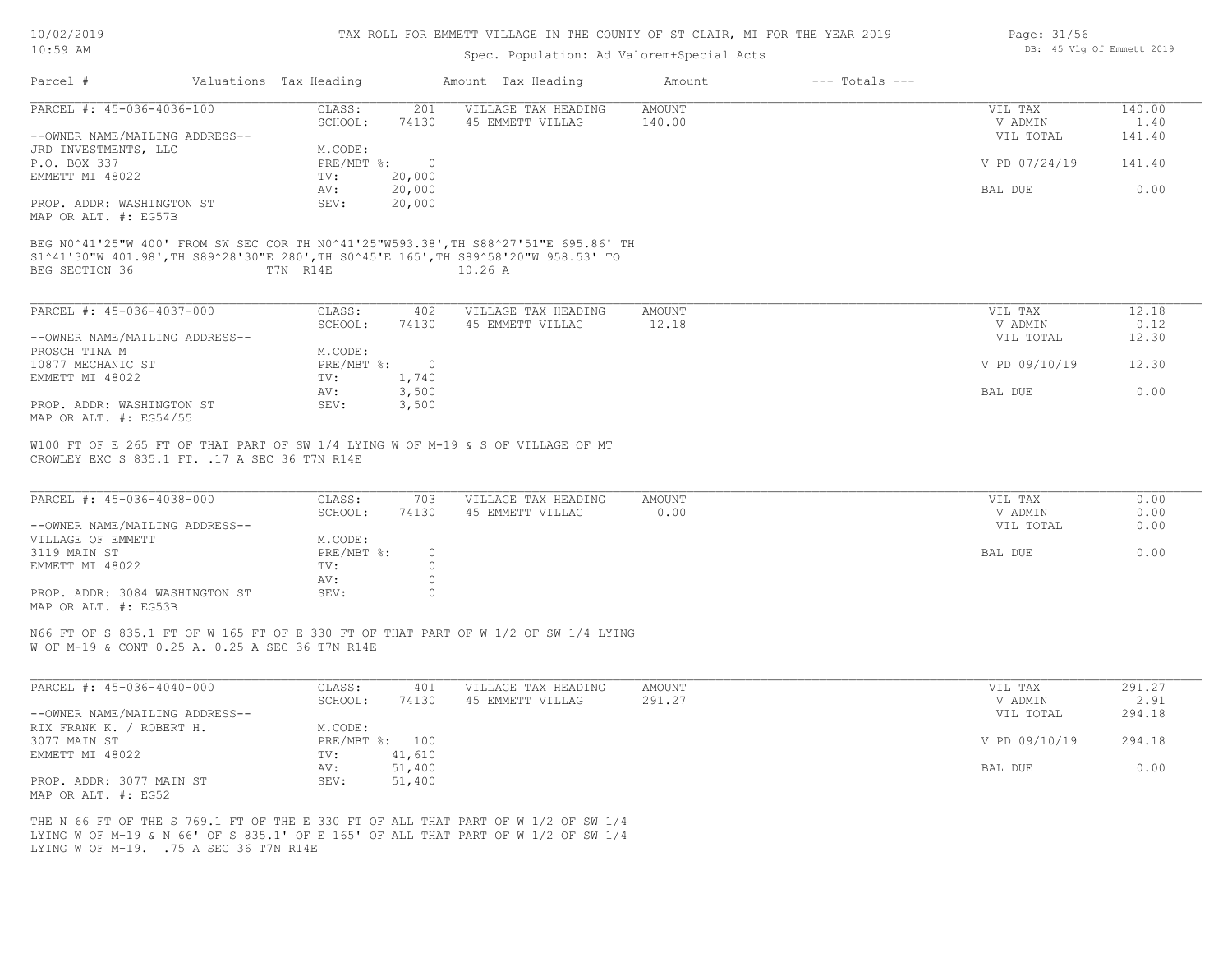| 10/02/2019 |  |
|------------|--|
| 10:59 AM   |  |

### Spec. Population: Ad Valorem+Special Acts

|                                                                                                                                                                                                                                                   | Valuations Tax Heading |                | Amount Tax Heading  | Amount        | $---$ Totals $---$ |               |        |
|---------------------------------------------------------------------------------------------------------------------------------------------------------------------------------------------------------------------------------------------------|------------------------|----------------|---------------------|---------------|--------------------|---------------|--------|
| PARCEL #: 45-036-4036-100                                                                                                                                                                                                                         | CLASS:                 | 201            | VILLAGE TAX HEADING | <b>AMOUNT</b> |                    | VIL TAX       | 140.00 |
|                                                                                                                                                                                                                                                   | SCHOOL:                | 74130          | 45 EMMETT VILLAG    | 140.00        |                    | V ADMIN       | 1.40   |
| --OWNER NAME/MAILING ADDRESS--                                                                                                                                                                                                                    |                        |                |                     |               |                    | VIL TOTAL     | 141.40 |
| JRD INVESTMENTS, LLC                                                                                                                                                                                                                              | M.CODE:                |                |                     |               |                    |               |        |
| P.O. BOX 337                                                                                                                                                                                                                                      | PRE/MBT %:             | $\circ$        |                     |               |                    | V PD 07/24/19 | 141.40 |
| EMMETT MI 48022                                                                                                                                                                                                                                   | TV:                    | 20,000         |                     |               |                    |               |        |
|                                                                                                                                                                                                                                                   | AV:                    | 20,000         |                     |               |                    | BAL DUE       | 0.00   |
| PROP. ADDR: WASHINGTON ST                                                                                                                                                                                                                         | SEV:                   | 20,000         |                     |               |                    |               |        |
|                                                                                                                                                                                                                                                   |                        |                |                     |               |                    |               |        |
|                                                                                                                                                                                                                                                   | T7N R14E               |                | 10.26A              |               |                    |               |        |
| MAP OR ALT. #: EG57B<br>BEG N0^41'25"W 400' FROM SW SEC COR TH N0^41'25"W593.38', TH S88^27'51"E 695.86' TH<br>S1^41'30"W 401.98', TH S89^28'30"E 280', TH S0^45'E 165', TH S89^58'20"W 958.53' TO<br>BEG SECTION 36<br>PARCEL #: 45-036-4037-000 | CLASS:                 | 402            | VILLAGE TAX HEADING | AMOUNT        |                    | VIL TAX       | 12.18  |
|                                                                                                                                                                                                                                                   | SCHOOL:                | 74130          | 45 EMMETT VILLAG    | 12.18         |                    | V ADMIN       | 0.12   |
| --OWNER NAME/MAILING ADDRESS--                                                                                                                                                                                                                    |                        |                |                     |               |                    | VIL TOTAL     | 12.30  |
| PROSCH TINA M                                                                                                                                                                                                                                     | M.CODE:                |                |                     |               |                    |               |        |
| 10877 MECHANIC ST                                                                                                                                                                                                                                 | PRE/MBT %:             | $\overline{0}$ |                     |               |                    | V PD 09/10/19 | 12.30  |
| EMMETT MI 48022                                                                                                                                                                                                                                   | TV:<br>AV:             | 1,740          |                     |               |                    | BAL DUE       | 0.00   |
| PROP. ADDR: WASHINGTON ST                                                                                                                                                                                                                         | SEV:                   | 3,500<br>3,500 |                     |               |                    |               |        |

| PARCEL #: 45-036-4038-000      | CLASS:     | 703   | VILLAGE TAX HEADING | AMOUNT | VIL TAX   | 0.00 |
|--------------------------------|------------|-------|---------------------|--------|-----------|------|
|                                | SCHOOL:    | 74130 | 45 EMMETT VILLAG    | 0.00   | V ADMIN   | 0.00 |
| --OWNER NAME/MAILING ADDRESS-- |            |       |                     |        | VIL TOTAL | 0.00 |
| VILLAGE OF EMMETT              | M.CODE:    |       |                     |        |           |      |
| 3119 MAIN ST                   | PRE/MBT %: |       |                     |        | BAL DUE   | 0.00 |
| EMMETT MI 48022                | TV:        |       |                     |        |           |      |
|                                | AV:        |       |                     |        |           |      |
| PROP. ADDR: 3084 WASHINGTON ST | SEV:       |       |                     |        |           |      |
| MAP OR ALT. #: EG53B           |            |       |                     |        |           |      |

 $\mathcal{L}_\mathcal{L} = \mathcal{L}_\mathcal{L} = \mathcal{L}_\mathcal{L} = \mathcal{L}_\mathcal{L} = \mathcal{L}_\mathcal{L} = \mathcal{L}_\mathcal{L} = \mathcal{L}_\mathcal{L} = \mathcal{L}_\mathcal{L} = \mathcal{L}_\mathcal{L} = \mathcal{L}_\mathcal{L} = \mathcal{L}_\mathcal{L} = \mathcal{L}_\mathcal{L} = \mathcal{L}_\mathcal{L} = \mathcal{L}_\mathcal{L} = \mathcal{L}_\mathcal{L} = \mathcal{L}_\mathcal{L} = \mathcal{L}_\mathcal{L}$ 

N66 FT OF S 835.1 FT OF W 165 FT OF E 330 FT OF THAT PART OF W 1/2 OF SW 1/4 LYING

W OF M-19 & CONT 0.25 A. 0.25 A SEC 36 T7N R14E

| PARCEL #: 45-036-4040-000      | CLASS:  | 401            | VILLAGE TAX HEADING | AMOUNT | VIL TAX       | 291.27 |
|--------------------------------|---------|----------------|---------------------|--------|---------------|--------|
|                                | SCHOOL: | 74130          | 45 EMMETT VILLAG    | 291.27 | V ADMIN       | 2.91   |
| --OWNER NAME/MAILING ADDRESS-- |         |                |                     |        | VIL TOTAL     | 294.18 |
| RIX FRANK K. /<br>ROBERT H.    | M.CODE: |                |                     |        |               |        |
| 3077 MAIN ST                   |         | PRE/MBT %: 100 |                     |        | V PD 09/10/19 | 294.18 |
| EMMETT MI 48022                | TV:     | 41,610         |                     |        |               |        |
|                                | AV:     | 51,400         |                     |        | BAL DUE       | 0.00   |
| PROP. ADDR: 3077 MAIN ST       | SEV:    | 51,400         |                     |        |               |        |
| MAP OR ALT. #: EG52            |         |                |                     |        |               |        |

LYING W OF M-19. .75 A SEC 36 T7N R14E LYING W OF M-19 & N 66' OF S 835.1' OF E 165' OF ALL THAT PART OF W 1/2 OF SW 1/4 THE N 66 FT OF THE S 769.1 FT OF THE E 330 FT OF ALL THAT PART OF W 1/2 OF SW 1/4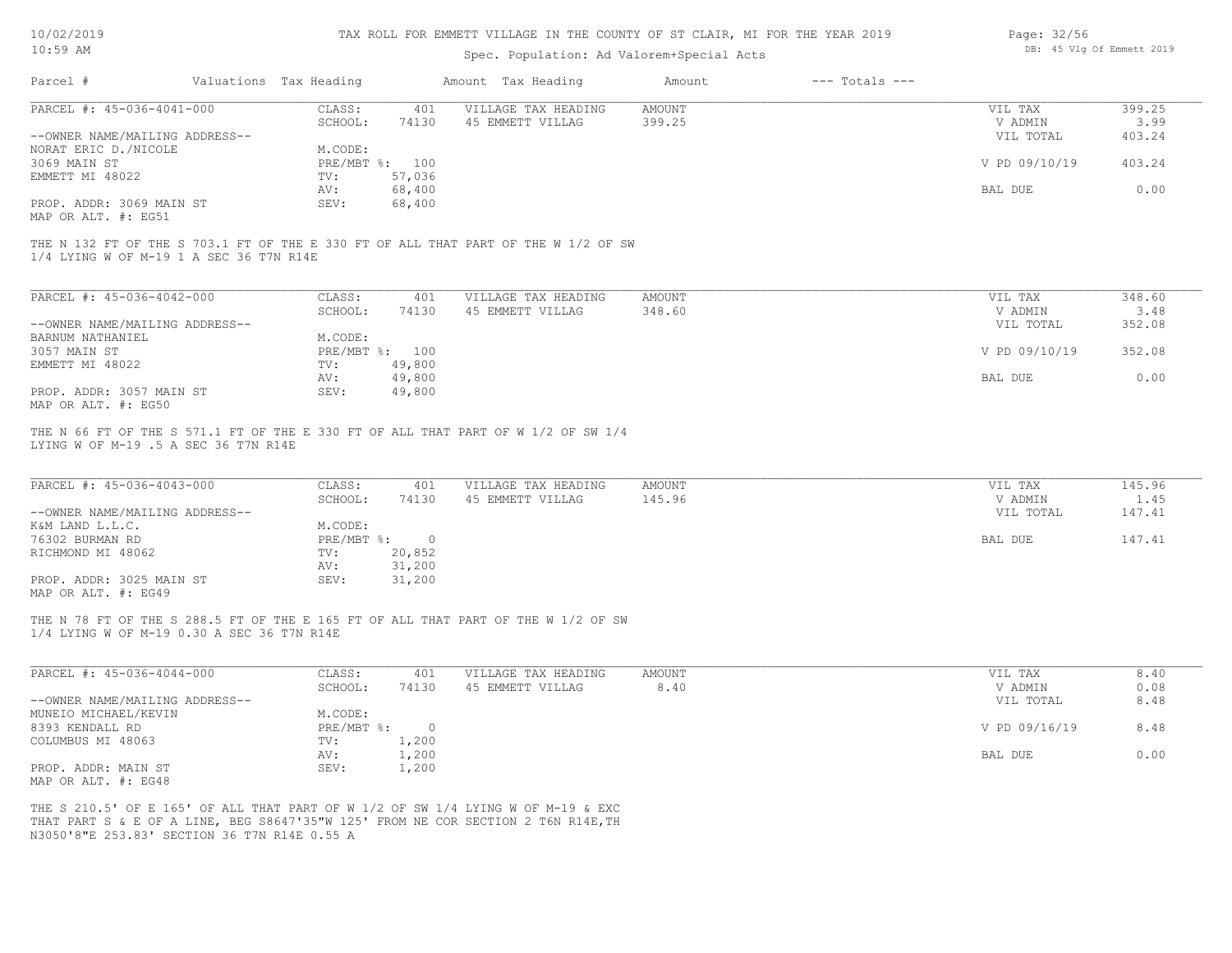| 10/02/2019 |  |
|------------|--|
|            |  |

| Page: 32/56 |  |                           |  |
|-------------|--|---------------------------|--|
|             |  | DB: 45 Vlg Of Emmett 2019 |  |

| Amount Tax Heading<br>$---$ Totals $---$<br>Valuations Tax Heading<br>Amount<br>PARCEL #: 45-036-4041-000<br>CLASS:<br>401<br>VILLAGE TAX HEADING<br>AMOUNT<br>VIL TAX<br>SCHOOL:<br>74130<br>45 EMMETT VILLAG<br>399.25<br>V ADMIN<br>--OWNER NAME/MAILING ADDRESS--<br>VIL TOTAL<br>NORAT ERIC D./NICOLE<br>M.CODE:<br>3069 MAIN ST<br>PRE/MBT %: 100<br>V PD 09/10/19<br>EMMETT MI 48022<br>57,036<br>TV:<br>68,400<br>AV:<br>BAL DUE<br>PROP. ADDR: 3069 MAIN ST<br>68,400<br>SEV:<br>THE N 132 FT OF THE S 703.1 FT OF THE E 330 FT OF ALL THAT PART OF THE W 1/2 OF SW<br>1/4 LYING W OF M-19 1 A SEC 36 T7N R14E<br>PARCEL #: 45-036-4042-000<br>CLASS:<br>401<br>VILLAGE TAX HEADING<br><b>AMOUNT</b><br>VIL TAX<br>SCHOOL:<br>348.60<br>V ADMIN<br>74130<br>45 EMMETT VILLAG<br>--OWNER NAME/MAILING ADDRESS--<br>VIL TOTAL<br>BARNUM NATHANIEL<br>M.CODE:<br>PRE/MBT %: 100<br>V PD 09/10/19<br>TV:<br>49,800<br>49,800<br>BAL DUE<br>AV:<br>PROP. ADDR: 3057 MAIN ST<br>SEV:<br>49,800<br>MAP OR ALT. #: EG50<br>THE N 66 FT OF THE S 571.1 FT OF THE E 330 FT OF ALL THAT PART OF W 1/2 OF SW 1/4<br>LYING W OF M-19 .5 A SEC 36 T7N R14E<br>PARCEL #: 45-036-4043-000<br>CLASS:<br>401<br>VILLAGE TAX HEADING<br><b>AMOUNT</b><br>VIL TAX<br>SCHOOL:<br>74130<br>45 EMMETT VILLAG<br>145.96<br>V ADMIN<br>--OWNER NAME/MAILING ADDRESS--<br>VIL TOTAL<br>M.CODE:<br>K&M LAND L.L.C.<br>PRE/MBT %:<br>$\circ$<br>BAL DUE<br>20,852<br>TV:<br>31,200<br>AV:<br>PROP. ADDR: 3025 MAIN ST<br>SEV:<br>31,200<br>THE N 78 FT OF THE S 288.5 FT OF THE E 165 FT OF ALL THAT PART OF THE W 1/2 OF SW<br>1/4 LYING W OF M-19 0.30 A SEC 36 T7N R14E<br>PARCEL #: 45-036-4044-000<br>CLASS:<br>401<br>VILLAGE TAX HEADING<br><b>AMOUNT</b><br>VIL TAX<br>SCHOOL:<br>8.40<br>74130<br>45 EMMETT VILLAG<br>V ADMIN<br>--OWNER NAME/MAILING ADDRESS--<br>VIL TOTAL<br>MUNEIO MICHAEL/KEVIN<br>M.CODE:<br>PRE/MBT %: 0<br>V PD 09/16/19<br>1,200<br>TV:<br>1,200<br>BAL DUE<br>AV:<br>PROP. ADDR: MAIN ST<br>SEV:<br>1,200<br>THE S 210.5' OF E 165' OF ALL THAT PART OF W 1/2 OF SW 1/4 LYING W OF M-19 & EXC<br>THAT PART S & E OF A LINE, BEG S8647'35"W 125' FROM NE COR SECTION 2 T6N R14E, TH<br>N3050'8"E 253.83' SECTION 36 T7N R14E 0.55 A | $10:59$ AM          |  | Spec. Population: Ad Valorem+Special Acts |  | DB: 45 Vlg Of Emmett 2019 |
|----------------------------------------------------------------------------------------------------------------------------------------------------------------------------------------------------------------------------------------------------------------------------------------------------------------------------------------------------------------------------------------------------------------------------------------------------------------------------------------------------------------------------------------------------------------------------------------------------------------------------------------------------------------------------------------------------------------------------------------------------------------------------------------------------------------------------------------------------------------------------------------------------------------------------------------------------------------------------------------------------------------------------------------------------------------------------------------------------------------------------------------------------------------------------------------------------------------------------------------------------------------------------------------------------------------------------------------------------------------------------------------------------------------------------------------------------------------------------------------------------------------------------------------------------------------------------------------------------------------------------------------------------------------------------------------------------------------------------------------------------------------------------------------------------------------------------------------------------------------------------------------------------------------------------------------------------------------------------------------------------------------------------------------------------------------------------------------------------------------------------------------------------------------------------------------------------------------------------------------------------|---------------------|--|-------------------------------------------|--|---------------------------|
|                                                                                                                                                                                                                                                                                                                                                                                                                                                                                                                                                                                                                                                                                                                                                                                                                                                                                                                                                                                                                                                                                                                                                                                                                                                                                                                                                                                                                                                                                                                                                                                                                                                                                                                                                                                                                                                                                                                                                                                                                                                                                                                                                                                                                                                    | Parcel #            |  |                                           |  |                           |
|                                                                                                                                                                                                                                                                                                                                                                                                                                                                                                                                                                                                                                                                                                                                                                                                                                                                                                                                                                                                                                                                                                                                                                                                                                                                                                                                                                                                                                                                                                                                                                                                                                                                                                                                                                                                                                                                                                                                                                                                                                                                                                                                                                                                                                                    |                     |  |                                           |  | 399.25                    |
|                                                                                                                                                                                                                                                                                                                                                                                                                                                                                                                                                                                                                                                                                                                                                                                                                                                                                                                                                                                                                                                                                                                                                                                                                                                                                                                                                                                                                                                                                                                                                                                                                                                                                                                                                                                                                                                                                                                                                                                                                                                                                                                                                                                                                                                    |                     |  |                                           |  | 3.99                      |
|                                                                                                                                                                                                                                                                                                                                                                                                                                                                                                                                                                                                                                                                                                                                                                                                                                                                                                                                                                                                                                                                                                                                                                                                                                                                                                                                                                                                                                                                                                                                                                                                                                                                                                                                                                                                                                                                                                                                                                                                                                                                                                                                                                                                                                                    |                     |  |                                           |  | 403.24                    |
|                                                                                                                                                                                                                                                                                                                                                                                                                                                                                                                                                                                                                                                                                                                                                                                                                                                                                                                                                                                                                                                                                                                                                                                                                                                                                                                                                                                                                                                                                                                                                                                                                                                                                                                                                                                                                                                                                                                                                                                                                                                                                                                                                                                                                                                    |                     |  |                                           |  |                           |
|                                                                                                                                                                                                                                                                                                                                                                                                                                                                                                                                                                                                                                                                                                                                                                                                                                                                                                                                                                                                                                                                                                                                                                                                                                                                                                                                                                                                                                                                                                                                                                                                                                                                                                                                                                                                                                                                                                                                                                                                                                                                                                                                                                                                                                                    |                     |  |                                           |  | 403.24                    |
|                                                                                                                                                                                                                                                                                                                                                                                                                                                                                                                                                                                                                                                                                                                                                                                                                                                                                                                                                                                                                                                                                                                                                                                                                                                                                                                                                                                                                                                                                                                                                                                                                                                                                                                                                                                                                                                                                                                                                                                                                                                                                                                                                                                                                                                    |                     |  |                                           |  |                           |
|                                                                                                                                                                                                                                                                                                                                                                                                                                                                                                                                                                                                                                                                                                                                                                                                                                                                                                                                                                                                                                                                                                                                                                                                                                                                                                                                                                                                                                                                                                                                                                                                                                                                                                                                                                                                                                                                                                                                                                                                                                                                                                                                                                                                                                                    |                     |  |                                           |  | 0.00                      |
|                                                                                                                                                                                                                                                                                                                                                                                                                                                                                                                                                                                                                                                                                                                                                                                                                                                                                                                                                                                                                                                                                                                                                                                                                                                                                                                                                                                                                                                                                                                                                                                                                                                                                                                                                                                                                                                                                                                                                                                                                                                                                                                                                                                                                                                    | MAP OR ALT. #: EG51 |  |                                           |  |                           |
|                                                                                                                                                                                                                                                                                                                                                                                                                                                                                                                                                                                                                                                                                                                                                                                                                                                                                                                                                                                                                                                                                                                                                                                                                                                                                                                                                                                                                                                                                                                                                                                                                                                                                                                                                                                                                                                                                                                                                                                                                                                                                                                                                                                                                                                    |                     |  |                                           |  |                           |
|                                                                                                                                                                                                                                                                                                                                                                                                                                                                                                                                                                                                                                                                                                                                                                                                                                                                                                                                                                                                                                                                                                                                                                                                                                                                                                                                                                                                                                                                                                                                                                                                                                                                                                                                                                                                                                                                                                                                                                                                                                                                                                                                                                                                                                                    |                     |  |                                           |  | 348.60                    |
|                                                                                                                                                                                                                                                                                                                                                                                                                                                                                                                                                                                                                                                                                                                                                                                                                                                                                                                                                                                                                                                                                                                                                                                                                                                                                                                                                                                                                                                                                                                                                                                                                                                                                                                                                                                                                                                                                                                                                                                                                                                                                                                                                                                                                                                    |                     |  |                                           |  | 3.48                      |
|                                                                                                                                                                                                                                                                                                                                                                                                                                                                                                                                                                                                                                                                                                                                                                                                                                                                                                                                                                                                                                                                                                                                                                                                                                                                                                                                                                                                                                                                                                                                                                                                                                                                                                                                                                                                                                                                                                                                                                                                                                                                                                                                                                                                                                                    |                     |  |                                           |  | 352.08                    |
|                                                                                                                                                                                                                                                                                                                                                                                                                                                                                                                                                                                                                                                                                                                                                                                                                                                                                                                                                                                                                                                                                                                                                                                                                                                                                                                                                                                                                                                                                                                                                                                                                                                                                                                                                                                                                                                                                                                                                                                                                                                                                                                                                                                                                                                    |                     |  |                                           |  |                           |
|                                                                                                                                                                                                                                                                                                                                                                                                                                                                                                                                                                                                                                                                                                                                                                                                                                                                                                                                                                                                                                                                                                                                                                                                                                                                                                                                                                                                                                                                                                                                                                                                                                                                                                                                                                                                                                                                                                                                                                                                                                                                                                                                                                                                                                                    | 3057 MAIN ST        |  |                                           |  | 352.08                    |
|                                                                                                                                                                                                                                                                                                                                                                                                                                                                                                                                                                                                                                                                                                                                                                                                                                                                                                                                                                                                                                                                                                                                                                                                                                                                                                                                                                                                                                                                                                                                                                                                                                                                                                                                                                                                                                                                                                                                                                                                                                                                                                                                                                                                                                                    | EMMETT MI 48022     |  |                                           |  |                           |
|                                                                                                                                                                                                                                                                                                                                                                                                                                                                                                                                                                                                                                                                                                                                                                                                                                                                                                                                                                                                                                                                                                                                                                                                                                                                                                                                                                                                                                                                                                                                                                                                                                                                                                                                                                                                                                                                                                                                                                                                                                                                                                                                                                                                                                                    |                     |  |                                           |  | 0.00                      |
|                                                                                                                                                                                                                                                                                                                                                                                                                                                                                                                                                                                                                                                                                                                                                                                                                                                                                                                                                                                                                                                                                                                                                                                                                                                                                                                                                                                                                                                                                                                                                                                                                                                                                                                                                                                                                                                                                                                                                                                                                                                                                                                                                                                                                                                    |                     |  |                                           |  |                           |
|                                                                                                                                                                                                                                                                                                                                                                                                                                                                                                                                                                                                                                                                                                                                                                                                                                                                                                                                                                                                                                                                                                                                                                                                                                                                                                                                                                                                                                                                                                                                                                                                                                                                                                                                                                                                                                                                                                                                                                                                                                                                                                                                                                                                                                                    |                     |  |                                           |  | 145.96<br>1.45<br>147.41  |
|                                                                                                                                                                                                                                                                                                                                                                                                                                                                                                                                                                                                                                                                                                                                                                                                                                                                                                                                                                                                                                                                                                                                                                                                                                                                                                                                                                                                                                                                                                                                                                                                                                                                                                                                                                                                                                                                                                                                                                                                                                                                                                                                                                                                                                                    | 76302 BURMAN RD     |  |                                           |  | 147.41                    |
|                                                                                                                                                                                                                                                                                                                                                                                                                                                                                                                                                                                                                                                                                                                                                                                                                                                                                                                                                                                                                                                                                                                                                                                                                                                                                                                                                                                                                                                                                                                                                                                                                                                                                                                                                                                                                                                                                                                                                                                                                                                                                                                                                                                                                                                    | RICHMOND MI 48062   |  |                                           |  |                           |
|                                                                                                                                                                                                                                                                                                                                                                                                                                                                                                                                                                                                                                                                                                                                                                                                                                                                                                                                                                                                                                                                                                                                                                                                                                                                                                                                                                                                                                                                                                                                                                                                                                                                                                                                                                                                                                                                                                                                                                                                                                                                                                                                                                                                                                                    |                     |  |                                           |  |                           |
|                                                                                                                                                                                                                                                                                                                                                                                                                                                                                                                                                                                                                                                                                                                                                                                                                                                                                                                                                                                                                                                                                                                                                                                                                                                                                                                                                                                                                                                                                                                                                                                                                                                                                                                                                                                                                                                                                                                                                                                                                                                                                                                                                                                                                                                    | MAP OR ALT. #: EG49 |  |                                           |  |                           |
|                                                                                                                                                                                                                                                                                                                                                                                                                                                                                                                                                                                                                                                                                                                                                                                                                                                                                                                                                                                                                                                                                                                                                                                                                                                                                                                                                                                                                                                                                                                                                                                                                                                                                                                                                                                                                                                                                                                                                                                                                                                                                                                                                                                                                                                    |                     |  |                                           |  |                           |
|                                                                                                                                                                                                                                                                                                                                                                                                                                                                                                                                                                                                                                                                                                                                                                                                                                                                                                                                                                                                                                                                                                                                                                                                                                                                                                                                                                                                                                                                                                                                                                                                                                                                                                                                                                                                                                                                                                                                                                                                                                                                                                                                                                                                                                                    |                     |  |                                           |  | 8.40                      |
|                                                                                                                                                                                                                                                                                                                                                                                                                                                                                                                                                                                                                                                                                                                                                                                                                                                                                                                                                                                                                                                                                                                                                                                                                                                                                                                                                                                                                                                                                                                                                                                                                                                                                                                                                                                                                                                                                                                                                                                                                                                                                                                                                                                                                                                    |                     |  |                                           |  | 0.08                      |
|                                                                                                                                                                                                                                                                                                                                                                                                                                                                                                                                                                                                                                                                                                                                                                                                                                                                                                                                                                                                                                                                                                                                                                                                                                                                                                                                                                                                                                                                                                                                                                                                                                                                                                                                                                                                                                                                                                                                                                                                                                                                                                                                                                                                                                                    |                     |  |                                           |  | 8.48                      |
|                                                                                                                                                                                                                                                                                                                                                                                                                                                                                                                                                                                                                                                                                                                                                                                                                                                                                                                                                                                                                                                                                                                                                                                                                                                                                                                                                                                                                                                                                                                                                                                                                                                                                                                                                                                                                                                                                                                                                                                                                                                                                                                                                                                                                                                    |                     |  |                                           |  |                           |
|                                                                                                                                                                                                                                                                                                                                                                                                                                                                                                                                                                                                                                                                                                                                                                                                                                                                                                                                                                                                                                                                                                                                                                                                                                                                                                                                                                                                                                                                                                                                                                                                                                                                                                                                                                                                                                                                                                                                                                                                                                                                                                                                                                                                                                                    | 8393 KENDALL RD     |  |                                           |  | 8.48                      |
|                                                                                                                                                                                                                                                                                                                                                                                                                                                                                                                                                                                                                                                                                                                                                                                                                                                                                                                                                                                                                                                                                                                                                                                                                                                                                                                                                                                                                                                                                                                                                                                                                                                                                                                                                                                                                                                                                                                                                                                                                                                                                                                                                                                                                                                    | COLUMBUS MI 48063   |  |                                           |  |                           |
|                                                                                                                                                                                                                                                                                                                                                                                                                                                                                                                                                                                                                                                                                                                                                                                                                                                                                                                                                                                                                                                                                                                                                                                                                                                                                                                                                                                                                                                                                                                                                                                                                                                                                                                                                                                                                                                                                                                                                                                                                                                                                                                                                                                                                                                    |                     |  |                                           |  | 0.00                      |
|                                                                                                                                                                                                                                                                                                                                                                                                                                                                                                                                                                                                                                                                                                                                                                                                                                                                                                                                                                                                                                                                                                                                                                                                                                                                                                                                                                                                                                                                                                                                                                                                                                                                                                                                                                                                                                                                                                                                                                                                                                                                                                                                                                                                                                                    |                     |  |                                           |  |                           |
|                                                                                                                                                                                                                                                                                                                                                                                                                                                                                                                                                                                                                                                                                                                                                                                                                                                                                                                                                                                                                                                                                                                                                                                                                                                                                                                                                                                                                                                                                                                                                                                                                                                                                                                                                                                                                                                                                                                                                                                                                                                                                                                                                                                                                                                    | MAP OR ALT. #: EG48 |  |                                           |  |                           |
|                                                                                                                                                                                                                                                                                                                                                                                                                                                                                                                                                                                                                                                                                                                                                                                                                                                                                                                                                                                                                                                                                                                                                                                                                                                                                                                                                                                                                                                                                                                                                                                                                                                                                                                                                                                                                                                                                                                                                                                                                                                                                                                                                                                                                                                    |                     |  |                                           |  |                           |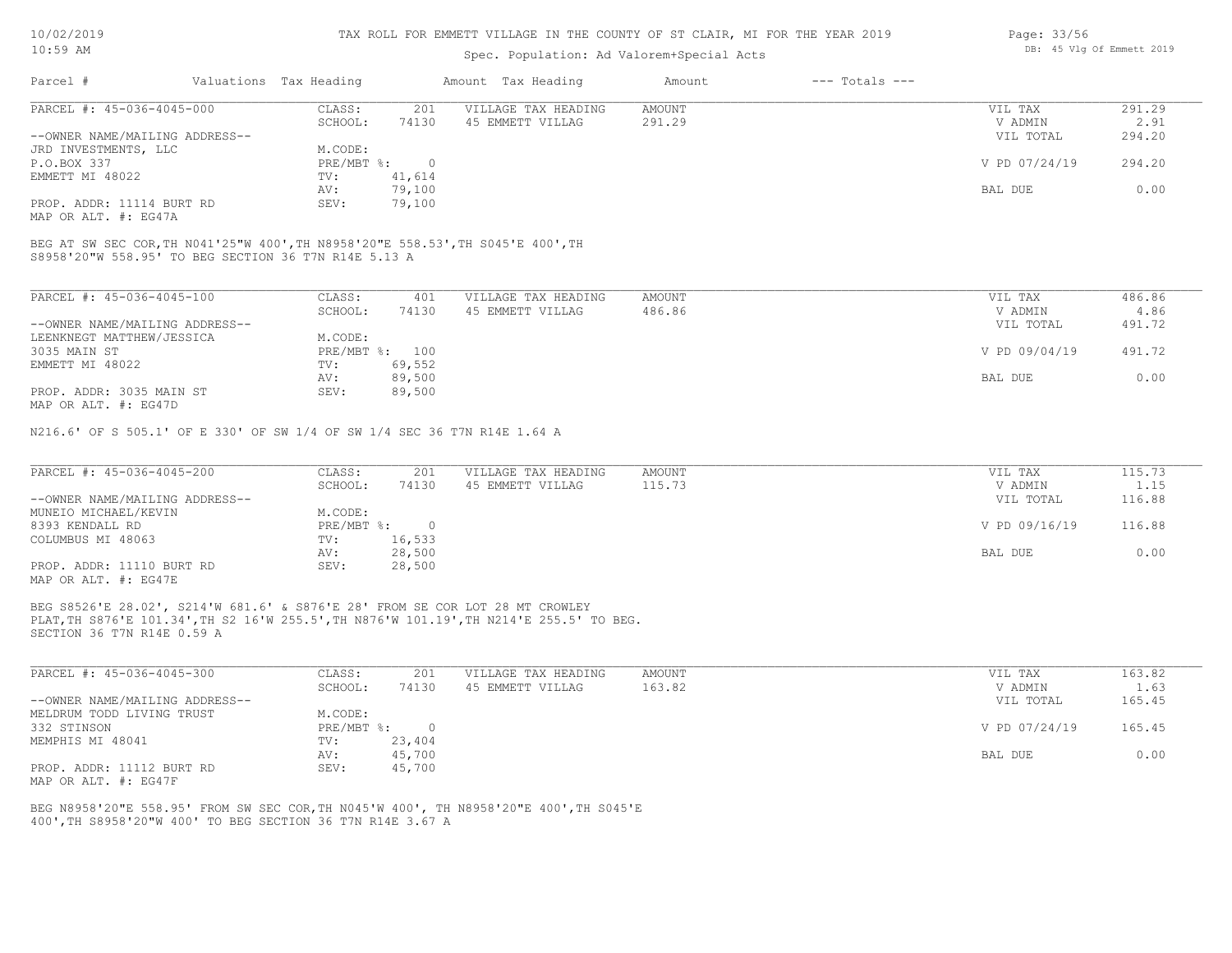#### TAX ROLL FOR EMMETT VILLAGE IN THE COUNTY OF ST CLAIR, MI FOR THE YEAR 2019

### Spec. Population: Ad Valorem+Special Acts

| Parcel #                       | Valuations Tax Heading |        | Amount Tax Heading  | Amount | $---$ Totals $---$ |               |        |
|--------------------------------|------------------------|--------|---------------------|--------|--------------------|---------------|--------|
| PARCEL #: 45-036-4045-000      | CLASS:                 | 201    | VILLAGE TAX HEADING | AMOUNT |                    | VIL TAX       | 291.29 |
|                                | SCHOOL:                | 74130  | 45 EMMETT VILLAG    | 291.29 |                    | V ADMIN       | 2.91   |
| --OWNER NAME/MAILING ADDRESS-- |                        |        |                     |        |                    | VIL TOTAL     | 294.20 |
| JRD INVESTMENTS, LLC           | M.CODE:                |        |                     |        |                    |               |        |
| P.O.BOX 337                    | PRE/MBT %:             | (      |                     |        |                    | V PD 07/24/19 | 294.20 |
| EMMETT MI 48022                | TV:                    | 41,614 |                     |        |                    |               |        |
|                                | AV:                    | 79,100 |                     |        |                    | BAL DUE       | 0.00   |
| PROP. ADDR: 11114 BURT RD      | SEV:                   | 79,100 |                     |        |                    |               |        |

MAP OR ALT. #: EG47A

S8958'20"W 558.95' TO BEG SECTION 36 T7N R14E 5.13 A BEG AT SW SEC COR,TH N041'25"W 400',TH N8958'20"E 558.53',TH S045'E 400',TH

| PARCEL #: 45-036-4045-100                                  | CLASS:     | 401    | VILLAGE TAX HEADING | AMOUNT | VIL TAX       | 486.86 |
|------------------------------------------------------------|------------|--------|---------------------|--------|---------------|--------|
|                                                            | SCHOOL:    | 74130  | 45 EMMETT VILLAG    | 486.86 | V ADMIN       | 4.86   |
| --OWNER NAME/MAILING ADDRESS--                             |            |        |                     |        | VIL TOTAL     | 491.72 |
| LEENKNEGT MATTHEW/JESSICA                                  | M.CODE:    |        |                     |        |               |        |
| 3035 MAIN ST                                               | PRE/MBT %: | 100    |                     |        | V PD 09/04/19 | 491.72 |
| EMMETT MI 48022                                            | TV:        | 69,552 |                     |        |               |        |
|                                                            | AV:        | 89,500 |                     |        | BAL DUE       | 0.00   |
| PROP. ADDR: 3035 MAIN ST<br>$MAD$ $CD$ $ATM$ $H$ , $DCACD$ | SEV:       | 89,500 |                     |        |               |        |

MAP OR ALT. #: EG47D

N216.6' OF S 505.1' OF E 330' OF SW 1/4 OF SW 1/4 SEC 36 T7N R14E 1.64 A

| PARCEL #: 45-036-4045-200      | CLASS:     | 201    | VILLAGE TAX HEADING | AMOUNT | VIL TAX       | 115.73 |
|--------------------------------|------------|--------|---------------------|--------|---------------|--------|
|                                | SCHOOL:    | 74130  | 45 EMMETT VILLAG    | 115.73 | V ADMIN       | 1.15   |
| --OWNER NAME/MAILING ADDRESS-- |            |        |                     |        | VIL TOTAL     | 116.88 |
| MUNEIO MICHAEL/KEVIN           | M.CODE:    |        |                     |        |               |        |
| 8393 KENDALL RD                | PRE/MBT %: |        |                     |        | V PD 09/16/19 | 116.88 |
| COLUMBUS MI 48063              | TV:        | 16,533 |                     |        |               |        |
|                                | AV:        | 28,500 |                     |        | BAL DUE       | 0.00   |
| PROP. ADDR: 11110 BURT RD      | SEV:       | 28,500 |                     |        |               |        |
| MAP OR ALT. #: EG47E           |            |        |                     |        |               |        |

SECTION 36 T7N R14E 0.59 A PLAT,TH S876'E 101.34',TH S2 16'W 255.5',TH N876'W 101.19',TH N214'E 255.5' TO BEG. BEG S8526'E 28.02', S214'W 681.6' & S876'E 28' FROM SE COR LOT 28 MT CROWLEY

| PARCEL #: 45-036-4045-300      | CLASS:       | 201    | VILLAGE TAX HEADING | AMOUNT | VIL TAX       | 163.82 |
|--------------------------------|--------------|--------|---------------------|--------|---------------|--------|
|                                | SCHOOL:      | 74130  | 45 EMMETT VILLAG    | 163.82 | V ADMIN       | 1.63   |
| --OWNER NAME/MAILING ADDRESS-- |              |        |                     |        | VIL TOTAL     | 165.45 |
| MELDRUM TODD LIVING TRUST      | M.CODE:      |        |                     |        |               |        |
| 332 STINSON                    | $PRE/MBT$ %: |        |                     |        | V PD 07/24/19 | 165.45 |
| MEMPHIS MI 48041               | TV:          | 23,404 |                     |        |               |        |
|                                | AV:          | 45,700 |                     |        | BAL DUE       | 0.00   |
| PROP. ADDR: 11112 BURT RD      | SEV:         | 45,700 |                     |        |               |        |
| MAP OR ALT. #: EG47F           |              |        |                     |        |               |        |

400',TH S8958'20"W 400' TO BEG SECTION 36 T7N R14E 3.67 A BEG N8958'20"E 558.95' FROM SW SEC COR,TH N045'W 400', TH N8958'20"E 400',TH S045'E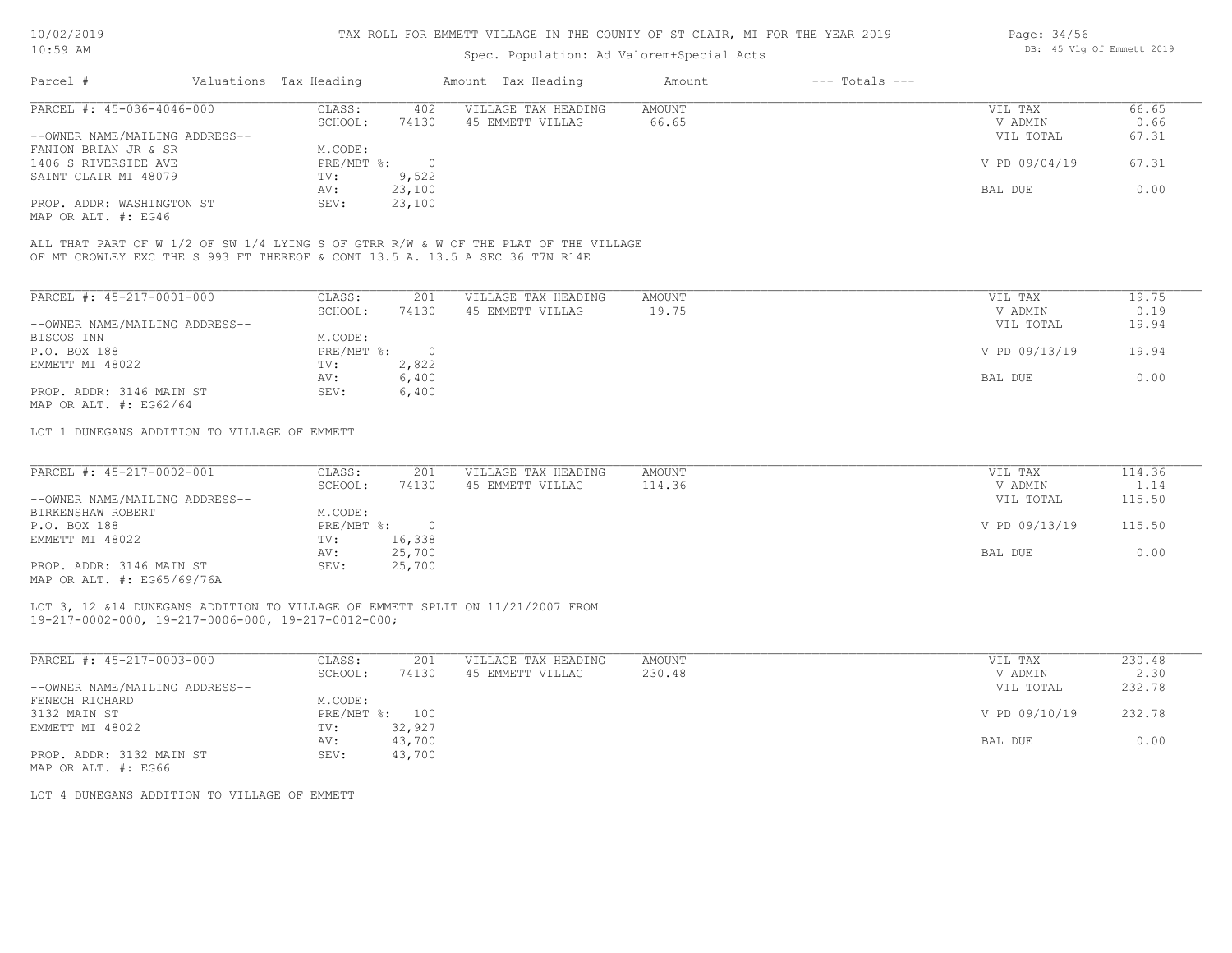### Spec. Population: Ad Valorem+Special Acts

| Page: 34/56 |  |                           |  |
|-------------|--|---------------------------|--|
|             |  | DB: 45 Vlg Of Emmett 2019 |  |

| Parcel #                       |         | Valuations Tax Heading |                  | Amount Tax Heading  | Amount | $---$ Totals $---$ |               |       |
|--------------------------------|---------|------------------------|------------------|---------------------|--------|--------------------|---------------|-------|
| PARCEL #: 45-036-4046-000      |         | CLASS:                 | 402              | VILLAGE TAX HEADING | AMOUNT |                    | VIL TAX       | 66.65 |
|                                | SCHOOL: | 74130                  | 45 EMMETT VILLAG | 66.65               |        | V ADMIN            | 0.66          |       |
| --OWNER NAME/MAILING ADDRESS-- |         |                        |                  |                     |        |                    | VIL TOTAL     | 67.31 |
| FANION BRIAN JR & SR           |         | M.CODE:                |                  |                     |        |                    |               |       |
| 1406 S RIVERSIDE AVE           |         | $PRE/MBT$ %:           |                  |                     |        |                    | V PD 09/04/19 | 67.31 |
| SAINT CLAIR MI 48079           |         | TV:                    | 9,522            |                     |        |                    |               |       |
|                                |         | AV:                    | 23,100           |                     |        |                    | BAL DUE       | 0.00  |
| PROP. ADDR: WASHINGTON ST      |         | SEV:                   | 23,100           |                     |        |                    |               |       |
|                                |         |                        |                  |                     |        |                    |               |       |

MAP OR ALT. #: EG46

OF MT CROWLEY EXC THE S 993 FT THEREOF & CONT 13.5 A. 13.5 A SEC 36 T7N R14E ALL THAT PART OF W 1/2 OF SW 1/4 LYING S OF GTRR R/W & W OF THE PLAT OF THE VILLAGE

| PARCEL #: 45-217-0001-000      | CLASS:     | 201   | VILLAGE TAX HEADING | AMOUNT | 19.75<br>VIL TAX       |
|--------------------------------|------------|-------|---------------------|--------|------------------------|
|                                | SCHOOL:    | 74130 | 45 EMMETT VILLAG    | 19.75  | 0.19<br>V ADMIN        |
| --OWNER NAME/MAILING ADDRESS-- |            |       |                     |        | 19.94<br>VIL TOTAL     |
| BISCOS INN                     | M.CODE:    |       |                     |        |                        |
| P.O. BOX 188                   | PRE/MBT %: |       |                     |        | V PD 09/13/19<br>19.94 |
| EMMETT MI 48022                | TV:        | 2,822 |                     |        |                        |
|                                | AV:        | 6,400 |                     |        | 0.00<br>BAL DUE        |
| PROP. ADDR: 3146 MAIN ST       | SEV:       | 6,400 |                     |        |                        |
| MAP OR ALT. $\#$ : EG62/64     |            |       |                     |        |                        |

LOT 1 DUNEGANS ADDITION TO VILLAGE OF EMMETT

| PARCEL #: 45-217-0002-001                 | CLASS:       | 201    | VILLAGE TAX HEADING | AMOUNT | VIL TAX       | 114.36 |
|-------------------------------------------|--------------|--------|---------------------|--------|---------------|--------|
|                                           | SCHOOL:      | 74130  | 45 EMMETT VILLAG    | 114.36 | V ADMIN       | 1.14   |
| --OWNER NAME/MAILING ADDRESS--            |              |        |                     |        | VIL TOTAL     | 115.50 |
| BIRKENSHAW ROBERT                         | M.CODE:      |        |                     |        |               |        |
| P.O. BOX 188                              | $PRE/MBT$ %: |        |                     |        | V PD 09/13/19 | 115.50 |
| EMMETT MI 48022                           | TV:          | 16,338 |                     |        |               |        |
|                                           | AV:          | 25,700 |                     |        | BAL DUE       | 0.00   |
| PROP. ADDR: 3146 MAIN ST<br>$\frac{1}{2}$ | SEV:         | 25,700 |                     |        |               |        |

MAP OR ALT. #: EG65/69/76A

19-217-0002-000, 19-217-0006-000, 19-217-0012-000; LOT 3, 12 &14 DUNEGANS ADDITION TO VILLAGE OF EMMETT SPLIT ON 11/21/2007 FROM

| PARCEL #: 45-217-0003-000      | CLASS:       | 201    | VILLAGE TAX HEADING | AMOUNT | VIL TAX       | 230.48 |
|--------------------------------|--------------|--------|---------------------|--------|---------------|--------|
|                                | SCHOOL:      | 74130  | 45 EMMETT VILLAG    | 230.48 | V ADMIN       | 2.30   |
| --OWNER NAME/MAILING ADDRESS-- |              |        |                     |        | VIL TOTAL     | 232.78 |
| FENECH RICHARD                 | M.CODE:      |        |                     |        |               |        |
| 3132 MAIN ST                   | $PRE/MBT$ %: | 100    |                     |        | V PD 09/10/19 | 232.78 |
| EMMETT MI 48022                | TV:          | 32,927 |                     |        |               |        |
|                                | AV:          | 43,700 |                     |        | BAL DUE       | 0.00   |
| PROP. ADDR: 3132 MAIN ST       | SEV:         | 43,700 |                     |        |               |        |
| MAP OR ALT. #: EG66            |              |        |                     |        |               |        |

LOT 4 DUNEGANS ADDITION TO VILLAGE OF EMMETT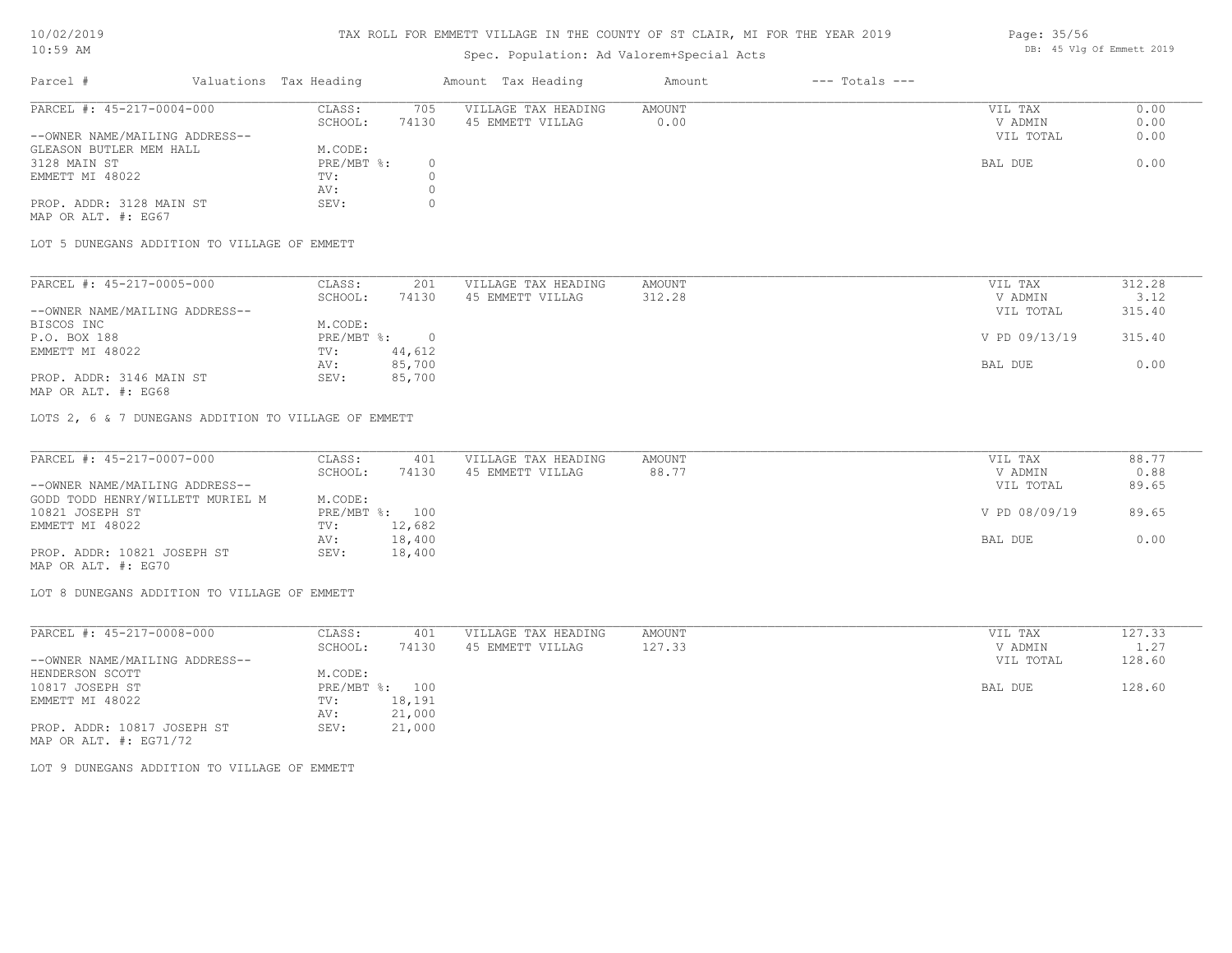#### TAX ROLL FOR EMMETT VILLAGE IN THE COUNTY OF ST CLAIR, MI FOR THE YEAR 2019

### Spec. Population: Ad Valorem+Special Acts

### Parcel # Valuations Tax Heading Amount Tax Heading Amount --- Totals ---PROP. ADDR: 3128 MAIN ST SEV: 0 AV: 0 EMMETT MI 48022 TV: 0<br>AV: 0 3128 MAIN ST PRE/MBT %: 0 BAL DUE 0.00 GLEASON BUTLER MEM HALL M.CODE: M.CODE: 3128 MAIN ST --OWNER NAME/MAILING ADDRESS-- VIL TOTAL 0.00 SCHOOL: 74130 45 EMMETT VILLAG 0.00 V ADMIN 0.00 PARCEL #: 45-217-0004-000 CLASS: 705 VILLAGE TAX HEADING AMOUNT AMOUNT VIL TAX 0.00<br>SCHOOL: 74130 45 EMMETT VILLAG 0.00 00 VADMIN 0.00  $\mathcal{L}_\mathcal{L} = \mathcal{L}_\mathcal{L} = \mathcal{L}_\mathcal{L} = \mathcal{L}_\mathcal{L} = \mathcal{L}_\mathcal{L} = \mathcal{L}_\mathcal{L} = \mathcal{L}_\mathcal{L} = \mathcal{L}_\mathcal{L} = \mathcal{L}_\mathcal{L} = \mathcal{L}_\mathcal{L} = \mathcal{L}_\mathcal{L} = \mathcal{L}_\mathcal{L} = \mathcal{L}_\mathcal{L} = \mathcal{L}_\mathcal{L} = \mathcal{L}_\mathcal{L} = \mathcal{L}_\mathcal{L} = \mathcal{L}_\mathcal{L}$

MAP OR ALT. #: EG67

LOT 5 DUNEGANS ADDITION TO VILLAGE OF EMMETT

| PARCEL #: 45-217-0005-000      | CLASS:     | 201    | VILLAGE TAX HEADING | AMOUNT | VIL TAX       | 312.28 |
|--------------------------------|------------|--------|---------------------|--------|---------------|--------|
|                                | SCHOOL:    | 74130  | 45 EMMETT VILLAG    | 312.28 | V ADMIN       | 3.12   |
| --OWNER NAME/MAILING ADDRESS-- |            |        |                     |        | VIL TOTAL     | 315.40 |
| BISCOS INC                     | M.CODE:    |        |                     |        |               |        |
| P.O. BOX 188                   | PRE/MBT %: |        |                     |        | V PD 09/13/19 | 315.40 |
| EMMETT MI 48022                | TV:        | 44,612 |                     |        |               |        |
|                                | AV:        | 85,700 |                     |        | BAL DUE       | 0.00   |
| PROP. ADDR: 3146 MAIN ST       | SEV:       | 85,700 |                     |        |               |        |
|                                |            |        |                     |        |               |        |

MAP OR ALT. #: EG68

LOTS 2, 6 & 7 DUNEGANS ADDITION TO VILLAGE OF EMMETT

| PARCEL #: 45-217-0007-000        | CLASS:  | 401            | VILLAGE TAX HEADING | AMOUNT | VIL TAX       | 88.77 |
|----------------------------------|---------|----------------|---------------------|--------|---------------|-------|
|                                  | SCHOOL: | 74130          | 45 EMMETT VILLAG    | 88.77  | V ADMIN       | 0.88  |
| --OWNER NAME/MAILING ADDRESS--   |         |                |                     |        | VIL TOTAL     | 89.65 |
| GODD TODD HENRY/WILLETT MURIEL M | M.CODE: |                |                     |        |               |       |
| 10821 JOSEPH ST                  |         | PRE/MBT %: 100 |                     |        | V PD 08/09/19 | 89.65 |
| EMMETT MI 48022                  | TV:     | 12,682         |                     |        |               |       |
|                                  | AV:     | 18,400         |                     |        | BAL DUE       | 0.00  |
| PROP. ADDR: 10821 JOSEPH ST      | SEV:    | 18,400         |                     |        |               |       |
| MAP OR ALT. #: EG70              |         |                |                     |        |               |       |

LOT 8 DUNEGANS ADDITION TO VILLAGE OF EMMETT

| PARCEL #: 45-217-0008-000      | CLASS:                    | 401    | VILLAGE TAX HEADING | AMOUNT | VIL TAX   | 127.33 |
|--------------------------------|---------------------------|--------|---------------------|--------|-----------|--------|
|                                | SCHOOL:                   | 74130  | 45 EMMETT VILLAG    | 127.33 | V ADMIN   | 1.27   |
| --OWNER NAME/MAILING ADDRESS-- |                           |        |                     |        | VIL TOTAL | 128.60 |
| HENDERSON SCOTT                | M.CODE:                   |        |                     |        |           |        |
| 10817 JOSEPH ST                | $PRE/MBT$ $\frac{1}{6}$ : | 100    |                     |        | BAL DUE   | 128.60 |
| EMMETT MI 48022                | TV:                       | 18,191 |                     |        |           |        |
|                                | AV:                       | 21,000 |                     |        |           |        |
| PROP. ADDR: 10817 JOSEPH ST    | SEV:                      | 21,000 |                     |        |           |        |
| MAP OR ALT. $\#$ : EG71/72     |                           |        |                     |        |           |        |

LOT 9 DUNEGANS ADDITION TO VILLAGE OF EMMETT

Page: 35/56 DB: 45 Vlg Of Emmett 2019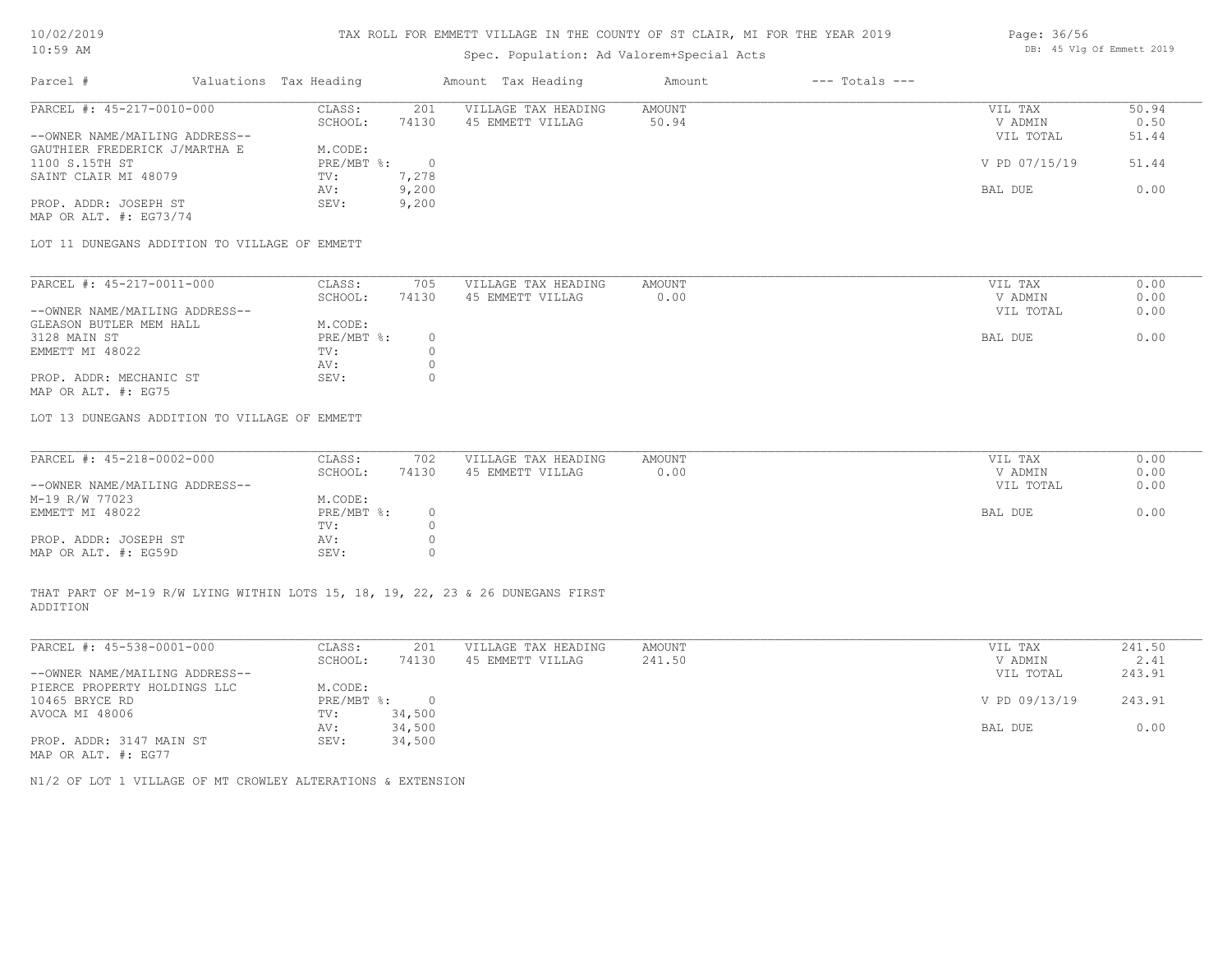# Spec. Population: Ad Valorem+Special Acts

| Parcel #                       | Valuations Tax Heading |       | Amount Tax Heading  | Amount | $---$ Totals $---$ |               |       |
|--------------------------------|------------------------|-------|---------------------|--------|--------------------|---------------|-------|
| PARCEL #: 45-217-0010-000      | CLASS:                 | 201   | VILLAGE TAX HEADING | AMOUNT |                    | VIL TAX       | 50.94 |
|                                | SCHOOL:                | 74130 | 45 EMMETT VILLAG    | 50.94  |                    | V ADMIN       | 0.50  |
| --OWNER NAME/MAILING ADDRESS-- |                        |       |                     |        |                    | VIL TOTAL     | 51.44 |
| GAUTHIER FREDERICK J/MARTHA E  | M.CODE:                |       |                     |        |                    |               |       |
| 1100 S.15TH ST                 | PRE/MBT %:             |       |                     |        |                    | V PD 07/15/19 | 51.44 |
| SAINT CLAIR MI 48079           | TV:                    | 7,278 |                     |        |                    |               |       |
|                                | AV:                    | 9,200 |                     |        |                    | BAL DUE       | 0.00  |
| PROP. ADDR: JOSEPH ST          | SEV:                   | 9,200 |                     |        |                    |               |       |

MAP OR ALT. #: EG73/74

LOT 11 DUNEGANS ADDITION TO VILLAGE OF EMMETT

| PARCEL #: 45-217-0011-000      | CLASS:     | 705   | VILLAGE TAX HEADING | AMOUNT | VIL TAX   | 0.00 |
|--------------------------------|------------|-------|---------------------|--------|-----------|------|
|                                | SCHOOL:    | 74130 | 45 EMMETT VILLAG    | 0.00   | V ADMIN   | 0.00 |
| --OWNER NAME/MAILING ADDRESS-- |            |       |                     |        | VIL TOTAL | 0.00 |
| GLEASON BUTLER MEM HALL        | M.CODE:    |       |                     |        |           |      |
| 3128 MAIN ST                   | PRE/MBT %: |       |                     |        | BAL DUE   | 0.00 |
| EMMETT MI 48022                | TV:        |       |                     |        |           |      |
|                                | AV:        |       |                     |        |           |      |
| PROP. ADDR: MECHANIC ST        | SEV:       |       |                     |        |           |      |
| MAP OR ALT. #: EG75            |            |       |                     |        |           |      |

LOT 13 DUNEGANS ADDITION TO VILLAGE OF EMMETT

| PARCEL #: 45-218-0002-000      | CLASS:     | 702   | VILLAGE TAX HEADING | AMOUNT | VIL TAX   | 0.00 |
|--------------------------------|------------|-------|---------------------|--------|-----------|------|
|                                |            |       |                     |        |           |      |
|                                | SCHOOL:    | 74130 | 45 EMMETT VILLAG    | 0.00   | V ADMIN   | 0.00 |
| --OWNER NAME/MAILING ADDRESS-- |            |       |                     |        | VIL TOTAL | 0.00 |
| M-19 R/W 77023                 | M.CODE:    |       |                     |        |           |      |
| EMMETT MI 48022                | PRE/MBT %: |       |                     |        | BAL DUE   | 0.00 |
|                                | TV:        |       |                     |        |           |      |
| PROP. ADDR: JOSEPH ST          | AV:        |       |                     |        |           |      |
| MAP OR ALT. #: EG59D           | SEV:       |       |                     |        |           |      |

ADDITION THAT PART OF M-19 R/W LYING WITHIN LOTS 15, 18, 19, 22, 23 & 26 DUNEGANS FIRST

| PARCEL #: 45-538-0001-000      | CLASS:     | 201    | VILLAGE TAX HEADING | AMOUNT | VIL TAX       | 241.50 |
|--------------------------------|------------|--------|---------------------|--------|---------------|--------|
|                                | SCHOOL:    | 74130  | 45 EMMETT VILLAG    | 241.50 | V ADMIN       | 2.41   |
| --OWNER NAME/MAILING ADDRESS-- |            |        |                     |        | VIL TOTAL     | 243.91 |
| PIERCE PROPERTY HOLDINGS LLC   | M.CODE:    |        |                     |        |               |        |
| 10465 BRYCE RD                 | PRE/MBT %: | $\Box$ |                     |        | V PD 09/13/19 | 243.91 |
| AVOCA MI 48006                 | TV:        | 34,500 |                     |        |               |        |
|                                | AV:        | 34,500 |                     |        | BAL DUE       | 0.00   |
| PROP. ADDR: 3147 MAIN ST       | SEV:       | 34,500 |                     |        |               |        |
| MAP OR ALT. #: EG77            |            |        |                     |        |               |        |

 $\mathcal{L}_\mathcal{L} = \mathcal{L}_\mathcal{L} = \mathcal{L}_\mathcal{L} = \mathcal{L}_\mathcal{L} = \mathcal{L}_\mathcal{L} = \mathcal{L}_\mathcal{L} = \mathcal{L}_\mathcal{L} = \mathcal{L}_\mathcal{L} = \mathcal{L}_\mathcal{L} = \mathcal{L}_\mathcal{L} = \mathcal{L}_\mathcal{L} = \mathcal{L}_\mathcal{L} = \mathcal{L}_\mathcal{L} = \mathcal{L}_\mathcal{L} = \mathcal{L}_\mathcal{L} = \mathcal{L}_\mathcal{L} = \mathcal{L}_\mathcal{L}$ 

N1/2 OF LOT 1 VILLAGE OF MT CROWLEY ALTERATIONS & EXTENSION

Page: 36/56 DB: 45 Vlg Of Emmett 2019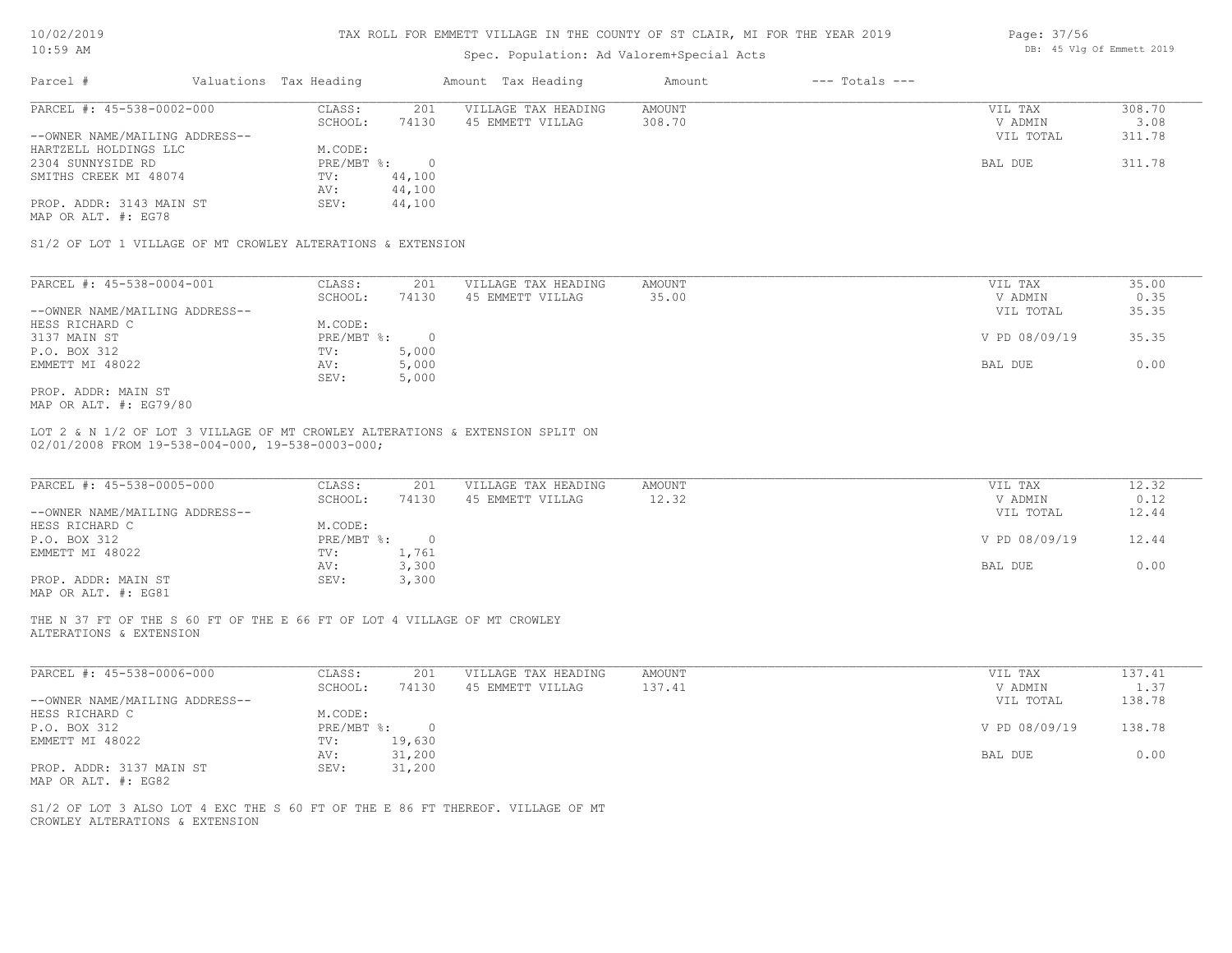#### TAX ROLL FOR EMMETT VILLAGE IN THE COUNTY OF ST CLAIR, MI FOR THE YEAR 2019

# Spec. Population: Ad Valorem+Special Acts

| Parcel #                                        | Valuations Tax Heading |        | Amount Tax Heading  | Amount | $---$ Totals $---$ |           |        |
|-------------------------------------------------|------------------------|--------|---------------------|--------|--------------------|-----------|--------|
| PARCEL #: 45-538-0002-000                       | CLASS:                 | 201    | VILLAGE TAX HEADING | AMOUNT |                    | VIL TAX   | 308.70 |
|                                                 | SCHOOL:                | 74130  | 45 EMMETT VILLAG    | 308.70 |                    | V ADMIN   | 3.08   |
| --OWNER NAME/MAILING ADDRESS--                  |                        |        |                     |        |                    | VIL TOTAL | 311.78 |
| HARTZELL HOLDINGS LLC                           | M.CODE:                |        |                     |        |                    |           |        |
| 2304 SUNNYSIDE RD                               | $PRE/MBT$ %:           |        |                     |        |                    | BAL DUE   | 311.78 |
| SMITHS CREEK MI 48074                           | TV:                    | 44,100 |                     |        |                    |           |        |
|                                                 | AV:                    | 44,100 |                     |        |                    |           |        |
| PROP. ADDR: 3143 MAIN ST<br>MAP OR ALT. #: EG78 | SEV:                   | 44,100 |                     |        |                    |           |        |

S1/2 OF LOT 1 VILLAGE OF MT CROWLEY ALTERATIONS & EXTENSION

| PARCEL #: 45-538-0004-001      | CLASS:       | 201   | VILLAGE TAX HEADING | AMOUNT | VIL TAX       | 35.00 |
|--------------------------------|--------------|-------|---------------------|--------|---------------|-------|
|                                | SCHOOL:      | 74130 | 45 EMMETT VILLAG    | 35.00  | V ADMIN       | 0.35  |
| --OWNER NAME/MAILING ADDRESS-- |              |       |                     |        | VIL TOTAL     | 35.35 |
| HESS RICHARD C                 | M.CODE:      |       |                     |        |               |       |
| 3137 MAIN ST                   | $PRE/MBT$ %: |       |                     |        | V PD 08/09/19 | 35.35 |
| P.O. BOX 312                   | TV:          | 5,000 |                     |        |               |       |
| EMMETT MI 48022                | AV:          | 5,000 |                     |        | BAL DUE       | 0.00  |
|                                | SEV:         | 5,000 |                     |        |               |       |
| PROP. ADDR: MAIN ST            |              |       |                     |        |               |       |

MAP OR ALT. #: EG79/80

#### 02/01/2008 FROM 19-538-004-000, 19-538-0003-000; LOT 2 & N 1/2 OF LOT 3 VILLAGE OF MT CROWLEY ALTERATIONS & EXTENSION SPLIT ON

| PARCEL #: 45-538-0005-000                    | CLASS:       | 201   | VILLAGE TAX HEADING | AMOUNT | VIL TAX       | 12.32 |
|----------------------------------------------|--------------|-------|---------------------|--------|---------------|-------|
|                                              | SCHOOL:      | 74130 | 45 EMMETT VILLAG    | 12.32  | V ADMIN       | 0.12  |
| --OWNER NAME/MAILING ADDRESS--               |              |       |                     |        | VIL TOTAL     | 12.44 |
| HESS RICHARD C                               | M.CODE:      |       |                     |        |               |       |
| P.O. BOX 312                                 | $PRE/MBT$ %: |       |                     |        | V PD 08/09/19 | 12.44 |
| EMMETT MI 48022                              | TV:          | 1,761 |                     |        |               |       |
|                                              | AV:          | 3,300 |                     |        | BAL DUE       | 0.00  |
| PROP. ADDR: MAIN ST                          | SEV:         | 3,300 |                     |        |               |       |
| $\cdots$ $\cdots$ $\cdots$ $\cdots$ $\cdots$ |              |       |                     |        |               |       |

MAP OR ALT. #: EG81

ALTERATIONS & EXTENSION THE N 37 FT OF THE S 60 FT OF THE E 66 FT OF LOT 4 VILLAGE OF MT CROWLEY

| PARCEL #: 45-538-0006-000      | CLASS:     | 201      | VILLAGE TAX HEADING | AMOUNT | VIL TAX       | 137.41 |
|--------------------------------|------------|----------|---------------------|--------|---------------|--------|
|                                | SCHOOL:    | 74130    | 45 EMMETT VILLAG    | 137.41 | V ADMIN       | 1.37   |
| --OWNER NAME/MAILING ADDRESS-- |            |          |                     |        | VIL TOTAL     | 138.78 |
| HESS RICHARD C                 | M.CODE:    |          |                     |        |               |        |
| P.O. BOX 312                   | PRE/MBT %: | $\Omega$ |                     |        | V PD 08/09/19 | 138.78 |
| EMMETT MI 48022                | TV:        | 19,630   |                     |        |               |        |
|                                | AV:        | 31,200   |                     |        | BAL DUE       | 0.00   |
| PROP. ADDR: 3137 MAIN ST       | SEV:       | 31,200   |                     |        |               |        |
| MAP OR ALT. #: EG82            |            |          |                     |        |               |        |

 $\mathcal{L}_\mathcal{L} = \mathcal{L}_\mathcal{L} = \mathcal{L}_\mathcal{L} = \mathcal{L}_\mathcal{L} = \mathcal{L}_\mathcal{L} = \mathcal{L}_\mathcal{L} = \mathcal{L}_\mathcal{L} = \mathcal{L}_\mathcal{L} = \mathcal{L}_\mathcal{L} = \mathcal{L}_\mathcal{L} = \mathcal{L}_\mathcal{L} = \mathcal{L}_\mathcal{L} = \mathcal{L}_\mathcal{L} = \mathcal{L}_\mathcal{L} = \mathcal{L}_\mathcal{L} = \mathcal{L}_\mathcal{L} = \mathcal{L}_\mathcal{L}$ 

CROWLEY ALTERATIONS & EXTENSION S1/2 OF LOT 3 ALSO LOT 4 EXC THE S 60 FT OF THE E 86 FT THEREOF. VILLAGE OF MT Page: 37/56 DB: 45 Vlg Of Emmett 2019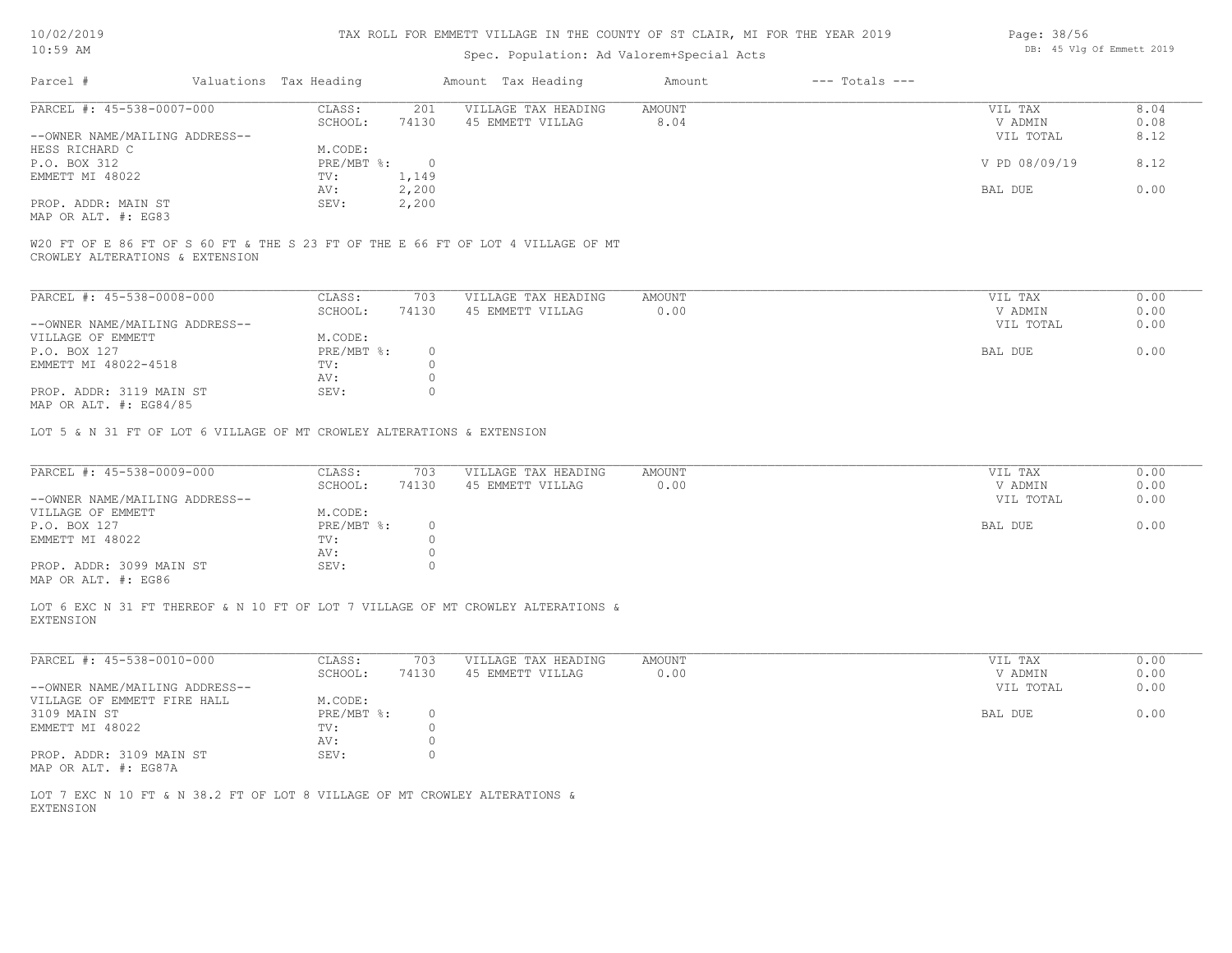#### TAX ROLL FOR EMMETT VILLAGE IN THE COUNTY OF ST CLAIR, MI FOR THE YEAR 2019

## Spec. Population: Ad Valorem+Special Acts

| Parcel #                       |         | Valuations Tax Heading |                  | Amount Tax Heading  | Amount | $---$ Totals $---$ |               |      |
|--------------------------------|---------|------------------------|------------------|---------------------|--------|--------------------|---------------|------|
| PARCEL #: 45-538-0007-000      |         | CLASS:                 | 201              | VILLAGE TAX HEADING | AMOUNT |                    | VIL TAX       | 8.04 |
|                                | SCHOOL: | 74130                  | 45 EMMETT VILLAG | 8.04                |        | V ADMIN            | 0.08          |      |
| --OWNER NAME/MAILING ADDRESS-- |         |                        |                  |                     |        |                    | VIL TOTAL     | 8.12 |
| HESS RICHARD C                 |         | M.CODE:                |                  |                     |        |                    |               |      |
| P.O. BOX 312                   |         | PRE/MBT %:             | $\cap$           |                     |        |                    | V PD 08/09/19 | 8.12 |
| EMMETT MI 48022                |         | TV:                    | 1,149            |                     |        |                    |               |      |
|                                |         | AV:                    | 2,200            |                     |        |                    | BAL DUE       | 0.00 |
| PROP. ADDR: MAIN ST            |         | SEV:                   | 2,200            |                     |        |                    |               |      |
| MAP OR ALT. #: EG83            |         |                        |                  |                     |        |                    |               |      |

CROWLEY ALTERATIONS & EXTENSION W20 FT OF E 86 FT OF S 60 FT & THE S 23 FT OF THE E 66 FT OF LOT 4 VILLAGE OF MT

| PARCEL #: 45-538-0008-000      | CLASS:     | 703   | VILLAGE TAX HEADING | AMOUNT | VIL TAX   | 0.00 |
|--------------------------------|------------|-------|---------------------|--------|-----------|------|
|                                | SCHOOL:    | 74130 | 45 EMMETT VILLAG    | 0.00   | V ADMIN   | 0.00 |
| --OWNER NAME/MAILING ADDRESS-- |            |       |                     |        | VIL TOTAL | 0.00 |
| VILLAGE OF EMMETT              | M.CODE:    |       |                     |        |           |      |
| P.O. BOX 127                   | PRE/MBT %: |       |                     |        | BAL DUE   | 0.00 |
| EMMETT MI 48022-4518           | TV:        |       |                     |        |           |      |
|                                | AV:        |       |                     |        |           |      |
| PROP. ADDR: 3119 MAIN ST       | SEV:       |       |                     |        |           |      |
| MAP OR ALT. $\#$ : EG84/85     |            |       |                     |        |           |      |

LOT 5 & N 31 FT OF LOT 6 VILLAGE OF MT CROWLEY ALTERATIONS & EXTENSION

| V ADMIN<br>VIL TOTAL | 0.00<br>0.00 |
|----------------------|--------------|
|                      |              |
|                      |              |
|                      |              |
| BAL DUE              | 0.00         |
|                      |              |
|                      |              |
|                      |              |
|                      |              |

MAP OR ALT. #: EG86

EXTENSION LOT 6 EXC N 31 FT THEREOF & N 10 FT OF LOT 7 VILLAGE OF MT CROWLEY ALTERATIONS &

| PARCEL #: 45-538-0010-000      | CLASS:     | 703   | VILLAGE TAX HEADING | AMOUNT | VIL TAX   | 0.00 |
|--------------------------------|------------|-------|---------------------|--------|-----------|------|
|                                | SCHOOL:    | 74130 | 45 EMMETT VILLAG    | 0.00   | V ADMIN   | 0.00 |
| --OWNER NAME/MAILING ADDRESS-- |            |       |                     |        | VIL TOTAL | 0.00 |
| VILLAGE OF EMMETT FIRE HALL    | M.CODE:    |       |                     |        |           |      |
| 3109 MAIN ST                   | PRE/MBT %: |       |                     |        | BAL DUE   | 0.00 |
| EMMETT MI 48022                | TV:        |       |                     |        |           |      |
|                                | AV:        |       |                     |        |           |      |
| PROP. ADDR: 3109 MAIN ST       | SEV:       |       |                     |        |           |      |
| MAP OR ALT. #: EG87A           |            |       |                     |        |           |      |

EXTENSION LOT 7 EXC N 10 FT & N 38.2 FT OF LOT 8 VILLAGE OF MT CROWLEY ALTERATIONS & Page: 38/56 DB: 45 Vlg Of Emmett 2019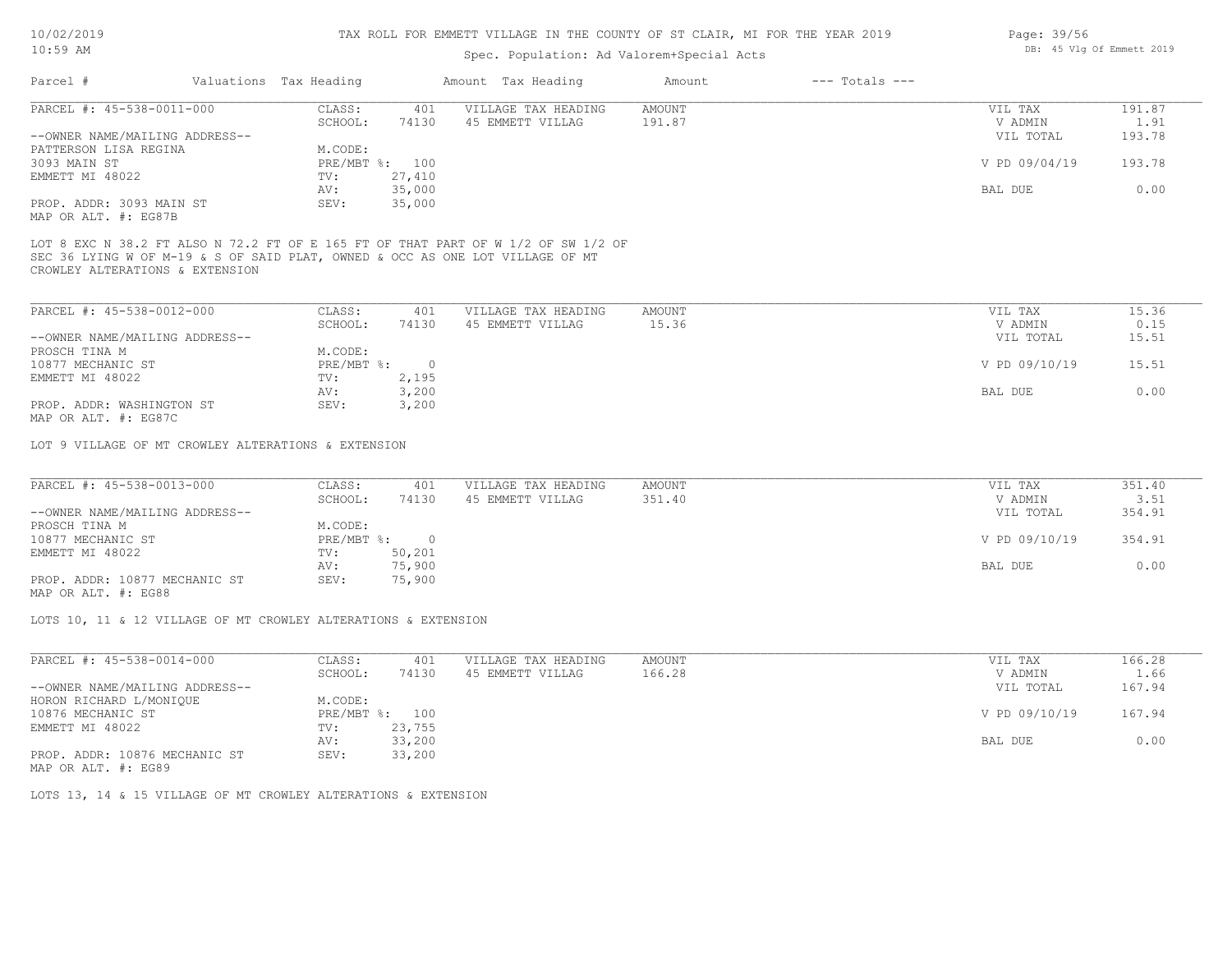### Spec. Population: Ad Valorem+Special Acts

| Parcel #                       | Valuations Tax Heading |        | Amount Tax Heading  | Amount | $---$ Totals $---$ |               |        |
|--------------------------------|------------------------|--------|---------------------|--------|--------------------|---------------|--------|
| PARCEL #: 45-538-0011-000      | CLASS:                 | 401    | VILLAGE TAX HEADING | AMOUNT |                    | VIL TAX       | 191.87 |
|                                | SCHOOL:                | 74130  | 45 EMMETT VILLAG    | 191.87 |                    | V ADMIN       | 1.91   |
| --OWNER NAME/MAILING ADDRESS-- |                        |        |                     |        |                    | VIL TOTAL     | 193.78 |
| PATTERSON LISA REGINA          | M.CODE:                |        |                     |        |                    |               |        |
| 3093 MAIN ST                   | PRE/MBT %: 100         |        |                     |        |                    | V PD 09/04/19 | 193.78 |
| EMMETT MI 48022                | TV:                    | 27,410 |                     |        |                    |               |        |
|                                | AV:                    | 35,000 |                     |        |                    | BAL DUE       | 0.00   |
| PROP. ADDR: 3093 MAIN ST       | SEV:                   | 35,000 |                     |        |                    |               |        |

MAP OR ALT. #: EG87B

CROWLEY ALTERATIONS & EXTENSION SEC 36 LYING W OF M-19 & S OF SAID PLAT, OWNED & OCC AS ONE LOT VILLAGE OF MT LOT 8 EXC N 38.2 FT ALSO N 72.2 FT OF E 165 FT OF THAT PART OF W 1/2 OF SW 1/2 OF

| PARCEL #: 45-538-0012-000                             | CLASS:     | 401   | VILLAGE TAX HEADING | AMOUNT | VIL TAX       | 15.36 |
|-------------------------------------------------------|------------|-------|---------------------|--------|---------------|-------|
|                                                       | SCHOOL:    | 74130 | 45 EMMETT VILLAG    | 15.36  | V ADMIN       | 0.15  |
| --OWNER NAME/MAILING ADDRESS--                        |            |       |                     |        | VIL TOTAL     | 15.51 |
| PROSCH TINA M                                         | M.CODE:    |       |                     |        |               |       |
| 10877 MECHANIC ST                                     | PRE/MBT %: |       |                     |        | V PD 09/10/19 | 15.51 |
| EMMETT MI 48022                                       | TV:        | 2,195 |                     |        |               |       |
|                                                       | AV:        | 3,200 |                     |        | BAL DUE       | 0.00  |
| PROP. ADDR: WASHINGTON ST                             | SEV:       | 3,200 |                     |        |               |       |
| $\cdots$ $\cdots$ $\cdots$ $\cdots$ $\cdots$ $\cdots$ |            |       |                     |        |               |       |

MAP OR ALT. #: EG87C

LOT 9 VILLAGE OF MT CROWLEY ALTERATIONS & EXTENSION

| PARCEL #: 45-538-0013-000      | CLASS:       | 401    | VILLAGE TAX HEADING | AMOUNT | VIL TAX       | 351.40 |
|--------------------------------|--------------|--------|---------------------|--------|---------------|--------|
|                                | SCHOOL:      | 74130  | 45 EMMETT VILLAG    | 351.40 | V ADMIN       | 3.51   |
| --OWNER NAME/MAILING ADDRESS-- |              |        |                     |        | VIL TOTAL     | 354.91 |
| PROSCH TINA M                  | M.CODE:      |        |                     |        |               |        |
| 10877 MECHANIC ST              | $PRE/MBT$ %: |        |                     |        | V PD 09/10/19 | 354.91 |
| EMMETT MI 48022                | TV:          | 50,201 |                     |        |               |        |
|                                | AV:          | 75,900 |                     |        | BAL DUE       | 0.00   |
| PROP. ADDR: 10877 MECHANIC ST  | SEV:         | 75,900 |                     |        |               |        |
|                                |              |        |                     |        |               |        |

MAP OR ALT. #: EG88

LOTS 10, 11 & 12 VILLAGE OF MT CROWLEY ALTERATIONS & EXTENSION

| PARCEL #: 45-538-0014-000      | CLASS:     | 401    | VILLAGE TAX HEADING | AMOUNT | VIL TAX       | 166.28 |
|--------------------------------|------------|--------|---------------------|--------|---------------|--------|
|                                | SCHOOL:    | 74130  | 45 EMMETT VILLAG    | 166.28 | V ADMIN       | 1.66   |
| --OWNER NAME/MAILING ADDRESS-- |            |        |                     |        | VIL TOTAL     | 167.94 |
| HORON RICHARD L/MONIQUE        | M.CODE:    |        |                     |        |               |        |
| 10876 MECHANIC ST              | PRE/MBT %: | 100    |                     |        | V PD 09/10/19 | 167.94 |
| EMMETT MI 48022                | TV:        | 23,755 |                     |        |               |        |
|                                | AV:        | 33,200 |                     |        | BAL DUE       | 0.00   |
| PROP. ADDR: 10876 MECHANIC ST  | SEV:       | 33,200 |                     |        |               |        |
|                                |            |        |                     |        |               |        |

MAP OR ALT. #: EG89

LOTS 13, 14 & 15 VILLAGE OF MT CROWLEY ALTERATIONS & EXTENSION

Page: 39/56 DB: 45 Vlg Of Emmett 2019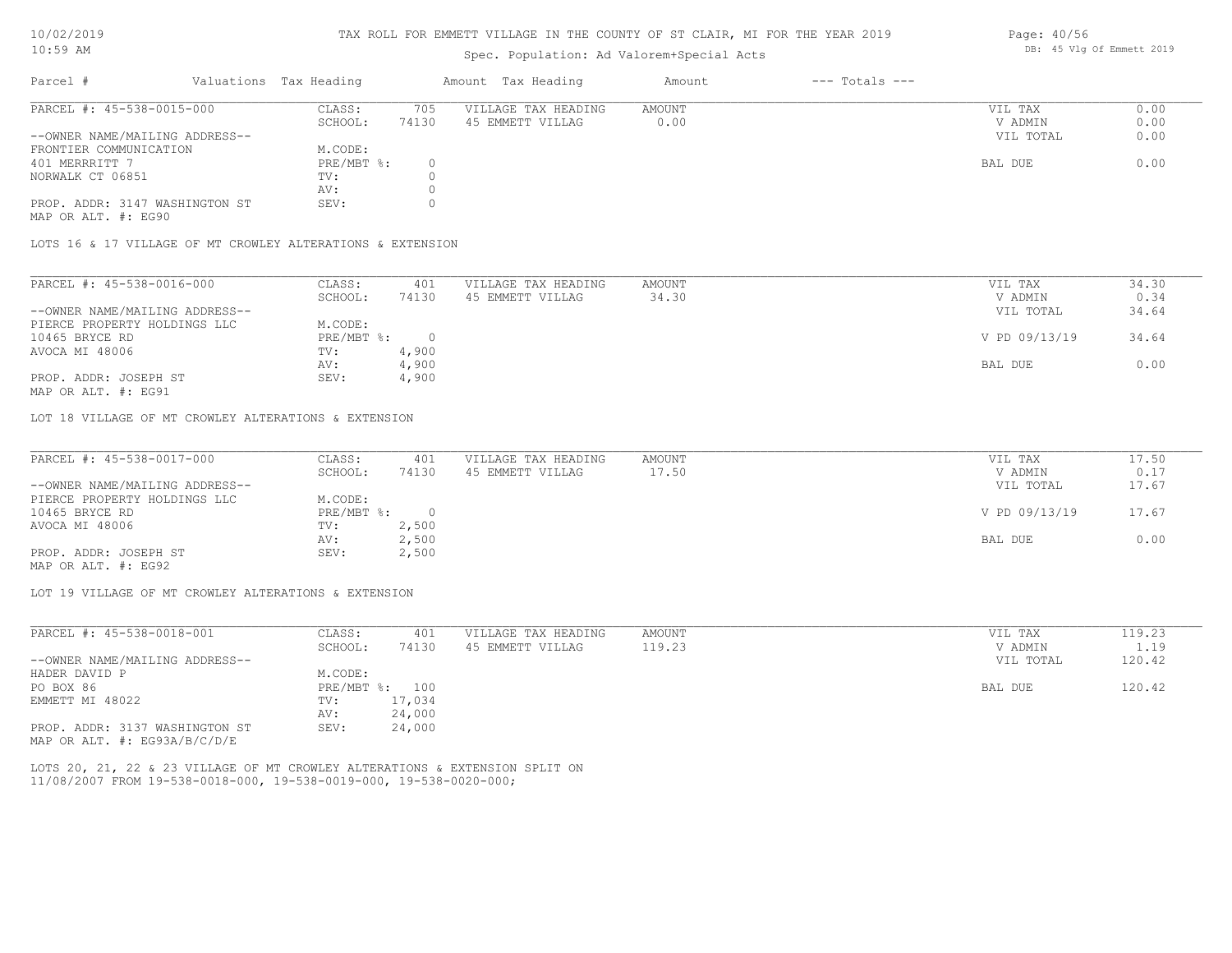#### TAX ROLL FOR EMMETT VILLAGE IN THE COUNTY OF ST CLAIR, MI FOR THE YEAR 2019

### Spec. Population: Ad Valorem+Special Acts

| Parcel #                       | Valuations Tax Heading |       | Amount Tax Heading  | Amount | $---$ Totals $---$ |           |      |
|--------------------------------|------------------------|-------|---------------------|--------|--------------------|-----------|------|
| PARCEL #: 45-538-0015-000      | CLASS:                 | 705   | VILLAGE TAX HEADING | AMOUNT |                    | VIL TAX   | 0.00 |
|                                | SCHOOL:                | 74130 | 45 EMMETT VILLAG    | 0.00   |                    | V ADMIN   | 0.00 |
| --OWNER NAME/MAILING ADDRESS-- |                        |       |                     |        |                    | VIL TOTAL | 0.00 |
| FRONTIER COMMUNICATION         | M.CODE:                |       |                     |        |                    |           |      |
| 401 MERRRITT 7                 | PRE/MBT %:             |       |                     |        |                    | BAL DUE   | 0.00 |
| NORWALK CT 06851               | TV:                    |       |                     |        |                    |           |      |
|                                | AV:                    |       |                     |        |                    |           |      |
| PROP. ADDR: 3147 WASHINGTON ST | SEV:                   |       |                     |        |                    |           |      |

MAP OR ALT. #: EG90

LOTS 16 & 17 VILLAGE OF MT CROWLEY ALTERATIONS & EXTENSION

| PARCEL #: 45-538-0016-000      | CLASS:     | 401   | VILLAGE TAX HEADING | AMOUNT | VIL TAX       | 34.30 |
|--------------------------------|------------|-------|---------------------|--------|---------------|-------|
|                                | SCHOOL:    | 74130 | 45 EMMETT VILLAG    | 34.30  | V ADMIN       | 0.34  |
| --OWNER NAME/MAILING ADDRESS-- |            |       |                     |        | VIL TOTAL     | 34.64 |
| PIERCE PROPERTY HOLDINGS LLC   | M.CODE:    |       |                     |        |               |       |
| 10465 BRYCE RD                 | PRE/MBT %: |       |                     |        | V PD 09/13/19 | 34.64 |
| AVOCA MI 48006                 | TV:        | 4,900 |                     |        |               |       |
|                                | AV:        | 4,900 |                     |        | BAL DUE       | 0.00  |
| PROP. ADDR: JOSEPH ST          | SEV:       | 4,900 |                     |        |               |       |
|                                |            |       |                     |        |               |       |

MAP OR ALT. #: EG91

LOT 18 VILLAGE OF MT CROWLEY ALTERATIONS & EXTENSION

| PARCEL #: 45-538-0017-000      | CLASS:     | 401   | VILLAGE TAX HEADING | AMOUNT | VIL TAX       | 17.50 |
|--------------------------------|------------|-------|---------------------|--------|---------------|-------|
|                                | SCHOOL:    | 74130 | 45 EMMETT VILLAG    | 17.50  | V ADMIN       | 0.17  |
| --OWNER NAME/MAILING ADDRESS-- |            |       |                     |        | VIL TOTAL     | 17.67 |
| PIERCE PROPERTY HOLDINGS LLC   | M.CODE:    |       |                     |        |               |       |
| 10465 BRYCE RD                 | PRE/MBT %: |       |                     |        | V PD 09/13/19 | 17.67 |
| AVOCA MI 48006                 | TV:        | 2,500 |                     |        |               |       |
|                                | AV:        | 2,500 |                     |        | BAL DUE       | 0.00  |
| PROP. ADDR: JOSEPH ST          | SEV:       | 2,500 |                     |        |               |       |
|                                |            |       |                     |        |               |       |

MAP OR ALT. #: EG92

LOT 19 VILLAGE OF MT CROWLEY ALTERATIONS & EXTENSION

| PARCEL #: 45-538-0018-001      | CLASS:  | 401            | VILLAGE TAX HEADING | AMOUNT | VIL TAX   | 119.23 |
|--------------------------------|---------|----------------|---------------------|--------|-----------|--------|
|                                | SCHOOL: | 74130          | 45 EMMETT VILLAG    | 119.23 | V ADMIN   | 1.19   |
| --OWNER NAME/MAILING ADDRESS-- |         |                |                     |        | VIL TOTAL | 120.42 |
| HADER DAVID P                  | M.CODE: |                |                     |        |           |        |
| PO BOX 86                      |         | PRE/MBT %: 100 |                     |        | BAL DUE   | 120.42 |
| EMMETT MI 48022                | TV:     | 17,034         |                     |        |           |        |
|                                | AV:     | 24,000         |                     |        |           |        |
| PROP. ADDR: 3137 WASHINGTON ST | SEV:    | 24,000         |                     |        |           |        |
| MAP OR ALT. #: EG93A/B/C/D/E   |         |                |                     |        |           |        |

11/08/2007 FROM 19-538-0018-000, 19-538-0019-000, 19-538-0020-000; LOTS 20, 21, 22 & 23 VILLAGE OF MT CROWLEY ALTERATIONS & EXTENSION SPLIT ON Page: 40/56 DB: 45 Vlg Of Emmett 2019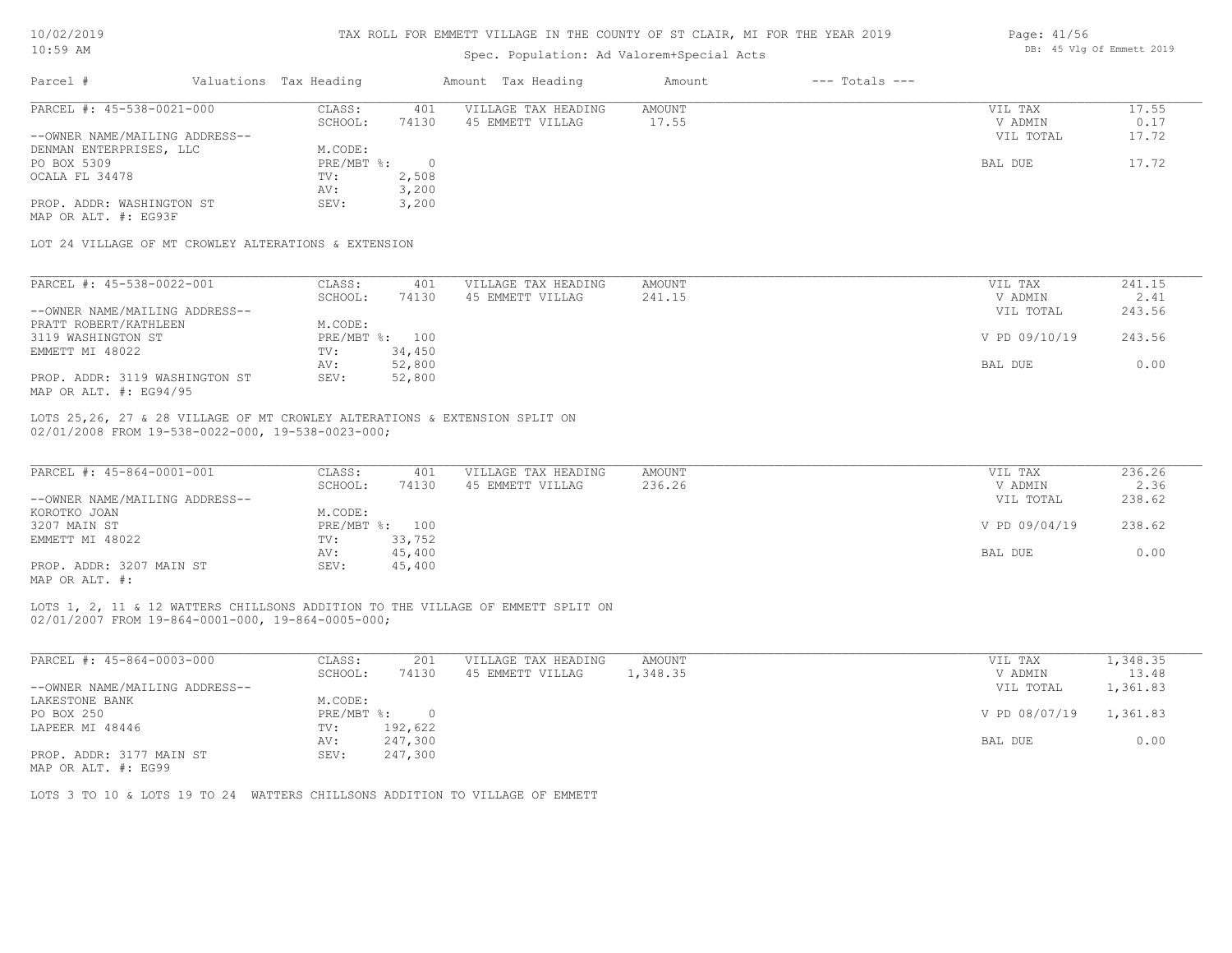| 10/02/2019 |  |
|------------|--|
| 10 . 50 MM |  |

| Page: 41/56 |  |                           |  |
|-------------|--|---------------------------|--|
|             |  | DB: 45 Vlg Of Emmett 2019 |  |

| TO: JA HM                                                                  |                        | Spec. Population: Ad Valorem+Special Acts |                     |               |                    | DD. TU VIY UL EMMELL ZUIJ |        |  |  |
|----------------------------------------------------------------------------|------------------------|-------------------------------------------|---------------------|---------------|--------------------|---------------------------|--------|--|--|
| Parcel #                                                                   | Valuations Tax Heading |                                           | Amount Tax Heading  | Amount        | $---$ Totals $---$ |                           |        |  |  |
| PARCEL #: 45-538-0021-000                                                  | CLASS:                 | 401                                       | VILLAGE TAX HEADING | AMOUNT        |                    | VIL TAX                   | 17.55  |  |  |
|                                                                            | SCHOOL:                | 74130                                     | 45 EMMETT VILLAG    | 17.55         |                    | V ADMIN                   | 0.17   |  |  |
| --OWNER NAME/MAILING ADDRESS--                                             |                        |                                           |                     |               |                    | VIL TOTAL                 | 17.72  |  |  |
| DENMAN ENTERPRISES, LLC                                                    | M.CODE:                |                                           |                     |               |                    |                           |        |  |  |
| PO BOX 5309                                                                | PRE/MBT %:             | $\overline{0}$                            |                     |               |                    | BAL DUE                   | 17.72  |  |  |
| OCALA FL 34478                                                             | TV:                    | 2,508                                     |                     |               |                    |                           |        |  |  |
|                                                                            | AV:                    | 3,200                                     |                     |               |                    |                           |        |  |  |
| PROP. ADDR: WASHINGTON ST                                                  | SEV:                   | 3,200                                     |                     |               |                    |                           |        |  |  |
| MAP OR ALT. #: EG93F                                                       |                        |                                           |                     |               |                    |                           |        |  |  |
| LOT 24 VILLAGE OF MT CROWLEY ALTERATIONS & EXTENSION                       |                        |                                           |                     |               |                    |                           |        |  |  |
|                                                                            |                        |                                           |                     |               |                    |                           |        |  |  |
| PARCEL #: 45-538-0022-001                                                  | CLASS:                 | 401                                       | VILLAGE TAX HEADING | <b>AMOUNT</b> |                    | VIL TAX                   | 241.15 |  |  |
|                                                                            | SCHOOL:                | 74130                                     | 45 EMMETT VILLAG    | 241.15        |                    | V ADMIN                   | 2.41   |  |  |
| --OWNER NAME/MAILING ADDRESS--                                             |                        |                                           |                     |               |                    | VIL TOTAL                 | 243.56 |  |  |
| PRATT ROBERT/KATHLEEN                                                      | M.CODE:                |                                           |                     |               |                    |                           |        |  |  |
| 3119 WASHINGTON ST                                                         |                        | PRE/MBT %: 100                            |                     |               |                    | V PD 09/10/19             | 243.56 |  |  |
| EMMETT MI 48022                                                            | TV:                    | 34,450                                    |                     |               |                    |                           |        |  |  |
|                                                                            | AV:                    | 52,800                                    |                     |               |                    | BAL DUE                   | 0.00   |  |  |
| PROP. ADDR: 3119 WASHINGTON ST                                             | SEV:                   | 52,800                                    |                     |               |                    |                           |        |  |  |
| MAP OR ALT. #: EG94/95                                                     |                        |                                           |                     |               |                    |                           |        |  |  |
| LOTS 25,26, 27 & 28 VILLAGE OF MT CROWLEY ALTERATIONS & EXTENSION SPLIT ON |                        |                                           |                     |               |                    |                           |        |  |  |
| 02/01/2008 FROM 19-538-0022-000, 19-538-0023-000;                          |                        |                                           |                     |               |                    |                           |        |  |  |
|                                                                            |                        |                                           |                     |               |                    |                           |        |  |  |
| PARCEL #: 45-864-0001-001                                                  | CLASS:                 | 401                                       | VILLAGE TAX HEADING | AMOUNT        |                    | VIL TAX                   | 236.26 |  |  |
|                                                                            | SCHOOL:                | 74130                                     | 45 EMMETT VILLAG    | 236.26        |                    | V ADMIN                   | 2.36   |  |  |
| --OWNER NAME/MAILING ADDRESS--                                             |                        |                                           |                     |               |                    | VIL TOTAL                 | 238.62 |  |  |
| KOROTKO JOAN                                                               | M.CODE:                |                                           |                     |               |                    |                           |        |  |  |

| UNITED THEFT / INSTEAD IN PICTOR |              |        |  |               | ------ |
|----------------------------------|--------------|--------|--|---------------|--------|
| KOROTKO JOAN                     | A.CODE:      |        |  |               |        |
| 3207 MAIN ST                     | $PRE/MBT$ %: | 100    |  | V PD 09/04/19 | 238.62 |
| EMMETT MI 48022                  | TV:          | 33,752 |  |               |        |
|                                  | AV:          | 45,400 |  | BAL DUE       | J.00   |
| PROP. ADDR: 3207 MAIN ST         | SEV:         | 45,400 |  |               |        |
|                                  |              |        |  |               |        |

MAP OR ALT. #:

02/01/2007 FROM 19-864-0001-000, 19-864-0005-000; LOTS 1, 2, 11 & 12 WATTERS CHILLSONS ADDITION TO THE VILLAGE OF EMMETT SPLIT ON

| PARCEL #: 45-864-0003-000      | CLASS:       | 201     | VILLAGE TAX HEADING | AMOUNT   | VIL TAX       | 1,348.35 |
|--------------------------------|--------------|---------|---------------------|----------|---------------|----------|
|                                | SCHOOL:      | 74130   | 45 EMMETT VILLAG    | 1,348.35 | V ADMIN       | 13.48    |
| --OWNER NAME/MAILING ADDRESS-- |              |         |                     |          | VIL TOTAL     | 1,361.83 |
| LAKESTONE BANK                 | M.CODE:      |         |                     |          |               |          |
| PO BOX 250                     | $PRE/MBT$ %: | $\Box$  |                     |          | V PD 08/07/19 | 1,361.83 |
| LAPEER MI 48446                | TV:          | 192,622 |                     |          |               |          |
|                                | AV:          | 247,300 |                     |          | BAL DUE       | 0.00     |
| PROP. ADDR: 3177 MAIN ST       | SEV:         | 247,300 |                     |          |               |          |

MAP OR ALT. #: EG99

LOTS 3 TO 10 & LOTS 19 TO 24 WATTERS CHILLSONS ADDITION TO VILLAGE OF EMMETT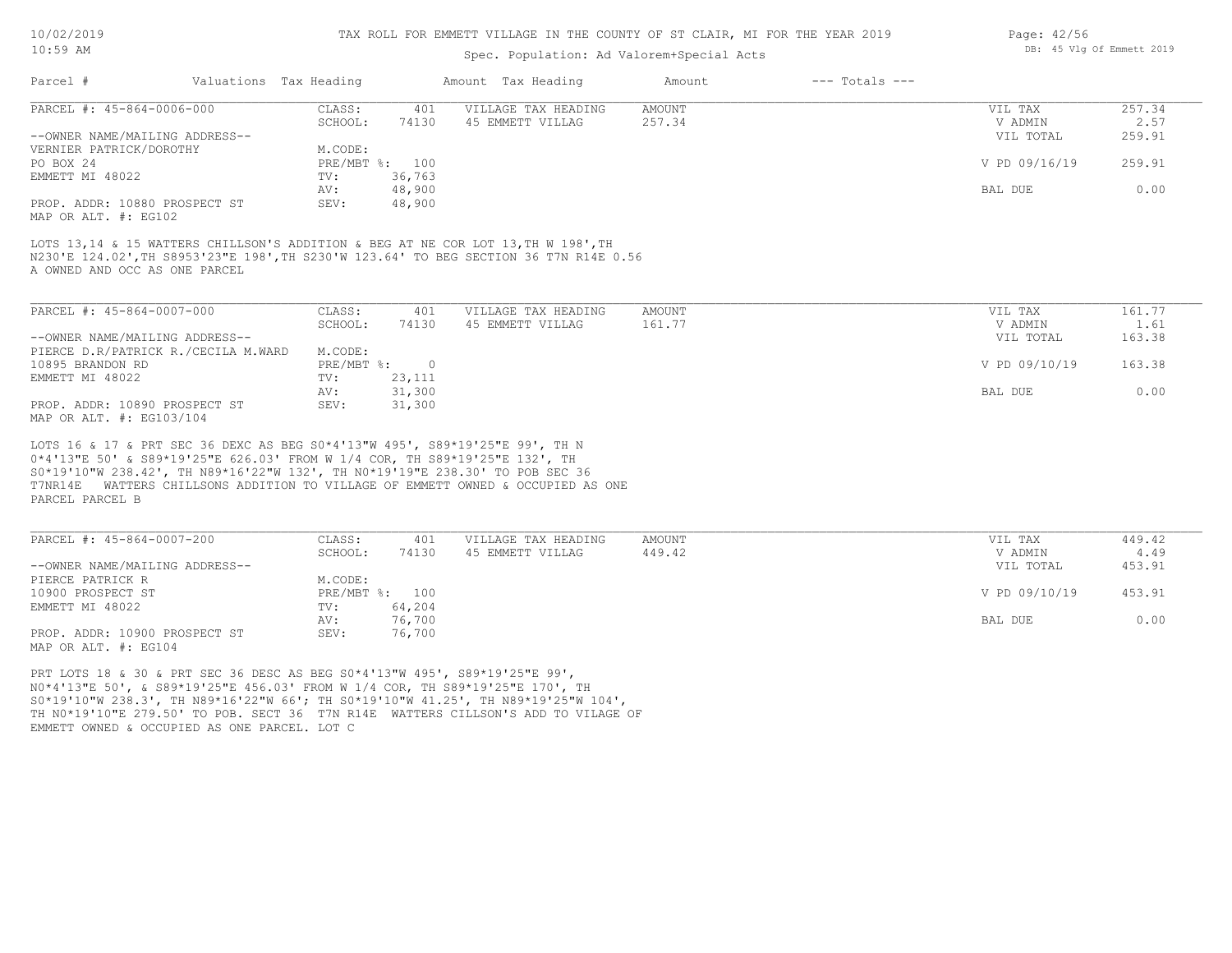#### TAX ROLL FOR EMMETT VILLAGE IN THE COUNTY OF ST CLAIR, MI FOR THE YEAR 2019

### Spec. Population: Ad Valorem+Special Acts

| Page: 42/56 |  |                           |  |
|-------------|--|---------------------------|--|
|             |  | DB: 45 Vlg Of Emmett 2019 |  |

| Parcel #                       | Valuations Tax Heading |                | Amount Tax Heading  | Amount | $---$ Totals $---$ |               |        |
|--------------------------------|------------------------|----------------|---------------------|--------|--------------------|---------------|--------|
| PARCEL #: 45-864-0006-000      | CLASS:                 | 401            | VILLAGE TAX HEADING | AMOUNT |                    | VIL TAX       | 257.34 |
|                                | SCHOOL:                | 74130          | 45 EMMETT VILLAG    | 257.34 |                    | V ADMIN       | 2.57   |
| --OWNER NAME/MAILING ADDRESS-- |                        |                |                     |        |                    | VIL TOTAL     | 259.91 |
| VERNIER PATRICK/DOROTHY        | M.CODE:                |                |                     |        |                    |               |        |
| PO BOX 24                      |                        | PRE/MBT %: 100 |                     |        |                    | V PD 09/16/19 | 259.91 |
| EMMETT MI 48022                | TV:                    | 36,763         |                     |        |                    |               |        |
|                                | AV:                    | 48,900         |                     |        |                    | BAL DUE       | 0.00   |
| PROP. ADDR: 10880 PROSPECT ST  | SEV:                   | 48,900         |                     |        |                    |               |        |
| MAP OR ALT. #: EG102           |                        |                |                     |        |                    |               |        |

A OWNED AND OCC AS ONE PARCEL N230'E 124.02',TH S8953'23"E 198',TH S230'W 123.64' TO BEG SECTION 36 T7N R14E 0.56 LOTS 13,14 & 15 WATTERS CHILLSON'S ADDITION & BEG AT NE COR LOT 13, TH W 198', TH

| PARCEL #: 45-864-0007-000           | CLASS:     | 401    | VILLAGE TAX HEADING | AMOUNT | VIL TAX       | 161.77 |
|-------------------------------------|------------|--------|---------------------|--------|---------------|--------|
|                                     | SCHOOL:    | 74130  | 45 EMMETT VILLAG    | 161.77 | V ADMIN       | 1.61   |
| --OWNER NAME/MAILING ADDRESS--      |            |        |                     |        | VIL TOTAL     | 163.38 |
| PIERCE D.R/PATRICK R./CECILA M.WARD | M.CODE:    |        |                     |        |               |        |
| 10895 BRANDON RD                    | PRE/MBT %: |        |                     |        | V PD 09/10/19 | 163.38 |
| EMMETT MI 48022                     | TV:        | 23,111 |                     |        |               |        |
|                                     | AV:        | 31,300 |                     |        | BAL DUE       | 0.00   |
| PROP. ADDR: 10890 PROSPECT ST       | SEV:       | 31,300 |                     |        |               |        |
| MAP OR ALT. #: EG103/104            |            |        |                     |        |               |        |

PARCEL PARCEL B T7NR14E WATTERS CHILLSONS ADDITION TO VILLAGE OF EMMETT OWNED & OCCUPIED AS ONE S0\*19'10"W 238.42', TH N89\*16'22"W 132', TH N0\*19'19"E 238.30' TO POB SEC 36 0\*4'13"E 50' & S89\*19'25"E 626.03' FROM W 1/4 COR, TH S89\*19'25"E 132', TH LOTS 16 & 17 & PRT SEC 36 DEXC AS BEG S0\*4'13"W 495', S89\*19'25"E 99', TH N

| PARCEL #: 45-864-0007-200      | CLASS:  | 401            | VILLAGE TAX HEADING | AMOUNT | VIL TAX       | 449.42 |
|--------------------------------|---------|----------------|---------------------|--------|---------------|--------|
|                                | SCHOOL: | 74130          | 45 EMMETT VILLAG    | 449.42 | V ADMIN       | 4.49   |
| --OWNER NAME/MAILING ADDRESS-- |         |                |                     |        | VIL TOTAL     | 453.91 |
| PIERCE PATRICK R               | M.CODE: |                |                     |        |               |        |
| 10900 PROSPECT ST              |         | PRE/MBT %: 100 |                     |        | V PD 09/10/19 | 453.91 |
| EMMETT MI 48022                | TV:     | 64,204         |                     |        |               |        |
|                                | AV:     | 76,700         |                     |        | BAL DUE       | 0.00   |
| PROP. ADDR: 10900 PROSPECT ST  | SEV:    | 76,700         |                     |        |               |        |
| MAP OR ALT. #: EG104           |         |                |                     |        |               |        |

EMMETT OWNED & OCCUPIED AS ONE PARCEL. LOT C TH N0\*19'10"E 279.50' TO POB. SECT 36 T7N R14E WATTERS CILLSON'S ADD TO VILAGE OF S0\*19'10"W 238.3', TH N89\*16'22"W 66'; TH S0\*19'10"W 41.25', TH N89\*19'25"W 104', N0\*4'13"E 50', & S89\*19'25"E 456.03' FROM W 1/4 COR, TH S89\*19'25"E 170', TH PRT LOTS 18 & 30 & PRT SEC 36 DESC AS BEG S0\*4'13"W 495', S89\*19'25"E 99',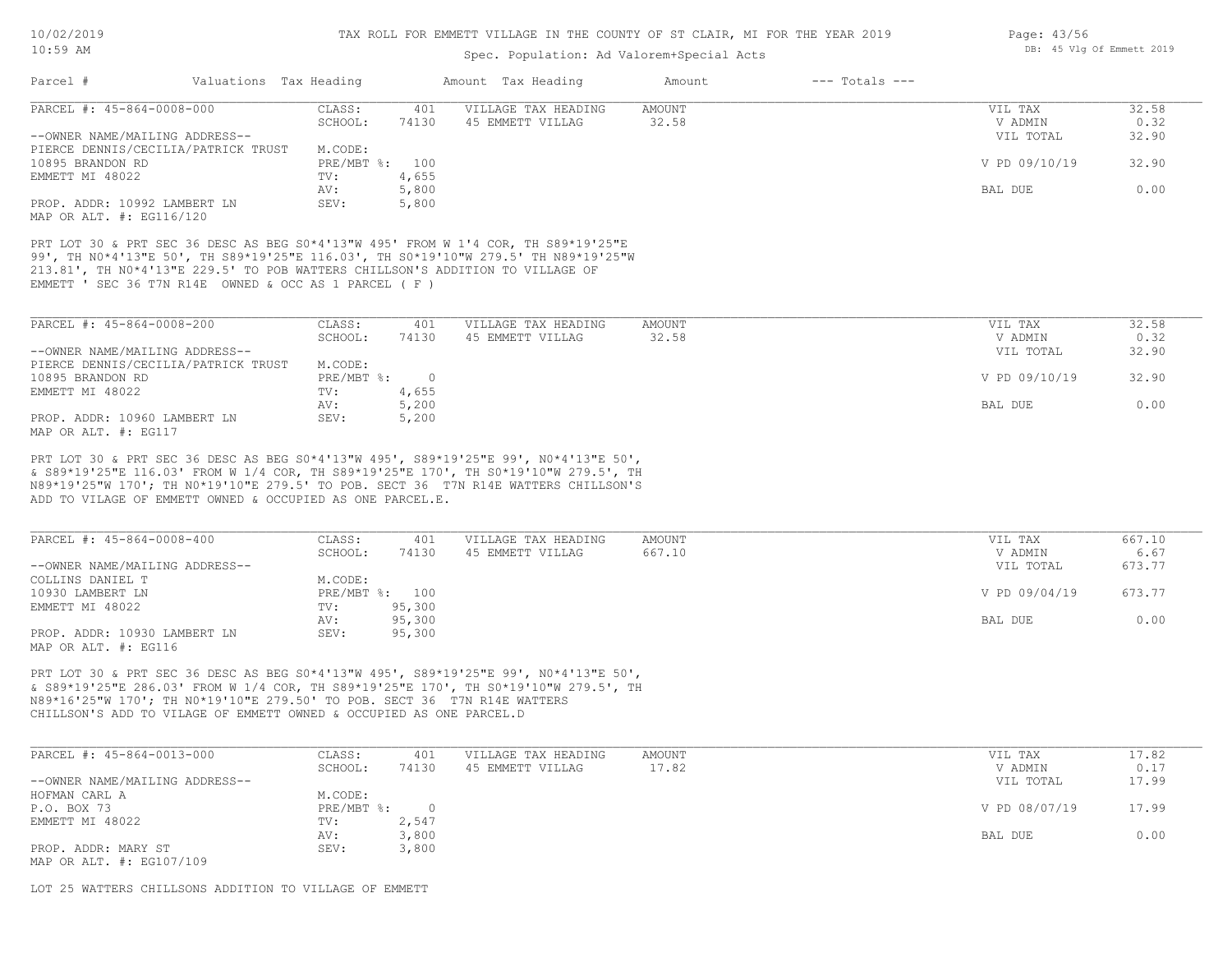### Spec. Population: Ad Valorem+Special Acts

| Parcel #<br>$---$ Totals $---$<br>Valuations Tax Heading<br>Amount Tax Heading<br>Amount<br>CLASS:<br>401<br>VILLAGE TAX HEADING<br><b>AMOUNT</b><br>VIL TAX<br>74130<br>45 EMMETT VILLAG<br>32.58<br>SCHOOL:<br>V ADMIN<br>VIL TOTAL<br>M.CODE:<br>V PD 09/10/19<br>PRE/MBT %: 100 | 32.58<br>0.32<br>32.90<br>32.90 |
|-------------------------------------------------------------------------------------------------------------------------------------------------------------------------------------------------------------------------------------------------------------------------------------|---------------------------------|
| PARCEL #: 45-864-0008-000<br>--OWNER NAME/MAILING ADDRESS--<br>PIERCE DENNIS/CECILIA/PATRICK TRUST<br>10895 BRANDON RD                                                                                                                                                              |                                 |
|                                                                                                                                                                                                                                                                                     |                                 |
|                                                                                                                                                                                                                                                                                     |                                 |
|                                                                                                                                                                                                                                                                                     |                                 |
|                                                                                                                                                                                                                                                                                     |                                 |
|                                                                                                                                                                                                                                                                                     |                                 |
| 4,655<br>EMMETT MI 48022<br>TV:                                                                                                                                                                                                                                                     |                                 |
| 5,800<br>AV:<br>BAL DUE                                                                                                                                                                                                                                                             | 0.00                            |
| PROP. ADDR: 10992 LAMBERT LN<br>SEV:<br>5,800<br>MAP OR ALT. #: EG116/120                                                                                                                                                                                                           |                                 |
|                                                                                                                                                                                                                                                                                     |                                 |
| PRT LOT 30 & PRT SEC 36 DESC AS BEG S0*4'13"W 495' FROM W 1'4 COR, TH S89*19'25"E                                                                                                                                                                                                   |                                 |
| 99', TH NO*4'13"E 50', TH S89*19'25"E 116.03', TH SO*19'10"W 279.5' TH N89*19'25"W                                                                                                                                                                                                  |                                 |
| 213.81', TH NO*4'13"E 229.5' TO POB WATTERS CHILLSON'S ADDITION TO VILLAGE OF                                                                                                                                                                                                       |                                 |
| EMMETT ' SEC 36 T7N R14E OWNED & OCC AS 1 PARCEL (F)                                                                                                                                                                                                                                |                                 |
|                                                                                                                                                                                                                                                                                     |                                 |
|                                                                                                                                                                                                                                                                                     |                                 |
| PARCEL #: 45-864-0008-200<br>CLASS:<br>VILLAGE TAX HEADING<br>AMOUNT<br>401<br>VIL TAX                                                                                                                                                                                              | 32.58                           |
| 74130<br>45 EMMETT VILLAG<br>32.58<br>SCHOOL:<br>V ADMIN                                                                                                                                                                                                                            | 0.32                            |
| --OWNER NAME/MAILING ADDRESS--<br>VIL TOTAL                                                                                                                                                                                                                                         | 32.90                           |
| PIERCE DENNIS/CECILIA/PATRICK TRUST<br>M.CODE:                                                                                                                                                                                                                                      |                                 |
| V PD 09/10/19<br>10895 BRANDON RD<br>$PRE/MBT$ $\frac{1}{6}$ : 0                                                                                                                                                                                                                    | 32.90                           |
| EMMETT MI 48022<br>TV:<br>4,655                                                                                                                                                                                                                                                     |                                 |
| 5,200<br>AV:<br>BAL DUE                                                                                                                                                                                                                                                             | 0.00                            |
| PROP. ADDR: 10960 LAMBERT LN<br>5,200<br>SEV:                                                                                                                                                                                                                                       |                                 |
| MAP OR ALT. #: EG117                                                                                                                                                                                                                                                                |                                 |
| PRT LOT 30 & PRT SEC 36 DESC AS BEG S0*4'13"W 495', S89*19'25"E 99', N0*4'13"E 50',                                                                                                                                                                                                 |                                 |
| & S89*19'25"E 116.03' FROM W 1/4 COR, TH S89*19'25"E 170', TH S0*19'10"W 279.5', TH                                                                                                                                                                                                 |                                 |
| N89*19'25"W 170'; TH N0*19'10"E 279.5' TO POB. SECT 36 T7N R14E WATTERS CHILLSON'S                                                                                                                                                                                                  |                                 |
| ADD TO VILAGE OF EMMETT OWNED & OCCUPIED AS ONE PARCEL.E.                                                                                                                                                                                                                           |                                 |
|                                                                                                                                                                                                                                                                                     |                                 |
|                                                                                                                                                                                                                                                                                     |                                 |
| PARCEL #: 45-864-0008-400<br>VILLAGE TAX HEADING<br>AMOUNT<br>CLASS:<br>401<br>VIL TAX                                                                                                                                                                                              | 667.10                          |
| 667.10<br>74130<br>45 EMMETT VILLAG<br>V ADMIN<br>SCHOOL:                                                                                                                                                                                                                           | 6.67                            |
| --OWNER NAME/MAILING ADDRESS--<br>VIL TOTAL                                                                                                                                                                                                                                         | 673.77                          |
| COLLINS DANIEL T<br>M.CODE:                                                                                                                                                                                                                                                         |                                 |
| 10930 LAMBERT LN<br>PRE/MBT %: 100<br>V PD 09/04/19                                                                                                                                                                                                                                 | 673.77                          |
| EMMETT MI 48022<br>95,300<br>TV:                                                                                                                                                                                                                                                    |                                 |
| 95,300<br>AV:<br>BAL DUE                                                                                                                                                                                                                                                            | 0.00                            |

MAP OR ALT. #: EG116 PROP. ADDR: 10930 LAMBERT LN SEV: 95,300

CHILLSON'S ADD TO VILAGE OF EMMETT OWNED & OCCUPIED AS ONE PARCEL.D N89\*16'25"W 170'; TH N0\*19'10"E 279.50' TO POB. SECT 36 T7N R14E WATTERS & S89\*19'25"E 286.03' FROM W 1/4 COR, TH S89\*19'25"E 170', TH S0\*19'10"W 279.5', TH PRT LOT 30 & PRT SEC 36 DESC AS BEG S0\*4'13"W 495', S89\*19'25"E 99', N0\*4'13"E 50',

| PARCEL #: 45-864-0013-000      | CLASS:       | 401   | VILLAGE TAX HEADING | AMOUNT | VIL TAX       | 17.82 |
|--------------------------------|--------------|-------|---------------------|--------|---------------|-------|
|                                | SCHOOL:      | 74130 | 45 EMMETT VILLAG    | 17.82  | V ADMIN       | 0.17  |
| --OWNER NAME/MAILING ADDRESS-- |              |       |                     |        | VIL TOTAL     | 17.99 |
| HOFMAN CARL A                  | M.CODE:      |       |                     |        |               |       |
| P.O. BOX 73                    | $PRE/MBT$ %: |       |                     |        | V PD 08/07/19 | 17.99 |
| EMMETT MI 48022                | TV:          | 2,547 |                     |        |               |       |
|                                | AV:          | 3,800 |                     |        | BAL DUE       | 0.00  |
| PROP. ADDR: MARY ST            | SEV:         | 3,800 |                     |        |               |       |
| MAP OR ALT. #: EG107/109       |              |       |                     |        |               |       |

LOT 25 WATTERS CHILLSONS ADDITION TO VILLAGE OF EMMETT

Page: 43/56 DB: 45 Vlg Of Emmett 2019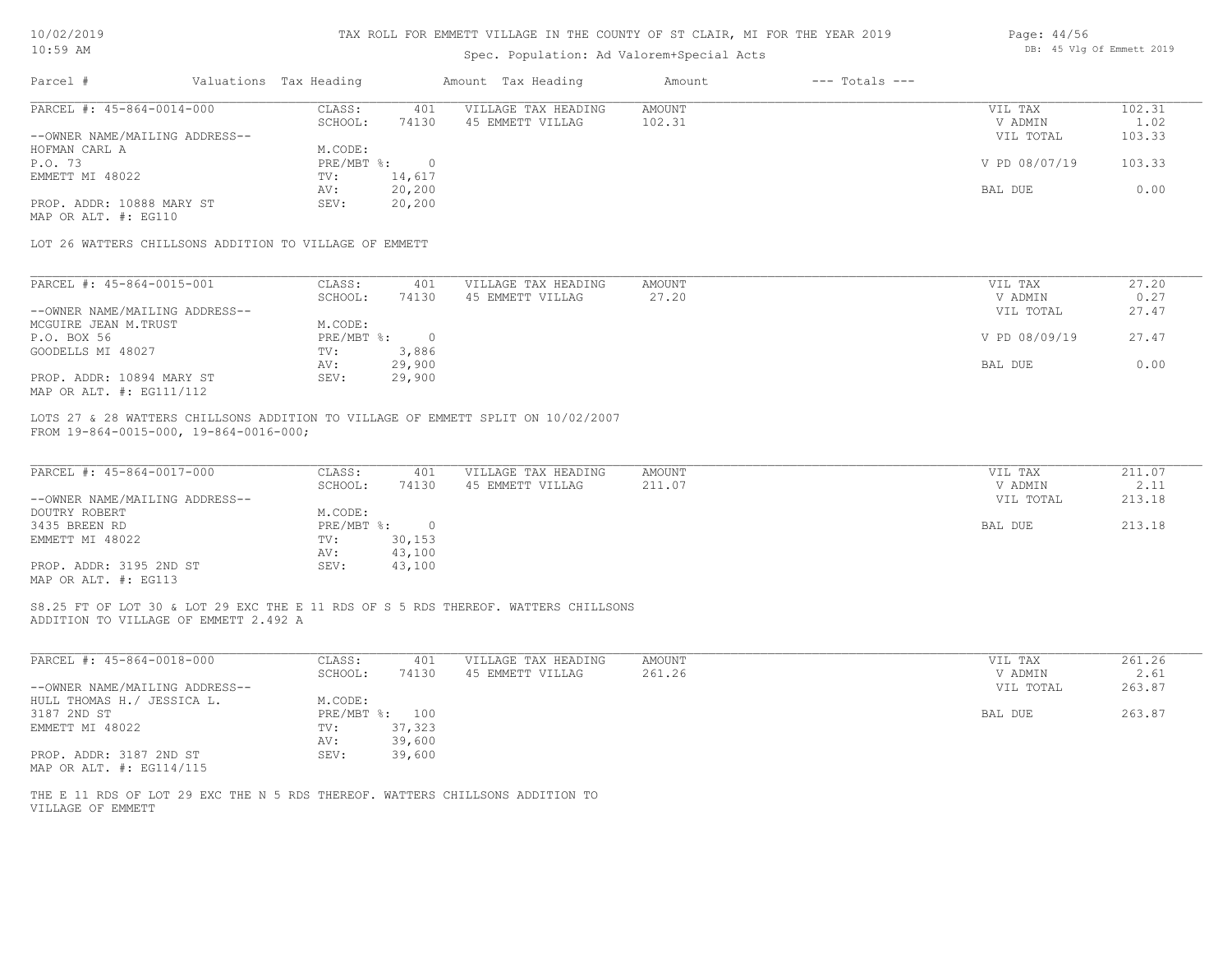| 10/02/2019 |  |
|------------|--|
| $10:59$ AM |  |

# Spec. Population: Ad Valorem+Special Acts

| Page: 44/56 |  |                           |  |
|-------------|--|---------------------------|--|
|             |  | DB: 45 Vlg Of Emmett 2019 |  |

| PARCEL #: 45-864-0014-000                                                                                                   |                                                           |                                         |                         |                                 |                          |
|-----------------------------------------------------------------------------------------------------------------------------|-----------------------------------------------------------|-----------------------------------------|-------------------------|---------------------------------|--------------------------|
| --OWNER NAME/MAILING ADDRESS--                                                                                              | CLASS:<br>401<br>SCHOOL:<br>74130                         | VILLAGE TAX HEADING<br>45 EMMETT VILLAG | <b>AMOUNT</b><br>102.31 | VIL TAX<br>V ADMIN<br>VIL TOTAL | 102.31<br>1.02<br>103.33 |
| HOFMAN CARL A<br>P.O. 73                                                                                                    | M.CODE:<br>PRE/MBT %: 0                                   |                                         |                         | V PD 08/07/19                   | 103.33                   |
| EMMETT MI 48022                                                                                                             | 14,617<br>TV:<br>AV:<br>20,200                            |                                         |                         | BAL DUE                         | 0.00                     |
| PROP. ADDR: 10888 MARY ST<br>MAP OR ALT. #: EG110                                                                           | 20,200<br>SEV:                                            |                                         |                         |                                 |                          |
| LOT 26 WATTERS CHILLSONS ADDITION TO VILLAGE OF EMMETT                                                                      |                                                           |                                         |                         |                                 |                          |
| PARCEL #: 45-864-0015-001                                                                                                   | CLASS:<br>401                                             | VILLAGE TAX HEADING                     | <b>AMOUNT</b>           | VIL TAX                         | 27.20                    |
| --OWNER NAME/MAILING ADDRESS--                                                                                              | SCHOOL:<br>74130                                          | 45 EMMETT VILLAG                        | 27.20                   | V ADMIN<br>VIL TOTAL            | 0.27<br>27.47            |
| MCGUIRE JEAN M.TRUST<br>P.O. BOX 56                                                                                         | M.CODE:<br>$PRE/MBT$ $\div$ 0                             |                                         |                         | V PD 08/09/19                   | 27.47                    |
| GOODELLS MI 48027                                                                                                           | 3,886<br>$\texttt{TV}$ :                                  |                                         |                         |                                 |                          |
| PROP. ADDR: 10894 MARY ST<br>MAP OR ALT. #: EG111/112                                                                       | 29,900<br>AV:<br>29,900<br>SEV:                           |                                         |                         | BAL DUE                         | 0.00                     |
| FROM 19-864-0015-000, 19-864-0016-000;                                                                                      |                                                           |                                         |                         |                                 |                          |
| PARCEL #: 45-864-0017-000<br>--OWNER NAME/MAILING ADDRESS--<br>DOUTRY ROBERT                                                | CLASS:<br>401<br>SCHOOL:<br>74130<br>M.CODE:              | VILLAGE TAX HEADING<br>45 EMMETT VILLAG | AMOUNT<br>211.07        | VIL TAX<br>V ADMIN<br>VIL TOTAL | 211.07<br>2.11<br>213.18 |
| 3435 BREEN RD<br>EMMETT MI 48022                                                                                            | $PRE/MBT$ %:<br>$\overline{\phantom{0}}$<br>TV:<br>30,153 |                                         |                         | BAL DUE                         | 213.18                   |
| PROP. ADDR: 3195 2ND ST<br>MAP OR ALT. #: EG113                                                                             | 43,100<br>AV:<br>43,100<br>SEV:                           |                                         |                         |                                 |                          |
| S8.25 FT OF LOT 30 & LOT 29 EXC THE E 11 RDS OF S 5 RDS THEREOF. WATTERS CHILLSONS<br>ADDITION TO VILLAGE OF EMMETT 2.492 A |                                                           |                                         |                         |                                 |                          |
| PARCEL #: 45-864-0018-000                                                                                                   | CLASS:<br>401<br>SCHOOL:<br>74130                         | VILLAGE TAX HEADING<br>45 EMMETT VILLAG | <b>AMOUNT</b><br>261.26 | VIL TAX<br>V ADMIN              | 261.26<br>2.61           |
| --OWNER NAME/MAILING ADDRESS--<br>HULL THOMAS H./ JESSICA L.                                                                | M.CODE:                                                   |                                         |                         | VIL TOTAL                       | 263.87                   |
| 3187 2ND ST<br>EMMETT MI 48022                                                                                              | PRE/MBT %: 100<br>37,323<br>TV:                           |                                         |                         | BAL DUE                         | 263.87                   |
| PROP. ADDR: 3187 2ND ST<br>MAP OR ALT. #: EG114/115                                                                         | AV:<br>39,600<br>SEV: 39,600                              |                                         |                         |                                 |                          |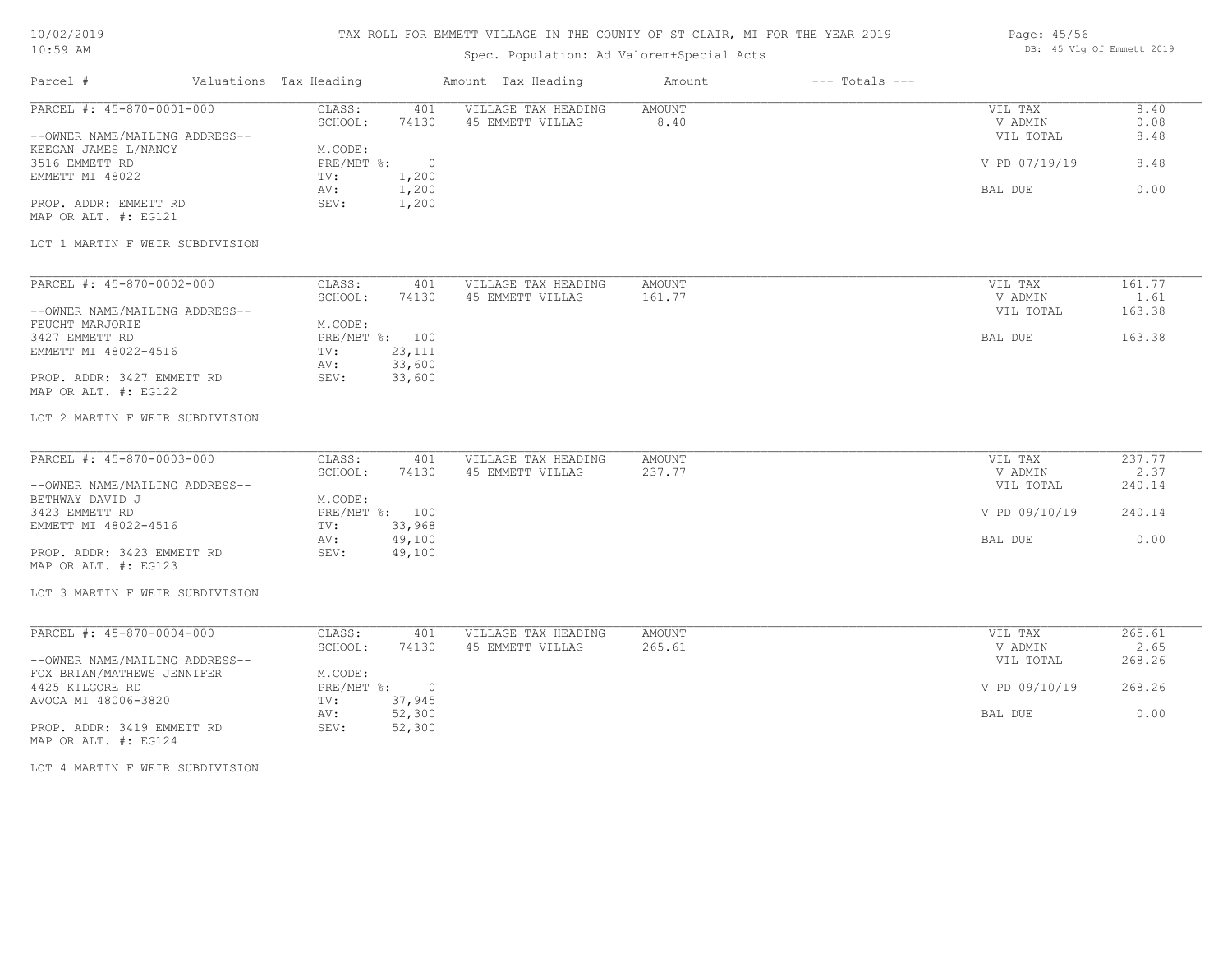### TAX ROLL FOR EMMETT VILLAGE IN THE COUNTY OF ST CLAIR, MI FOR THE YEAR 2019

#### Page: 45/56 DB: 45 Vlg Of Emmett 2019

| TA: 22 YEAR                                                  |                                                  | Spec. Population: Ad Valorem+Special Acts |                              |                      | DD. TO VIG OF BREECH 2019 |
|--------------------------------------------------------------|--------------------------------------------------|-------------------------------------------|------------------------------|----------------------|---------------------------|
| Parcel #                                                     | Valuations Tax Heading                           | Amount Tax Heading                        | $---$ Totals $---$<br>Amount |                      |                           |
| PARCEL #: 45-870-0001-000                                    | CLASS:<br>401<br>SCHOOL:<br>74130                | VILLAGE TAX HEADING<br>45 EMMETT VILLAG   | AMOUNT<br>8.40               | VIL TAX<br>V ADMIN   | 8.40<br>0.08              |
| --OWNER NAME/MAILING ADDRESS--<br>KEEGAN JAMES L/NANCY       | M.CODE:                                          |                                           |                              | VIL TOTAL            | 8.48                      |
| 3516 EMMETT RD<br>EMMETT MI 48022                            | PRE/MBT %:<br>$\overline{0}$<br>1,200<br>TV:     |                                           |                              | V PD 07/19/19        | 8.48                      |
| PROP. ADDR: EMMETT RD                                        | 1,200<br>AV:<br>SEV:<br>1,200                    |                                           |                              | BAL DUE              | 0.00                      |
| MAP OR ALT. #: EG121<br>LOT 1 MARTIN F WEIR SUBDIVISION      |                                                  |                                           |                              |                      |                           |
|                                                              |                                                  |                                           |                              |                      |                           |
| PARCEL #: 45-870-0002-000                                    | CLASS:<br>401<br>SCHOOL:<br>74130                | VILLAGE TAX HEADING<br>45 EMMETT VILLAG   | AMOUNT<br>161.77             | VIL TAX<br>V ADMIN   | 161.77<br>1.61            |
| --OWNER NAME/MAILING ADDRESS--<br>FEUCHT MARJORIE            | M.CODE:                                          |                                           |                              | VIL TOTAL            | 163.38                    |
| 3427 EMMETT RD<br>EMMETT MI 48022-4516                       | PRE/MBT %: 100<br>23,111<br>TV:<br>33,600<br>AV: |                                           |                              | BAL DUE              | 163.38                    |
| PROP. ADDR: 3427 EMMETT RD<br>MAP OR ALT. #: EG122           | 33,600<br>SEV:                                   |                                           |                              |                      |                           |
| LOT 2 MARTIN F WEIR SUBDIVISION                              |                                                  |                                           |                              |                      |                           |
| PARCEL #: 45-870-0003-000                                    | CLASS:<br>401                                    | VILLAGE TAX HEADING                       | AMOUNT                       | VIL TAX              | 237.77                    |
| --OWNER NAME/MAILING ADDRESS--                               | SCHOOL:<br>74130                                 | 45 EMMETT VILLAG                          | 237.77                       | V ADMIN<br>VIL TOTAL | 2.37<br>240.14            |
| BETHWAY DAVID J<br>3423 EMMETT RD<br>EMMETT MI 48022-4516    | M.CODE:<br>PRE/MBT %: 100<br>33,968              |                                           |                              | V PD 09/10/19        | 240.14                    |
| PROP. ADDR: 3423 EMMETT RD                                   | TV:<br>49,100<br>AV:<br>SEV:<br>49,100           |                                           |                              | BAL DUE              | 0.00                      |
| MAP OR ALT. #: EG123                                         |                                                  |                                           |                              |                      |                           |
| LOT 3 MARTIN F WEIR SUBDIVISION                              |                                                  |                                           |                              |                      |                           |
| PARCEL #: 45-870-0004-000                                    | CLASS:<br>401<br>SCHOOL:<br>74130                | VILLAGE TAX HEADING<br>45 EMMETT VILLAG   | AMOUNT<br>265.61             | VIL TAX<br>V ADMIN   | 265.61<br>2.65            |
| --OWNER NAME/MAILING ADDRESS--<br>FOX BRIAN/MATHEWS JENNIFER | M.CODE:                                          |                                           |                              | VIL TOTAL            | 268.26                    |
| 4425 KILGORE RD<br>AVOCA MI 48006-3820                       | PRE/MBT %:<br>$\overline{0}$<br>37,945<br>TV:    |                                           |                              | V PD 09/10/19        | 268.26                    |
| PROP. ADDR: 3419 EMMETT RD<br>MAP OR ALT. #: EG124           | 52,300<br>AV:<br>SEV:<br>52,300                  |                                           |                              | BAL DUE              | 0.00                      |
| LOT 4 MARTIN F WEIR SUBDIVISION                              |                                                  |                                           |                              |                      |                           |
|                                                              |                                                  |                                           |                              |                      |                           |
|                                                              |                                                  |                                           |                              |                      |                           |
|                                                              |                                                  |                                           |                              |                      |                           |
|                                                              |                                                  |                                           |                              |                      |                           |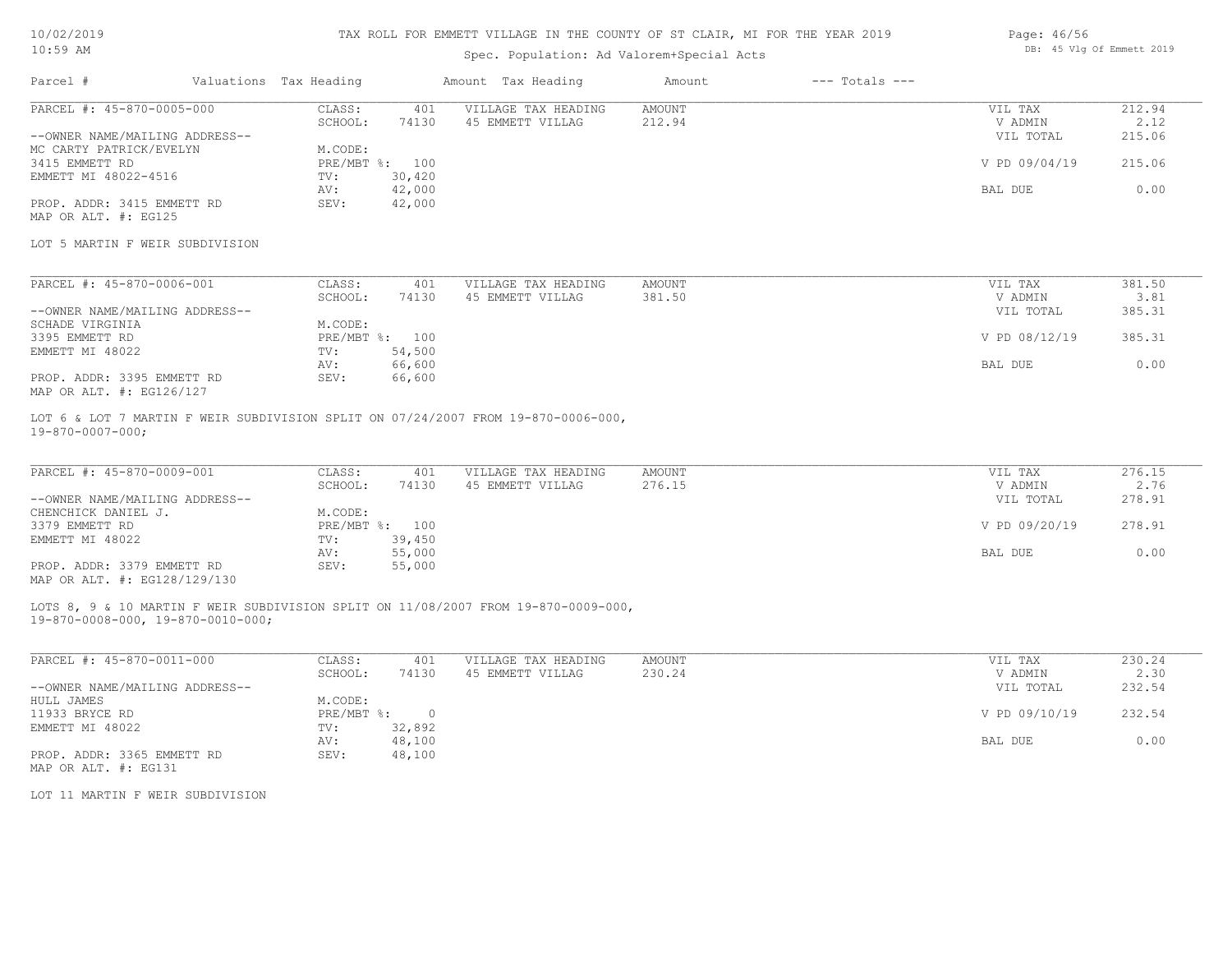### TAX ROLL FOR EMMETT VILLAGE IN THE COUNTY OF ST CLAIR, MI FOR THE YEAR 2019

# Spec. Population: Ad Valorem+Special Acts

| Parcel #                       | Valuations Tax Heading |                | Amount Tax Heading  | Amount | $---$ Totals $---$ |               |        |
|--------------------------------|------------------------|----------------|---------------------|--------|--------------------|---------------|--------|
| PARCEL #: 45-870-0005-000      | CLASS:                 | 401            | VILLAGE TAX HEADING | AMOUNT |                    | VIL TAX       | 212.94 |
|                                | SCHOOL:                | 74130          | 45 EMMETT VILLAG    | 212.94 |                    | V ADMIN       | 2.12   |
| --OWNER NAME/MAILING ADDRESS-- |                        |                |                     |        |                    | VIL TOTAL     | 215.06 |
| MC CARTY PATRICK/EVELYN        | M.CODE:                |                |                     |        |                    |               |        |
| 3415 EMMETT RD                 |                        | PRE/MBT %: 100 |                     |        |                    | V PD 09/04/19 | 215.06 |
| EMMETT MI 48022-4516           | TV:                    | 30,420         |                     |        |                    |               |        |
|                                | AV:                    | 42,000         |                     |        |                    | BAL DUE       | 0.00   |
| PROP. ADDR: 3415 EMMETT RD     | SEV:                   | 42,000         |                     |        |                    |               |        |
| MAP OR ALT. #: EG125           |                        |                |                     |        |                    |               |        |

#### LOT 5 MARTIN F WEIR SUBDIVISION

| PARCEL #: 45-870-0006-001      | CLASS:  | 401            | VILLAGE TAX HEADING | AMOUNT | VIL TAX       | 381.50 |
|--------------------------------|---------|----------------|---------------------|--------|---------------|--------|
|                                | SCHOOL: | 74130          | 45 EMMETT VILLAG    | 381.50 | V ADMIN       | 3.81   |
| --OWNER NAME/MAILING ADDRESS-- |         |                |                     |        | VIL TOTAL     | 385.31 |
| SCHADE VIRGINIA                | M.CODE: |                |                     |        |               |        |
| 3395 EMMETT RD                 |         | PRE/MBT %: 100 |                     |        | V PD 08/12/19 | 385.31 |
| EMMETT MI 48022                | TV:     | 54,500         |                     |        |               |        |
|                                | AV:     | 66,600         |                     |        | BAL DUE       | 0.00   |
| PROP. ADDR: 3395 EMMETT RD     | SEV:    | 66,600         |                     |        |               |        |
| MAP OR ALT. #: EG126/127       |         |                |                     |        |               |        |

19-870-0007-000; LOT 6 & LOT 7 MARTIN F WEIR SUBDIVISION SPLIT ON 07/24/2007 FROM 19-870-0006-000,

| PARCEL #: 45-870-0009-001      | CLASS:  | 401            | VILLAGE TAX HEADING | AMOUNT | VIL TAX       | 276.15 |
|--------------------------------|---------|----------------|---------------------|--------|---------------|--------|
|                                | SCHOOL: | 74130          | 45 EMMETT VILLAG    | 276.15 | V ADMIN       | 2.76   |
| --OWNER NAME/MAILING ADDRESS-- |         |                |                     |        | VIL TOTAL     | 278.91 |
| CHENCHICK DANIEL J.            | M.CODE: |                |                     |        |               |        |
| 3379 EMMETT RD                 |         | PRE/MBT %: 100 |                     |        | V PD 09/20/19 | 278.91 |
| EMMETT MI 48022                | TV:     | 39,450         |                     |        |               |        |
|                                | AV:     | 55,000         |                     |        | BAL DUE       | 0.00   |
| PROP. ADDR: 3379 EMMETT RD     | SEV:    | 55,000         |                     |        |               |        |
| MAP OR ALT. #: EG128/129/130   |         |                |                     |        |               |        |

19-870-0008-000, 19-870-0010-000; LOTS 8, 9 & 10 MARTIN F WEIR SUBDIVISION SPLIT ON 11/08/2007 FROM 19-870-0009-000,

| PARCEL #: 45-870-0011-000      | CLASS:     | 401    | VILLAGE TAX HEADING | AMOUNT | VIL TAX       | 230.24 |
|--------------------------------|------------|--------|---------------------|--------|---------------|--------|
|                                | SCHOOL:    | 74130  | 45 EMMETT VILLAG    | 230.24 | V ADMIN       | 2.30   |
| --OWNER NAME/MAILING ADDRESS-- |            |        |                     |        | VIL TOTAL     | 232.54 |
| HULL JAMES                     | M.CODE:    |        |                     |        |               |        |
| 11933 BRYCE RD                 | PRE/MBT %: |        |                     |        | V PD 09/10/19 | 232.54 |
| EMMETT MI 48022                | TV:        | 32,892 |                     |        |               |        |
|                                | AV:        | 48,100 |                     |        | BAL DUE       | 0.00   |
| PROP. ADDR: 3365 EMMETT RD     | SEV:       | 48,100 |                     |        |               |        |
| MAP OR ALT. #: EG131           |            |        |                     |        |               |        |

LOT 11 MARTIN F WEIR SUBDIVISION

Page: 46/56 DB: 45 Vlg Of Emmett 2019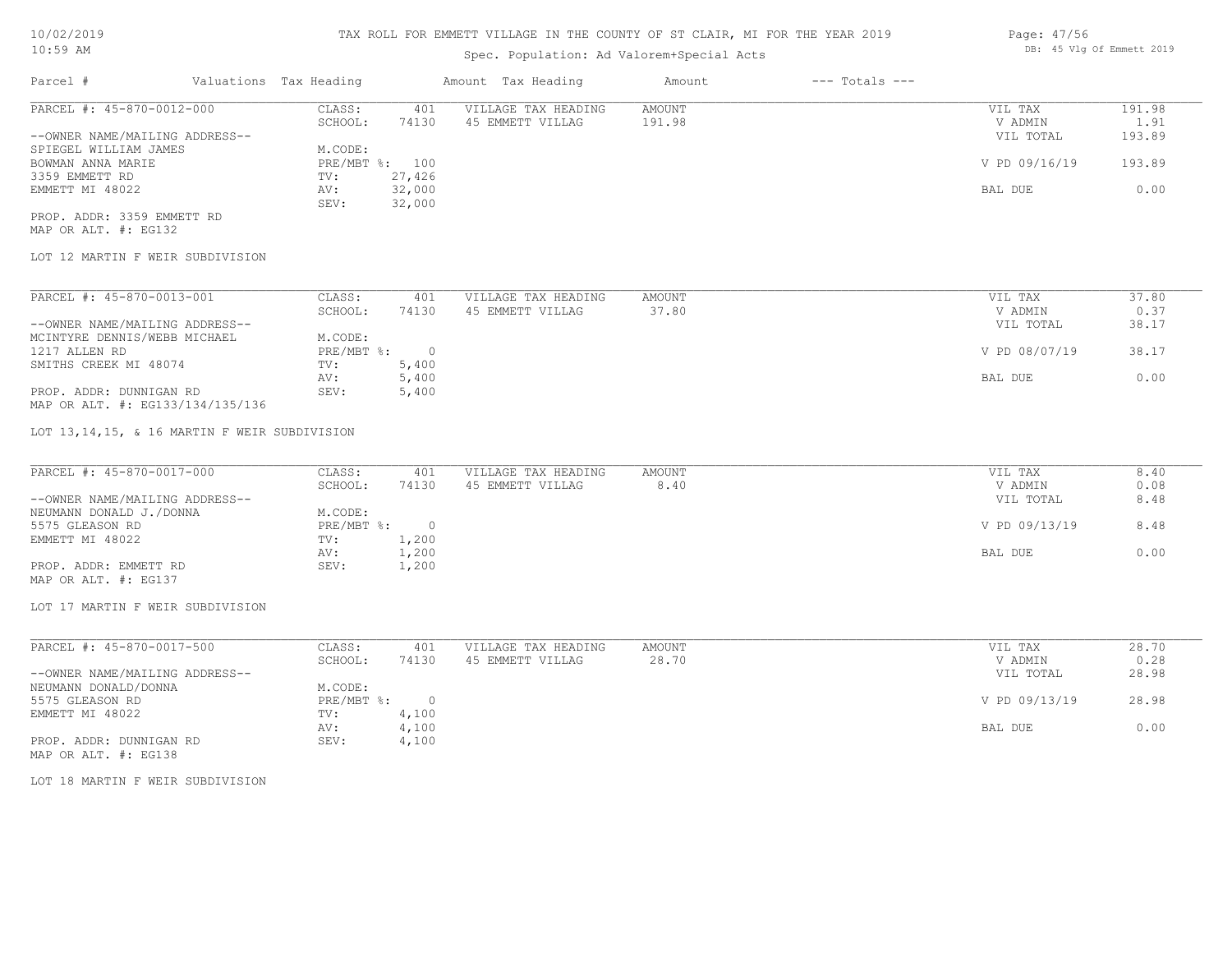# Spec. Population: Ad Valorem+Special Acts

| Page: 47/56 |  |                           |  |
|-------------|--|---------------------------|--|
|             |  | DB: 45 Vlg Of Emmett 2019 |  |

| Parcel #                       | Valuations Tax Heading |        | Amount Tax Heading  | Amount | $---$ Totals $---$ |               |        |
|--------------------------------|------------------------|--------|---------------------|--------|--------------------|---------------|--------|
| PARCEL #: 45-870-0012-000      | CLASS:                 | 401    | VILLAGE TAX HEADING | AMOUNT |                    | VIL TAX       | 191.98 |
|                                | SCHOOL:                | 74130  | 45 EMMETT VILLAG    | 191.98 |                    | V ADMIN       | 1.91   |
| --OWNER NAME/MAILING ADDRESS-- |                        |        |                     |        |                    | VIL TOTAL     | 193.89 |
| SPIEGEL WILLIAM JAMES          | M.CODE:                |        |                     |        |                    |               |        |
| BOWMAN ANNA MARIE              | PRE/MBT %: 100         |        |                     |        |                    | V PD 09/16/19 | 193.89 |
| 3359 EMMETT RD                 | TV:                    | 27,426 |                     |        |                    |               |        |
| EMMETT MI 48022                | AV:                    | 32,000 |                     |        |                    | BAL DUE       | 0.00   |
|                                | SEV:                   | 32,000 |                     |        |                    |               |        |
| PROP. ADDR: 3359 EMMETT RD     |                        |        |                     |        |                    |               |        |

MAP OR ALT. #: EG132

### LOT 12 MARTIN F WEIR SUBDIVISION

| PARCEL #: 45-870-0013-001        | CLASS:     | 401    | VILLAGE TAX HEADING | AMOUNT | 37.80<br>VIL TAX       |
|----------------------------------|------------|--------|---------------------|--------|------------------------|
|                                  | SCHOOL:    | 74130  | 45 EMMETT VILLAG    | 37.80  | 0.37<br>V ADMIN        |
| --OWNER NAME/MAILING ADDRESS--   |            |        |                     |        | 38.17<br>VIL TOTAL     |
| MCINTYRE DENNIS/WEBB MICHAEL     | M.CODE:    |        |                     |        |                        |
| 1217 ALLEN RD                    | PRE/MBT %: | $\cap$ |                     |        | V PD 08/07/19<br>38.17 |
| SMITHS CREEK MI 48074            | TV:        | 5,400  |                     |        |                        |
|                                  | AV:        | 5,400  |                     |        | 0.00<br>BAL DUE        |
| PROP. ADDR: DUNNIGAN RD          | SEV:       | 5,400  |                     |        |                        |
| MAP OR ALT. #: EG133/134/135/136 |            |        |                     |        |                        |

LOT 13,14,15, & 16 MARTIN F WEIR SUBDIVISION

| PARCEL #: 45-870-0017-000      | CLASS:     | 401   | VILLAGE TAX HEADING | AMOUNT | VIL TAX       | 8.40 |
|--------------------------------|------------|-------|---------------------|--------|---------------|------|
|                                | SCHOOL:    | 74130 | 45 EMMETT VILLAG    | 8.40   | V ADMIN       | 0.08 |
| --OWNER NAME/MAILING ADDRESS-- |            |       |                     |        | VIL TOTAL     | 8.48 |
| NEUMANN DONALD J./DONNA        | M.CODE:    |       |                     |        |               |      |
| 5575 GLEASON RD                | PRE/MBT %: |       |                     |        | V PD 09/13/19 | 8.48 |
| EMMETT MI 48022                | TV:        | 1,200 |                     |        |               |      |
|                                | AV:        | 1,200 |                     |        | BAL DUE       | 0.00 |
| PROP. ADDR: EMMETT RD          | SEV:       | 1,200 |                     |        |               |      |
| MAP OR ALT. #: EG137           |            |       |                     |        |               |      |

LOT 17 MARTIN F WEIR SUBDIVISION

| PARCEL #: 45-870-0017-500      | CLASS:     | 401   | VILLAGE TAX HEADING | AMOUNT | VIL TAX       | 28.70 |
|--------------------------------|------------|-------|---------------------|--------|---------------|-------|
|                                | SCHOOL:    | 74130 | 45 EMMETT VILLAG    | 28.70  | V ADMIN       | 0.28  |
| --OWNER NAME/MAILING ADDRESS-- |            |       |                     |        | VIL TOTAL     | 28.98 |
| NEUMANN DONALD/DONNA           | M.CODE:    |       |                     |        |               |       |
| 5575 GLEASON RD                | PRE/MBT %: |       |                     |        | V PD 09/13/19 | 28.98 |
| EMMETT MI 48022                | TV:        | 4,100 |                     |        |               |       |
|                                | AV:        | 4,100 |                     |        | BAL DUE       | 0.00  |
| PROP. ADDR: DUNNIGAN RD        | SEV:       | 4,100 |                     |        |               |       |
| MAP OR ALT. #: EG138           |            |       |                     |        |               |       |

LOT 18 MARTIN F WEIR SUBDIVISION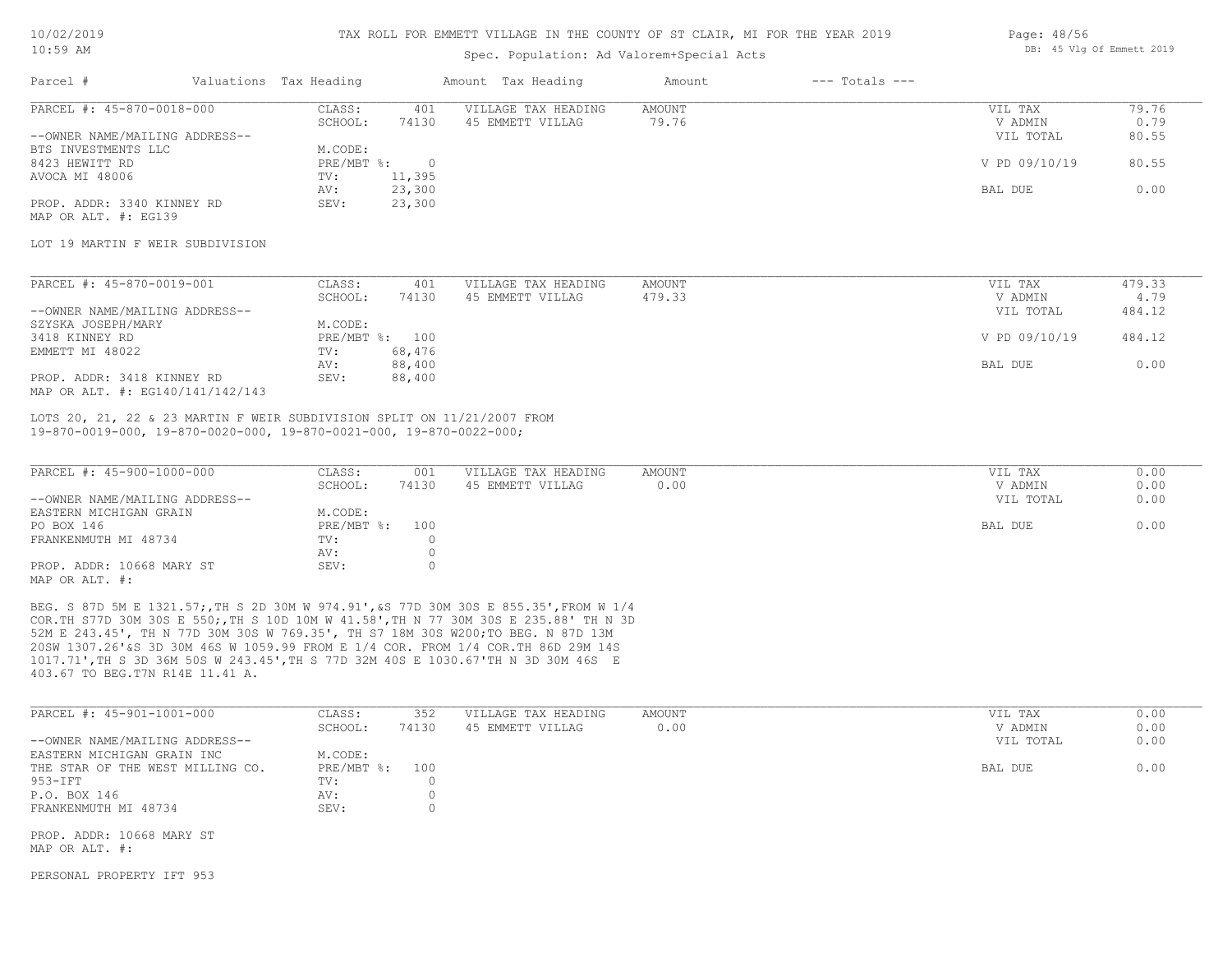#### TAX ROLL FOR EMMETT VILLAGE IN THE COUNTY OF ST CLAIR, MI FOR THE YEAR 2019

Parcel # Valuations Tax Heading Amount Tax Heading Amount --- Totals ---

### Spec. Population: Ad Valorem+Special Acts

| Page: 48/56 |  |                           |  |
|-------------|--|---------------------------|--|
|             |  | DB: 45 Vlg Of Emmett 2019 |  |

| -------                        |            |        |                     |        |               |       |
|--------------------------------|------------|--------|---------------------|--------|---------------|-------|
| PARCEL #: 45-870-0018-000      | CLASS:     | 401    | VILLAGE TAX HEADING | AMOUNT | VIL TAX       | 79.76 |
|                                | SCHOOL:    | 74130  | 45 EMMETT VILLAG    | 79.76  | V ADMIN       | 0.79  |
| --OWNER NAME/MAILING ADDRESS-- |            |        |                     |        | VIL TOTAL     | 80.55 |
| BTS INVESTMENTS LLC            | M.CODE:    |        |                     |        |               |       |
| 8423 HEWITT RD                 | PRE/MBT %: |        |                     |        | V PD 09/10/19 | 80.55 |
| AVOCA MI 48006                 | TV:        | 11,395 |                     |        |               |       |
|                                | AV:        | 23,300 |                     |        | BAL DUE       | 0.00  |
| PROP. ADDR: 3340 KINNEY RD     | SEV:       | 23,300 |                     |        |               |       |
| MAP OR ALT. #: EG139           |            |        |                     |        |               |       |

### LOT 19 MARTIN F WEIR SUBDIVISION

| PARCEL #: 45-870-0019-001        | CLASS:  | 401            | VILLAGE TAX HEADING | AMOUNT | VIL TAX       | 479.33 |
|----------------------------------|---------|----------------|---------------------|--------|---------------|--------|
|                                  | SCHOOL: | 74130          | 45 EMMETT VILLAG    | 479.33 | V ADMIN       | 4.79   |
| --OWNER NAME/MAILING ADDRESS--   |         |                |                     |        | VIL TOTAL     | 484.12 |
| SZYSKA JOSEPH/MARY               | M.CODE: |                |                     |        |               |        |
| 3418 KINNEY RD                   |         | PRE/MBT %: 100 |                     |        | V PD 09/10/19 | 484.12 |
| EMMETT MI 48022                  | TV:     | 68,476         |                     |        |               |        |
|                                  | AV:     | 88,400         |                     |        | BAL DUE       | 0.00   |
| PROP. ADDR: 3418 KINNEY RD       | SEV:    | 88,400         |                     |        |               |        |
| MAP OR ALT. #: EG140/141/142/143 |         |                |                     |        |               |        |

19-870-0019-000, 19-870-0020-000, 19-870-0021-000, 19-870-0022-000; LOTS 20, 21, 22 & 23 MARTIN F WEIR SUBDIVISION SPLIT ON 11/21/2007 FROM

| PARCEL #: 45-900-1000-000      | CLASS:         | 001   | VILLAGE TAX HEADING | AMOUNT | VIL TAX   | 0.00 |
|--------------------------------|----------------|-------|---------------------|--------|-----------|------|
|                                | SCHOOL:        | 74130 | 45 EMMETT VILLAG    | 0.00   | V ADMIN   | 0.00 |
| --OWNER NAME/MAILING ADDRESS-- |                |       |                     |        | VIL TOTAL | 0.00 |
| EASTERN MICHIGAN GRAIN         | M.CODE:        |       |                     |        |           |      |
| PO BOX 146                     | PRE/MBT %: 100 |       |                     |        | BAL DUE   | 0.00 |
| FRANKENMUTH MI 48734           | TV:            |       |                     |        |           |      |
|                                | AV:            |       |                     |        |           |      |
| PROP. ADDR: 10668 MARY ST      | SEV:           |       |                     |        |           |      |
| MAP OR ALT. #:                 |                |       |                     |        |           |      |

403.67 TO BEG.T7N R14E 11.41 A. 1017.71',TH S 3D 36M 50S W 243.45',TH S 77D 32M 40S E 1030.67'TH N 3D 30M 46S E 20SW 1307.26'&S 3D 30M 46S W 1059.99 FROM E 1/4 COR. FROM 1/4 COR.TH 86D 29M 14S 52M E 243.45', TH N 77D 30M 30S W 769.35', TH S7 18M 30S W200;TO BEG. N 87D 13M COR.TH S77D 30M 30S E 550;,TH S 10D 10M W 41.58',TH N 77 30M 30S E 235.88' TH N 3D BEG. S 87D 5M E 1321.57;,TH S 2D 30M W 974.91',&S 77D 30M 30S E 855.35',FROM W 1/4

|                                  | SCHOOL:      | 74130 |                  |      |           |      |
|----------------------------------|--------------|-------|------------------|------|-----------|------|
|                                  |              |       | 45 EMMETT VILLAG | 0.00 | V ADMIN   | 0.00 |
| --OWNER NAME/MAILING ADDRESS--   |              |       |                  |      | VIL TOTAL | 0.00 |
| EASTERN MICHIGAN GRAIN INC       | M.CODE:      |       |                  |      |           |      |
| THE STAR OF THE WEST MILLING CO. | $PRE/MBT$ %: | 100   |                  |      | BAL DUE   | 0.00 |
| 953-IFT                          | TV:          |       |                  |      |           |      |
| P.O. BOX 146                     | AV:          |       |                  |      |           |      |
| FRANKENMUTH MI 48734             | SEV:         |       |                  |      |           |      |

MAP OR ALT. #:

PERSONAL PROPERTY IFT 953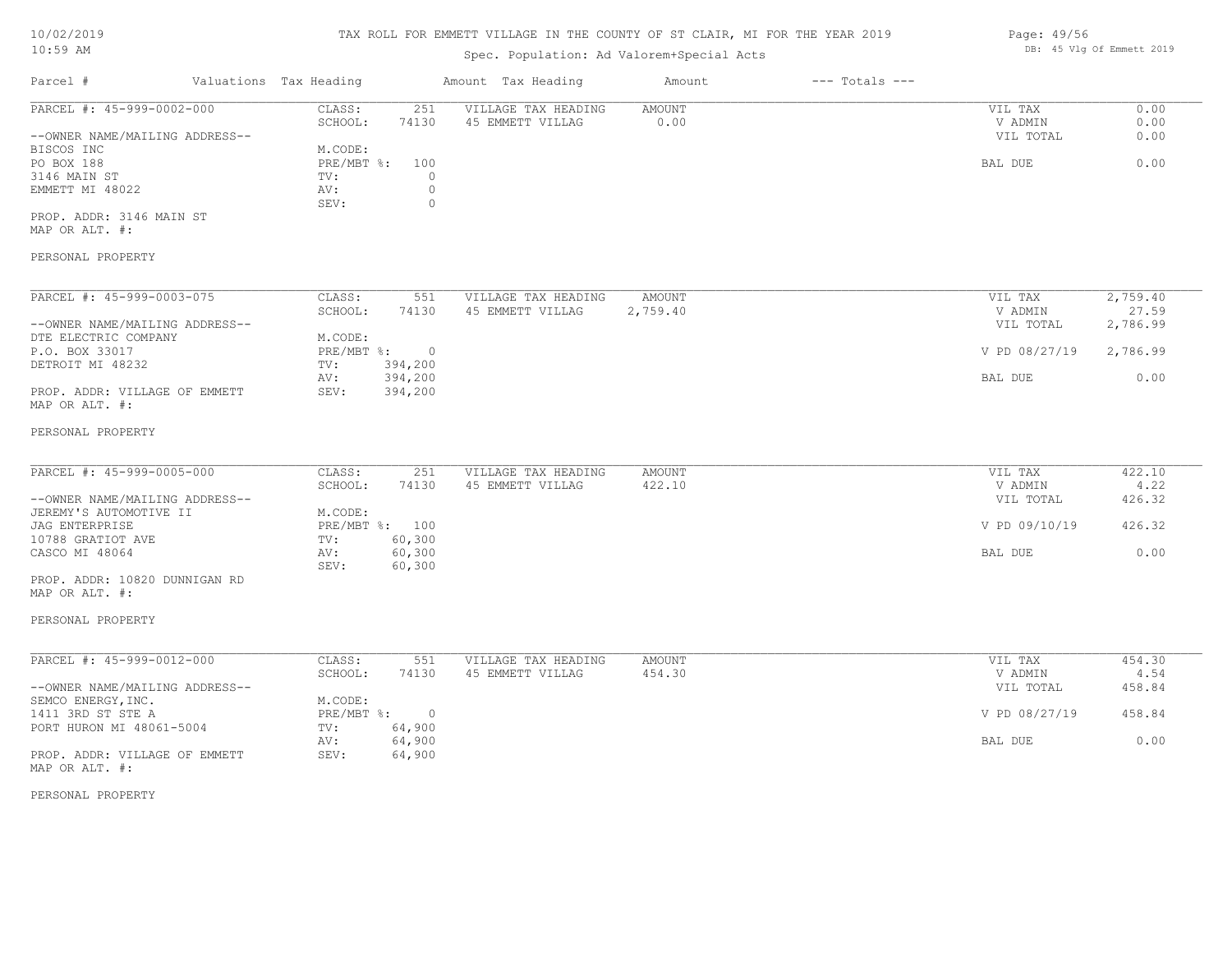# 10/02/2019

# TAX ROLL FOR EMMETT VILLAGE IN THE COUNTY OF ST CLAIR, MI FOR THE YEAR 2019

| 10/02/2019                                      |                        | TAX ROLL FOR EMMETT VILLAGE IN THE COUNTY OF ST CLAIR, MI FOR THE YEAR 2019 | Page: 49/56                               |          |                    |               |                           |
|-------------------------------------------------|------------------------|-----------------------------------------------------------------------------|-------------------------------------------|----------|--------------------|---------------|---------------------------|
| $10:59$ AM                                      |                        |                                                                             | Spec. Population: Ad Valorem+Special Acts |          |                    |               | DB: 45 Vlg Of Emmett 2019 |
| Parcel #                                        | Valuations Tax Heading |                                                                             | Amount Tax Heading                        | Amount   | $---$ Totals $---$ |               |                           |
| PARCEL #: 45-999-0002-000                       | CLASS:                 | 251                                                                         | VILLAGE TAX HEADING                       | AMOUNT   |                    | VIL TAX       | 0.00                      |
|                                                 | SCHOOL:                | 74130                                                                       | 45 EMMETT VILLAG                          | 0.00     |                    | V ADMIN       | 0.00                      |
| --OWNER NAME/MAILING ADDRESS--                  |                        |                                                                             |                                           |          |                    | VIL TOTAL     | 0.00                      |
| BISCOS INC                                      | M.CODE:                |                                                                             |                                           |          |                    |               |                           |
| PO BOX 188                                      | PRE/MBT %:             | 100                                                                         |                                           |          |                    | BAL DUE       | 0.00                      |
| 3146 MAIN ST                                    | TV:                    | $\circ$                                                                     |                                           |          |                    |               |                           |
| EMMETT MI 48022                                 | AV:                    | $\circ$                                                                     |                                           |          |                    |               |                           |
|                                                 | SEV:                   | $\mathbb O$                                                                 |                                           |          |                    |               |                           |
| PROP. ADDR: 3146 MAIN ST                        |                        |                                                                             |                                           |          |                    |               |                           |
| MAP OR ALT. #:                                  |                        |                                                                             |                                           |          |                    |               |                           |
| PERSONAL PROPERTY                               |                        |                                                                             |                                           |          |                    |               |                           |
|                                                 |                        |                                                                             |                                           |          |                    |               |                           |
| PARCEL #: 45-999-0003-075                       | CLASS:                 | 551                                                                         | VILLAGE TAX HEADING                       | AMOUNT   |                    | VIL TAX       | 2,759.40                  |
|                                                 | SCHOOL:                | 74130                                                                       | 45 EMMETT VILLAG                          | 2,759.40 |                    | V ADMIN       | 27.59                     |
| --OWNER NAME/MAILING ADDRESS--                  |                        |                                                                             |                                           |          |                    | VIL TOTAL     | 2,786.99                  |
| DTE ELECTRIC COMPANY                            | M.CODE:                |                                                                             |                                           |          |                    |               |                           |
| P.O. BOX 33017                                  | $PRE/MBT$ $\div$       | $\overline{0}$                                                              |                                           |          |                    | V PD 08/27/19 | 2,786.99                  |
| DETROIT MI 48232                                | TV:                    | 394,200                                                                     |                                           |          |                    |               |                           |
|                                                 | AV:                    | 394,200                                                                     |                                           |          |                    | BAL DUE       | 0.00                      |
| PROP. ADDR: VILLAGE OF EMMETT<br>MAP OR ALT. #: | SEV:                   | 394,200                                                                     |                                           |          |                    |               |                           |
| PERSONAL PROPERTY                               |                        |                                                                             |                                           |          |                    |               |                           |
|                                                 |                        |                                                                             |                                           |          |                    |               |                           |
| PARCEL #: 45-999-0005-000                       | CLASS:                 | 251                                                                         | VILLAGE TAX HEADING                       | AMOUNT   |                    | VIL TAX       | 422.10                    |
|                                                 | SCHOOL:                | 74130                                                                       | 45 EMMETT VILLAG                          | 422.10   |                    | V ADMIN       | 4.22                      |
| --OWNER NAME/MAILING ADDRESS--                  |                        |                                                                             |                                           |          |                    | VIL TOTAL     | 426.32                    |
| JEREMY'S AUTOMOTIVE II                          | M.CODE:                |                                                                             |                                           |          |                    |               |                           |
| <b>JAG ENTERPRISE</b>                           |                        | PRE/MBT %: 100                                                              |                                           |          |                    | V PD 09/10/19 | 426.32                    |
| 10788 GRATIOT AVE                               | TV:                    | 60,300                                                                      |                                           |          |                    |               |                           |
| CASCO MI 48064                                  | AV:                    | 60,300                                                                      |                                           |          |                    | BAL DUE       | 0.00                      |
|                                                 | SEV:                   | 60,300                                                                      |                                           |          |                    |               |                           |
| PROP. ADDR: 10820 DUNNIGAN RD<br>MAP OR ALT. #: |                        |                                                                             |                                           |          |                    |               |                           |
| PERSONAL PROPERTY                               |                        |                                                                             |                                           |          |                    |               |                           |
| PARCEL #: 45-999-0012-000                       | CLASS:                 | 551                                                                         | VILLAGE TAX HEADING                       | AMOUNT   |                    | VIL TAX       | 454.30                    |
|                                                 |                        |                                                                             |                                           |          |                    |               |                           |

| FARUBU #. HJT <i>jjj</i> tuuiztuuu | . conun      | ـ د ب  | VIDAGE IAA NEADING | <b>AI'IOUN L</b> | VII IAA       | 494.90 |
|------------------------------------|--------------|--------|--------------------|------------------|---------------|--------|
|                                    | SCHOOL:      | 74130  | 45 EMMETT VILLAG   | 454.30           | V ADMIN       | 4.54   |
| --OWNER NAME/MAILING ADDRESS--     |              |        |                    |                  | VIL TOTAL     | 458.84 |
| SEMCO ENERGY, INC.                 | M.CODE:      |        |                    |                  |               |        |
| 1411 3RD ST STE A                  | $PRE/MBT$ %: | $\cap$ |                    |                  | V PD 08/27/19 | 458.84 |
| PORT HURON MI 48061-5004           | TV:          | 64,900 |                    |                  |               |        |
|                                    | AV:          | 64,900 |                    |                  | BAL DUE       | 0.00   |
| PROP. ADDR: VILLAGE OF EMMETT      | SEV:         | 64,900 |                    |                  |               |        |
| MAP OR ALT. #:                     |              |        |                    |                  |               |        |

PERSONAL PROPERTY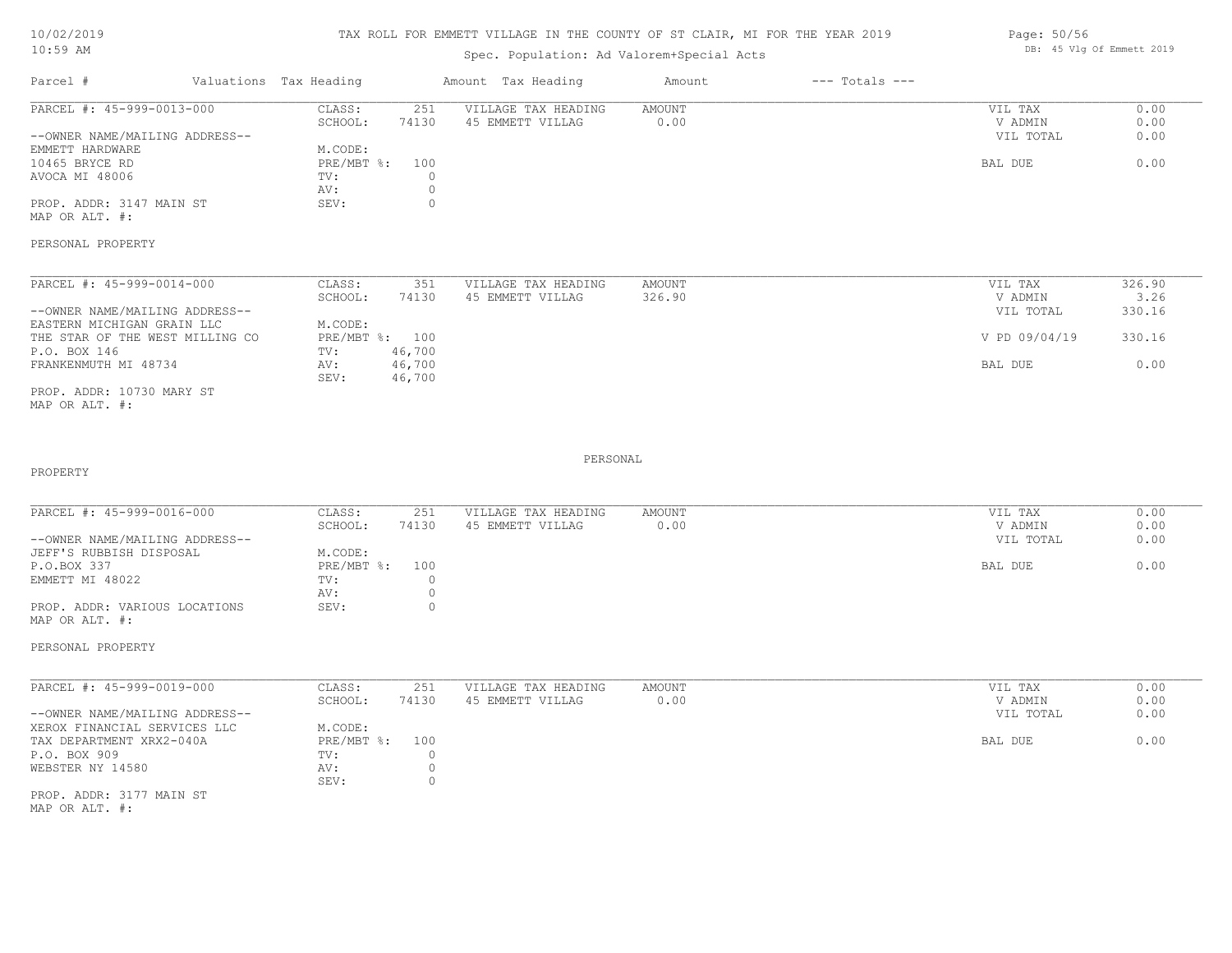#### TAX ROLL FOR EMMETT VILLAGE IN THE COUNTY OF ST CLAIR, MI FOR THE YEAR 2019

### Spec. Population: Ad Valorem+Special Acts

| Parcel #                       | Valuations Tax Heading |       | Amount Tax Heading  | Amount | $---$ Totals $---$ |           |      |
|--------------------------------|------------------------|-------|---------------------|--------|--------------------|-----------|------|
| PARCEL #: 45-999-0013-000      | CLASS:                 | 251   | VILLAGE TAX HEADING | AMOUNT |                    | VIL TAX   | 0.00 |
|                                | SCHOOL:                | 74130 | 45 EMMETT VILLAG    | 0.00   |                    | V ADMIN   | 0.00 |
| --OWNER NAME/MAILING ADDRESS-- |                        |       |                     |        |                    | VIL TOTAL | 0.00 |
| EMMETT HARDWARE                | M.CODE:                |       |                     |        |                    |           |      |
| 10465 BRYCE RD                 | PRE/MBT %: 100         |       |                     |        |                    | BAL DUE   | 0.00 |
| AVOCA MI 48006                 | TV:                    |       |                     |        |                    |           |      |
|                                | AV:                    |       |                     |        |                    |           |      |
| PROP. ADDR: 3147 MAIN ST       | SEV:                   |       |                     |        |                    |           |      |
|                                |                        |       |                     |        |                    |           |      |

MAP OR ALT. #:

PERSONAL PROPERTY

| PARCEL #: 45-999-0014-000       | CLASS:  | 351            | VILLAGE TAX HEADING | AMOUNT | VIL TAX       | 326.90 |
|---------------------------------|---------|----------------|---------------------|--------|---------------|--------|
|                                 | SCHOOL: | 74130          | 45 EMMETT VILLAG    | 326.90 | V ADMIN       | 3.26   |
| --OWNER NAME/MAILING ADDRESS--  |         |                |                     |        | VIL TOTAL     | 330.16 |
| EASTERN MICHIGAN GRAIN LLC      | M.CODE: |                |                     |        |               |        |
| THE STAR OF THE WEST MILLING CO |         | PRE/MBT %: 100 |                     |        | V PD 09/04/19 | 330.16 |
| P.O. BOX 146                    | TV:     | 46,700         |                     |        |               |        |
| FRANKENMUTH MI 48734            | AV:     | 46,700         |                     |        | BAL DUE       | 0.00   |
|                                 | SEV:    | 46,700         |                     |        |               |        |
| PROP. ADDR: 10730 MARY ST       |         |                |                     |        |               |        |

MAP OR ALT. #:

PROPERTY

#### PERSONAL

 $\mathcal{L}_\mathcal{L} = \mathcal{L}_\mathcal{L} = \mathcal{L}_\mathcal{L} = \mathcal{L}_\mathcal{L} = \mathcal{L}_\mathcal{L} = \mathcal{L}_\mathcal{L} = \mathcal{L}_\mathcal{L} = \mathcal{L}_\mathcal{L} = \mathcal{L}_\mathcal{L} = \mathcal{L}_\mathcal{L} = \mathcal{L}_\mathcal{L} = \mathcal{L}_\mathcal{L} = \mathcal{L}_\mathcal{L} = \mathcal{L}_\mathcal{L} = \mathcal{L}_\mathcal{L} = \mathcal{L}_\mathcal{L} = \mathcal{L}_\mathcal{L}$ 

| PARCEL #: 45-999-0016-000      | CLASS:       | 251   | VILLAGE TAX HEADING | AMOUNT | VIL TAX   | 0.00 |
|--------------------------------|--------------|-------|---------------------|--------|-----------|------|
|                                | SCHOOL:      | 74130 | 45 EMMETT VILLAG    | 0.00   | V ADMIN   | 0.00 |
| --OWNER NAME/MAILING ADDRESS-- |              |       |                     |        | VIL TOTAL | 0.00 |
| JEFF'S RUBBISH DISPOSAL        | M.CODE:      |       |                     |        |           |      |
| P.O.BOX 337                    | $PRE/MBT$ %: | 100   |                     |        | BAL DUE   | 0.00 |
| EMMETT MI 48022                | TV:          |       |                     |        |           |      |
|                                | AV:          |       |                     |        |           |      |
| PROP. ADDR: VARIOUS LOCATIONS  | SEV:         | (     |                     |        |           |      |
| MAP OR ALT. #:                 |              |       |                     |        |           |      |

PERSONAL PROPERTY

PROP. ADDR: 3177 MAIN ST SEV: 0 WEBSTER NY 14580 AV: 0 P.O. BOX 909 TV: 0 TAX DEPARTMENT XRX2-040A PRE/MBT %: 100 BAL DUE 0.00 XEROX FINANCIAL SERVICES LLC M.CODE: --OWNER NAME/MAILING ADDRESS-- VIL TOTAL 0.00 SCHOOL: 74130 45 EMMETT VILLAG 0.00 V ADMIN 0.00 PARCEL #: 45-999-0019-000 CLASS: 251 VILLAGE TAX HEADING AMOUNT AMOUNT VIL TAX 0.00<br>SCHOOL: 74130 45 EMMETT VILLAG 0.00 0 VADMIN 0.00 \_\_\_\_\_\_\_\_\_\_\_\_\_\_\_\_\_\_\_\_\_\_\_\_\_\_\_\_\_\_\_\_\_\_\_\_\_\_\_\_\_\_\_\_\_\_\_\_\_\_\_\_\_\_\_\_\_\_\_\_\_\_\_\_\_\_\_\_\_\_\_\_\_\_\_\_\_\_\_\_\_\_\_\_\_\_\_\_\_\_\_\_\_\_\_\_\_\_\_\_\_\_\_\_\_\_\_\_\_\_\_\_\_\_\_\_\_\_\_\_\_\_\_\_\_\_\_\_\_\_\_\_\_\_\_\_\_\_\_\_\_\_\_\_\_\_\_\_\_\_\_\_\_\_\_\_\_\_\_\_\_\_\_\_\_\_\_\_\_\_\_\_\_\_\_

MAP OR ALT. #:

Page: 50/56 DB: 45 Vlg Of Emmett 2019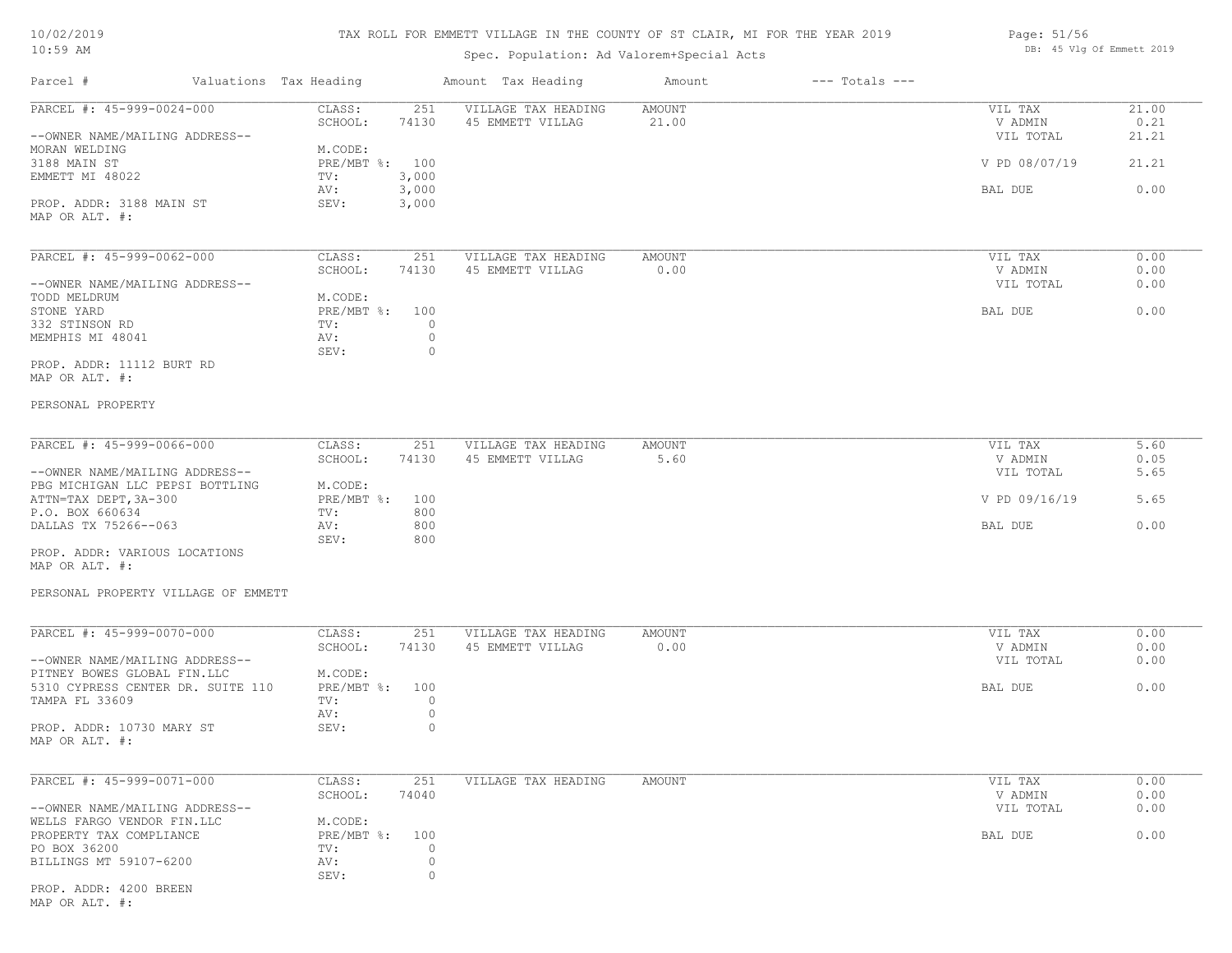| 10/02/2019 |  |
|------------|--|
| 10:59 AM   |  |

Spec. Population: Ad Valorem+Special Acts

| Page: $51/56$ |  |                           |  |
|---------------|--|---------------------------|--|
|               |  | DB: 45 Vlg Of Emmett 2019 |  |

| Parcel #                                                      | Valuations Tax Heading            | Amount Tax Heading                      | Amount          | $---$ Totals $---$ |                      |               |
|---------------------------------------------------------------|-----------------------------------|-----------------------------------------|-----------------|--------------------|----------------------|---------------|
| PARCEL #: 45-999-0024-000                                     | CLASS:<br>251<br>SCHOOL:<br>74130 | VILLAGE TAX HEADING<br>45 EMMETT VILLAG | AMOUNT<br>21.00 |                    | VIL TAX<br>V ADMIN   | 21.00<br>0.21 |
| --OWNER NAME/MAILING ADDRESS--<br>MORAN WELDING               | M.CODE:                           |                                         |                 |                    | VIL TOTAL            | 21.21         |
| 3188 MAIN ST<br>EMMETT MI 48022                               | PRE/MBT %: 100<br>TV:<br>3,000    |                                         |                 |                    | V PD 08/07/19        | 21.21         |
| PROP. ADDR: 3188 MAIN ST<br>MAP OR ALT. #:                    | 3,000<br>AV:<br>SEV:<br>3,000     |                                         |                 |                    | BAL DUE              | 0.00          |
|                                                               |                                   |                                         |                 |                    |                      |               |
| PARCEL #: 45-999-0062-000                                     | CLASS:<br>251                     | VILLAGE TAX HEADING                     | AMOUNT          |                    | VIL TAX              | 0.00          |
| --OWNER NAME/MAILING ADDRESS--                                | SCHOOL:<br>74130                  | 45 EMMETT VILLAG                        | 0.00            |                    | V ADMIN<br>VIL TOTAL | 0.00<br>0.00  |
| TODD MELDRUM<br>STONE YARD                                    | M.CODE:<br>PRE/MBT %: 100         |                                         |                 |                    | BAL DUE              | 0.00          |
| 332 STINSON RD                                                | TV:                               | $\circ$                                 |                 |                    |                      |               |
| MEMPHIS MI 48041                                              | AV:<br>SEV:                       | $\circ$<br>$\circ$                      |                 |                    |                      |               |
| PROP. ADDR: 11112 BURT RD                                     |                                   |                                         |                 |                    |                      |               |
| MAP OR ALT. #:                                                |                                   |                                         |                 |                    |                      |               |
| PERSONAL PROPERTY                                             |                                   |                                         |                 |                    |                      |               |
| PARCEL #: 45-999-0066-000                                     | CLASS:<br>251                     | VILLAGE TAX HEADING                     | AMOUNT          |                    | VIL TAX              | 5.60          |
| --OWNER NAME/MAILING ADDRESS--                                | SCHOOL:<br>74130                  | 45 EMMETT VILLAG                        | 5.60            |                    | V ADMIN<br>VIL TOTAL | 0.05<br>5.65  |
| PBG MICHIGAN LLC PEPSI BOTTLING                               | M.CODE:                           |                                         |                 |                    |                      |               |
| ATTN=TAX DEPT, 3A-300                                         | PRE/MBT %:<br>100                 |                                         |                 |                    | V PD 09/16/19        | 5.65          |
| P.O. BOX 660634<br>DALLAS TX 75266--063                       | 800<br>TV:<br>800<br>AV:          |                                         |                 |                    | BAL DUE              | 0.00          |
|                                                               | SEV:<br>800                       |                                         |                 |                    |                      |               |
| PROP. ADDR: VARIOUS LOCATIONS<br>MAP OR ALT. #:               |                                   |                                         |                 |                    |                      |               |
| PERSONAL PROPERTY VILLAGE OF EMMETT                           |                                   |                                         |                 |                    |                      |               |
| PARCEL #: 45-999-0070-000                                     | CLASS:<br>251                     | VILLAGE TAX HEADING                     | AMOUNT          |                    | VIL TAX              | 0.00          |
|                                                               | SCHOOL:<br>74130                  | 45 EMMETT VILLAG                        | 0.00            |                    | V ADMIN              | 0.00          |
| --OWNER NAME/MAILING ADDRESS--<br>PITNEY BOWES GLOBAL FIN.LLC | M.CODE:                           |                                         |                 |                    | VIL TOTAL            | 0.00          |
| 5310 CYPRESS CENTER DR. SUITE 110                             | PRE/MBT %:<br>100                 |                                         |                 |                    | BAL DUE              | 0.00          |
| TAMPA FL 33609                                                | TV:                               | $\circ$                                 |                 |                    |                      |               |
| PROP. ADDR: 10730 MARY ST                                     | AV:<br>SEV:                       | $\circ$<br>$\circ$                      |                 |                    |                      |               |
| MAP OR ALT. #:                                                |                                   |                                         |                 |                    |                      |               |
| PARCEL #: 45-999-0071-000                                     | 251<br>CLASS:                     | VILLAGE TAX HEADING                     | AMOUNT          |                    | VIL TAX              | 0.00          |
|                                                               | 74040<br>SCHOOL:                  |                                         |                 |                    | V ADMIN              | 0.00          |
| --OWNER NAME/MAILING ADDRESS--<br>WELLS FARGO VENDOR FIN.LLC  | M.CODE:                           |                                         |                 |                    | VIL TOTAL            | 0.00          |
| PROPERTY TAX COMPLIANCE                                       | PRE/MBT %:<br>100                 |                                         |                 |                    | BAL DUE              | 0.00          |
| PO BOX 36200                                                  | TV:                               | 0                                       |                 |                    |                      |               |
| BILLINGS MT 59107-6200                                        | AV:<br>SEV:                       | $\circ$<br>$\circ$                      |                 |                    |                      |               |
| PROP. ADDR: 4200 BREEN                                        |                                   |                                         |                 |                    |                      |               |
|                                                               |                                   |                                         |                 |                    |                      |               |

MAP OR ALT. #: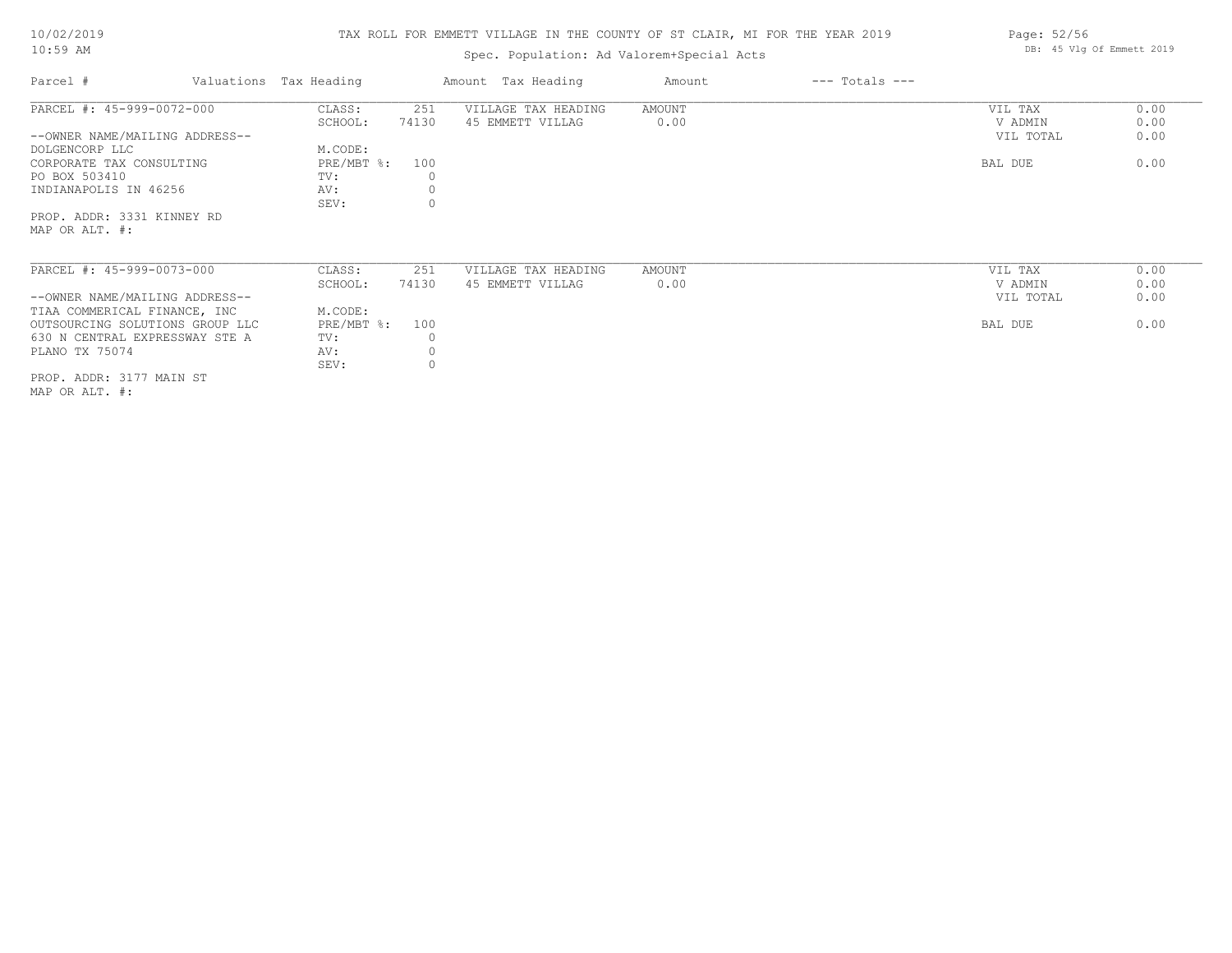# TAX ROLL FOR EMMETT VILLAGE IN THE COUNTY OF ST CLAIR, MI FOR THE YEAR 2019

# Spec. Population: Ad Valorem+Special Acts

| Parcel #                        | Valuations Tax Heading |          | Amount Tax Heading  | Amount | $---$ Totals $---$ |           |      |
|---------------------------------|------------------------|----------|---------------------|--------|--------------------|-----------|------|
| PARCEL #: 45-999-0072-000       | CLASS:                 | 251      | VILLAGE TAX HEADING | AMOUNT |                    | VIL TAX   | 0.00 |
|                                 | SCHOOL:                | 74130    | 45 EMMETT VILLAG    | 0.00   |                    | V ADMIN   | 0.00 |
| --OWNER NAME/MAILING ADDRESS--  |                        |          |                     |        |                    | VIL TOTAL | 0.00 |
| DOLGENCORP LLC                  | M.CODE:                |          |                     |        |                    |           |      |
| CORPORATE TAX CONSULTING        | $PRE/MBT$ %:           | 100      |                     |        |                    | BAL DUE   | 0.00 |
| PO BOX 503410                   | TV:                    |          |                     |        |                    |           |      |
| INDIANAPOLIS IN 46256           | AV:                    |          |                     |        |                    |           |      |
|                                 | SEV:                   |          |                     |        |                    |           |      |
| PROP. ADDR: 3331 KINNEY RD      |                        |          |                     |        |                    |           |      |
| MAP OR ALT. #:                  |                        |          |                     |        |                    |           |      |
|                                 |                        |          |                     |        |                    |           |      |
|                                 |                        |          |                     |        |                    |           |      |
| PARCEL #: 45-999-0073-000       | CLASS:                 | 251      | VILLAGE TAX HEADING | AMOUNT |                    | VIL TAX   | 0.00 |
|                                 | SCHOOL:                | 74130    | 45 EMMETT VILLAG    | 0.00   |                    | V ADMIN   | 0.00 |
| --OWNER NAME/MAILING ADDRESS--  |                        |          |                     |        |                    | VIL TOTAL | 0.00 |
| TIAA COMMERICAL FINANCE, INC    | M.CODE:                |          |                     |        |                    |           |      |
| OUTSOURCING SOLUTIONS GROUP LLC | $PRE/MBT$ %:           | 100      |                     |        |                    | BAL DUE   | 0.00 |
| 630 N CENTRAL EXPRESSWAY STE A  | TV:                    |          |                     |        |                    |           |      |
| PLANO TX 75074                  | AV:                    |          |                     |        |                    |           |      |
|                                 | SEV:                   | $\Omega$ |                     |        |                    |           |      |
|                                 |                        |          |                     |        |                    |           |      |

MAP OR ALT. #: PROP. ADDR: 3177 MAIN ST Page: 52/56 DB: 45 Vlg Of Emmett 2019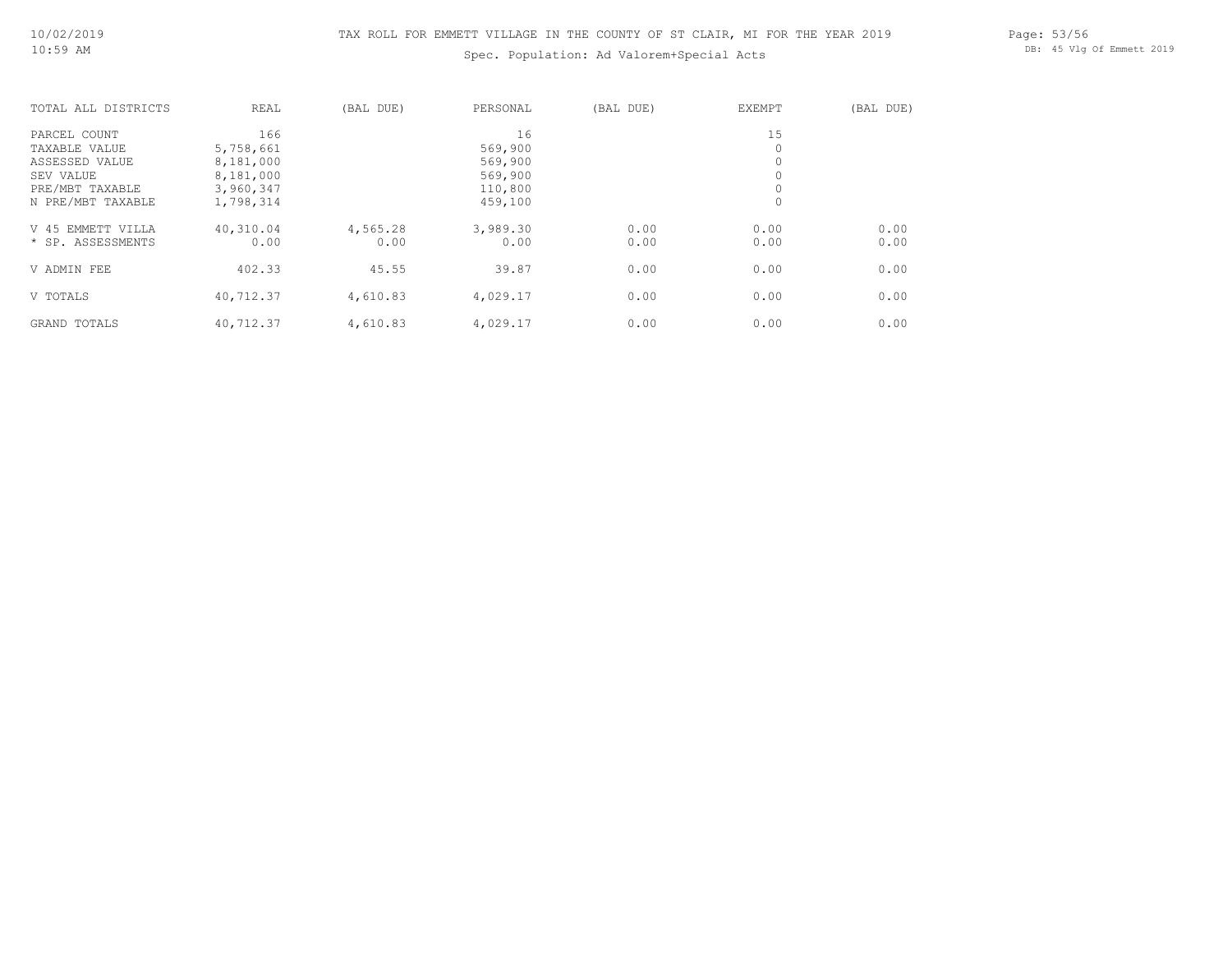# Spec. Population: Ad Valorem+Special Acts

Page: 53/56 DB: 45 Vlg Of Emmett 2019

| TOTAL ALL DISTRICTS | REAL      | (BAL DUE) | PERSONAL | (BAL DUE) | EXEMPT | (BAL DUE) |
|---------------------|-----------|-----------|----------|-----------|--------|-----------|
| PARCEL COUNT        | 166       |           | 16       |           | 15     |           |
| TAXABLE VALUE       | 5,758,661 |           | 569,900  |           | 0      |           |
| ASSESSED VALUE      | 8,181,000 |           | 569,900  |           | 0      |           |
| SEV VALUE           | 8,181,000 |           | 569,900  |           |        |           |
| PRE/MBT TAXABLE     | 3,960,347 |           | 110,800  |           |        |           |
| N PRE/MBT TAXABLE   | 1,798,314 |           | 459,100  |           | 0      |           |
| V 45 EMMETT VILLA   | 40,310.04 | 4,565.28  | 3,989.30 | 0.00      | 0.00   | 0.00      |
| * SP. ASSESSMENTS   | 0.00      | 0.00      | 0.00     | 0.00      | 0.00   | 0.00      |
| V ADMIN FEE         | 402.33    | 45.55     | 39.87    | 0.00      | 0.00   | 0.00      |
| V TOTALS            | 40,712.37 | 4,610.83  | 4,029.17 | 0.00      | 0.00   | 0.00      |
| GRAND TOTALS        | 40,712.37 | 4,610.83  | 4,029.17 | 0.00      | 0.00   | 0.00      |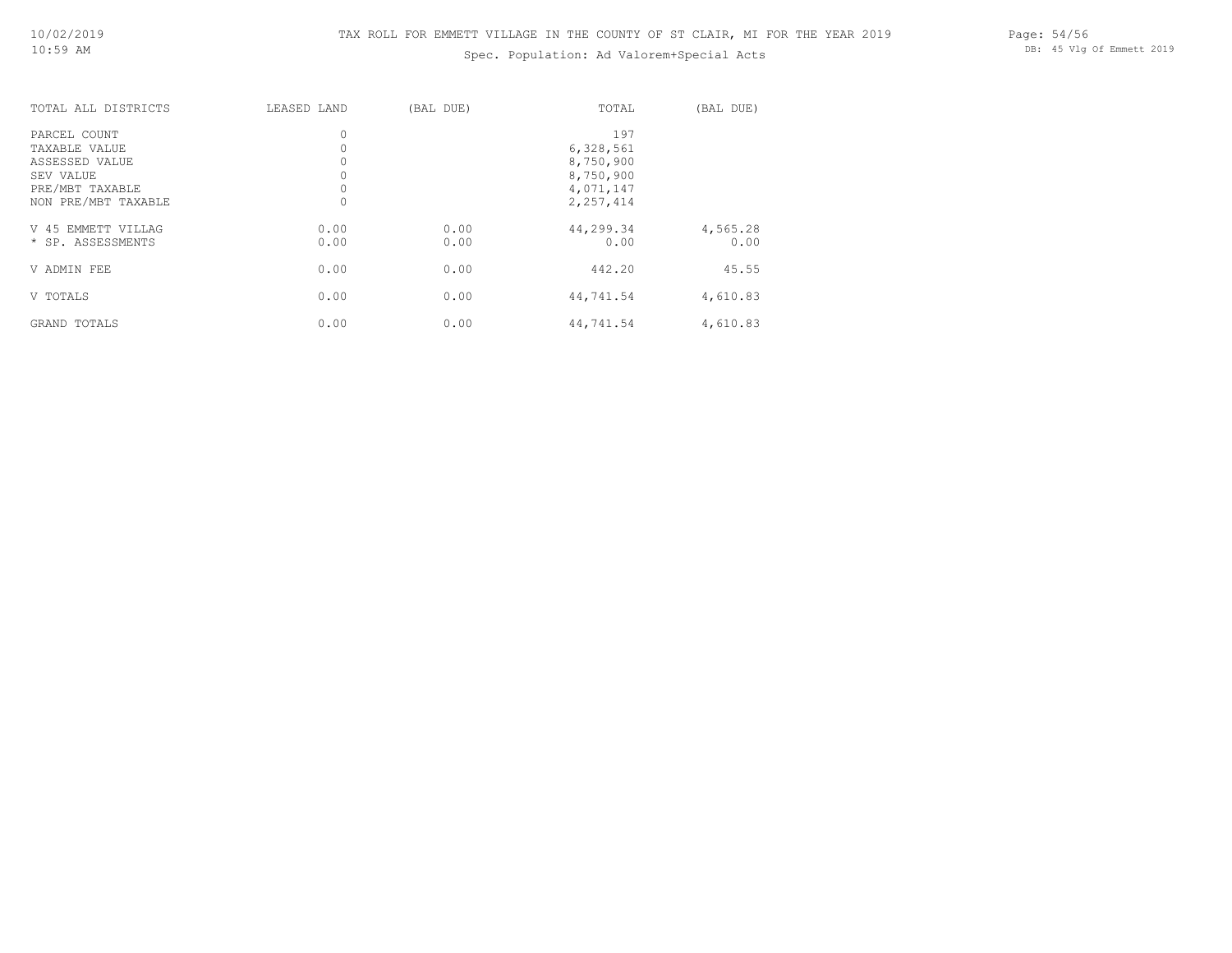# Spec. Population: Ad Valorem+Special Acts

Page: 54/56 DB: 45 Vlg Of Emmett 2019

| TOTAL ALL DISTRICTS | LEASED LAND | (BAL DUE) | TOTAL     | (BAL DUE) |
|---------------------|-------------|-----------|-----------|-----------|
| PARCEL COUNT        | $\circ$     |           | 197       |           |
| TAXABLE VALUE       |             |           | 6,328,561 |           |
| ASSESSED VALUE      | $\circ$     |           | 8,750,900 |           |
| SEV VALUE           | $\circ$     |           | 8,750,900 |           |
| PRE/MBT TAXABLE     |             |           | 4,071,147 |           |
| NON PRE/MBT TAXABLE | $\mathbf 0$ |           | 2,257,414 |           |
| V 45 EMMETT VILLAG  | 0.00        | 0.00      | 44,299.34 | 4,565.28  |
| * SP. ASSESSMENTS   | 0.00        | 0.00      | 0.00      | 0.00      |
| V ADMIN FEE         | 0.00        | 0.00      | 442.20    | 45.55     |
| V TOTALS            | 0.00        | 0.00      | 44,741.54 | 4,610.83  |
| GRAND TOTALS        | 0.00        | 0.00      | 44,741.54 | 4,610.83  |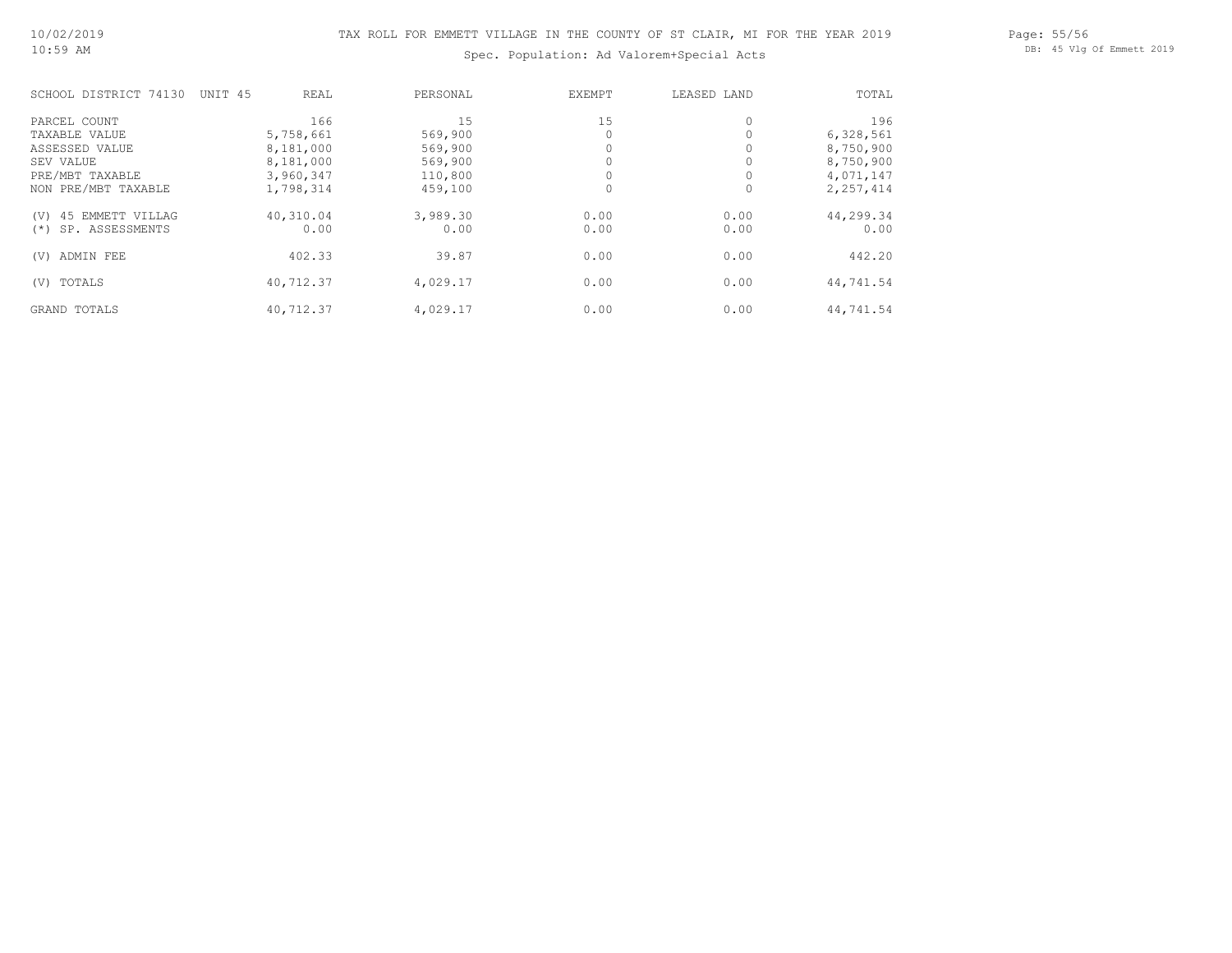Page: 55/56 DB: 45 Vlg Of Emmett 2019

# Spec. Population: Ad Valorem+Special Acts

| SCHOOL DISTRICT 74130    | UNIT 45 | <b>REAL</b> | PERSONAL | EXEMPT | LEASED LAND | TOTAL     |
|--------------------------|---------|-------------|----------|--------|-------------|-----------|
| PARCEL COUNT             |         | 166         | 15       | 15     | 0           | 196       |
| TAXABLE VALUE            |         | 5,758,661   | 569,900  |        |             | 6,328,561 |
| ASSESSED VALUE           |         | 8,181,000   | 569,900  |        |             | 8,750,900 |
| SEV VALUE                |         | 8,181,000   | 569,900  |        |             | 8,750,900 |
| PRE/MBT TAXABLE          |         | 3,960,347   | 110,800  |        |             | 4,071,147 |
| NON PRE/MBT TAXABLE      |         | 1,798,314   | 459,100  | 0      | 0           | 2,257,414 |
| 45 EMMETT VILLAG<br>(V)  |         | 40,310.04   | 3,989.30 | 0.00   | 0.00        | 44,299.34 |
| SP. ASSESSMENTS<br>$(*)$ |         | 0.00        | 0.00     | 0.00   | 0.00        | 0.00      |
| ADMIN FEE<br>(V)         |         | 402.33      | 39.87    | 0.00   | 0.00        | 442.20    |
| TOTALS<br>(V)            |         | 40,712.37   | 4,029.17 | 0.00   | 0.00        | 44,741.54 |
| GRAND TOTALS             |         | 40,712.37   | 4,029.17 | 0.00   | 0.00        | 44,741.54 |